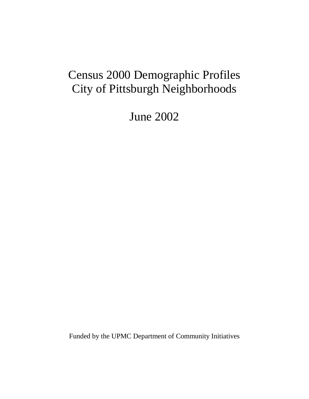# Census 2000 Demographic Profiles City of Pittsburgh Neighborhoods

June 2002

Funded by the UPMC Department of Community Initiatives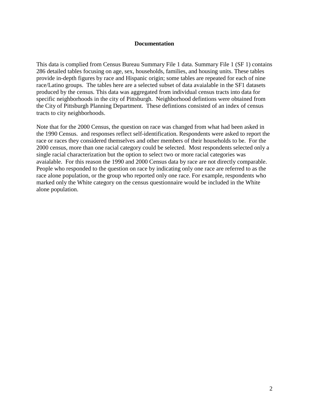#### **Documentation**

This data is complied from Census Bureau Summary File 1 data. Summary File 1 (SF 1) contains 286 detailed tables focusing on age, sex, households, families, and housing units. These tables provide in-depth figures by race and Hispanic origin; some tables are repeated for each of nine race/Latino groups. The tables here are a selected subset of data avaialable in the SF1 datasets produced by the census. This data was aggregated from individual census tracts into data for specific neighborhoods in the city of Pittsburgh. Neighborhood defintions were obtained from the City of Pittsburgh Planning Department. These defintions consisted of an index of census tracts to city neighborhoods.

Note that for the 2000 Census, the question on race was changed from what had been asked in the 1990 Census. and responses reflect self-identification. Respondents were asked to report the race or races they considered themselves and other members of their households to be. For the 2000 census, more than one racial category could be selected. Most respondents selected only a single racial characterization but the option to select two or more racial categories was avaialable. For this reason the 1990 and 2000 Census data by race are not directly comparable. People who responded to the question on race by indicating only one race are referred to as the race alone population, or the group who reported only one race. For example, respondents who marked only the White category on the census questionnaire would be included in the White alone population.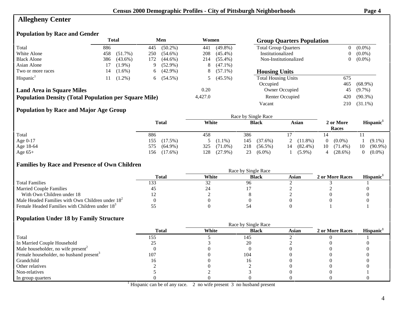# **Allegheny Center**

### **Population by Race and Gender**

|                                                              | <b>Total</b> |            | Men<br>Women |             |                 | <b>Group Quarters Population</b> |                             |     |             |
|--------------------------------------------------------------|--------------|------------|--------------|-------------|-----------------|----------------------------------|-----------------------------|-----|-------------|
| Total                                                        | 886          |            | 445          | $(50.2\%)$  | 441             | $(49.8\%)$                       | <b>Total Group Quarters</b> |     | $0(0.0\%)$  |
| White Alone                                                  | 458          | $(51.7\%)$ | 250          | $(54.6\%)$  | 208             | $(45.4\%)$                       | Institutionalized           |     | $0(0.0\%)$  |
| <b>Black Alone</b>                                           | 386          | $(43.6\%)$ | 172.         | $(44.6\%)$  | 214             | $(55.4\%)$                       | Non-Institutionalized       |     | $0 (0.0\%)$ |
| Asian Alone                                                  |              | $(1.9\%)$  | 9.           | $(52.9\%)$  | 8               | $(47.1\%)$                       |                             |     |             |
| Two or more races                                            | 14           | $(1.6\%)$  |              | $6(42.9\%)$ | 8.              | $(57.1\%)$                       | <b>Housing Units</b>        |     |             |
| Hispanic <sup>1</sup>                                        | 11           | $(1.2\%)$  |              | $6(54.5\%)$ |                 | $(45.5\%)$                       | <b>Total Housing Units</b>  | 675 |             |
|                                                              |              |            |              |             |                 |                                  | Occupied                    | 465 | $(68.9\%)$  |
| <b>Land Area in Square Miles</b>                             |              |            |              |             | 0.20            |                                  | Owner Occupied              | 45  | $(9.7\%)$   |
| <b>Population Density (Total Population per Square Mile)</b> |              | 4,427.0    |              |             | Renter Occupied | 420                              | $(90.3\%)$                  |     |             |
|                                                              |              |            |              |             |                 |                                  | Vacant                      | 210 | $(31.1\%)$  |

### **Population by Race and Major Age Group**

|           |                   | Race by Single Race |                   |                  |                       |                       |  |  |
|-----------|-------------------|---------------------|-------------------|------------------|-----------------------|-----------------------|--|--|
|           | <b>Total</b>      | White               | <b>Black</b>      | Asian            | 2 or More<br>Races    | Hispanic <sup>1</sup> |  |  |
| Total     | 886               | 458                 | 386               |                  |                       |                       |  |  |
| Age 0-17  | $(17.5\%)$<br>155 | $5(1.1\%)$          | (37.6%)<br>145    | $(11.8\%)$       | $(0.0\%)$<br>$\theta$ | $(9.1\%)$             |  |  |
| Age 18-64 | $(64.9\%)$<br>575 | 325<br>$(71.0\%)$   | 218<br>$(56.5\%)$ | $(82.4\%)$<br>14 | 10<br>$(71.4\%)$      | $(90.9\%)$<br>10      |  |  |
| Age $65+$ | $(17.6\%)$<br>156 | 128<br>$(27.9\%)$   | $(6.0\%)$<br>23   | $(5.9\%)$        | $(28.6\%)$<br>4       | $(0.0\%)$             |  |  |

#### **Families by Race and Presence of Own Children**

|                                                            | Total | White | <b>Black</b> | Asian | 2 or More Races | Hispanic' |
|------------------------------------------------------------|-------|-------|--------------|-------|-----------------|-----------|
| <b>Total Families</b>                                      |       | ىدر   | 96           |       |                 |           |
| <b>Married Couple Families</b>                             |       | 24    |              |       |                 |           |
| With Own Children under 18                                 |       |       |              |       |                 |           |
| Male Headed Families with Own Children under $182$         |       |       |              |       |                 |           |
| Female Headed Families with Children under 18 <sup>3</sup> |       |       |              |       |                 |           |

### **Population Under 18 by Family Structure**

|                                                     | Race by Single Race |       |              |       |                 |                       |  |  |  |
|-----------------------------------------------------|---------------------|-------|--------------|-------|-----------------|-----------------------|--|--|--|
|                                                     | <b>Total</b>        | White | <b>Black</b> | Asian | 2 or More Races | Hispanic <sup>1</sup> |  |  |  |
| Total                                               | 155                 |       | 145          |       |                 |                       |  |  |  |
| In Married Couple Household                         |                     |       | 20           |       |                 |                       |  |  |  |
| Male householder, no wife present <sup>2</sup>      |                     |       |              |       |                 |                       |  |  |  |
| Female householder, no husband present <sup>3</sup> | 107                 |       | 104          |       |                 |                       |  |  |  |
| Grandchild                                          |                     |       | 16           |       |                 |                       |  |  |  |
| Other relatives                                     |                     |       |              |       |                 |                       |  |  |  |
| Non-relatives                                       |                     |       |              |       |                 |                       |  |  |  |
| In group quarters                                   |                     |       |              |       |                 |                       |  |  |  |

<sup>1</sup> Hispanic can be of any race. 2 no wife present 3 no husband present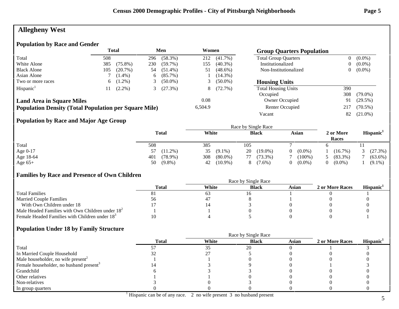# **Allegheny West**

### **Population by Race and Gender**

|                                                              | <b>Total</b> |            | Men |            | Women           |            | <b>Group Quarters Population</b> |                |            |
|--------------------------------------------------------------|--------------|------------|-----|------------|-----------------|------------|----------------------------------|----------------|------------|
| Total                                                        | 508          |            | 296 | $(58.3\%)$ | 212             | $(41.7\%)$ | <b>Total Group Quarters</b>      | $\overline{0}$ | $(0.0\%)$  |
| White Alone                                                  | 385          | $(75.8\%)$ | 230 | $(59.7\%)$ | 155             | $(40.3\%)$ | Institutionalized                | 0              | $(0.0\%)$  |
| <b>Black Alone</b>                                           | 105          | $(20.7\%)$ | 54  | $(51.4\%)$ | 51              | $(48.6\%)$ | Non-Institutionalized            | $\overline{0}$ | $(0.0\%)$  |
| Asian Alone                                                  |              | $(1.4\%)$  | 6   | $(85.7\%)$ |                 | $(14.3\%)$ |                                  |                |            |
| Two or more races                                            | 6.           | $(1.2\%)$  |     | $(50.0\%)$ |                 | $(50.0\%)$ | <b>Housing Units</b>             |                |            |
| Hispanic <sup>1</sup>                                        |              | $(2.2\%)$  |     | (27.3%)    | 8               | $(72.7\%)$ | <b>Total Housing Units</b>       | 390            |            |
|                                                              |              |            |     |            |                 |            | Occupied                         | 308            | $(79.0\%)$ |
| <b>Land Area in Square Miles</b>                             |              |            |     |            | 0.08            |            | Owner Occupied                   | 91             | $(29.5\%)$ |
| <b>Population Density (Total Population per Square Mile)</b> |              | 6,504.9    |     |            | Renter Occupied | 217        | $(70.5\%)$                       |                |            |
|                                                              |              |            |     |            |                 |            | Vacant                           | 82             | $(21.0\%)$ |

### **Population by Race and Major Age Group**

|           |                   |                   | Race by Single Race |           |                    |                       |
|-----------|-------------------|-------------------|---------------------|-----------|--------------------|-----------------------|
|           | <b>Total</b>      | White             | <b>Black</b>        | Asian     | 2 or More<br>Races | Hispanic <sup>1</sup> |
| Total     | 508               | 385               | 105                 |           |                    |                       |
| Age 0-17  | $(11.2\%)$        | $(9.1\%)$<br>35   | $(19.0\%)$<br>20    | $(0.0\%)$ | $(16.7\%)$         | (27.3%)               |
| Age 18-64 | 401<br>$(78.9\%)$ | $(80.0\%)$<br>308 | $(73.3\%)$<br>77    | $(100\%)$ | $(83.3\%)$         | $(63.6\%)$            |
| Age $65+$ | $(9.8\%)$<br>50   | $(10.9\%)$<br>42  | $(7.6\%)$<br>8      | $(0.0\%)$ | $(0.0\%)$          | $(9.1\%)$             |

### **Families by Race and Presence of Own Children**

|                                                            | Total | White | <b>Black</b> | Asian | 2 or More Races | <b>Hispanic</b> |
|------------------------------------------------------------|-------|-------|--------------|-------|-----------------|-----------------|
| <b>Total Families</b>                                      |       | σs    |              |       |                 |                 |
| <b>Married Couple Families</b>                             | 56    | 4     |              |       |                 |                 |
| With Own Children under 18                                 |       |       |              |       |                 |                 |
| Male Headed Families with Own Children under $182$         |       |       |              |       |                 |                 |
| Female Headed Families with Children under 18 <sup>3</sup> |       |       |              |       |                 |                 |

|                                                     |              | Race by Single Race |              |       |                 |                       |  |  |
|-----------------------------------------------------|--------------|---------------------|--------------|-------|-----------------|-----------------------|--|--|
|                                                     | <b>Total</b> | White               | <b>Black</b> | Asian | 2 or More Races | Hispanic <sup>1</sup> |  |  |
| Total                                               |              | 35                  | 20           |       |                 |                       |  |  |
| In Married Couple Household                         |              |                     |              |       |                 |                       |  |  |
| Male householder, no wife present <sup>2</sup>      |              |                     |              |       |                 |                       |  |  |
| Female householder, no husband present <sup>3</sup> |              |                     |              |       |                 |                       |  |  |
| Grandchild                                          |              |                     |              |       |                 |                       |  |  |
| Other relatives                                     |              |                     |              |       |                 |                       |  |  |
| Non-relatives                                       |              |                     |              |       |                 |                       |  |  |
| In group quarters                                   |              |                     |              |       |                 |                       |  |  |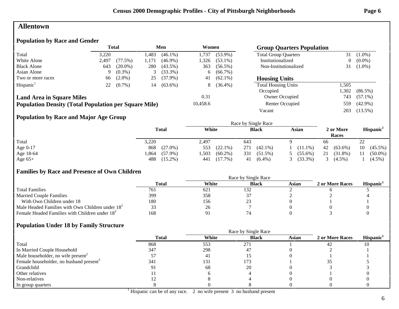### **Allentown**

### **Population by Race and Gender**

|                                                              |       | <b>Total</b> |                     | Men        | Women    |            |                             |       | <b>Group Quarters Population</b> |  |  |
|--------------------------------------------------------------|-------|--------------|---------------------|------------|----------|------------|-----------------------------|-------|----------------------------------|--|--|
| Total                                                        | 3,220 |              | l,483               | $(46.1\%)$ | 1.737    | $(53.9\%)$ | <b>Total Group Quarters</b> | 31    | $(1.0\%)$                        |  |  |
| White Alone                                                  | 2,497 | (77.5%)      | 1.171               | $(46.9\%)$ | 1,326    | $(53.1\%)$ | Institutionalized           | 0     | $(0.0\%)$                        |  |  |
| <b>Black Alone</b>                                           | 643   | $(20.0\%)$   | 280                 | $(43.5\%)$ | 363      | $(56.5\%)$ | Non-Institutionalized       | 31    | $(1.0\%)$                        |  |  |
| Asian Alone                                                  | 9.    | $(0.3\%)$    | 3                   | $(33.3\%)$ | 6        | $(66.7\%)$ |                             |       |                                  |  |  |
| Two or more races                                            | 66    | $(2.0\%)$    | 25                  | $(37.9\%)$ | 41       | $(62.1\%)$ | <b>Housing Units</b>        |       |                                  |  |  |
| Hispanic <sup>1</sup>                                        | 22    | $(0.7\%)$    | 14                  | $(63.6\%)$ | 8        | $(36.4\%)$ | <b>Total Housing Units</b>  | 1,505 |                                  |  |  |
|                                                              |       |              |                     |            |          |            | Occupied                    | 1,302 | $(86.5\%)$                       |  |  |
| <b>Land Area in Square Miles</b>                             |       |              |                     |            | 0.31     |            | <b>Owner Occupied</b>       | 743   | $(57.1\%)$                       |  |  |
| <b>Population Density (Total Population per Square Mile)</b> |       |              |                     |            | 10,458.6 |            | Renter Occupied             | 559   | $(42.9\%)$                       |  |  |
|                                                              |       |              |                     |            |          |            | Vacant                      | 203   | $(13.5\%)$                       |  |  |
| <b>Population by Race and Major Age Group</b>                |       |              |                     |            |          |            |                             |       |                                  |  |  |
|                                                              |       |              | Race by Single Race |            |          |            |                             |       |                                  |  |  |

|           | <b>Total</b>       | White              | <b>Black</b>      | Asian      | 2 or More<br>Races | Hispanic         |  |
|-----------|--------------------|--------------------|-------------------|------------|--------------------|------------------|--|
| Total     | 3,220              | 2.497              | 643               |            | 66                 | 22               |  |
| Age 0-17  | $(27.0\%)$<br>868  | $(22.1\%)$<br>553  | 271<br>$(42.1\%)$ | $(11.1\%)$ | $(63.6\%)$<br>42   | $(45.5\%)$<br>10 |  |
| Age 18-64 | $(57.9\%)$<br>.864 | $(60.2\%)$<br>,503 | 331<br>$(51.5\%)$ | $(55.6\%)$ | $(31.8\%)$<br>21   | $(50.0\%)$       |  |
| Age $65+$ | $(15.2\%)$<br>488  | $(17.7\%)$<br>441  | $(6.4\%)$<br>41   | $(33.3\%)$ | $(4.5\%)$          | $(4.5\%)$        |  |

#### **Families by Race and Presence of Own Children**

|                                                            | <b>Total</b> | White | <b>Black</b> | Asian | 2 or More Races | Hispanic <sup>1</sup> |
|------------------------------------------------------------|--------------|-------|--------------|-------|-----------------|-----------------------|
| <b>Total Families</b>                                      | 761          | 621   | 132          |       |                 |                       |
| <b>Married Couple Families</b>                             | 399          | 358   |              |       |                 |                       |
| With Own Children under 18                                 | 180          | 156   |              |       |                 |                       |
| Male Headed Families with Own Children under $182$         | 33           | 26    |              |       |                 |                       |
| Female Headed Families with Children under 18 <sup>3</sup> | 168          | Q 1   |              |       |                 |                       |

### **Population Under 18 by Family Structure**

|                                                     |              |       | Race by Single Race |       |                 |                       |
|-----------------------------------------------------|--------------|-------|---------------------|-------|-----------------|-----------------------|
|                                                     | <b>Total</b> | White | <b>Black</b>        | Asian | 2 or More Races | Hispanic <sup>1</sup> |
| Total                                               | 868          | 553   | 271                 |       | 42              | 10                    |
| In Married Couple Household                         | 347          | 298   | 47                  |       |                 |                       |
| Male householder, no wife present <sup>2</sup>      |              | 41    |                     |       |                 |                       |
| Female householder, no husband present <sup>3</sup> | 341          | 131   | 173                 |       |                 |                       |
| Grandchild                                          |              | 68    | 20                  |       |                 |                       |
| Other relatives                                     |              |       |                     |       |                 |                       |
| Non-relatives                                       |              |       |                     |       |                 |                       |
| In group quarters                                   |              |       |                     |       |                 |                       |

<sup>1</sup> Hispanic can be of any race. 2 no wife present 3 no husband present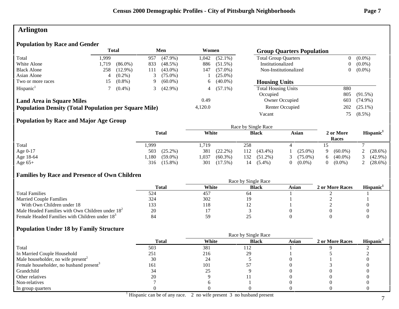### **Arlington**

### **Population by Race and Gender**

|                                                              |       | <b>Total</b> |     | Men        | Women   |            | <b>Group Quarters Population</b> |                |            |
|--------------------------------------------------------------|-------|--------------|-----|------------|---------|------------|----------------------------------|----------------|------------|
| Total                                                        | .999  |              | 957 | $(47.9\%)$ | 1.042   | $(52.1\%)$ | <b>Total Group Quarters</b>      | $\overline{0}$ | $(0.0\%)$  |
| White Alone                                                  | 1,719 | $(86.0\%)$   | 833 | $(48.5\%)$ | 886     | $(51.5\%)$ | Institutionalized                | 0              | $(0.0\%)$  |
| <b>Black Alone</b>                                           | 258   | $(12.9\%)$   | 111 | $(43.0\%)$ | 147     | $(57.0\%)$ | Non-Institutionalized            | 0              | $(0.0\%)$  |
| Asian Alone                                                  |       | $(0.2\%)$    |     | $(75.0\%)$ |         | $(25.0\%)$ |                                  |                |            |
| Two or more races                                            | 15.   | $(0.8\%)$    | 9   | $(60.0\%)$ | 6       | $(40.0\%)$ | <b>Housing Units</b>             |                |            |
| Hispanic <sup>1</sup>                                        |       | $(0.4\%)$    |     | $(42.9\%)$ | 4       | $(57.1\%)$ | <b>Total Housing Units</b>       | 880            |            |
|                                                              |       |              |     |            |         |            | Occupied                         | 805            | $(91.5\%)$ |
| <b>Land Area in Square Miles</b>                             |       |              |     |            | 0.49    |            | Owner Occupied                   | 603            | $(74.9\%)$ |
| <b>Population Density (Total Population per Square Mile)</b> |       |              |     |            | 4,120.0 |            | Renter Occupied                  | 202            | $(25.1\%)$ |
|                                                              |       |              |     |            |         |            | Vacant                           | 75.            | $(8.5\%)$  |

### **Population by Race and Major Age Group**

|           |                    |                     | Race by Single Race |            |                    |                       |
|-----------|--------------------|---------------------|---------------------|------------|--------------------|-----------------------|
|           | <b>Total</b>       | White               | <b>Black</b>        | Asian      | 2 or More<br>Races | Hispanic <sup>1</sup> |
| Total     | .,999              | .,719               | 258                 |            |                    |                       |
| Age 0-17  | 503<br>$(25.2\%)$  | 381<br>$(22.2\%)$   | $(43.4\%)$<br>112   | $(25.0\%)$ | $(60.0\%)$         | (28.6%)               |
| Age 18-64 | .180<br>$(59.0\%)$ | 1,037<br>$(60.3\%)$ | 132<br>$(51.2\%)$   | $(75.0\%)$ | $(40.0\%)$         | $(42.9\%)$            |
| Age $65+$ | $(15.8\%)$<br>316  | 301<br>(17.5%)      | $(5.4\%)$<br>14     | $(0.0\%)$  | $(0.0\%)$          | (28.6%)               |

### **Families by Race and Presence of Own Children**

|                                                            | Total | White | <b>Black</b> | Asian | 2 or More Races | <b>Hispanic</b> |
|------------------------------------------------------------|-------|-------|--------------|-------|-----------------|-----------------|
| <b>Total Families</b>                                      |       | 457   | 64           |       |                 |                 |
| <b>Married Couple Families</b>                             | 324   | 302   |              |       |                 |                 |
| With Own Children under 18                                 | 133   | 118   |              |       |                 |                 |
| Male Headed Families with Own Children under $182$         | 20    |       |              |       |                 |                 |
| Female Headed Families with Children under 18 <sup>3</sup> | 84    | 59    |              |       |                 |                 |

|                                                     |              |       | Race by Single Race |              |                 |                       |
|-----------------------------------------------------|--------------|-------|---------------------|--------------|-----------------|-----------------------|
|                                                     | <b>Total</b> | White | <b>Black</b>        | <b>Asian</b> | 2 or More Races | Hispanic <sup>1</sup> |
| Total                                               | 503          | 381   | 112                 |              |                 |                       |
| In Married Couple Household                         | 251          | 216   | 29                  |              |                 |                       |
| Male householder, no wife present <sup>2</sup>      | 30           | 24    |                     |              |                 |                       |
| Female householder, no husband present <sup>3</sup> | 161          | 101   |                     |              |                 |                       |
| Grandchild                                          | 34           | 25    |                     |              |                 |                       |
| Other relatives                                     | 20           |       |                     |              |                 |                       |
| Non-relatives                                       |              |       |                     |              |                 |                       |
| In group quarters                                   |              |       |                     |              |                 |                       |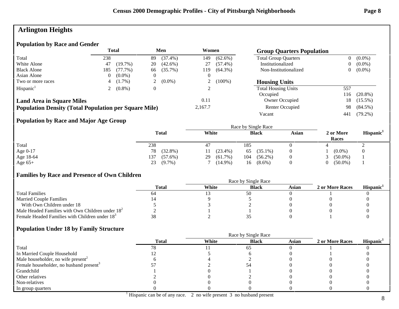# **Arlington Heights**

### **Population by Race and Gender**

|                                                              | Total |            |          | Men        | Women   |            | <b>Group Quarters Population</b> |       |            |
|--------------------------------------------------------------|-------|------------|----------|------------|---------|------------|----------------------------------|-------|------------|
| Total                                                        | 238   |            | 89       | $(37.4\%)$ | 149     | $(62.6\%)$ | <b>Total Group Quarters</b>      |       | $(0.0\%)$  |
| White Alone                                                  | 47    | $(19.7\%)$ | 20       | $(42.6\%)$ | 27      | $(57.4\%)$ | Institutionalized                |       | $(0.0\%)$  |
| <b>Black Alone</b>                                           | 185   | $(77.7\%)$ | 66       | $(35.7\%)$ | 119     | $(64.3\%)$ | Non-Institutionalized            |       | $(0.0\%)$  |
| Asian Alone                                                  |       | $(0.0\%)$  |          |            |         |            |                                  |       |            |
| Two or more races                                            |       | $(1.7\%)$  |          | $(0.0\%)$  |         | $(100\%)$  | <b>Housing Units</b>             |       |            |
| Hispanic <sup>1</sup>                                        |       | $(0.8\%)$  | $\theta$ |            |         |            | <b>Total Housing Units</b>       | 557   |            |
|                                                              |       |            |          |            |         |            | Occupied                         | 116   | $(20.8\%)$ |
| <b>Land Area in Square Miles</b>                             |       |            |          |            | 0.11    |            | Owner Occupied                   | 18    | $(15.5\%)$ |
| <b>Population Density (Total Population per Square Mile)</b> |       |            |          |            | 2,167.7 |            | Renter Occupied                  | 98    | $(84.5\%)$ |
|                                                              |       |            |          |            |         |            | Vacant                           | -44 i | $(79.2\%)$ |

### **Population by Race and Major Age Group**

|           | <b>Total</b>      | White            | <b>Black</b>      | <b>Asian</b> | 2 or More<br>Races | Hispanic <sup>1</sup> |
|-----------|-------------------|------------------|-------------------|--------------|--------------------|-----------------------|
| Total     | 238               | 47               | 185               |              |                    | ∼                     |
| Age 0-17  | $(32.8\%)$<br>78  | $(23.4\%)$       | $(35.1\%)$<br>65  | $\theta$     | $(0.0\%)$          |                       |
| Age 18-64 | 137<br>$(57.6\%)$ | $(61.7\%)$<br>29 | $(56.2\%)$<br>104 | $\theta$     | $(50.0\%)$         |                       |
| Age $65+$ | $(9.7\%)$<br>23   | $(14.9\%)$       | $(8.6\%)$<br>16   | $\theta$     | $(50.0\%)$         |                       |

### **Families by Race and Presence of Own Children**

|                                                            | Race by Single Race |       |              |       |                 |                       |  |  |
|------------------------------------------------------------|---------------------|-------|--------------|-------|-----------------|-----------------------|--|--|
|                                                            | Total               | White | <b>Black</b> | Asian | 2 or More Races | Hispanic <sup>1</sup> |  |  |
| <b>Total Families</b>                                      | 04                  |       | 50           |       |                 |                       |  |  |
| <b>Married Couple Families</b>                             |                     |       |              |       |                 |                       |  |  |
| With Own Children under 18                                 |                     |       |              |       |                 |                       |  |  |
| Male Headed Families with Own Children under $182$         |                     |       |              |       |                 |                       |  |  |
| Female Headed Families with Children under 18 <sup>3</sup> |                     |       |              |       |                 |                       |  |  |

|                                                     |              | Race by Single Race |              |       |                 |                       |  |  |
|-----------------------------------------------------|--------------|---------------------|--------------|-------|-----------------|-----------------------|--|--|
|                                                     | <b>Total</b> | White               | <b>Black</b> | Asian | 2 or More Races | Hispanic <sup>1</sup> |  |  |
| Total                                               |              |                     | 65           |       |                 |                       |  |  |
| In Married Couple Household                         |              |                     |              |       |                 |                       |  |  |
| Male householder, no wife present <sup>2</sup>      |              |                     |              |       |                 |                       |  |  |
| Female householder, no husband present <sup>3</sup> |              |                     |              |       |                 |                       |  |  |
| Grandchild                                          |              |                     |              |       |                 |                       |  |  |
| Other relatives                                     |              |                     |              |       |                 |                       |  |  |
| Non-relatives                                       |              |                     |              |       |                 |                       |  |  |
| In group quarters                                   |              |                     |              |       |                 |                       |  |  |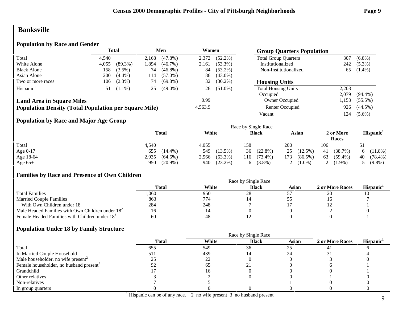### **Banksville**

### **Population by Race and Gender**

|                                                              |       | <b>Total</b> |       | Men        | Women   |            | <b>Group Quarters Population</b> |       |            |
|--------------------------------------------------------------|-------|--------------|-------|------------|---------|------------|----------------------------------|-------|------------|
| Total                                                        | 4.540 |              | 2,168 | $(47.8\%)$ | 2,372   | $(52.2\%)$ | <b>Total Group Quarters</b>      | 307   | $(6.8\%)$  |
| White Alone                                                  | 4,055 | $(89.3\%)$   | .894  | $(46.7\%)$ | 2,161   | $(53.3\%)$ | Institutionalized                | 242   | $(5.3\%)$  |
| <b>Black Alone</b>                                           | 158   | $(3.5\%)$    | 74    | $(46.8\%)$ | 84      | $(53.2\%)$ | Non-Institutionalized            | 65    | $(1.4\%)$  |
| Asian Alone                                                  | 200   | $(4.4\%)$    | 114   | $(57.0\%)$ | 86      | $(43.0\%)$ |                                  |       |            |
| Two or more races                                            | 106   | $(2.3\%)$    | 74    | $(69.8\%)$ | 32      | $(30.2\%)$ | <b>Housing Units</b>             |       |            |
| Hispanic <sup>1</sup>                                        | 51    | $(1.1\%)$    | 25    | $(49.0\%)$ | 26      | $(51.0\%)$ | <b>Total Housing Units</b>       | 2,203 |            |
|                                                              |       |              |       |            |         |            | Occupied                         | 2.079 | $(94.4\%)$ |
| <b>Land Area in Square Miles</b>                             |       |              |       |            | 0.99    |            | Owner Occupied                   | .153  | $(55.5\%)$ |
| <b>Population Density (Total Population per Square Mile)</b> |       |              |       |            | 4,563.9 |            | Renter Occupied                  | 926   | $(44.5\%)$ |
|                                                              |       |              |       |            |         |            | Vacant                           | 124   | $(5.6\%)$  |

### **Population by Race and Major Age Group**

|            |                     |                     | Race by Single Race |                   |                    |                       |
|------------|---------------------|---------------------|---------------------|-------------------|--------------------|-----------------------|
|            | <b>Total</b>        | White               | <b>Black</b>        | Asian             | 2 or More<br>Races | Hispanic <sup>1</sup> |
| Total      | 4,540               | 4,055               | 158                 | 200               | 106                | 51                    |
| Age $0-17$ | $(14.4\%)$<br>655   | 549<br>$(13.5\%)$   | $(22.8\%)$<br>36    | 25<br>$(12.5\%)$  | (38.7%)<br>41      | $(11.8\%)$<br>6.      |
| Age 18-64  | 2,935<br>$(64.6\%)$ | $(63.3\%)$<br>2,566 | $(73.4\%)$<br>116   | $(86.5\%)$<br>173 | 63<br>$(59.4\%)$   | $(78.4\%)$<br>40      |
| Age $65+$  | $(20.9\%)$<br>950   | $(23.2\%)$<br>940   | $(3.8\%)$<br>6      | $(1.0\%)$<br>∠    | $(1.9\%)$<br>∠     | $(9.8\%)$             |

### **Families by Race and Presence of Own Children**

|                                                            | <b>Total</b> | White | <b>Black</b> | Asian | 2 or More Races | <b>Hispanic</b> |
|------------------------------------------------------------|--------------|-------|--------------|-------|-----------------|-----------------|
| <b>Total Families</b>                                      | .060         | 950   | 28           |       | 20              |                 |
| <b>Married Couple Families</b>                             | 863          | 774   |              |       |                 |                 |
| With Own Children under 18                                 | 284          | 248   |              |       |                 |                 |
| Male Headed Families with Own Children under $182$         | 16           | T H   |              |       |                 |                 |
| Female Headed Families with Children under 18 <sup>3</sup> | 60           | 48    |              |       |                 |                 |

### **Population Under 18 by Family Structure**

|                                                     |              | Race by Single Race |              |              |                 |                       |
|-----------------------------------------------------|--------------|---------------------|--------------|--------------|-----------------|-----------------------|
|                                                     | <b>Total</b> | White               | <b>Black</b> | <b>Asian</b> | 2 or More Races | Hispanic <sup>1</sup> |
| Total                                               | 655          | 549                 | 36           | 25           |                 |                       |
| In Married Couple Household                         | 511          | 439                 |              |              |                 |                       |
| Male householder, no wife present <sup>2</sup>      |              | າາ<br>∠∠            |              |              |                 |                       |
| Female householder, no husband present <sup>3</sup> |              | 65                  |              |              |                 |                       |
| Grandchild                                          |              |                     |              |              |                 |                       |
| Other relatives                                     |              |                     |              |              |                 |                       |
| Non-relatives                                       |              |                     |              |              |                 |                       |
| In group quarters                                   |              |                     |              |              |                 |                       |

<sup>1</sup> Hispanic can be of any race. 2 no wife present 3 no husband present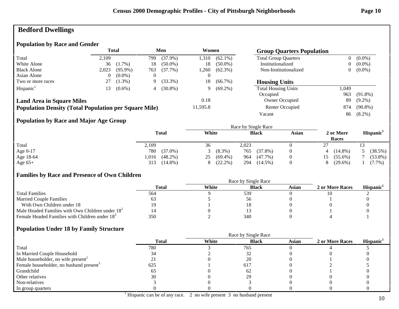# **Bedford Dwellings**

### **Population by Race and Gender**

|                                                              | <b>Total</b> |            |          | Men        | Women    |            | <b>Group Quarters Population</b> |                |            |
|--------------------------------------------------------------|--------------|------------|----------|------------|----------|------------|----------------------------------|----------------|------------|
| Total                                                        | 2.109        |            | 799      | $(37.9\%)$ | 1,310    | $(62.1\%)$ | <b>Total Group Quarters</b>      | $\overline{0}$ | $(0.0\%)$  |
| White Alone                                                  | 36           | $(1.7\%)$  | 18       | $(50.0\%)$ | 18       | $(50.0\%)$ | Institutionalized                | $\overline{0}$ | $(0.0\%)$  |
| <b>Black Alone</b>                                           | 2,023        | $(95.9\%)$ | 763      | $(37.7\%)$ | .260     | $(62.3\%)$ | Non-Institutionalized            | $\overline{0}$ | $(0.0\%)$  |
| Asian Alone                                                  | 0            | $(0.0\%)$  | $\theta$ |            | O        |            |                                  |                |            |
| Two or more races                                            | 27           | $(1.3\%)$  | 9        | $(33.3\%)$ | 18       | $(66.7\%)$ | <b>Housing Units</b>             |                |            |
| Hispanic <sup>1</sup>                                        | 13           | $(0.6\%)$  | 4        | $(30.8\%)$ | 9        | $(69.2\%)$ | <b>Total Housing Units</b>       | 1,049          |            |
|                                                              |              |            |          |            |          |            | Occupied                         | 963            | $(91.8\%)$ |
| <b>Land Area in Square Miles</b>                             |              |            |          |            | 0.18     |            | Owner Occupied                   | 89             | $(9.2\%)$  |
| <b>Population Density (Total Population per Square Mile)</b> |              |            |          |            | 11,595.8 |            | <b>Renter Occupied</b>           | 874            | $(90.8\%)$ |
|                                                              |              |            |          |            |          |            | Vacant                           | 86             | $(8.2\%)$  |

### **Population by Race and Major Age Group**

|            |                    | Race by Single Race |                   |          |                    |                       |  |  |  |
|------------|--------------------|---------------------|-------------------|----------|--------------------|-----------------------|--|--|--|
|            | <b>Total</b>       | White               | <b>Black</b>      | Asian    | 2 or More<br>Races | Hispanic <sup>1</sup> |  |  |  |
| Total      | 2,109              | 36                  | 2,023             |          | つつ<br>، سم         |                       |  |  |  |
| Age $0-17$ | 780<br>$(37.0\%)$  | $(8.3\%)$           | $(37.8\%)$<br>765 | $\theta$ | $(14.8\%)$<br>4    | (38.5%)               |  |  |  |
| Age 18-64  | $(48.2\%)$<br>.016 | $(69.4\%)$<br>25    | $(47.7\%)$<br>964 | $\theta$ | $(55.6\%)$<br>15   | $(53.8\%)$            |  |  |  |
| Age $65+$  | $(14.8\%)$<br>313  | $(22.2\%)$          | 294<br>$(14.5\%)$ |          | $(29.6\%)$<br>8    | $(7.7\%)$             |  |  |  |

### **Families by Race and Presence of Own Children**

|                                                            | Total | White | <b>Black</b> | Asian | 2 or More Races | <b>Hispanic</b> |
|------------------------------------------------------------|-------|-------|--------------|-------|-----------------|-----------------|
| <b>Total Families</b>                                      | 564   |       | 539          |       |                 |                 |
| <b>Married Couple Families</b>                             |       |       |              |       |                 |                 |
| With Own Children under 18                                 |       |       |              |       |                 |                 |
| Male Headed Families with Own Children under $182$         |       |       |              |       |                 |                 |
| Female Headed Families with Children under 18 <sup>3</sup> | 350   |       | 340          |       |                 |                 |

|                                                     |              |       | Race by Single Race |       |                 |                       |
|-----------------------------------------------------|--------------|-------|---------------------|-------|-----------------|-----------------------|
|                                                     | <b>Total</b> | White | <b>Black</b>        | Asian | 2 or More Races | Hispanic <sup>1</sup> |
| Total                                               | 780          |       | 765                 |       |                 |                       |
| In Married Couple Household                         |              |       |                     |       |                 |                       |
| Male householder, no wife present <sup>2</sup>      |              |       | 20                  |       |                 |                       |
| Female householder, no husband present <sup>3</sup> | 625          |       | 617                 |       |                 |                       |
| Grandchild                                          | 6D           |       | 62                  |       |                 |                       |
| Other relatives                                     | 30           |       |                     |       |                 |                       |
| Non-relatives                                       |              |       |                     |       |                 |                       |
| In group quarters                                   |              |       |                     |       |                 |                       |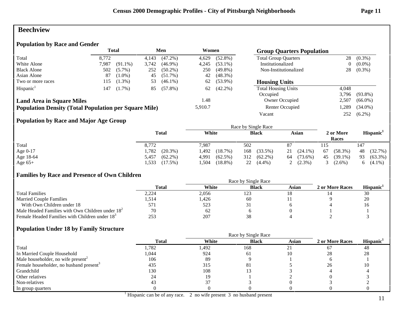### **Beechview**

### **Population by Race and Gender**

|                                                              | <b>Total</b> |            | Men   |            | Women   |            | <b>Group Quarters Population</b> |       |            |
|--------------------------------------------------------------|--------------|------------|-------|------------|---------|------------|----------------------------------|-------|------------|
| Total                                                        | 8.772        |            | 4,143 | $(47.2\%)$ | 4,629   | $(52.8\%)$ | <b>Total Group Quarters</b>      | 28    | $(0.3\%)$  |
| White Alone                                                  | 7,987        | $(91.1\%)$ | 3,742 | $(46.9\%)$ | 4,245   | $(53.1\%)$ | Institutionalized                | 0     | $(0.0\%)$  |
| <b>Black Alone</b>                                           | 502          | $(5.7\%)$  | 252   | $(50.2\%)$ | 250     | $(49.8\%)$ | Non-Institutionalized            |       | $(0.3\%)$  |
| Asian Alone                                                  | 87           | $(1.0\%)$  | 45    | $(51.7\%)$ | 42      | $(48.3\%)$ |                                  |       |            |
| Two or more races                                            | 115          | $(1.3\%)$  | 53    | $(46.1\%)$ | 62      | $(53.9\%)$ | <b>Housing Units</b>             |       |            |
| Hispanic <sup>1</sup>                                        | 147          | $(1.7\%)$  | 85    | $(57.8\%)$ | 62      | $(42.2\%)$ | <b>Total Housing Units</b>       | 4,048 |            |
|                                                              |              |            |       |            |         |            | Occupied                         | 3.796 | $(93.8\%)$ |
| <b>Land Area in Square Miles</b>                             |              |            |       |            | 1.48    |            | Owner Occupied                   | 2,507 | $(66.0\%)$ |
| <b>Population Density (Total Population per Square Mile)</b> |              |            |       |            | 5,910.7 |            | Renter Occupied                  | 1,289 | $(34.0\%)$ |
|                                                              |              |            |       |            |         |            | Vacant                           | 252   | $(6.2\%)$  |

### **Population by Race and Major Age Group**

|            |                     |                     | Race by Single Race |                  |                    |                       |
|------------|---------------------|---------------------|---------------------|------------------|--------------------|-----------------------|
|            | <b>Total</b>        | White               | <b>Black</b>        | Asian            | 2 or More<br>Races | Hispanic <sup>1</sup> |
| Total      | 8,772               | 7.987               | 502                 | 87               | 115                | 147                   |
| Age $0-17$ | 1,782<br>$(20.3\%)$ | l,492<br>(18.7%)    | $(33.5\%)$<br>168   | $(24.1\%)$<br>21 | $(58.3\%)$<br>67   | (32.7%)<br>48         |
| Age 18-64  | $(62.2\%)$<br>5,457 | $(62.5\%)$<br>4,991 | 312<br>$(62.2\%)$   | $(73.6\%)$<br>64 | 45<br>$(39.1\%)$   | 93<br>$(63.3\%)$      |
| Age $65+$  | .533<br>$(17.5\%)$  | $(18.8\%)$<br>.504  | 22<br>$(4.4\%)$     | $(2.3\%)$        | $(2.6\%)$          | $(4.1\%)$<br>h.       |

### **Families by Race and Presence of Own Children**

|                                                            | <b>Total</b> | White | <b>Black</b> | Asian | 2 or More Races | <b>Hispanic</b> |
|------------------------------------------------------------|--------------|-------|--------------|-------|-----------------|-----------------|
| <b>Total Families</b>                                      | 2,224        | 2,056 | 123          |       |                 | 30              |
| <b>Married Couple Families</b>                             | .,514        | 1,426 | 60           |       |                 | 20              |
| With Own Children under 18                                 | 571          | 523   |              |       |                 | 10              |
| Male Headed Families with Own Children under $182$         | 70           | 62    |              |       |                 |                 |
| Female Headed Families with Children under 18 <sup>3</sup> | ت ب          | 207   |              |       |                 |                 |

|                                                     |              | Race by Single Race |              |              |                 |                       |
|-----------------------------------------------------|--------------|---------------------|--------------|--------------|-----------------|-----------------------|
|                                                     | <b>Total</b> | White               | <b>Black</b> | <b>Asian</b> | 2 or More Races | Hispanic <sup>1</sup> |
| Total                                               | ,782         | ,492                | 168          | ∠ ⊥          |                 | 48                    |
| In Married Couple Household                         | 1,044        | 924                 | 61           |              | 28              | 28                    |
| Male householder, no wife present <sup>2</sup>      | 106          | 89                  |              |              |                 |                       |
| Female householder, no husband present <sup>3</sup> | 435          | 315                 | 81           |              | 26              | ЦU                    |
| Grandchild                                          | 130          | 108                 |              |              |                 |                       |
| Other relatives                                     | 24           | 19                  |              |              |                 |                       |
| Non-relatives                                       |              |                     |              |              |                 |                       |
| In group quarters                                   |              |                     |              |              |                 |                       |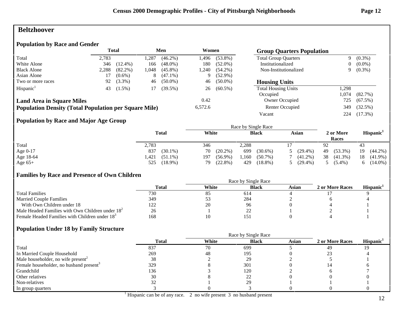### **Beltzhoover**

#### **Population by Race and Gender**

|                                                              |       | <b>Total</b> |      | Men        | Women   |            | <b>Group Quarters Population</b> |      |            |
|--------------------------------------------------------------|-------|--------------|------|------------|---------|------------|----------------------------------|------|------------|
| Total                                                        | 2.783 |              | ,287 | $(46.2\%)$ | 1,496   | $(53.8\%)$ | <b>Total Group Quarters</b>      | 9    | $(0.3\%)$  |
| White Alone                                                  | 346   | $(12.4\%)$   | 166  | $(48.0\%)$ | 180     | $(52.0\%)$ | Institutionalized                |      | $(0.0\%)$  |
| <b>Black Alone</b>                                           | 2,288 | $(82.2\%)$   | .048 | $(45.8\%)$ | 1,240   | $(54.2\%)$ | Non-Institutionalized            |      | $(0.3\%)$  |
| Asian Alone                                                  |       | $(0.6\%)$    | 8    | $(47.1\%)$ | 9       | $(52.9\%)$ |                                  |      |            |
| Two or more races                                            | 92    | $(3.3\%)$    | 46   | $(50.0\%)$ | 46      | $(50.0\%)$ | <b>Housing Units</b>             |      |            |
| Hispanic <sup>1</sup>                                        | 43    | $(1.5\%)$    | 17   | $(39.5\%)$ | 26      | $(60.5\%)$ | <b>Total Housing Units</b>       | ,298 |            |
|                                                              |       |              |      |            |         |            | Occupied                         | .074 | (82.7%)    |
| <b>Land Area in Square Miles</b>                             |       |              |      |            | 0.42    |            | <b>Owner Occupied</b>            | 725  | $(67.5\%)$ |
| <b>Population Density (Total Population per Square Mile)</b> |       |              |      |            | 6,572.6 |            | Renter Occupied                  | 349  | $(32.5\%)$ |
|                                                              |       |              |      |            |         |            | Vacant                           | 224  | $(17.3\%)$ |

### **Population by Race and Major Age Group**

|            |                    | Race by Single Race |                     |                             |                    |                       |  |  |  |  |
|------------|--------------------|---------------------|---------------------|-----------------------------|--------------------|-----------------------|--|--|--|--|
|            | <b>Total</b>       | White               | <b>Black</b>        | Asian                       | 2 or More<br>Races | Hispanic <sup>1</sup> |  |  |  |  |
| Total      | 2,783              | 346                 | 2,288               |                             | 92                 | 43                    |  |  |  |  |
| Age $0-17$ | 837<br>$(30.1\%)$  | $(20.2\%)$<br>70    | $(30.6\%)$<br>699   | $(29.4\%)$<br>$\mathcal{D}$ | $(53.3\%)$<br>49   | 19<br>$(44.2\%)$      |  |  |  |  |
| Age 18-64  | .421<br>$(51.1\%)$ | 197<br>$(56.9\%)$   | 1,160<br>$(50.7\%)$ | $(41.2\%)$                  | 38<br>$(41.3\%)$   | 18<br>$(41.9\%)$      |  |  |  |  |
| Age $65+$  | $(18.9\%)$<br>525  | $(22.8\%)$<br>79    | $(18.8\%)$<br>429   | $(29.4\%)$<br>$\sim$        | $(5.4\%)$          | $(14.0\%)$<br>6.      |  |  |  |  |

### **Families by Race and Presence of Own Children**

|                                                            | Race by Single Race |       |                          |       |                 |                 |  |  |
|------------------------------------------------------------|---------------------|-------|--------------------------|-------|-----------------|-----------------|--|--|
|                                                            | Total               | White | <b>Black</b>             | Asian | 2 or More Races | <b>Hispanic</b> |  |  |
| <b>Total Families</b>                                      | 730                 | 85    | 614                      |       |                 |                 |  |  |
| <b>Married Couple Families</b>                             | 349                 | ں ر   | 284                      |       |                 |                 |  |  |
| With Own Children under 18                                 |                     | 20    | 96                       |       |                 |                 |  |  |
| Male Headed Families with Own Children under $182$         | 26                  |       | $\overline{\phantom{a}}$ |       |                 |                 |  |  |
| Female Headed Families with Children under 18 <sup>3</sup> | 168                 |       | 15                       |       |                 |                 |  |  |

|                                                     |              | Race by Single Race |              |              |                 |                       |  |  |  |
|-----------------------------------------------------|--------------|---------------------|--------------|--------------|-----------------|-----------------------|--|--|--|
|                                                     | <b>Total</b> | White               | <b>Black</b> | <b>Asian</b> | 2 or More Races | Hispanic <sup>1</sup> |  |  |  |
| Total                                               | 837          | 70                  | 699          |              | 49              | 19                    |  |  |  |
| In Married Couple Household                         | 269          | 48                  | 195          |              |                 |                       |  |  |  |
| Male householder, no wife present <sup>2</sup>      | 38           |                     | 29           |              |                 |                       |  |  |  |
| Female householder, no husband present <sup>3</sup> | 329          |                     | 301          |              |                 |                       |  |  |  |
| Grandchild                                          | 136          |                     | 120          |              |                 |                       |  |  |  |
| Other relatives                                     | 30           |                     | 22           |              |                 |                       |  |  |  |
| Non-relatives                                       |              |                     | 29           |              |                 |                       |  |  |  |
| In group quarters                                   |              |                     |              |              |                 |                       |  |  |  |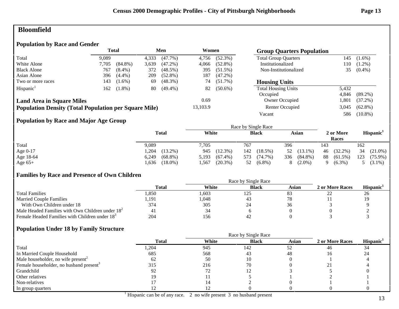# **Bloomfield**

### **Population by Race and Gender**

|                                                              |       | Total      |       | Men        | Women    |            | <b>Group Quarters Population</b> |       |            |
|--------------------------------------------------------------|-------|------------|-------|------------|----------|------------|----------------------------------|-------|------------|
| Total                                                        | 9.089 |            | 4,333 | $(47.7\%)$ | 4,756    | $(52.3\%)$ | <b>Total Group Quarters</b>      | 145   | $(1.6\%)$  |
| White Alone                                                  | 7.705 | $(84.8\%)$ | 3,639 | $(47.2\%)$ | 4.066    | $(52.8\%)$ | Institutionalized                | 110   | $(1.2\%)$  |
| <b>Black Alone</b>                                           | 767   | $(8.4\%)$  | 372   | $(48.5\%)$ | 395      | $(51.5\%)$ | Non-Institutionalized            | 35    | $(0.4\%)$  |
| Asian Alone                                                  | 396   | $(4.4\%)$  | 209   | $(52.8\%)$ | 187      | $(47.2\%)$ |                                  |       |            |
| Two or more races                                            | 143   | $(1.6\%)$  | 69    | $(48.3\%)$ | 74       | $(51.7\%)$ | <b>Housing Units</b>             |       |            |
| Hispanic <sup>1</sup>                                        | 162   | $(1.8\%)$  | 80    | $(49.4\%)$ | 82       | $(50.6\%)$ | <b>Total Housing Units</b>       | 5,432 |            |
|                                                              |       |            |       |            |          |            | Occupied                         | 4.846 | $(89.2\%)$ |
| <b>Land Area in Square Miles</b>                             |       |            |       |            | 0.69     |            | Owner Occupied                   | 1.801 | $(37.2\%)$ |
| <b>Population Density (Total Population per Square Mile)</b> |       |            |       |            | 13,103.9 |            | Renter Occupied                  | 3,045 | $(62.8\%)$ |
|                                                              |       |            |       |            |          |            | Vacant                           | 586   | $(10.8\%)$ |

### **Population by Race and Major Age Group**

|           | <b>Total</b>        | White               | <b>Black</b>      | Asian             | 2 or More<br>Races | Hispanic <sup>1</sup> |
|-----------|---------------------|---------------------|-------------------|-------------------|--------------------|-----------------------|
| Total     | 9,089               | 7,705               | 767               | 396               | 143                | 162                   |
| Age 0-17  | $(13.2\%)$<br>,204  | $(12.3\%)$<br>945   | $(18.5\%)$<br>142 | $(13.1\%)$<br>52  | $(32.2\%)$<br>46   | 34<br>$(21.0\%)$      |
| Age 18-64 | $(68.8\%)$<br>6,249 | $(67.4\%)$<br>5,193 | (74.7%)<br>573    | 336<br>$(84.8\%)$ | 88<br>$(61.5\%)$   | 123<br>$(75.9\%)$     |
| Age $65+$ | $(18.0\%)$<br>.636  | $(20.3\%)$<br>.567  | $(6.8\%)$<br>52   | $(2.0\%)$<br>8    | $(6.3\%)$          | $(3.1\%)$             |

### **Families by Race and Presence of Own Children**

|                                                            | Race by Single Race |       |              |       |                 |                 |  |  |
|------------------------------------------------------------|---------------------|-------|--------------|-------|-----------------|-----------------|--|--|
|                                                            | Total               | White | <b>Black</b> | Asian | 2 or More Races | <b>Hispanic</b> |  |  |
| <b>Total Families</b>                                      | .850                | .603  | 125          | 83    | ⊷               | 26              |  |  |
| <b>Married Couple Families</b>                             | 1,191               | 1,048 | <b>4.</b>    | 78    |                 | 19              |  |  |
| With Own Children under 18                                 | 374                 | 305   |              | 30    |                 |                 |  |  |
| Male Headed Families with Own Children under $182$         |                     | 34    |              |       |                 |                 |  |  |
| Female Headed Families with Children under 18 <sup>3</sup> | 204                 | 156   | 42           |       |                 |                 |  |  |

|                                                     | <b>Total</b> | White | <b>Black</b> | <b>Asian</b> | 2 or More Races | Hispanic <sup>1</sup> |
|-----------------------------------------------------|--------------|-------|--------------|--------------|-----------------|-----------------------|
| Total                                               | l,204        | 945   | 142          | 52           | 46              | 34                    |
| In Married Couple Household                         | 685          | 568   | 43           | 48           | 16              | 24                    |
| Male householder, no wife present <sup>2</sup>      | 62           | 50    |              |              |                 |                       |
| Female householder, no husband present <sup>3</sup> | 315          | 216   | 70           |              |                 |                       |
| Grandchild                                          | 92           |       |              |              |                 |                       |
| Other relatives                                     |              |       |              |              |                 |                       |
| Non-relatives                                       |              |       |              |              |                 |                       |
| In group quarters                                   |              |       |              |              |                 |                       |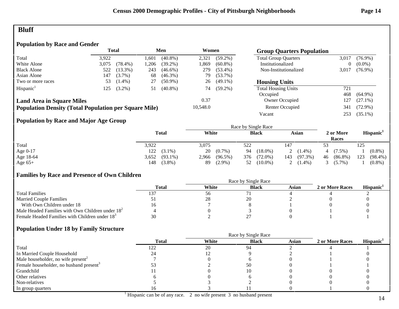### **Bluff**

### **Population by Race and Gender**

|                                                              | <b>Total</b> |            |      | Men        | Women    |            | <b>Group Quarters Population</b> |       |            |
|--------------------------------------------------------------|--------------|------------|------|------------|----------|------------|----------------------------------|-------|------------|
| Total                                                        | 3.922        |            | .601 | $(40.8\%)$ | 2,321    | $(59.2\%)$ | <b>Total Group Quarters</b>      | 3,017 | $(76.9\%)$ |
| White Alone                                                  | 3,075        | $(78.4\%)$ | ,206 | $(39.2\%)$ | 1,869    | $(60.8\%)$ | Institutionalized                | 0     | $(0.0\%)$  |
| <b>Black Alone</b>                                           | 522          | $(13.3\%)$ | 243  | $(46.6\%)$ | 279      | $(53.4\%)$ | Non-Institutionalized            | 3,017 | $(76.9\%)$ |
| Asian Alone                                                  | 147          | $(3.7\%)$  | 68   | $(46.3\%)$ | 79       | $(53.7\%)$ |                                  |       |            |
| Two or more races                                            | 53           | $(1.4\%)$  | 27   | $(50.9\%)$ | 26       | $(49.1\%)$ | <b>Housing Units</b>             |       |            |
| Hispanic <sup>1</sup>                                        | 125          | $(3.2\%)$  | 51   | $(40.8\%)$ | 74       | $(59.2\%)$ | <b>Total Housing Units</b>       | 721   |            |
|                                                              |              |            |      |            |          |            | Occupied                         | 468   | $(64.9\%)$ |
| <b>Land Area in Square Miles</b>                             |              |            |      |            | 0.37     |            | Owner Occupied                   | 127   | $(27.1\%)$ |
| <b>Population Density (Total Population per Square Mile)</b> |              |            |      |            | 10,548.0 |            | Renter Occupied                  | 341   | $(72.9\%)$ |
|                                                              |              |            |      |            |          |            | Vacant                           | 253   | $(35.1\%)$ |
| $\mathbf{r}$ , $\mathbf{r}$ , $\mathbf{r}$                   | $\cdots$     |            |      |            |          |            |                                  |       |            |

### **Population by Race and Major Age Group**

|            |                     |                     | Race by Single Race |                   |                    |                       |
|------------|---------------------|---------------------|---------------------|-------------------|--------------------|-----------------------|
|            | <b>Total</b>        | White               | <b>Black</b>        | Asian             | 2 or More<br>Races | Hispanic <sup>1</sup> |
| Total      | 3,922               | 3,075               | 522                 | 147               |                    | 125                   |
| Age $0-17$ | 122<br>$(3.1\%)$    | 20<br>$(0.7\%)$     | $(18.0\%)$<br>94    | $(1.4\%)$         | $(7.5\%)$          | $(0.8\%)$             |
| Age 18-64  | $(93.1\%)$<br>3,652 | $(96.5\%)$<br>2,966 | 376<br>$(72.0\%)$   | $(97.3\%)$<br>143 | $(86.8\%)$<br>46   | 123<br>$(98.4\%)$     |
| Age $65+$  | 148<br>$(3.8\%)$    | $(2.9\%)$<br>89     | $(10.0\%)$<br>52    | $(1.4\%)$<br>2    | $(5.7\%)$          | $(0.8\%)$             |

### **Families by Race and Presence of Own Children**

|                                                            | Race by Single Race |       |              |       |                 |                       |  |  |
|------------------------------------------------------------|---------------------|-------|--------------|-------|-----------------|-----------------------|--|--|
|                                                            | Total               | White | <b>Black</b> | Asian | 2 or More Races | Hispanic <sup>1</sup> |  |  |
| <b>Total Families</b>                                      |                     | 56    |              |       |                 |                       |  |  |
| <b>Married Couple Families</b>                             |                     | 28    | 20           |       |                 |                       |  |  |
| With Own Children under 18                                 |                     |       |              |       |                 |                       |  |  |
| Male Headed Families with Own Children under $182$         |                     |       |              |       |                 |                       |  |  |
| Female Headed Families with Children under 18 <sup>3</sup> |                     |       |              |       |                 |                       |  |  |

|                                                     |              | Race by Single Race |              |              |                 |                       |  |  |
|-----------------------------------------------------|--------------|---------------------|--------------|--------------|-----------------|-----------------------|--|--|
|                                                     | <b>Total</b> | White               | <b>Black</b> | <b>Asian</b> | 2 or More Races | Hispanic <sup>1</sup> |  |  |
| Total                                               | 122          | 20                  | -94          |              |                 |                       |  |  |
| In Married Couple Household                         |              |                     |              |              |                 |                       |  |  |
| Male householder, no wife present <sup>2</sup>      |              |                     |              |              |                 |                       |  |  |
| Female householder, no husband present <sup>3</sup> |              |                     | 50           |              |                 |                       |  |  |
| Grandchild                                          |              |                     |              |              |                 |                       |  |  |
| Other relatives                                     |              |                     |              |              |                 |                       |  |  |
| Non-relatives                                       |              |                     |              |              |                 |                       |  |  |
| In group quarters                                   |              |                     |              |              |                 |                       |  |  |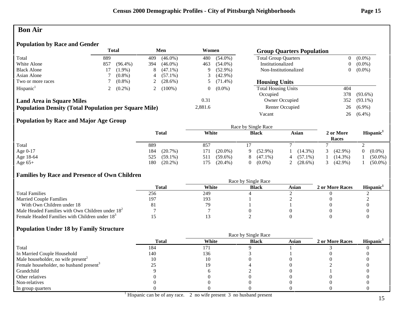### **Bon Air**

### **Population by Race and Gender**

|                                                              | <b>Total</b><br>Men<br>Women |            |                |            |          |            | <b>Group Quarters Population</b> |                |            |
|--------------------------------------------------------------|------------------------------|------------|----------------|------------|----------|------------|----------------------------------|----------------|------------|
| Total                                                        | 889                          |            | 409            | $(46.0\%)$ | 480      | $(54.0\%)$ | <b>Total Group Quarters</b>      | $\overline{0}$ | $(0.0\%)$  |
| White Alone                                                  | 857                          | $(96.4\%)$ | 394            | $(46.0\%)$ | 463      | $(54.0\%)$ | Institutionalized                | $\overline{0}$ | $(0.0\%)$  |
| <b>Black Alone</b>                                           |                              | $(1.9\%)$  | 8              | $(47.1\%)$ | 9        | $(52.9\%)$ | Non-Institutionalized            | 0              | $(0.0\%)$  |
| Asian Alone                                                  |                              | $(0.8\%)$  | 4              | $(57.1\%)$ |          | $(42.9\%)$ |                                  |                |            |
| Two or more races                                            |                              | $(0.8\%)$  | 2              | $(28.6\%)$ |          | $(71.4\%)$ | <b>Housing Units</b>             |                |            |
| Hispanic <sup>1</sup>                                        |                              | $(0.2\%)$  | $\overline{L}$ | $(100\%)$  | $\theta$ | $(0.0\%)$  | <b>Total Housing Units</b>       | 404            |            |
|                                                              |                              |            |                |            |          |            | Occupied                         | 378            | $(93.6\%)$ |
| <b>Land Area in Square Miles</b>                             |                              |            |                |            | 0.31     |            | Owner Occupied                   | 352            | $(93.1\%)$ |
| <b>Population Density (Total Population per Square Mile)</b> |                              |            |                |            | 2,881.6  |            | Renter Occupied                  | 26             | $(6.9\%)$  |
|                                                              |                              |            |                |            |          |            | Vacant                           | 26             | $(6.4\%)$  |

### **Population by Race and Major Age Group**

|           |                   | Race by Single Race |                 |                 |                    |                       |  |  |  |
|-----------|-------------------|---------------------|-----------------|-----------------|--------------------|-----------------------|--|--|--|
|           | <b>Total</b>      | White               | <b>Black</b>    | Asian           | 2 or More<br>Races | Hispanic <sup>1</sup> |  |  |  |
| Total     | 889               | 857                 |                 |                 |                    |                       |  |  |  |
| Age 0-17  | (20.7%)<br>184    | $(20.0\%)$<br>171   | $(52.9\%)$<br>Q | $(14.3\%)$      | $(42.9\%)$         | $(0.0\%)$             |  |  |  |
| Age 18-64 | 525<br>$(59.1\%)$ | 511<br>$(59.6\%)$   | $(47.1\%)$<br>8 | $(57.1\%)$<br>4 | $(14.3\%)$         | $(50.0\%)$            |  |  |  |
| Age $65+$ | $(20.2\%)$<br>180 | $(20.4\%)$<br>175   | $(0.0\%)$<br>0  | $(28.6\%)$      | $(42.9\%)$         | $(50.0\%)$            |  |  |  |

### **Families by Race and Presence of Own Children**

|                                                            | Race by Single Race |       |              |       |                 |                 |  |  |  |
|------------------------------------------------------------|---------------------|-------|--------------|-------|-----------------|-----------------|--|--|--|
|                                                            | <b>Total</b>        | White | <b>Black</b> | Asian | 2 or More Races | <b>Hispanic</b> |  |  |  |
| <b>Total Families</b>                                      | 256                 | 249   |              |       |                 |                 |  |  |  |
| <b>Married Couple Families</b>                             | 197                 | 193   |              |       |                 |                 |  |  |  |
| With Own Children under 18                                 | 81                  |       |              |       |                 |                 |  |  |  |
| Male Headed Families with Own Children under $182$         |                     |       |              |       |                 |                 |  |  |  |
| Female Headed Families with Children under 18 <sup>3</sup> |                     |       |              |       |                 |                 |  |  |  |

|                                                     |              |       | Race by Single Race |              |                 |                       |
|-----------------------------------------------------|--------------|-------|---------------------|--------------|-----------------|-----------------------|
|                                                     | <b>Total</b> | White | <b>Black</b>        | <b>Asian</b> | 2 or More Races | Hispanic <sup>1</sup> |
| Total                                               | 184          | 171   |                     |              |                 |                       |
| In Married Couple Household                         | 140          | 136   |                     |              |                 |                       |
| Male householder, no wife present <sup>2</sup>      | 10           |       |                     |              |                 |                       |
| Female householder, no husband present <sup>3</sup> |              |       |                     |              |                 |                       |
| Grandchild                                          |              |       |                     |              |                 |                       |
| Other relatives                                     |              |       |                     |              |                 |                       |
| Non-relatives                                       |              |       |                     |              |                 |                       |
| In group quarters                                   |              |       |                     |              |                 |                       |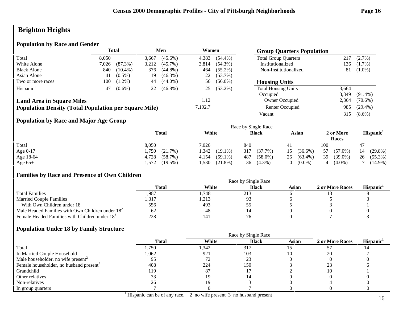# **Brighton Heights**

### **Population by Race and Gender**

|                                                              | Total<br>Men |            |       | Women      |         | <b>Group Quarters Population</b> |                             |       |            |
|--------------------------------------------------------------|--------------|------------|-------|------------|---------|----------------------------------|-----------------------------|-------|------------|
| Total                                                        | 8.050        |            | 3.667 | $(45.6\%)$ | 4.383   | $(54.4\%)$                       | <b>Total Group Quarters</b> | 217   | $(2.7\%)$  |
| White Alone                                                  | 7.026        | $(87.3\%)$ | 3,212 | $(45.7\%)$ | 3,814   | $(54.3\%)$                       | Institutionalized           | 136   | $(1.7\%)$  |
| <b>Black Alone</b>                                           | 840          | $(10.4\%)$ | 376   | $(44.8\%)$ | 464     | $(55.2\%)$                       | Non-Institutionalized       | 81    | $(1.0\%)$  |
| Asian Alone                                                  | 41           | $(0.5\%)$  | 19    | $(46.3\%)$ | 22      | $(53.7\%)$                       |                             |       |            |
| Two or more races                                            | 100          | $(1.2\%)$  | 44    | $(44.0\%)$ | 56      | $(56.0\%)$                       | <b>Housing Units</b>        |       |            |
| Hispanic <sup>1</sup>                                        | 47           | $(0.6\%)$  | 22    | $(46.8\%)$ | 25      | $(53.2\%)$                       | <b>Total Housing Units</b>  | 3,664 |            |
|                                                              |              |            |       |            |         |                                  | Occupied                    | 3,349 | $(91.4\%)$ |
| <b>Land Area in Square Miles</b>                             |              |            |       |            | 1.12    |                                  | Owner Occupied              | 2,364 | $(70.6\%)$ |
| <b>Population Density (Total Population per Square Mile)</b> |              |            |       |            | 7.192.7 |                                  | Renter Occupied             | 985   | $(29.4\%)$ |
|                                                              |              |            |       |            |         |                                  | Vacant                      | 315   | $(8.6\%)$  |

### **Population by Race and Major Age Group**

|           |                    | Race by Single Race |                   |                  |                    |                       |  |  |  |
|-----------|--------------------|---------------------|-------------------|------------------|--------------------|-----------------------|--|--|--|
|           | <b>Total</b>       | White               | <b>Black</b>      | Asian            | 2 or More<br>Races | Hispanic <sup>1</sup> |  |  |  |
| Total     | 8,050              | 7,026               | 840               |                  | 100                | 47                    |  |  |  |
| Age 0-17  | 1,750<br>(21.7%)   | .342<br>$(19.1\%)$  | 317<br>(37.7%)    | $(36.6\%)$<br>15 | $(57.0\%)$<br>57   | $(29.8\%)$<br>14      |  |  |  |
| Age 18-64 | 4,728<br>(58.7%)   | 4,154<br>$(59.1\%)$ | $(58.0\%)$<br>487 | $(63.4\%)$<br>26 | 39<br>$(39.0\%)$   | $(55.3\%)$<br>26      |  |  |  |
| Age $65+$ | $(19.5\%)$<br>.572 | .530<br>$(21.8\%)$  | $(4.3\%)$<br>36   | $(0.0\%)$        | $(4.0\%)$          | $(14.9\%)$            |  |  |  |

### **Families by Race and Presence of Own Children**

|                                                            | Total | White | <b>Black</b> | Asian | 2 or More Races | <b>Hispanic</b> |
|------------------------------------------------------------|-------|-------|--------------|-------|-----------------|-----------------|
| <b>Total Families</b>                                      | .,987 | .748  | 21.3         |       |                 |                 |
| <b>Married Couple Families</b>                             | .317  | 1,213 |              |       |                 |                 |
| With Own Children under 18                                 | 556   | 493   |              |       |                 |                 |
| Male Headed Families with Own Children under $182$         | 62    | 48    |              |       |                 |                 |
| Female Headed Families with Children under 18 <sup>3</sup> | 228   | 141   |              |       |                 |                 |

|                                                     | <b>Total</b> | White | <b>Black</b> | <b>Asian</b> | 2 or More Races | Hispanic <sup>1</sup> |
|-----------------------------------------------------|--------------|-------|--------------|--------------|-----------------|-----------------------|
| Total                                               | 1,750        | 1,342 | 317          |              |                 |                       |
| In Married Couple Household                         | 1,062        | 921   | 103          | 10           | 20              |                       |
| Male householder, no wife present <sup>2</sup>      |              | 72    | $2^{\circ}$  |              |                 |                       |
| Female householder, no husband present <sup>3</sup> | 408          | 224   | 150          |              |                 |                       |
| Grandchild                                          | 119          | 87    |              |              | 10              |                       |
| Other relatives                                     | 33           |       |              |              |                 |                       |
| Non-relatives                                       | 26           | 10    |              |              |                 |                       |
| In group quarters                                   |              |       |              |              |                 |                       |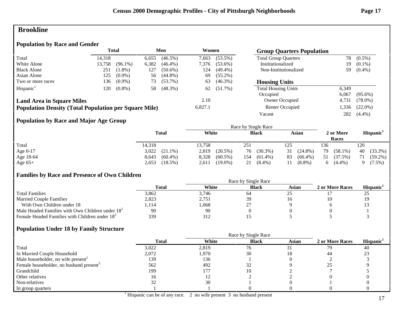### **Brookline**

### **Population by Race and Gender**

|                                                              |        | <b>Total</b> |       | Men        | Women   |            |                             |       | <b>Group Quarters Population</b> |  |  |
|--------------------------------------------------------------|--------|--------------|-------|------------|---------|------------|-----------------------------|-------|----------------------------------|--|--|
| Total                                                        | 14.318 |              | 6,655 | $(46.5\%)$ | 7.663   | $(53.5\%)$ | <b>Total Group Quarters</b> | 78    | $(0.5\%)$                        |  |  |
| White Alone                                                  | 13,758 | $(96.1\%)$   | 6,382 | $(46.4\%)$ | 7,376   | $(53.6\%)$ | Institutionalized           | 19.   | $(0.1\%)$                        |  |  |
| <b>Black Alone</b>                                           | 251    | $(1.8\%)$    | 127   | $(50.6\%)$ | 124     | $(49.4\%)$ | Non-Institutionalized       | 59    | $(0.4\%)$                        |  |  |
| Asian Alone                                                  | 125    | $(0.9\%)$    | 56    | $(44.8\%)$ | 69      | $(55.2\%)$ |                             |       |                                  |  |  |
| Two or more races                                            | 136    | $(0.9\%)$    | 73    | $(53.7\%)$ | 63      | $(46.3\%)$ | <b>Housing Units</b>        |       |                                  |  |  |
| Hispanic <sup>1</sup>                                        | 120    | $(0.8\%)$    | 58    | $(48.3\%)$ | 62      | $(51.7\%)$ | <b>Total Housing Units</b>  | 6,349 |                                  |  |  |
|                                                              |        |              |       |            |         |            | Occupied                    | 6.067 | $(95.6\%)$                       |  |  |
| <b>Land Area in Square Miles</b>                             |        |              |       |            | 2.10    |            | Owner Occupied              | 4,731 | $(78.0\%)$                       |  |  |
| <b>Population Density (Total Population per Square Mile)</b> |        |              |       |            | 6,827.1 |            | Renter Occupied             | .336  | $(22.0\%)$                       |  |  |
|                                                              |        |              |       |            |         |            | Vacant                      | 282   | $(4.4\%)$                        |  |  |

### **Population by Race and Major Age Group**

|            |                     |                     | Race by Single Race |                  |                    |                       |
|------------|---------------------|---------------------|---------------------|------------------|--------------------|-----------------------|
|            | <b>Total</b>        | White               | <b>Black</b>        | Asian            | 2 or More<br>Races | Hispanic <sup>1</sup> |
| Total      | 14,318              | 13.758              | 251                 | 125              | 136                | 120                   |
| Age $0-17$ | $3,022$ $(21.1\%)$  | 2,819<br>$(20.5\%)$ | $(30.3\%)$<br>76    | $(24.8\%)$<br>31 | 79<br>$(58.1\%)$   | $(33.3\%)$<br>40      |
| Age 18-64  | $(60.4\%)$<br>8,643 | 8,328<br>$(60.5\%)$ | $(61.4\%)$<br>154   | $(66.4\%)$<br>83 | (37.5%)<br>51      | $(59.2\%)$<br>71      |
| Age $65+$  | $(18.5\%)$<br>2,653 | $(19.0\%)$<br>2,611 | 21<br>$(8.4\%)$     | $(8.8\%)$        | $6(4.4\%)$         | $(7.5\%)$             |

### **Families by Race and Presence of Own Children**

|                                                            | Total | White | <b>Black</b> | Asian | 2 or More Races | <b>Hispanic</b> |
|------------------------------------------------------------|-------|-------|--------------|-------|-----------------|-----------------|
| <b>Total Families</b>                                      | 3.862 | 3,746 | -64          | رے    |                 | ت               |
| <b>Married Couple Families</b>                             | 2,823 | 2,751 | 39           |       |                 |                 |
| With Own Children under 18                                 | 114ء  | .068  |              |       |                 |                 |
| Male Headed Families with Own Children under $182$         | 90    | 90    |              |       |                 |                 |
| Female Headed Families with Children under 18 <sup>3</sup> | 339   | 312   |              |       |                 |                 |

|                                                     |              |       | Race by Single Race |              |                 |                       |
|-----------------------------------------------------|--------------|-------|---------------------|--------------|-----------------|-----------------------|
|                                                     | <b>Total</b> | White | <b>Black</b>        | <b>Asian</b> | 2 or More Races | Hispanic <sup>1</sup> |
| Total                                               | 3,022        | 2,819 | 76                  |              | 79              | 40                    |
| In Married Couple Household                         | 2,072        | 1,970 | 30                  | 18           |                 |                       |
| Male householder, no wife present <sup>2</sup>      | 139          | 136   |                     |              |                 |                       |
| Female householder, no husband present <sup>3</sup> | 562          | 492   | ے ر                 |              |                 |                       |
| Grandchild                                          | 199          | 177   |                     |              |                 |                       |
| Other relatives                                     | 16           |       |                     |              |                 |                       |
| Non-relatives                                       |              | 30    |                     |              |                 |                       |
| In group quarters                                   |              |       |                     |              |                 |                       |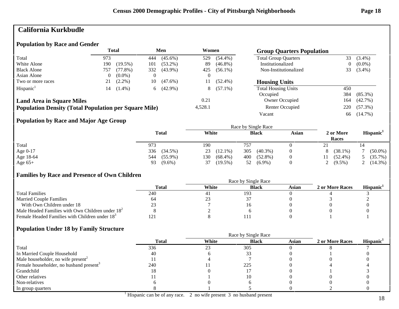# **California Kurkbudle**

#### **Population by Race and Gender**

|                                                              | Total |            | Men |            | Women    |            | <b>Group Quarters Population</b> |     |            |
|--------------------------------------------------------------|-------|------------|-----|------------|----------|------------|----------------------------------|-----|------------|
| Total                                                        | 973   |            | 444 | $(45.6\%)$ | 529      | $(54.4\%)$ | <b>Total Group Quarters</b>      | 33  | $(3.4\%)$  |
| White Alone                                                  | 190   | $(19.5\%)$ | 101 | $(53.2\%)$ | 89       | $(46.8\%)$ | Institutionalized                | 0   | $(0.0\%)$  |
| <b>Black Alone</b>                                           | 757   | $(77.8\%)$ | 332 | $(43.9\%)$ | 425      | $(56.1\%)$ | Non-Institutionalized            | 33  | $(3.4\%)$  |
| Asian Alone                                                  |       | $(0.0\%)$  |     |            | $\theta$ |            |                                  |     |            |
| Two or more races                                            |       | $(2.2\%)$  | 10  | $(47.6\%)$ | 11       | $(52.4\%)$ | <b>Housing Units</b>             |     |            |
| Hispanic <sup>1</sup>                                        | 14    | $(1.4\%)$  | 6   | $(42.9\%)$ | 8        | $(57.1\%)$ | <b>Total Housing Units</b>       | 450 |            |
|                                                              |       |            |     |            |          |            | Occupied                         | 384 | $(85.3\%)$ |
| <b>Land Area in Square Miles</b>                             |       |            |     |            | 0.21     |            | Owner Occupied                   | 164 | $(42.7\%)$ |
| <b>Population Density (Total Population per Square Mile)</b> |       |            |     |            | 4,528.1  |            | Renter Occupied                  | 220 | $(57.3\%)$ |
|                                                              |       |            |     |            |          |            | Vacant                           | 66  | $(14.7\%)$ |

### **Population by Race and Major Age Group**

|           | <b>Total</b>      | White             | <b>Black</b>      | Asian | 2 or More<br>Races | Hispanic <sup>1</sup> |  |
|-----------|-------------------|-------------------|-------------------|-------|--------------------|-----------------------|--|
| Total     | 973               | 190               | 757               |       | 41                 |                       |  |
| Age 0-17  | 336<br>$(34.5\%)$ | $(12.1\%)$<br>23  | 305<br>$(40.3\%)$ |       | $(38.1\%)$         | $(50.0\%)$            |  |
| Age 18-64 | $(55.9\%)$<br>544 | 130<br>$(68.4\%)$ | $(52.8\%)$<br>400 |       | $(52.4\%)$         | $(35.7\%)$            |  |
| Age $65+$ | $(9.6\%)$<br>93   | $(19.5\%)$<br>37  | $(6.9\%)$<br>52   |       | 2 $(9.5\%)$        | 2 $(14.3\%)$          |  |

### **Families by Race and Presence of Own Children**

|                                                            | Race by Single Race |       |              |       |                 |                 |  |  |  |
|------------------------------------------------------------|---------------------|-------|--------------|-------|-----------------|-----------------|--|--|--|
|                                                            | <b>Total</b>        | White | <b>Black</b> | Asian | 2 or More Races | <b>Hispanic</b> |  |  |  |
| <b>Total Families</b>                                      | 240                 | 41    | 193          |       |                 |                 |  |  |  |
| <b>Married Couple Families</b>                             | 64                  | ل ر   |              |       |                 |                 |  |  |  |
| With Own Children under 18                                 |                     |       |              |       |                 |                 |  |  |  |
| Male Headed Families with Own Children under $182$         |                     |       |              |       |                 |                 |  |  |  |
| Female Headed Families with Children under 18 <sup>3</sup> |                     |       |              |       |                 |                 |  |  |  |

|                                                     |              |       | Race by Single Race |              |                 |                       |
|-----------------------------------------------------|--------------|-------|---------------------|--------------|-----------------|-----------------------|
|                                                     | <b>Total</b> | White | <b>Black</b>        | <b>Asian</b> | 2 or More Races | Hispanic <sup>1</sup> |
| Total                                               | 336          | 23    | 305                 |              |                 |                       |
| In Married Couple Household                         | 40           |       |                     |              |                 |                       |
| Male householder, no wife present <sup>2</sup>      |              |       |                     |              |                 |                       |
| Female householder, no husband present <sup>3</sup> | 240          |       | 225                 |              |                 |                       |
| Grandchild                                          | 18           |       |                     |              |                 |                       |
| Other relatives                                     |              |       |                     |              |                 |                       |
| Non-relatives                                       |              |       |                     |              |                 |                       |
| In group quarters                                   |              |       |                     |              |                 |                       |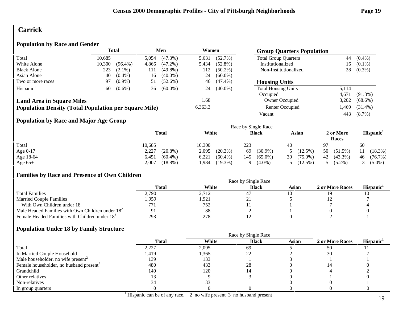### **Carrick**

### **Population by Race and Gender**

|                                                              |        | <b>Total</b> |       | Men        | Women   |            | <b>Group Quarters Population</b> |                 |            |
|--------------------------------------------------------------|--------|--------------|-------|------------|---------|------------|----------------------------------|-----------------|------------|
| Total                                                        | 10.685 |              | 5,054 | $(47.3\%)$ | 5,631   | $(52.7\%)$ | <b>Total Group Quarters</b>      | 44              | $(0.4\%)$  |
| White Alone                                                  | 10,300 | $(96.4\%)$   | 4,866 | $(47.2\%)$ | 5,434   | $(52.8\%)$ | Institutionalized                | 16 <sup>1</sup> | $(0.1\%)$  |
| <b>Black Alone</b>                                           | 223    | $(2.1\%)$    | 111   | $(49.8\%)$ | 112     | $(50.2\%)$ | Non-Institutionalized            | 28              | $(0.3\%)$  |
| Asian Alone                                                  | 40     | $(0.4\%)$    | 16    | $(40.0\%)$ | 24      | $(60.0\%)$ |                                  |                 |            |
| Two or more races                                            | 97     | $(0.9\%)$    | 51    | $(52.6\%)$ | 46      | $(47.4\%)$ | <b>Housing Units</b>             |                 |            |
| Hispanic <sup>1</sup>                                        | 60     | $(0.6\%)$    | 36    | $(60.0\%)$ | 24      | $(40.0\%)$ | <b>Total Housing Units</b>       | 5.114           |            |
|                                                              |        |              |       |            |         |            | Occupied                         | 4.671           | $(91.3\%)$ |
| <b>Land Area in Square Miles</b>                             |        |              |       |            | .68     |            | Owner Occupied                   | 3,202           | $(68.6\%)$ |
| <b>Population Density (Total Population per Square Mile)</b> |        |              |       |            | 6,363.3 |            | Renter Occupied                  | .469            | $(31.4\%)$ |
|                                                              |        |              |       |            |         |            | Vacant                           | 443             | $(8.7\%)$  |

### **Population by Race and Major Age Group**

|           |                     | Race by Single Race |                   |                  |                    |                       |  |  |  |
|-----------|---------------------|---------------------|-------------------|------------------|--------------------|-----------------------|--|--|--|
|           | <b>Total</b>        | White               | <b>Black</b>      | Asian            | 2 or More<br>Races | Hispanic <sup>1</sup> |  |  |  |
| Total     | 10,685              | 10.300              | 223               | 40               | 97                 | 60                    |  |  |  |
| Age 0-17  | $(20.8\%)$<br>2,227 | $(20.3\%)$<br>2,095 | $(30.9\%)$<br>69  | $(12.5\%)$       | 50<br>$(51.5\%)$   | $(18.3\%)$            |  |  |  |
| Age 18-64 | $(60.4\%)$<br>6,451 | 6,221<br>$(60.4\%)$ | $(65.0\%)$<br>145 | 30<br>$(75.0\%)$ | 42<br>$(43.3\%)$   | $(76.7\%)$<br>46      |  |  |  |
| Age $65+$ | 2,007<br>$(18.8\%)$ | $(19.3\%)$<br>.984  | $(4.0\%)$<br>Q    | $(12.5\%)$       | $(5.2\%)$          | $(5.0\%)$             |  |  |  |

### **Families by Race and Presence of Own Children**

|                                                            | Total | White | <b>Black</b> | Asian | 2 or More Races | <b>Hispanic</b> |
|------------------------------------------------------------|-------|-------|--------------|-------|-----------------|-----------------|
| <b>Total Families</b>                                      | 2,790 | 2,712 |              |       |                 | 10              |
| <b>Married Couple Families</b>                             | .959  | 1,921 | $\sim$       |       |                 |                 |
| With Own Children under 18                                 | 77)   | 752   |              |       |                 |                 |
| Male Headed Families with Own Children under $182$         |       | 88    |              |       |                 |                 |
| Female Headed Families with Children under 18 <sup>3</sup> | 293   | 278   |              |       |                 |                 |

|                                                     |              | Race by Single Race |              |       |                 |                       |
|-----------------------------------------------------|--------------|---------------------|--------------|-------|-----------------|-----------------------|
|                                                     | <b>Total</b> | White               | <b>Black</b> | Asian | 2 or More Races | Hispanic <sup>1</sup> |
| Total                                               | 2,227        | 2,095               | 69           |       | 50              |                       |
| In Married Couple Household                         | 419،،        | 1,365               | 22           |       | 30              |                       |
| Male householder, no wife present <sup>2</sup>      | 139          | 133                 |              |       |                 |                       |
| Female householder, no husband present <sup>3</sup> | 480          | 433                 | 28           |       |                 |                       |
| Grandchild                                          | 140          | 120                 |              |       |                 |                       |
| Other relatives                                     |              |                     |              |       |                 |                       |
| Non-relatives                                       | 34           |                     |              |       |                 |                       |
| In group quarters                                   |              |                     |              |       |                 |                       |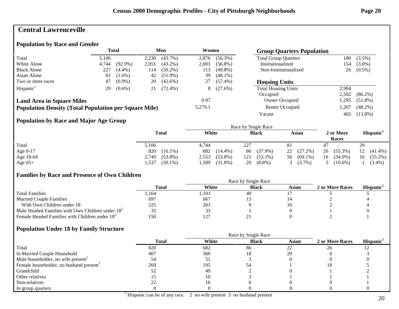# **Central Lawrenceville**

#### **Population by Race and Gender**

|                                                              |       | <b>Total</b> |       | Men        | Women   |            | <b>Group Quarters Population</b> |       |            |
|--------------------------------------------------------------|-------|--------------|-------|------------|---------|------------|----------------------------------|-------|------------|
| Total                                                        | 5.106 |              | 2,230 | $(43.7\%)$ | 2,876   | $(56.3\%)$ | <b>Total Group Quarters</b>      | 180   | $(3.5\%)$  |
| White Alone                                                  | 4,744 | $(92.9\%)$   | 2,051 | $(43.2\%)$ | 2,693   | $(56.8\%)$ | Institutionalized                | 154   | $(3.0\%)$  |
| <b>Black Alone</b>                                           | 227   | $(4.4\%)$    | 114   | $(50.2\%)$ | 113     | $(49.8\%)$ | Non-Institutionalized            | 26    | $(0.5\%)$  |
| Asian Alone                                                  | 81    | $(1.6\%)$    | 42    | $(51.9\%)$ | 39      | $(48.1\%)$ |                                  |       |            |
| Two or more races                                            | 47    | $(0.9\%)$    | 20    | $(42.6\%)$ |         | $(57.4\%)$ | <b>Housing Units</b>             |       |            |
| Hispanic <sup>1</sup>                                        | 29    | $(0.6\%)$    | 21    | $(72.4\%)$ | 8       | $(27.6\%)$ | <b>Total Housing Units</b>       | 2.904 |            |
|                                                              |       |              |       |            |         |            | Occupied                         | 2.502 | $(86.2\%)$ |
| <b>Land Area in Square Miles</b>                             |       |              |       |            | 0.97    |            | Owner Occupied                   | .295  | $(51.8\%)$ |
| <b>Population Density (Total Population per Square Mile)</b> |       |              |       |            | 5,279.1 |            | Renter Occupied                  | .207  | $(48.2\%)$ |
|                                                              |       |              |       |            |         |            | Vacant                           | 402   | $(13.8\%)$ |

### **Population by Race and Major Age Group**

|           |                     | Race by Single Race |                   |                  |                    |                       |  |  |  |
|-----------|---------------------|---------------------|-------------------|------------------|--------------------|-----------------------|--|--|--|
|           | <b>Total</b>        | White               | <b>Black</b>      | Asian            | 2 or More<br>Races | Hispanic <sup>1</sup> |  |  |  |
| Total     | 5,106               | 4.744               | 227               |                  | 47                 | 29                    |  |  |  |
| Age 0-17  | 820<br>$(16.1\%)$   | 682<br>$(14.4\%)$   | $(37.9\%)$<br>86  | $(27.2\%)$<br>22 | 26<br>$(55.3\%)$   | $(41.4\%)$<br>12      |  |  |  |
| Age 18-64 | $(53.8\%)$<br>2,749 | $(53.8\%)$<br>2,553 | $(53.3\%)$<br>121 | $(69.1\%)$<br>56 | $(34.0\%)$<br>16   | $(55.2\%)$<br>16      |  |  |  |
| Age $65+$ | $(30.1\%)$<br>.537  | .509<br>$(31.8\%)$  | $(8.8\%)$<br>20   | $3(3.7\%)$       | $(10.6\%)$         | $(3.4\%)$             |  |  |  |

### **Families by Race and Presence of Own Children**

|                                                            | Total | White | <b>Black</b> | Asian | 2 or More Races | <b>Hispanic</b> |
|------------------------------------------------------------|-------|-------|--------------|-------|-----------------|-----------------|
| <b>Total Families</b>                                      | .164  | .101  | 40           |       |                 |                 |
| <b>Married Couple Families</b>                             | 697   | 667   |              |       |                 |                 |
| With Own Children under 18                                 | 225   | 203   |              |       |                 |                 |
| Male Headed Families with Own Children under $182$         |       | 33    |              |       |                 |                 |
| Female Headed Families with Children under 18 <sup>3</sup> | 50    | 127   |              |       |                 |                 |

|                                                     |              | Race by Single Race |              |              |                 |                       |
|-----------------------------------------------------|--------------|---------------------|--------------|--------------|-----------------|-----------------------|
|                                                     | <b>Total</b> | White               | <b>Black</b> | <b>Asian</b> | 2 or More Races | Hispanic <sup>1</sup> |
| Total                                               | 820          | 682                 | 86           | 22           | 26              |                       |
| In Married Couple Household                         | 407          | 360                 | ıх           | 20           |                 |                       |
| Male householder, no wife present <sup>2</sup>      |              | $\mathbf{L}$        |              |              |                 |                       |
| Female householder, no husband present <sup>3</sup> | 269          | 195                 | 54           |              | Ιŏ              |                       |
| Grandchild                                          |              | 49                  |              |              |                 |                       |
| Other relatives                                     |              |                     |              |              |                 |                       |
| Non-relatives                                       |              |                     |              |              |                 |                       |
| In group quarters                                   |              |                     |              |              |                 |                       |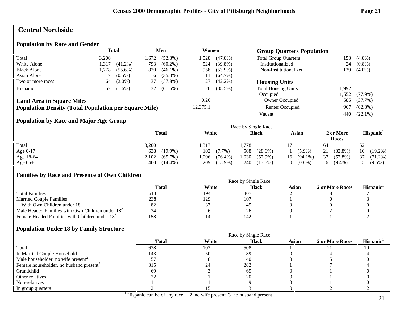### **Central Northside**

#### **Population by Race and Gender**

|                                                              |       | <b>Total</b> |      | Men        | Women    |            | <b>Group Quarters Population</b> |       |            |
|--------------------------------------------------------------|-------|--------------|------|------------|----------|------------|----------------------------------|-------|------------|
| Total                                                        | 3.200 |              | .672 | $(52.3\%)$ | 1,528    | $(47.8\%)$ | <b>Total Group Quarters</b>      | 153   | $(4.8\%)$  |
| White Alone                                                  | 1,317 | $(41.2\%)$   | 793  | $(60.2\%)$ | 524      | $(39.8\%)$ | Institutionalized                | 24    | $(0.8\%)$  |
| <b>Black Alone</b>                                           | 1,778 | $(55.6\%)$   | 820  | $(46.1\%)$ | 958      | $(53.9\%)$ | Non-Institutionalized<br>129     |       | $(4.0\%)$  |
| Asian Alone                                                  |       | $(0.5\%)$    | 6    | $(35.3\%)$ | 11       | $(64.7\%)$ |                                  |       |            |
| Two or more races                                            | 64    | $(2.0\%)$    | 37   | $(57.8\%)$ | 27       | $(42.2\%)$ | <b>Housing Units</b>             |       |            |
| Hispanic <sup>1</sup>                                        | 52    | $(1.6\%)$    | 32   | $(61.5\%)$ | 20       | (38.5%)    | <b>Total Housing Units</b>       | 1.992 |            |
|                                                              |       |              |      |            |          |            | Occupied                         | .552  | $(77.9\%)$ |
| <b>Land Area in Square Miles</b>                             |       |              |      |            | 0.26     |            | Owner Occupied                   | 585   | $(37.7\%)$ |
| <b>Population Density (Total Population per Square Mile)</b> |       |              |      |            | 12,375.1 |            | Renter Occupied                  | 967   | $(62.3\%)$ |
|                                                              |       |              |      |            |          |            | Vacant                           | 440   | $(22.1\%)$ |

### **Population by Race and Major Age Group**

|           |                     | Race by Single Race |                     |                  |                    |                       |  |  |  |
|-----------|---------------------|---------------------|---------------------|------------------|--------------------|-----------------------|--|--|--|
|           | <b>Total</b>        | White               | <b>Black</b>        | Asian            | 2 or More<br>Races | Hispanic <sup>1</sup> |  |  |  |
| Total     | 3,200               | .317                | 1,778               |                  | 64                 | 52                    |  |  |  |
| Age 0-17  | 638<br>$(19.9\%)$   | 102<br>$(7.7\%)$    | 508<br>$(28.6\%)$   | $(5.9\%)$        | 21<br>$(32.8\%)$   | 10<br>$(19.2\%)$      |  |  |  |
| Age 18-64 | $(65.7\%)$<br>2,102 | 1,006<br>$(76.4\%)$ | 1,030<br>$(57.9\%)$ | $(94.1\%)$<br>16 | 37<br>$(57.8\%)$   | 37<br>$(71.2\%)$      |  |  |  |
| Age $65+$ | 460<br>$(14.4\%)$   | $(15.9\%)$<br>209   | 240<br>$(13.5\%)$   | $(0.0\%)$        | $(9.4\%)$<br>6.    | $(9.6\%)$             |  |  |  |

### **Families by Race and Presence of Own Children**

|                                                            | Total | White | <b>Black</b> | Asian | 2 or More Races | <b>Hispanic</b> |
|------------------------------------------------------------|-------|-------|--------------|-------|-----------------|-----------------|
| <b>Total Families</b>                                      | 613   | 194   | 407          |       |                 |                 |
| <b>Married Couple Families</b>                             | 238   | 129   | 107          |       |                 |                 |
| With Own Children under 18                                 | 82    | J.,   | 4.           |       |                 |                 |
| Male Headed Families with Own Children under $182$         | 34    |       | 26           |       |                 |                 |
| Female Headed Families with Children under 18 <sup>3</sup> | 158   |       | 142          |       |                 |                 |

|                                                     |              | Race by Single Race |              |              |                 |                       |
|-----------------------------------------------------|--------------|---------------------|--------------|--------------|-----------------|-----------------------|
|                                                     | <b>Total</b> | White               | <b>Black</b> | <b>Asian</b> | 2 or More Races | Hispanic <sup>1</sup> |
| Total                                               | 638          | 102                 | 508          |              |                 |                       |
| In Married Couple Household                         | 143          | 50                  | 89           |              |                 |                       |
| Male householder, no wife present <sup>2</sup>      |              |                     | 40           |              |                 |                       |
| Female householder, no husband present <sup>3</sup> | 315          | 24                  | 282          |              |                 |                       |
| Grandchild                                          | 69           |                     | -65          |              |                 |                       |
| Other relatives                                     |              |                     | 20           |              |                 |                       |
| Non-relatives                                       |              |                     |              |              |                 |                       |
| In group quarters                                   |              |                     |              |              |                 |                       |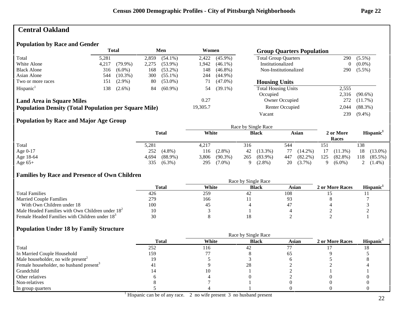### **Central Oakland**

### **Population by Race and Gender**

|                                                              |       | <b>Total</b> |       | Men<br>Women |          |            | <b>Group Quarters Population</b> |       |            |
|--------------------------------------------------------------|-------|--------------|-------|--------------|----------|------------|----------------------------------|-------|------------|
| Total                                                        | 5,281 |              | 2.859 | $(54.1\%)$   | 2,422    | $(45.9\%)$ | <b>Total Group Quarters</b>      | 290   | $(5.5\%)$  |
| White Alone                                                  | 4,217 | $(79.9\%)$   | 2,275 | $(53.9\%)$   | 1.942    | $(46.1\%)$ | Institutionalized                | 0     | $(0.0\%)$  |
| <b>Black Alone</b>                                           | 316   | $(6.0\%)$    | 168   | $(53.2\%)$   | 148      | $(46.8\%)$ | Non-Institutionalized            | 290   | $(5.5\%)$  |
| Asian Alone                                                  | 544   | $(10.3\%)$   | 300   | $(55.1\%)$   | 244      | $(44.9\%)$ |                                  |       |            |
| Two or more races                                            | 151   | $(2.9\%)$    | 80    | $(53.0\%)$   | 71       | $(47.0\%)$ | <b>Housing Units</b>             |       |            |
| Hispanic <sup>1</sup>                                        | 138   | $(2.6\%)$    | 84    | $(60.9\%)$   | 54       | $(39.1\%)$ | <b>Total Housing Units</b>       | 2,555 |            |
|                                                              |       |              |       |              |          |            | Occupied                         | 2.316 | $(90.6\%)$ |
| <b>Land Area in Square Miles</b>                             |       |              |       |              | 0.27     |            | Owner Occupied                   | 272   | $(11.7\%)$ |
| <b>Population Density (Total Population per Square Mile)</b> |       |              |       |              | 19,305.7 |            | Renter Occupied                  | 2,044 | $(88.3\%)$ |
|                                                              |       |              |       |              |          |            | Vacant                           | 239   | $(9.4\%)$  |

### **Population by Race and Major Age Group**

|            |                     |                     | Race by Single Race |                   |                    |                       |
|------------|---------------------|---------------------|---------------------|-------------------|--------------------|-----------------------|
| Total      | <b>Total</b>        | White               | <b>Black</b>        | Asian             | 2 or More<br>Races | Hispanic <sup>1</sup> |
|            | 5,281               | 4,217               | 316                 | 544               | 151                | 138                   |
| Age $0-17$ | 252<br>$(4.8\%)$    | $(2.8\%)$<br>116    | $(13.3\%)$<br>42    | $(14.2\%)$<br>77  | 17<br>$(11.3\%)$   | $(13.0\%)$<br>18      |
| Age 18-64  | $(88.9\%)$<br>4,694 | $(90.3\%)$<br>3,806 | $(83.9\%)$<br>265   | $(82.2\%)$<br>447 | 125<br>$(82.8\%)$  | 118<br>$(85.5\%)$     |
| Age $65+$  | $(6.3\%)$<br>335    | $(7.0\%)$<br>295    | $(2.8\%)$           | $(3.7\%)$<br>20   | $(6.0\%)$          | 2 $(1.4\%)$           |

### **Families by Race and Presence of Own Children**

|                                                            | Race by Single Race |       |              |       |                 |                       |  |  |
|------------------------------------------------------------|---------------------|-------|--------------|-------|-----------------|-----------------------|--|--|
|                                                            | <b>Total</b>        | White | <b>Black</b> | Asian | 2 or More Races | Hispanic <sup>1</sup> |  |  |
| <b>Total Families</b>                                      | 426                 | 259   | 42           | 108   |                 |                       |  |  |
| <b>Married Couple Families</b>                             | 279                 | 166   |              |       |                 |                       |  |  |
| With Own Children under 18                                 | 100                 | -45   |              | 4     |                 |                       |  |  |
| Male Headed Families with Own Children under $182$         | 10                  |       |              |       |                 |                       |  |  |
| Female Headed Families with Children under 18 <sup>3</sup> | 30                  |       |              |       |                 |                       |  |  |

|                                                     |                | Race by Single Race |              |              |                 |                       |
|-----------------------------------------------------|----------------|---------------------|--------------|--------------|-----------------|-----------------------|
|                                                     | <b>Total</b>   | White               | <b>Black</b> | <b>Asian</b> | 2 or More Races | Hispanic <sup>1</sup> |
| Total                                               | 252            | 116                 | 42           |              |                 |                       |
| In Married Couple Household                         | 159            |                     |              |              |                 |                       |
| Male householder, no wife present <sup>2</sup>      |                |                     |              |              |                 |                       |
| Female householder, no husband present <sup>3</sup> | 4 <sub>1</sub> |                     | 28           |              |                 |                       |
| Grandchild                                          |                |                     |              |              |                 |                       |
| Other relatives                                     |                |                     |              |              |                 |                       |
| Non-relatives                                       |                |                     |              |              |                 |                       |
| In group quarters                                   |                |                     |              |              |                 |                       |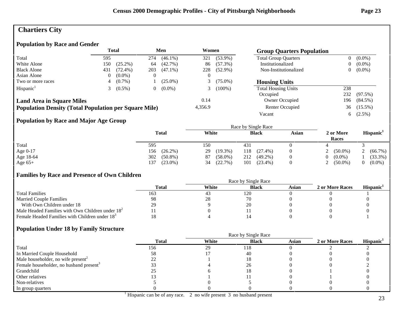# **Chartiers City**

### **Population by Race and Gender**

|                                                              | Total |            |                | Men        | Women    |            | <b>Group Quarters Population</b> |                |            |
|--------------------------------------------------------------|-------|------------|----------------|------------|----------|------------|----------------------------------|----------------|------------|
| Total                                                        | 595   |            | 274            | $(46.1\%)$ | 321      | $(53.9\%)$ | <b>Total Group Quarters</b>      | 0              | $(0.0\%)$  |
| White Alone                                                  | 150   | $(25.2\%)$ | 64             | $(42.7\%)$ | 86       | $(57.3\%)$ | Institutionalized                | $\overline{0}$ | $(0.0\%)$  |
| <b>Black Alone</b>                                           | 431   | $(72.4\%)$ | 203            | $(47.1\%)$ | 228      | $(52.9\%)$ | Non-Institutionalized            | 0              | $(0.0\%)$  |
| Asian Alone                                                  |       | $(0.0\%)$  |                |            | $\theta$ |            |                                  |                |            |
| Two or more races                                            |       | $(0.7\%)$  |                | $(25.0\%)$ |          | $(75.0\%)$ | <b>Housing Units</b>             |                |            |
| Hispanic <sup>1</sup>                                        |       | $(0.5\%)$  | $\overline{0}$ | $(0.0\%)$  |          | $(100\%)$  | <b>Total Housing Units</b>       | 238            |            |
|                                                              |       |            |                |            |          |            | Occupied                         | 232            | $(97.5\%)$ |
| <b>Land Area in Square Miles</b>                             |       |            |                |            | 0.14     |            | <b>Owner Occupied</b>            | 196            | $(84.5\%)$ |
| <b>Population Density (Total Population per Square Mile)</b> |       |            |                |            | 4,356.9  |            | <b>Renter Occupied</b>           |                | 36 (15.5%) |
|                                                              |       |            |                |            |          |            | Vacant                           | 6              | $(2.5\%)$  |

### **Population by Race and Major Age Group**

|           | Total             | White            | <b>Black</b>      | <b>Asian</b> | 2 or More<br>Races | Hispanic <sup>1</sup> |
|-----------|-------------------|------------------|-------------------|--------------|--------------------|-----------------------|
| Total     | 595               | 150              | 431               |              |                    |                       |
| Age 0-17  | $(26.2\%)$<br>156 | $(19.3\%)$<br>29 | $(27.4\%)$<br>118 |              | $(50.0\%)$         | (66.7%)               |
| Age 18-64 | 302<br>$(50.8\%)$ | $(58.0\%)$<br>87 | 212<br>$(49.2\%)$ |              | $0 (0.0\%)$        | (33.3%)               |
| Age $65+$ | $(23.0\%)$<br>137 | (22.7%)<br>34    | $(23.4\%)$<br>101 |              | 2 $(50.0\%)$       | $(0.0\%)$             |

### **Families by Race and Presence of Own Children**

|                                                            | Total       | White | <b>Black</b> | Asian | 2 or More Races | <b>Hispanic</b> |
|------------------------------------------------------------|-------------|-------|--------------|-------|-----------------|-----------------|
| <b>Total Families</b>                                      | 163         | 43    | 120          |       |                 |                 |
| <b>Married Couple Families</b>                             | 98          | 28    |              |       |                 |                 |
| With Own Children under 18                                 | 20.<br>، سە |       | 20           |       |                 |                 |
| Male Headed Families with Own Children under $182$         |             |       |              |       |                 |                 |
| Female Headed Families with Children under 18 <sup>3</sup> |             |       |              |       |                 |                 |

|                                                     |              | Race by Single Race |              |              |                 |                       |
|-----------------------------------------------------|--------------|---------------------|--------------|--------------|-----------------|-----------------------|
|                                                     | <b>Total</b> | White               | <b>Black</b> | <b>Asian</b> | 2 or More Races | Hispanic <sup>1</sup> |
| Total                                               | 156          | 29                  | 118          |              |                 |                       |
| In Married Couple Household                         | 58           |                     | 40           |              |                 |                       |
| Male householder, no wife present <sup>2</sup>      |              |                     |              |              |                 |                       |
| Female householder, no husband present <sup>3</sup> |              |                     | 26           |              |                 |                       |
| Grandchild                                          |              |                     | 18           |              |                 |                       |
| Other relatives                                     |              |                     |              |              |                 |                       |
| Non-relatives                                       |              |                     |              |              |                 |                       |
| In group quarters                                   |              |                     |              |              |                 |                       |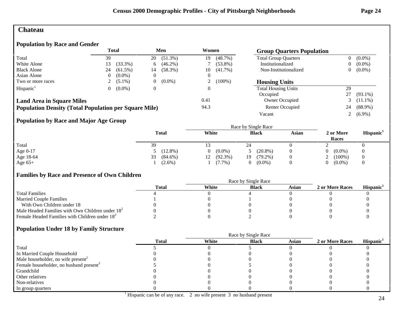### **Chateau**

### **Population by Race and Gender**

|                                                              |     | Total      |    | Men        |      | Women      | <b>Group Quarters Population</b> |    |            |
|--------------------------------------------------------------|-----|------------|----|------------|------|------------|----------------------------------|----|------------|
| Total                                                        | 39  |            | 20 | $(51.3\%)$ | 19   | $(48.7\%)$ | <b>Total Group Quarters</b>      | 0  | $(0.0\%)$  |
| White Alone                                                  | 13. | $(33.3\%)$ | 6  | $(46.2\%)$ |      | $(53.8\%)$ | Institutionalized                | 0  | $(0.0\%)$  |
| <b>Black Alone</b>                                           | 24  | $(61.5\%)$ | 14 | $(58.3\%)$ | 10   | $(41.7\%)$ | Non-Institutionalized            | 0  | $(0.0\%)$  |
| Asian Alone                                                  |     | $(0.0\%)$  |    |            |      |            |                                  |    |            |
| Two or more races                                            |     | $(5.1\%)$  |    | $(0.0\%)$  | ∠    | $(100\%)$  | <b>Housing Units</b>             |    |            |
| Hispanic <sup>1</sup>                                        |     | $(0.0\%)$  |    |            |      |            | <b>Total Housing Units</b>       | 29 |            |
|                                                              |     |            |    |            |      |            | Occupied                         | 27 | $(93.1\%)$ |
| <b>Land Area in Square Miles</b>                             |     |            |    |            | 0.41 |            | Owner Occupied                   |    | $(11.1\%)$ |
| <b>Population Density (Total Population per Square Mile)</b> |     |            |    |            | 94.3 |            | Renter Occupied                  | 24 | $(88.9\%)$ |
|                                                              |     |            |    |            |      |            | Vacant                           |    | $(6.9\%)$  |

# **Population by Race and Major Age Group**

|           | <b>Total</b>     | White<br><b>Black</b> |                   | Asian | 2 or More<br>Races | Hispanic <sup>1</sup> |
|-----------|------------------|-----------------------|-------------------|-------|--------------------|-----------------------|
| Total     | 39               |                       | $\mathcal{L}$     |       |                    |                       |
| Age 0-17  | $(12.8\%)$       | $(0.0\%)$             | $(20.8\%)$        |       | $(0.0\%)$<br>$0^-$ | 0                     |
| Age 18-64 | $(84.6\%)$<br>33 | $(92.3\%)$<br>12      | $(79.2\%)$<br>19. |       | 2 $(100\%)$        | 0                     |
| Age $65+$ | $(2.6\%)$        | $(7.7\%)$             | $(0.0\%)$<br>0    |       | $0 (0.0\%)$        |                       |

### **Families by Race and Presence of Own Children**

|                                                            | Race by Single Race |       |              |       |                 |                       |  |  |
|------------------------------------------------------------|---------------------|-------|--------------|-------|-----------------|-----------------------|--|--|
|                                                            | Total               | White | <b>Black</b> | Asian | 2 or More Races | Hispanic <sup>1</sup> |  |  |
| <b>Total Families</b>                                      |                     |       |              |       |                 |                       |  |  |
| <b>Married Couple Families</b>                             |                     |       |              |       |                 |                       |  |  |
| With Own Children under 18                                 |                     |       |              |       |                 |                       |  |  |
| Male Headed Families with Own Children under $182$         |                     |       |              |       |                 |                       |  |  |
| Female Headed Families with Children under 18 <sup>3</sup> |                     |       |              |       |                 |                       |  |  |

|                                                     | <b>Total</b> | White | <b>Black</b> | Asian | 2 or More Races | Hispanic <sup>1</sup> |
|-----------------------------------------------------|--------------|-------|--------------|-------|-----------------|-----------------------|
| Total                                               |              |       |              |       |                 |                       |
| In Married Couple Household                         |              |       |              |       |                 |                       |
| Male householder, no wife present <sup>2</sup>      |              |       |              |       |                 |                       |
| Female householder, no husband present <sup>3</sup> |              |       |              |       |                 |                       |
| Grandchild                                          |              |       |              |       |                 |                       |
| Other relatives                                     |              |       |              |       |                 |                       |
| Non-relatives                                       |              |       |              |       |                 |                       |
| In group quarters                                   |              |       |              |       |                 |                       |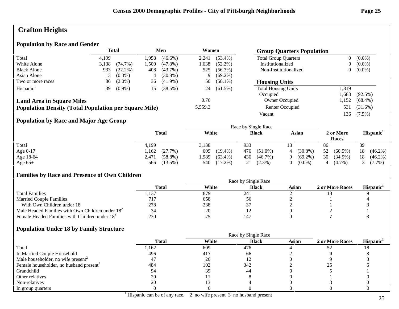# **Crafton Heights**

### **Population by Race and Gender**

|                                                              | <b>Total</b> |            |      | Men        |         | Women      | <b>Group Quarters Population</b> |                |            |
|--------------------------------------------------------------|--------------|------------|------|------------|---------|------------|----------------------------------|----------------|------------|
| Total                                                        | 4.199        |            | .958 | $(46.6\%)$ | 2,241   | $(53.4\%)$ | <b>Total Group Quarters</b>      | $\overline{0}$ | $(0.0\%)$  |
| White Alone                                                  | 3,138        | $(74.7\%)$ | .500 | $(47.8\%)$ | 1,638   | $(52.2\%)$ | Institutionalized                | 0              | $(0.0\%)$  |
| <b>Black Alone</b>                                           | 933          | $(22.2\%)$ | 408  | $(43.7\%)$ | 525     | $(56.3\%)$ | Non-Institutionalized            | 0              | $(0.0\%)$  |
| Asian Alone                                                  | 13           | $(0.3\%)$  | 4    | $(30.8\%)$ | 9       | $(69.2\%)$ |                                  |                |            |
| Two or more races                                            | 86           | $(2.0\%)$  | 36   | $(41.9\%)$ | 50      | $(58.1\%)$ | <b>Housing Units</b>             |                |            |
| Hispanic <sup>1</sup>                                        | 39           | $(0.9\%)$  | 15   | (38.5%)    | 24      | $(61.5\%)$ | <b>Total Housing Units</b>       | 1,819          |            |
|                                                              |              |            |      |            |         |            | Occupied                         | .683           | $(92.5\%)$ |
| <b>Land Area in Square Miles</b>                             |              |            |      |            | 0.76    |            | Owner Occupied                   | l,152          | $(68.4\%)$ |
| <b>Population Density (Total Population per Square Mile)</b> |              |            |      |            | 5,559.3 |            | Renter Occupied                  | 531            | $(31.6\%)$ |
|                                                              |              |            |      |            |         |            | Vacant                           | 136            | $(7.5\%)$  |

### **Population by Race and Major Age Group**

|           |                     |                    | Race by Single Race |                 |                    |                       |
|-----------|---------------------|--------------------|---------------------|-----------------|--------------------|-----------------------|
|           | <b>Total</b>        | White              | <b>Black</b>        | Asian           | 2 or More<br>Races | Hispanic <sup>1</sup> |
| Total     | 4,199               | 3,138              | 933                 |                 | 86                 | 39                    |
| Age 0-17  | (27.7%)<br>l,162    | 609<br>$(19.4\%)$  | $(51.0\%)$<br>476   | $(30.8\%)$<br>4 | 52<br>$(60.5\%)$   | $(46.2\%)$<br>18      |
| Age 18-64 | $(58.8\%)$<br>2,471 | .989<br>$(63.4\%)$ | $(46.7\%)$<br>436   | $(69.2\%)$      | 30<br>$(34.9\%)$   | 18<br>$(46.2\%)$      |
| Age $65+$ | $(13.5\%)$<br>566   | $(17.2\%)$<br>540  | $(2.3\%)$<br>21     | $(0.0\%)$       | $(4.7\%)$<br>4     | $3(7.7\%)$            |

### **Families by Race and Presence of Own Children**

|                                                            | Total  | White | <b>Black</b> | Asian | 2 or More Races | <b>Hispanic</b> |
|------------------------------------------------------------|--------|-------|--------------|-------|-----------------|-----------------|
| <b>Total Families</b>                                      | ., 137 | 879   | 241          |       |                 |                 |
| <b>Married Couple Families</b>                             |        | 658   | 56           |       |                 |                 |
| With Own Children under 18                                 | 278    | 238   |              |       |                 |                 |
| Male Headed Families with Own Children under $182$         | 34     | 20    |              |       |                 |                 |
| Female Headed Families with Children under 18 <sup>3</sup> | 230    |       | $14^{-}$     |       |                 |                 |

|                                                     |              | Race by Single Race |              |              |                 |                       |
|-----------------------------------------------------|--------------|---------------------|--------------|--------------|-----------------|-----------------------|
|                                                     | <b>Total</b> | White               | <b>Black</b> | <b>Asian</b> | 2 or More Races | Hispanic <sup>1</sup> |
| Total                                               | 1,162        | 609                 | 476          |              |                 |                       |
| In Married Couple Household                         | 496          | 417                 | -66          |              |                 |                       |
| Male householder, no wife present <sup>2</sup>      | 47           | 26                  |              |              |                 |                       |
| Female householder, no husband present <sup>3</sup> | 484          | 102                 | 342          |              |                 |                       |
| Grandchild                                          |              | 39                  | 44           |              |                 |                       |
| Other relatives                                     | 20           |                     |              |              |                 |                       |
| Non-relatives                                       | 20           |                     |              |              |                 |                       |
| In group quarters                                   |              |                     |              |              |                 |                       |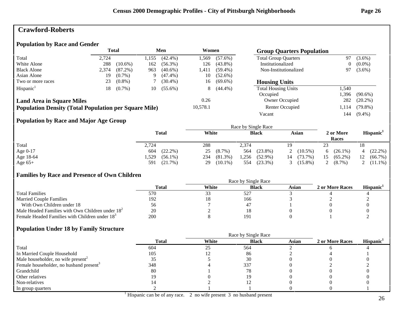### **Crawford-Roberts**

#### **Population by Race and Gender**

|                                                              | <b>Total</b> |            | Men  |            | Women    |            | <b>Group Quarters Population</b> |       |            |
|--------------------------------------------------------------|--------------|------------|------|------------|----------|------------|----------------------------------|-------|------------|
| Total                                                        | 2.724        |            | .155 | $(42.4\%)$ | l.569    | $(57.6\%)$ | <b>Total Group Quarters</b>      | 97    | $(3.6\%)$  |
| White Alone                                                  | 288          | $(10.6\%)$ | 162  | $(56.3\%)$ | 126      | $(43.8\%)$ | Institutionalized                | 0     | $(0.0\%)$  |
| <b>Black Alone</b>                                           | 2,374        | $(87.2\%)$ | 963  | $(40.6\%)$ | l.411    | $(59.4\%)$ | Non-Institutionalized            | 97    | $(3.6\%)$  |
| Asian Alone                                                  | 19           | $(0.7\%)$  | Q    | $(47.4\%)$ | 10       | $(52.6\%)$ |                                  |       |            |
| Two or more races                                            | 23           | $(0.8\%)$  |      | $(30.4\%)$ | 16       | $(69.6\%)$ | <b>Housing Units</b>             |       |            |
| Hispanic <sup>1</sup>                                        | 18           | $(0.7\%)$  | 10   | $(55.6\%)$ | 8        | $(44.4\%)$ | <b>Total Housing Units</b>       | l,540 |            |
|                                                              |              |            |      |            |          |            | Occupied                         | .396  | $(90.6\%)$ |
| <b>Land Area in Square Miles</b>                             |              |            |      |            | 0.26     |            | Owner Occupied                   | 282   | $(20.2\%)$ |
| <b>Population Density (Total Population per Square Mile)</b> |              |            |      |            | 10,578.1 |            | Renter Occupied                  | 1,114 | $(79.8\%)$ |
|                                                              |              |            |      |            |          |            | Vacant                           | 144   | $(9.4\%)$  |

### **Population by Race and Major Age Group**

|           |                    |                   | Race by Single Race |               |                            |                        |
|-----------|--------------------|-------------------|---------------------|---------------|----------------------------|------------------------|
|           | <b>Total</b>       | White             | <b>Black</b>        | Asian         | 2 or More<br>Races         | Hispanic <sup>1</sup>  |
| Total     | 2,724              | 288               | 2.374               | 19            | 23                         |                        |
| Age 0-17  | $(22.2\%)$<br>604  | $(8.7\%)$<br>25   | $(23.8\%)$<br>564   | $(10.5\%)$    | $(26.1\%)$<br><sub>0</sub> | $(22.2\%)$<br>$\Delta$ |
| Age 18-64 | .529<br>$(56.1\%)$ | 234<br>$(81.3\%)$ | . 256<br>$(52.9\%)$ | (73.7%)<br>14 | $(65.2\%)$<br>15           | $(66.7\%)$             |
| Age $65+$ | (21.7%)<br>591     | $(10.1\%)$<br>29  | (23.3%)<br>554      | $(15.8\%)$    | 2 $(8.7\%)$                | 2 $(11.1\%)$           |

### **Families by Race and Presence of Own Children**

|                                                            | Race by Single Race |       |              |       |                 |                 |  |  |  |
|------------------------------------------------------------|---------------------|-------|--------------|-------|-----------------|-----------------|--|--|--|
|                                                            | <b>Total</b>        | White | <b>Black</b> | Asian | 2 or More Races | <b>Hispanic</b> |  |  |  |
| <b>Total Families</b>                                      | 570                 | ر_ ر_ | $52^{\circ}$ |       |                 |                 |  |  |  |
| <b>Married Couple Families</b>                             | 192                 |       | 166          |       |                 |                 |  |  |  |
| With Own Children under 18                                 | 56                  |       |              |       |                 |                 |  |  |  |
| Male Headed Families with Own Children under $182$         | 20                  |       |              |       |                 |                 |  |  |  |
| Female Headed Families with Children under 18 <sup>3</sup> | 200                 |       | 19.          |       |                 |                 |  |  |  |

|                                                     |              | Race by Single Race |              |              |                 |                       |  |
|-----------------------------------------------------|--------------|---------------------|--------------|--------------|-----------------|-----------------------|--|
|                                                     | <b>Total</b> | White               | <b>Black</b> | <b>Asian</b> | 2 or More Races | Hispanic <sup>1</sup> |  |
| Total                                               | 604          | 25                  | 564          |              |                 |                       |  |
| In Married Couple Household                         | 105          |                     | 86           |              |                 |                       |  |
| Male householder, no wife present <sup>2</sup>      |              |                     | 30           |              |                 |                       |  |
| Female householder, no husband present <sup>3</sup> | 348          |                     | 337          |              |                 |                       |  |
| Grandchild                                          | 80           |                     | 78           |              |                 |                       |  |
| Other relatives                                     | 19           |                     |              |              |                 |                       |  |
| Non-relatives                                       |              |                     |              |              |                 |                       |  |
| In group quarters                                   |              |                     |              |              |                 |                       |  |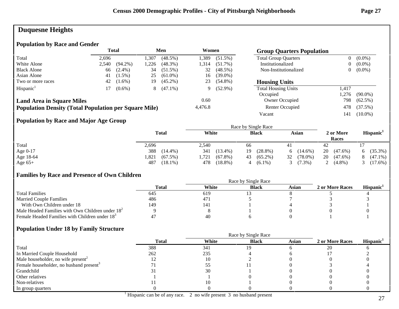# **Duquesne Heights**

### **Population by Race and Gender**

|                                                              | <b>Total</b> |            | Men  |            | Women   |            | <b>Group Quarters Population</b> |                |            |
|--------------------------------------------------------------|--------------|------------|------|------------|---------|------------|----------------------------------|----------------|------------|
| Total                                                        | 2.696        |            | .307 | $(48.5\%)$ | 1,389   | $(51.5\%)$ | <b>Total Group Quarters</b>      | $\overline{0}$ | $(0.0\%)$  |
| White Alone                                                  | 2.540        | $(94.2\%)$ | .226 | $(48.3\%)$ | 1.314   | $(51.7\%)$ | Institutionalized                | $\overline{0}$ | $(0.0\%)$  |
| <b>Black Alone</b>                                           | 66           | $(2.4\%)$  | 34   | $(51.5\%)$ | 32      | $(48.5\%)$ | Non-Institutionalized            | $\overline{0}$ | $(0.0\%)$  |
| Asian Alone                                                  | 41           | $(1.5\%)$  | 25   | $(61.0\%)$ | 16      | $(39.0\%)$ |                                  |                |            |
| Two or more races                                            | 42           | $(1.6\%)$  | 19   | $(45.2\%)$ | 23      | $(54.8\%)$ | <b>Housing Units</b>             |                |            |
| Hispanic <sup>1</sup>                                        | 17           | $(0.6\%)$  | 8    | $(47.1\%)$ | 9       | $(52.9\%)$ | <b>Total Housing Units</b>       | 1.417          |            |
|                                                              |              |            |      |            |         |            | Occupied                         | .276           | $(90.0\%)$ |
| <b>Land Area in Square Miles</b>                             |              |            |      |            | 0.60    |            | Owner Occupied                   | 798            | $(62.5\%)$ |
| <b>Population Density (Total Population per Square Mile)</b> |              |            |      |            | 4,476.8 |            | Renter Occupied                  | 478            | $(37.5\%)$ |
|                                                              |              |            |      |            |         |            | Vacant                           | 141            | $(10.0\%)$ |

### **Population by Race and Major Age Group**

|            |                   | Race by Single Race |                  |                  |                             |                       |  |  |  |
|------------|-------------------|---------------------|------------------|------------------|-----------------------------|-----------------------|--|--|--|
|            | <b>Total</b>      | White               | <b>Black</b>     | Asian            | 2 or More<br>Races          | Hispanic <sup>1</sup> |  |  |  |
| Total      | 2,696             | 2,540               | 66               |                  | 42                          |                       |  |  |  |
| Age $0-17$ | 388<br>$(14.4\%)$ | 341<br>$(13.4\%)$   | $(28.8\%)$<br>19 | $(14.6\%)$<br>6  | 20<br>$(47.6\%)$            | $(35.3\%)$<br>6.      |  |  |  |
| Age 18-64  | '.821<br>(67.5%)  | $(67.8\%)$<br>1,721 | $(65.2\%)$<br>43 | $(78.0\%)$<br>32 | 20<br>$(47.6\%)$            | $(47.1\%)$            |  |  |  |
| Age $65+$  | 487<br>$(18.1\%)$ | $(18.8\%)$<br>478   | $(6.1\%)$        | $(7.3\%)$        | $(4.8\%)$<br>$\overline{a}$ | 3 $(17.6%)$           |  |  |  |

### **Families by Race and Presence of Own Children**

|                                                            | Race by Single Race |       |              |       |                 |                       |  |  |
|------------------------------------------------------------|---------------------|-------|--------------|-------|-----------------|-----------------------|--|--|
|                                                            | <b>Total</b>        | White | <b>Black</b> | Asian | 2 or More Races | Hispanic <sup>1</sup> |  |  |
| <b>Total Families</b>                                      | 645                 | 619   |              |       |                 |                       |  |  |
| <b>Married Couple Families</b>                             | 486                 | 471   |              |       |                 |                       |  |  |
| With Own Children under 18                                 | 149                 | 141   |              |       |                 |                       |  |  |
| Male Headed Families with Own Children under $182$         |                     |       |              |       |                 |                       |  |  |
| Female Headed Families with Children under 18 <sup>3</sup> |                     | 40    |              |       |                 |                       |  |  |

|                                                     |              |       | Race by Single Race |       |                 |                       |
|-----------------------------------------------------|--------------|-------|---------------------|-------|-----------------|-----------------------|
|                                                     | <b>Total</b> | White | <b>Black</b>        | Asian | 2 or More Races | Hispanic <sup>1</sup> |
| Total                                               | 388          | 341   | 19                  |       | 20              |                       |
| In Married Couple Household                         | 262          | 235   |                     |       |                 |                       |
| Male householder, no wife present <sup>2</sup>      |              |       |                     |       |                 |                       |
| Female householder, no husband present <sup>3</sup> |              |       |                     |       |                 |                       |
| Grandchild                                          |              | 30    |                     |       |                 |                       |
| Other relatives                                     |              |       |                     |       |                 |                       |
| Non-relatives                                       |              |       |                     |       |                 |                       |
| In group quarters                                   |              |       |                     |       |                 |                       |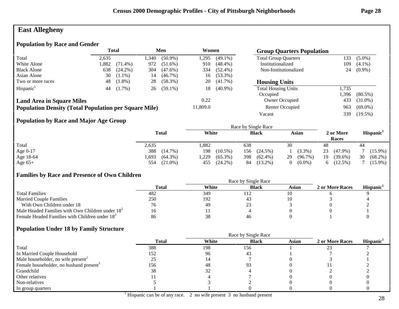### **East Allegheny**

### **Population by Race and Gender**

|                                                              | Total |            |      | Men        |          | Women      | <b>Group Quarters Population</b> |       |            |
|--------------------------------------------------------------|-------|------------|------|------------|----------|------------|----------------------------------|-------|------------|
| Total                                                        | 2,635 |            | .340 | $(50.9\%)$ | .295     | $(49.1\%)$ | <b>Total Group Quarters</b>      | 133   | $(5.0\%)$  |
| White Alone                                                  | 1,882 | $(71.4\%)$ | 972  | $(51.6\%)$ | 910      | $(48.4\%)$ | Institutionalized                | 109   | $(4.1\%)$  |
| <b>Black Alone</b>                                           | 638   | $(24.2\%)$ | 304  | $(47.6\%)$ | 334      | $(52.4\%)$ | Non-Institutionalized            | 24    | $(0.9\%)$  |
| Asian Alone                                                  | 30    | $(1.1\%)$  | 14   | $(46.7\%)$ | 16       | $(53.3\%)$ |                                  |       |            |
| Two or more races                                            | 48    | $(1.8\%)$  | 28   | $(58.3\%)$ | 20       | $(41.7\%)$ | <b>Housing Units</b>             |       |            |
| Hispanic <sup>1</sup>                                        | 44    | $(1.7\%)$  | 26   | $(59.1\%)$ | 18       | $(40.9\%)$ | <b>Total Housing Units</b>       | 1,735 |            |
|                                                              |       |            |      |            |          |            | Occupied                         | 1,396 | $(80.5\%)$ |
| <b>Land Area in Square Miles</b>                             |       |            |      |            | 0.22     |            | Owner Occupied                   | 433   | $(31.0\%)$ |
| <b>Population Density (Total Population per Square Mile)</b> |       |            |      |            | 11,809.0 |            | <b>Renter Occupied</b>           | 963   | $(69.0\%)$ |
|                                                              |       |            |      |            |          |            | Vacant                           | 339   | $(19.5\%)$ |
|                                                              |       |            |      |            |          |            |                                  |       |            |

### **Population by Race and Major Age Group**

|            |                    |                    | Race by Single Race |                       |                    |                       |  |
|------------|--------------------|--------------------|---------------------|-----------------------|--------------------|-----------------------|--|
|            | <b>Total</b>       | White              | <b>Black</b>        | Asian                 | 2 or More<br>Races | Hispanic <sup>1</sup> |  |
| Total      | 2,635              | .882               | 638                 | 30                    | 48                 | 44                    |  |
| Age $0-17$ | 388<br>$(14.7\%)$  | 198<br>$(10.5\%)$  | $(24.5\%)$<br>156   | $(3.3\%)$             | 23<br>$(47.9\%)$   | $(15.9\%)$            |  |
| Age 18-64  | .693<br>$(64.3\%)$ | .229<br>$(65.3\%)$ | 398<br>$(62.4\%)$   | $(96.7\%)$<br>29      | 19<br>$(39.6\%)$   | 30<br>$(68.2\%)$      |  |
| Age $65+$  | $(21.0\%)$<br>554  | $(24.2\%)$<br>455  | $(13.2\%)$<br>84    | $(0.0\%)$<br>$\Omega$ | $(12.5\%)$         | $(15.9\%)$            |  |

### **Families by Race and Presence of Own Children**

|                                                            | Race by Single Race |       |              |       |                 |                       |  |  |
|------------------------------------------------------------|---------------------|-------|--------------|-------|-----------------|-----------------------|--|--|
|                                                            | <b>Total</b>        | White | <b>Black</b> | Asian | 2 or More Races | Hispanic <sup>1</sup> |  |  |
| <b>Total Families</b>                                      | 482                 | 349   | 112          |       |                 |                       |  |  |
| <b>Married Couple Families</b>                             | 250                 | 192   |              |       |                 |                       |  |  |
| With Own Children under 18                                 |                     | 49    | <u>_</u>     |       |                 |                       |  |  |
| Male Headed Families with Own Children under $182$         | 10                  | . .   |              |       |                 |                       |  |  |
| Female Headed Families with Children under 18 <sup>3</sup> | 86                  | 38    | 46           |       |                 |                       |  |  |

|                                                     |              |       | Race by Single Race |       |                 |                       |
|-----------------------------------------------------|--------------|-------|---------------------|-------|-----------------|-----------------------|
|                                                     | <b>Total</b> | White | <b>Black</b>        | Asian | 2 or More Races | Hispanic <sup>1</sup> |
| Total                                               | 388          | 198   | 156                 |       |                 |                       |
| In Married Couple Household                         | 152          | 96    | 43                  |       |                 |                       |
| Male householder, no wife present <sup>2</sup>      |              |       |                     |       |                 |                       |
| Female householder, no husband present <sup>3</sup> | 156          | 48    |                     |       |                 |                       |
| Grandchild                                          | 38           | 32    |                     |       |                 |                       |
| Other relatives                                     |              |       |                     |       |                 |                       |
| Non-relatives                                       |              |       |                     |       |                 |                       |
| In group quarters                                   |              |       |                     |       |                 |                       |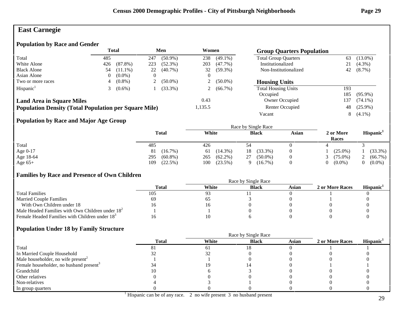# **East Carnegie**

### **Population by Race and Gender**

|                                                              | <b>Total</b> |            |     | Men        | Women   |            | <b>Group Quarters Population</b> |     |            |
|--------------------------------------------------------------|--------------|------------|-----|------------|---------|------------|----------------------------------|-----|------------|
| Total                                                        | 485          |            | 247 | $(50.9\%)$ | 238     | $(49.1\%)$ | <b>Total Group Quarters</b>      | 63  | $(13.0\%)$ |
| White Alone                                                  | 426          | $(87.8\%)$ | 223 | $(52.3\%)$ | 203     | $(47.7\%)$ | Institutionalized                | 21  | $(4.3\%)$  |
| <b>Black Alone</b>                                           | 54           | $(11.1\%)$ | 22  | $(40.7\%)$ | 32      | $(59.3\%)$ | Non-Institutionalized            | 42  | $(8.7\%)$  |
| Asian Alone                                                  |              | $(0.0\%)$  | 0   |            |         |            |                                  |     |            |
| Two or more races                                            |              | $(0.8\%)$  |     | $(50.0\%)$ |         | $(50.0\%)$ | <b>Housing Units</b>             |     |            |
| Hispanic <sup>1</sup>                                        |              | $(0.6\%)$  |     | $(33.3\%)$ |         | $(66.7\%)$ | <b>Total Housing Units</b>       | 193 |            |
|                                                              |              |            |     |            |         |            | Occupied                         | 185 | $(95.9\%)$ |
| <b>Land Area in Square Miles</b>                             |              |            |     |            | 0.43    |            | Owner Occupied                   | 137 | $(74.1\%)$ |
| <b>Population Density (Total Population per Square Mile)</b> |              |            |     |            | 1,135.5 |            | Renter Occupied                  | 48  | $(25.9\%)$ |
|                                                              |              |            |     |            |         |            | Vacant                           | 8   | $(4.1\%)$  |

### **Population by Race and Major Age Group**

|           |                   | Race by Single Race |                  |       |                       |                       |  |  |
|-----------|-------------------|---------------------|------------------|-------|-----------------------|-----------------------|--|--|
|           | <b>Total</b>      | White               | <b>Black</b>     | Asian | 2 or More<br>Races    | Hispanic <sup>1</sup> |  |  |
| Total     | 485               | 426                 |                  |       |                       |                       |  |  |
| Age 0-17  | $(16.7\%)$<br>81  | $(14.3\%)$<br>61    | $(33.3\%)$<br>18 |       | $(25.0\%)$            | (33.3%)               |  |  |
| Age 18-64 | 295<br>$(60.8\%)$ | $(62.2\%)$<br>265   | $(50.0\%)$<br>27 |       | $(75.0\%)$            | (66.7%)               |  |  |
| Age $65+$ | (22.5%)<br>109    | $(23.5\%)$<br>100   | $(16.7\%)$<br>Q  |       | $(0.0\%)$<br>$\Omega$ | $(0.0\%)$             |  |  |

### **Families by Race and Presence of Own Children**

|                                                            | Race by Single Race |       |              |       |                 |                 |  |  |
|------------------------------------------------------------|---------------------|-------|--------------|-------|-----------------|-----------------|--|--|
|                                                            | Total               | White | <b>Black</b> | Asian | 2 or More Races | <b>Hispanic</b> |  |  |
| <b>Total Families</b>                                      | 105                 | 93    |              |       |                 |                 |  |  |
| <b>Married Couple Families</b>                             | 69                  | כס    |              |       |                 |                 |  |  |
| With Own Children under 18                                 | LO.                 |       |              |       |                 |                 |  |  |
| Male Headed Families with Own Children under $182$         |                     |       |              |       |                 |                 |  |  |
| Female Headed Families with Children under 18 <sup>3</sup> |                     |       |              |       |                 |                 |  |  |

|                                                     | <b>Total</b> | White | <b>Black</b> | <b>Asian</b> | 2 or More Races | Hispanic <sup>1</sup> |
|-----------------------------------------------------|--------------|-------|--------------|--------------|-----------------|-----------------------|
| Total                                               |              | 61    |              |              |                 |                       |
| In Married Couple Household                         |              |       |              |              |                 |                       |
| Male householder, no wife present <sup>2</sup>      |              |       |              |              |                 |                       |
| Female householder, no husband present <sup>3</sup> |              |       |              |              |                 |                       |
| Grandchild                                          |              |       |              |              |                 |                       |
| Other relatives                                     |              |       |              |              |                 |                       |
| Non-relatives                                       |              |       |              |              |                 |                       |
| In group quarters                                   |              |       |              |              |                 |                       |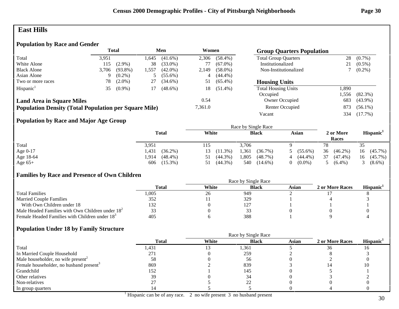### **East Hills**

### **Population by Race and Gender**

|                                                              | <b>Total</b> |            |      | Men        |         | Women      | <b>Group Quarters Population</b> |       |            |
|--------------------------------------------------------------|--------------|------------|------|------------|---------|------------|----------------------------------|-------|------------|
| Total                                                        | 3,951        |            | .645 | $(41.6\%)$ | 2.306   | $(58.4\%)$ | <b>Total Group Quarters</b>      | 28    | $(0.7\%)$  |
| White Alone                                                  | 115          | $(2.9\%)$  | 38   | $(33.0\%)$ | 77      | $(67.0\%)$ | Institutionalized                |       | $(0.5\%)$  |
| <b>Black Alone</b>                                           | 3.706        | $(93.8\%)$ | .557 | $(42.0\%)$ | 2,149   | $(58.0\%)$ | Non-Institutionalized            |       | $(0.2\%)$  |
| Asian Alone                                                  | 9            | $(0.2\%)$  |      | $(55.6\%)$ | 4       | $(44.4\%)$ |                                  |       |            |
| Two or more races                                            | 78.          | $(2.0\%)$  | 27   | $(34.6\%)$ | 51      | $(65.4\%)$ | <b>Housing Units</b>             |       |            |
| Hispanic <sup>1</sup>                                        | 35           | $(0.9\%)$  |      | $(48.6\%)$ | 18      | $(51.4\%)$ | <b>Total Housing Units</b>       | 1,890 |            |
|                                                              |              |            |      |            |         |            | Occupied                         | ,556  | $(82.3\%)$ |
| <b>Land Area in Square Miles</b>                             |              |            |      |            | 0.54    |            | Owner Occupied                   | 683   | $(43.9\%)$ |
| <b>Population Density (Total Population per Square Mile)</b> |              |            |      |            | 7,361.0 |            | Renter Occupied                  | 873   | $(56.1\%)$ |
|                                                              |              |            |      |            |         |            | Vacant                           | 334   | $(17.7\%)$ |

### **Population by Race and Major Age Group**

|            |                     | Race by Single Race |                     |                 |                    |                       |  |  |  |
|------------|---------------------|---------------------|---------------------|-----------------|--------------------|-----------------------|--|--|--|
|            | <b>Total</b>        | White               | <b>Black</b>        | Asian           | 2 or More<br>Races | Hispanic <sup>1</sup> |  |  |  |
| Total      | 3,951               | 115                 | 3.706               |                 | 78                 | 35                    |  |  |  |
| Age $0-17$ | $(36.2\%)$<br>1.431 | $(11.3\%)$<br>13    | 1,361<br>(36.7%)    | $5(55.6\%)$     | 36<br>$(46.2\%)$   | $(45.7\%)$<br>16      |  |  |  |
| Age 18-64  | $(48.4\%)$<br>.914  | $(44.3\%)$<br>51    | 1,805<br>$(48.7\%)$ | $(44.4\%)$<br>4 | 37<br>$(47.4\%)$   | $(45.7\%)$<br>16      |  |  |  |
| Age $65+$  | 606 (15.3%)         | $(44.3\%)$<br>51    | 540<br>$(14.6\%)$   | $(0.0\%)$       | $(6.4\%)$          | $3(8.6\%)$            |  |  |  |

### **Families by Race and Presence of Own Children**

|                                                            | Race by Single Race |       |                 |       |                 |                 |  |  |
|------------------------------------------------------------|---------------------|-------|-----------------|-------|-----------------|-----------------|--|--|
|                                                            | Total               | White | <b>Black</b>    | Asian | 2 or More Races | <b>Hispanic</b> |  |  |
| <b>Total Families</b>                                      | .005                | 26    | 949             |       |                 |                 |  |  |
| <b>Married Couple Families</b>                             |                     |       | 329             |       |                 |                 |  |  |
| With Own Children under 18                                 | 132                 |       | 12 <sup>7</sup> |       |                 |                 |  |  |
| Male Headed Families with Own Children under $182$         |                     |       |                 |       |                 |                 |  |  |
| Female Headed Families with Children under 18 <sup>3</sup> | 405                 |       | 388             |       |                 |                 |  |  |

|                                                     |              | Race by Single Race |              |              |                 |                       |  |  |
|-----------------------------------------------------|--------------|---------------------|--------------|--------------|-----------------|-----------------------|--|--|
|                                                     | <b>Total</b> | White               | <b>Black</b> | <b>Asian</b> | 2 or More Races | Hispanic <sup>1</sup> |  |  |
| Total                                               | 431,         |                     | 1,361        |              | 36              |                       |  |  |
| In Married Couple Household                         | 271          |                     | 259          |              |                 |                       |  |  |
| Male householder, no wife present <sup>2</sup>      | 58           |                     | 56           |              |                 |                       |  |  |
| Female householder, no husband present <sup>3</sup> | 869          |                     | 839          |              |                 |                       |  |  |
| Grandchild                                          | 152          |                     | 145          |              |                 |                       |  |  |
| Other relatives                                     | 39           |                     |              |              |                 |                       |  |  |
| Non-relatives                                       |              |                     | ŹŹ           |              |                 |                       |  |  |
| In group quarters                                   |              |                     |              |              |                 |                       |  |  |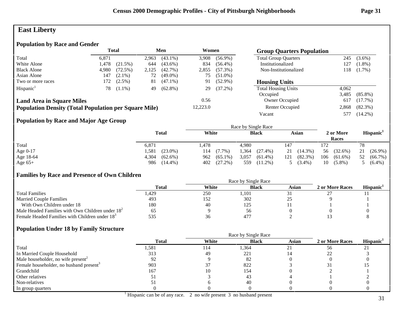# **East Liberty**

### **Population by Race and Gender**

|                                                              | <b>Total</b> |            |       | Men        |          | Women      | <b>Group Quarters Population</b> |       |            |
|--------------------------------------------------------------|--------------|------------|-------|------------|----------|------------|----------------------------------|-------|------------|
| Total                                                        | 6,871        |            | 2,963 | $(43.1\%)$ | 3,908    | $(56.9\%)$ | <b>Total Group Quarters</b>      | 245   | $(3.6\%)$  |
| White Alone                                                  | 1.478        | $(21.5\%)$ | 644   | $(43.6\%)$ | 834      | $(56.4\%)$ | Institutionalized                | 127   | $(1.8\%)$  |
| <b>Black Alone</b>                                           | 4.980        | (72.5%)    | 2,125 | (42.7%)    | 2,855    | $(57.3\%)$ | Non-Institutionalized            | 118   | $(1.7\%)$  |
| Asian Alone                                                  | 147          | $(2.1\%)$  | 72    | $(49.0\%)$ | 75       | $(51.0\%)$ |                                  |       |            |
| Two or more races                                            | 172          | $(2.5\%)$  | 81    | $(47.1\%)$ | 91       | $(52.9\%)$ | <b>Housing Units</b>             |       |            |
| Hispanic <sup>1</sup>                                        | 78           | $(1.1\%)$  | 49    | $(62.8\%)$ | 29       | $(37.2\%)$ | <b>Total Housing Units</b>       | 4,062 |            |
|                                                              |              |            |       |            |          |            | Occupied                         | 3.485 | $(85.8\%)$ |
| <b>Land Area in Square Miles</b>                             |              |            |       |            | 0.56     |            | Owner Occupied                   | 617   | $(17.7\%)$ |
| <b>Population Density (Total Population per Square Mile)</b> |              |            |       |            | 12,223.0 |            | Renter Occupied                  | 2,868 | $(82.3\%)$ |
|                                                              |              |            |       |            |          |            | Vacant                           | 577   | $(14.2\%)$ |

### **Population by Race and Major Age Group**

|            |                     |                   | Race by Single Race |                   |                    |                       |  |
|------------|---------------------|-------------------|---------------------|-------------------|--------------------|-----------------------|--|
|            | <b>Total</b>        | White             | <b>Black</b>        | Asian             | 2 or More<br>Races | Hispanic <sup>1</sup> |  |
| Total      | 6,871               | l.478             | 4.980               | 147               |                    | 78                    |  |
| Age $0-17$ | .581<br>$(23.0\%)$  | 114<br>$(7.7\%)$  | .364<br>$(27.4\%)$  | $(14.3\%)$<br>21  | $(32.6\%)$<br>56   | 21<br>$(26.9\%)$      |  |
| Age 18-64  | 4,304<br>$(62.6\%)$ | $(65.1\%)$<br>962 | 3,057<br>$(61.4\%)$ | $(82.3\%)$<br>121 | 106<br>$(61.6\%)$  | $(66.7\%)$<br>52      |  |
| Age $65+$  | 986<br>$(14.4\%)$   | (27.2%)<br>402    | 559<br>$(11.2\%)$   | $(3.4\%)$         | 10<br>$(5.8\%)$    | $(6.4\%)$             |  |

### **Families by Race and Presence of Own Children**

|                                                            | <b>Total</b> | White | <b>Black</b> | Asian | 2 or More Races | <b>Hispanic</b> |
|------------------------------------------------------------|--------------|-------|--------------|-------|-----------------|-----------------|
| <b>Total Families</b>                                      | . 429        | 250   | l.101        |       |                 |                 |
| <b>Married Couple Families</b>                             | 493          | 152   | 302          | رے    |                 |                 |
| With Own Children under 18                                 | 180          | 40    | 125          |       |                 |                 |
| Male Headed Families with Own Children under $182$         | ნა           |       | 56           |       |                 |                 |
| Female Headed Families with Children under 18 <sup>3</sup> | :25          | 36    | 477          |       |                 |                 |

|                                                     |              | Race by Single Race |              |              |                 |                       |
|-----------------------------------------------------|--------------|---------------------|--------------|--------------|-----------------|-----------------------|
|                                                     | <b>Total</b> | White               | <b>Black</b> | <b>Asian</b> | 2 or More Races | Hispanic <sup>1</sup> |
| Total                                               | 581,ا        | 114                 | 1,364        |              | 56              | $\sim$                |
| In Married Couple Household                         | 313          | 49                  | 221          |              |                 |                       |
| Male householder, no wife present <sup>2</sup>      | 92           |                     | 82           |              |                 |                       |
| Female householder, no husband present <sup>3</sup> | 903          |                     | 822          |              |                 |                       |
| Grandchild                                          | 167          | 10                  | 154          |              |                 |                       |
| Other relatives                                     |              |                     | 43           |              |                 |                       |
| Non-relatives                                       |              |                     | 40           |              |                 |                       |
| In group quarters                                   |              |                     |              |              |                 |                       |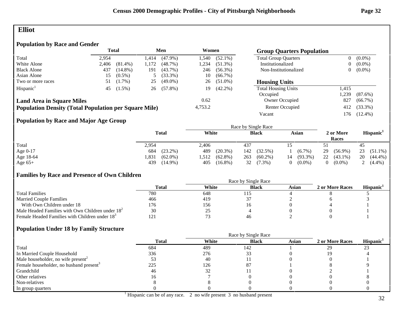### **Elliot**

### **Population by Race and Gender**

|                                                              | <b>Total</b> |            |         | Men        |                 | Women      | <b>Group Quarters Population</b> |                |            |
|--------------------------------------------------------------|--------------|------------|---------|------------|-----------------|------------|----------------------------------|----------------|------------|
| Total                                                        | 2.954        |            | .414    | $(47.9\%)$ | l.540           | $(52.1\%)$ | <b>Total Group Quarters</b>      | $\overline{0}$ | $(0.0\%)$  |
| White Alone                                                  | 2.406        | $(81.4\%)$ | .172    | (48.7%)    | 1,234           | $(51.3\%)$ | Institutionalized                | $\overline{0}$ | $(0.0\%)$  |
| <b>Black Alone</b>                                           | 437          | $(14.8\%)$ | 191     | $(43.7\%)$ | 246             | $(56.3\%)$ | Non-Institutionalized            | 0              | $(0.0\%)$  |
| Asian Alone                                                  | 15           | $(0.5\%)$  |         | $(33.3\%)$ | 10              | $(66.7\%)$ |                                  |                |            |
| Two or more races                                            | 51           | $(1.7\%)$  | 25      | $(49.0\%)$ | 26              | $(51.0\%)$ | <b>Housing Units</b>             |                |            |
| Hispanic <sup>1</sup>                                        | 45           | $(1.5\%)$  | 26      | $(57.8\%)$ | 19              | $(42.2\%)$ | <b>Total Housing Units</b>       | 1,415          |            |
|                                                              |              |            |         |            |                 |            | Occupied                         | ,239           | $(87.6\%)$ |
| <b>Land Area in Square Miles</b>                             |              |            |         |            | 0.62            |            | Owner Occupied                   | 827            | $(66.7\%)$ |
| <b>Population Density (Total Population per Square Mile)</b> |              |            | 4,753.2 |            | Renter Occupied | 412        | $(33.3\%)$                       |                |            |
|                                                              |              |            |         |            |                 |            | Vacant                           | 176            | $(12.4\%)$ |

### **Population by Race and Major Age Group**

|            |                     | Race by Single Race |                   |                  |                    |                       |  |  |  |  |
|------------|---------------------|---------------------|-------------------|------------------|--------------------|-----------------------|--|--|--|--|
| Total      | <b>Total</b>        | White               | <b>Black</b>      | Asian            | 2 or More<br>Races | Hispanic <sup>1</sup> |  |  |  |  |
|            | 2,954               | 2,406               | 437               |                  |                    | 45                    |  |  |  |  |
| Age $0-17$ | $(23.2\%)$<br>684   | 489<br>$(20.3\%)$   | $(32.5\%)$<br>142 | $(6.7\%)$        | 29<br>$(56.9\%)$   | 23<br>$(51.1\%)$      |  |  |  |  |
| Age 18-64  | $(62.0\%)$<br>l.831 | $(62.8\%)$<br>,512  | 263<br>$(60.2\%)$ | $(93.3\%)$<br>14 | 22<br>$(43.1\%)$   | 20<br>$(44.4\%)$      |  |  |  |  |
| Age $65+$  | 439<br>$(14.9\%)$   | 405<br>$(16.8\%)$   | 32<br>$(7.3\%)$   | $(0.0\%)$        | $(0.0\%)$          | 2 $(4.4\%)$           |  |  |  |  |

### **Families by Race and Presence of Own Children**

|                                                            | Total | White | <b>Black</b> | Asian | 2 or More Races | <b>Hispanic</b> |
|------------------------------------------------------------|-------|-------|--------------|-------|-----------------|-----------------|
| <b>Total Families</b>                                      | 780   | 648   |              |       |                 |                 |
| <b>Married Couple Families</b>                             | 466   | 419   |              |       |                 |                 |
| With Own Children under 18                                 | !76   | 156   |              |       |                 |                 |
| Male Headed Families with Own Children under $182$         | 30    | 25    |              |       |                 |                 |
| Female Headed Families with Children under 18 <sup>3</sup> | 12.   |       | 46           |       |                 |                 |

|                                                     |              | Race by Single Race |              |              |                 |                       |
|-----------------------------------------------------|--------------|---------------------|--------------|--------------|-----------------|-----------------------|
|                                                     | <b>Total</b> | White               | <b>Black</b> | <b>Asian</b> | 2 or More Races | Hispanic <sup>1</sup> |
| Total                                               | 684          | 489                 | 142          |              | 29              | 23                    |
| In Married Couple Household                         | 336          | 276                 |              |              |                 |                       |
| Male householder, no wife present <sup>2</sup>      |              | 40                  |              |              |                 |                       |
| Female householder, no husband present <sup>3</sup> | 225          | 126                 | 87           |              |                 |                       |
| Grandchild                                          | 46           | 32                  |              |              |                 |                       |
| Other relatives                                     |              |                     |              |              |                 |                       |
| Non-relatives                                       |              |                     |              |              |                 |                       |
| In group quarters                                   |              |                     |              |              |                 |                       |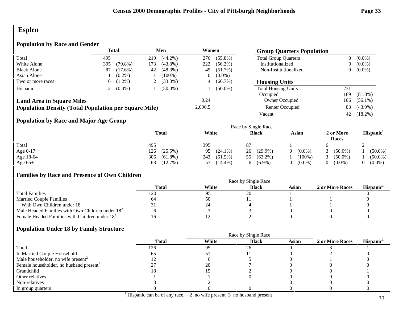### **Esplen**

### **Population by Race and Gender**

|                                                              |          | Total      |     | Men        |         | Women      | <b>Group Quarters Population</b> |     |            |
|--------------------------------------------------------------|----------|------------|-----|------------|---------|------------|----------------------------------|-----|------------|
| Total                                                        | 495      |            | 219 | $(44.2\%)$ | 276     | $(55.8\%)$ | <b>Total Group Quarters</b>      |     | $(0.0\%)$  |
| White Alone                                                  | 395      | $(79.8\%)$ | 173 | $(43.8\%)$ | 222     | $(56.2\%)$ | Institutionalized                |     | $(0.0\%)$  |
| <b>Black Alone</b>                                           | 87       | $(17.6\%)$ | 42  | $(48.3\%)$ | 45      | $(51.7\%)$ | Non-Institutionalized            |     | $(0.0\%)$  |
| Asian Alone                                                  |          | $(0.2\%)$  |     | $(100\%)$  |         | $(0.0\%)$  |                                  |     |            |
| Two or more races                                            | 6.       | $(1.2\%)$  |     | $(33.3\%)$ | 4       | $(66.7\%)$ | <b>Housing Units</b>             |     |            |
| Hispanic <sup>1</sup>                                        |          | $(0.4\%)$  |     | $(50.0\%)$ |         | $(50.0\%)$ | <b>Total Housing Units</b>       | 231 |            |
|                                                              |          |            |     |            |         |            | Occupied                         | 189 | $(81.8\%)$ |
| <b>Land Area in Square Miles</b>                             |          |            |     |            | 0.24    |            | <b>Owner Occupied</b>            | 106 | $(56.1\%)$ |
| <b>Population Density (Total Population per Square Mile)</b> |          |            |     |            | 2,096.5 |            | Renter Occupied                  | 83  | $(43.9\%)$ |
|                                                              |          |            |     |            |         |            | Vacant                           | 42  | $(18.2\%)$ |
| .                                                            | $     -$ |            |     |            |         |            |                                  |     |            |

### **Population by Race and Major Age Group**

|            |                   | Race by Single Race |                  |                       |                    |                       |  |  |  |
|------------|-------------------|---------------------|------------------|-----------------------|--------------------|-----------------------|--|--|--|
|            | <b>Total</b>      | White               | <b>Black</b>     | Asian                 | 2 or More<br>Races | Hispanic <sup>1</sup> |  |  |  |
| Total      | 495               | 395                 |                  |                       |                    |                       |  |  |  |
| Age $0-17$ | $(25.5\%)$<br>126 | $(24.1\%)$<br>95    | $(29.9\%)$<br>26 | $(0.0\%)$<br>$\theta$ | $(50.0\%)$         | $(50.0\%)$            |  |  |  |
| Age 18-64  | 306<br>$(61.8\%)$ | 243<br>$(61.5\%)$   | $(63.2\%)$<br>55 | $(100\%)$             | $(50.0\%)$         | $(50.0\%)$            |  |  |  |
| Age $65+$  | $(12.7\%)$<br>63  | $(14.4\%)$<br>57    | $(6.9\%)$<br>6.  | $(0.0\%)$             | $(0.0\%)$          | $(0.0\%)$             |  |  |  |

### **Families by Race and Presence of Own Children**

|                                                            | Race by Single Race |       |              |       |                 |                 |  |  |  |  |
|------------------------------------------------------------|---------------------|-------|--------------|-------|-----------------|-----------------|--|--|--|--|
|                                                            | <b>Total</b>        | White | <b>Black</b> | Asian | 2 or More Races | <b>Hispanic</b> |  |  |  |  |
| <b>Total Families</b>                                      | 120                 |       | 20           |       |                 |                 |  |  |  |  |
| <b>Married Couple Families</b>                             | 64                  | эU    |              |       |                 |                 |  |  |  |  |
| With Own Children under 18                                 |                     | 24    |              |       |                 |                 |  |  |  |  |
| Male Headed Families with Own Children under $182$         |                     |       |              |       |                 |                 |  |  |  |  |
| Female Headed Families with Children under 18 <sup>3</sup> |                     |       |              |       |                 |                 |  |  |  |  |

|                                                     | <b>Total</b> | White | <b>Black</b> | <b>Asian</b> | 2 or More Races | Hispanic <sup>1</sup> |
|-----------------------------------------------------|--------------|-------|--------------|--------------|-----------------|-----------------------|
| Total                                               | 126          | 95    | 26           |              |                 |                       |
| In Married Couple Household                         |              |       |              |              |                 |                       |
| Male householder, no wife present <sup>2</sup>      |              |       |              |              |                 |                       |
| Female householder, no husband present <sup>3</sup> |              | 20    |              |              |                 |                       |
| Grandchild                                          | l 8          |       |              |              |                 |                       |
| Other relatives                                     |              |       |              |              |                 |                       |
| Non-relatives                                       |              |       |              |              |                 |                       |
| In group quarters                                   |              |       |              |              |                 |                       |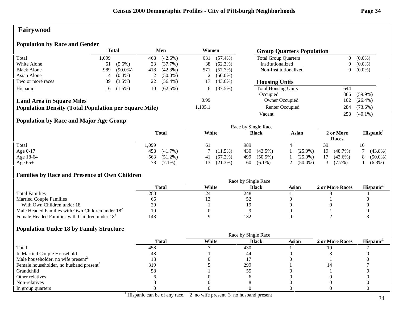# **Fairywood**

### **Population by Race and Gender**

|                                                              | <b>Total</b><br>Men |            | Women |            | <b>Group Quarters Population</b> |            |                             |                |            |
|--------------------------------------------------------------|---------------------|------------|-------|------------|----------------------------------|------------|-----------------------------|----------------|------------|
| Total                                                        | 1,099               |            | 468   | $(42.6\%)$ | 631                              | $(57.4\%)$ | <b>Total Group Quarters</b> | $\overline{0}$ | $(0.0\%)$  |
| White Alone                                                  | 61                  | $(5.6\%)$  | 23    | $(37.7\%)$ | 38                               | $(62.3\%)$ | Institutionalized           | 0              | $(0.0\%)$  |
| <b>Black Alone</b>                                           | 989                 | $(90.0\%)$ | 418   | $(42.3\%)$ | 571                              | $(57.7\%)$ | Non-Institutionalized       | $\overline{0}$ | $(0.0\%)$  |
| Asian Alone                                                  |                     | $(0.4\%)$  | 2     | $(50.0\%)$ | ∠                                | $(50.0\%)$ |                             |                |            |
| Two or more races                                            | 39                  | $(3.5\%)$  | 22    | $(56.4\%)$ |                                  | $(43.6\%)$ | <b>Housing Units</b>        |                |            |
| Hispanic <sup>1</sup>                                        | 16                  | $(1.5\%)$  | 10    | $(62.5\%)$ | 6.                               | (37.5%)    | <b>Total Housing Units</b>  | 644            |            |
|                                                              |                     |            |       |            |                                  |            | Occupied                    | 386            | $(59.9\%)$ |
| <b>Land Area in Square Miles</b>                             |                     |            |       |            | 0.99                             |            | Owner Occupied              | 102            | $(26.4\%)$ |
| <b>Population Density (Total Population per Square Mile)</b> |                     |            |       |            | 1,105.1                          |            | Renter Occupied             | 284            | $(73.6\%)$ |
|                                                              |                     |            |       |            |                                  |            | Vacant                      | 258            | $(40.1\%)$ |

### **Population by Race and Major Age Group**

|            |              | Race by Single Race |                   |              |            |                    |                       |  |
|------------|--------------|---------------------|-------------------|--------------|------------|--------------------|-----------------------|--|
|            | <b>Total</b> | White               |                   | <b>Black</b> | Asian      | 2 or More<br>Races | Hispanic <sup>1</sup> |  |
| Total      | .,099        | -61                 | 989               |              |            | 39                 | 16                    |  |
| Age $0-17$ | 458          | $(41.7\%)$          | 430<br>(11.5%)    | $(43.5\%)$   | $(25.0\%)$ | 19<br>(48.7%)      | $(43.8\%)$            |  |
| Age 18-64  | 563          | $(51.2\%)$<br>41    | $(67.2\%)$<br>499 | $(50.5\%)$   | $(25.0\%)$ | 17<br>$(43.6\%)$   | $(50.0\%)$            |  |
| Age $65+$  | 78 (7.1%)    |                     | (21.3%)           | $60(6.1\%)$  | $(50.0\%)$ | $(7.7\%)$          | $(6.3\%)$             |  |

### **Families by Race and Presence of Own Children**

|                                                            | Race by Single Race |       |              |       |                 |                 |  |  |  |
|------------------------------------------------------------|---------------------|-------|--------------|-------|-----------------|-----------------|--|--|--|
|                                                            | Total               | White | <b>Black</b> | Asian | 2 or More Races | <b>Hispanic</b> |  |  |  |
| <b>Total Families</b>                                      | 283                 | 24    | 248          |       |                 |                 |  |  |  |
| <b>Married Couple Families</b>                             | 66                  |       |              |       |                 |                 |  |  |  |
| With Own Children under 18                                 | 20                  |       |              |       |                 |                 |  |  |  |
| Male Headed Families with Own Children under $182$         |                     |       |              |       |                 |                 |  |  |  |
| Female Headed Families with Children under 18 <sup>3</sup> | 143                 |       | 132          |       |                 |                 |  |  |  |

|                                                     |              | Race by Single Race |              |       |                 |                       |  |  |  |
|-----------------------------------------------------|--------------|---------------------|--------------|-------|-----------------|-----------------------|--|--|--|
|                                                     | <b>Total</b> | White               | <b>Black</b> | Asian | 2 or More Races | Hispanic <sup>1</sup> |  |  |  |
| Total                                               | 458          |                     | 430          |       |                 |                       |  |  |  |
| In Married Couple Household                         | 48           |                     | 44           |       |                 |                       |  |  |  |
| Male householder, no wife present <sup>2</sup>      |              |                     |              |       |                 |                       |  |  |  |
| Female householder, no husband present <sup>3</sup> | 319          |                     | 299          |       |                 |                       |  |  |  |
| Grandchild                                          | 58           |                     |              |       |                 |                       |  |  |  |
| Other relatives                                     |              |                     |              |       |                 |                       |  |  |  |
| Non-relatives                                       |              |                     |              |       |                 |                       |  |  |  |
| In group quarters                                   |              |                     |              |       |                 |                       |  |  |  |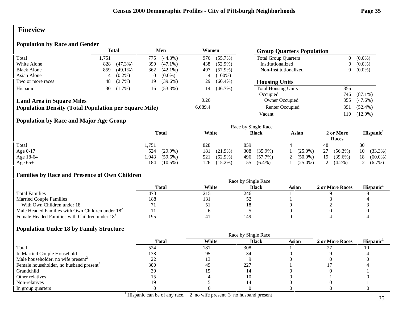### **Fineview**

### **Population by Race and Gender**

|                                                              | Total |            | Men |            | Women   |            | <b>Group Quarters Population</b> |                |            |
|--------------------------------------------------------------|-------|------------|-----|------------|---------|------------|----------------------------------|----------------|------------|
| Total                                                        | 1.751 |            | 775 | $(44.3\%)$ | 976     | $(55.7\%)$ | <b>Total Group Quarters</b>      | $\overline{0}$ | $(0.0\%)$  |
| White Alone                                                  | 828   | $(47.3\%)$ | 390 | $(47.1\%)$ | 438     | $(52.9\%)$ | Institutionalized                | $\overline{0}$ | $(0.0\%)$  |
| <b>Black Alone</b>                                           | 859   | $(49.1\%)$ | 362 | $(42.1\%)$ | 497     | $(57.9\%)$ | Non-Institutionalized            | $\mathbf{0}$   | $(0.0\%)$  |
| Asian Alone                                                  |       | $(0.2\%)$  |     | $(0.0\%)$  | 4       | $(100\%)$  |                                  |                |            |
| Two or more races                                            | 48    | $(2.7\%)$  | 19  | $(39.6\%)$ | 29      | $(60.4\%)$ | <b>Housing Units</b>             |                |            |
| Hispanic <sup>1</sup>                                        | 30    | $(1.7\%)$  | 16  | $(53.3\%)$ | 14      | $(46.7\%)$ | <b>Total Housing Units</b>       | 856            |            |
|                                                              |       |            |     |            |         |            | Occupied                         | 746            | $(87.1\%)$ |
| <b>Land Area in Square Miles</b>                             |       |            |     |            | 0.26    |            | Owner Occupied                   | 355            | $(47.6\%)$ |
| <b>Population Density (Total Population per Square Mile)</b> |       |            |     |            | 6,689.4 |            | Renter Occupied                  | 391            | $(52.4\%)$ |
|                                                              |       |            |     |            |         |            | Vacant                           | 110            | $(12.9\%)$ |

### **Population by Race and Major Age Group**

|            |                    | Race by Single Race |                   |            |                    |                       |  |  |  |
|------------|--------------------|---------------------|-------------------|------------|--------------------|-----------------------|--|--|--|
|            | <b>Total</b>       | White               | <b>Black</b>      | Asian      | 2 or More<br>Races | Hispanic <sup>1</sup> |  |  |  |
| Total      | 1,751              | 828                 | 859               |            | 48                 | 30                    |  |  |  |
| Age $0-17$ | $(29.9\%)$<br>524  | 181<br>$(21.9\%)$   | 308<br>$(35.9\%)$ | $(25.0\%)$ | 27<br>$(56.3\%)$   | $(33.3\%)$<br>10      |  |  |  |
| Age 18-64  | .043<br>$(59.6\%)$ | 521<br>$(62.9\%)$   | $(57.7\%)$<br>496 | $(50.0\%)$ | 19<br>$(39.6\%)$   | $(60.0\%)$<br>18      |  |  |  |
| Age $65+$  | $(10.5\%)$<br>184  | $(15.2\%)$<br>126   | $(6.4\%)$<br>55   | $(25.0\%)$ | 2 $(4.2\%)$        | $(6.7\%)$             |  |  |  |

### **Families by Race and Presence of Own Children**

|                                                            | Race by Single Race |       |              |       |                 |                 |  |  |  |
|------------------------------------------------------------|---------------------|-------|--------------|-------|-----------------|-----------------|--|--|--|
|                                                            | Total               | White | <b>Black</b> | Asian | 2 or More Races | <b>Hispanic</b> |  |  |  |
| <b>Total Families</b>                                      | 473                 | 215   | 246          |       |                 |                 |  |  |  |
| <b>Married Couple Families</b>                             | 188                 | 131   |              |       |                 |                 |  |  |  |
| With Own Children under 18                                 |                     | ັບ ⊥  |              |       |                 |                 |  |  |  |
| Male Headed Families with Own Children under $182$         |                     |       |              |       |                 |                 |  |  |  |
| Female Headed Families with Children under 18 <sup>3</sup> | 195                 | 41    | 149          |       |                 |                 |  |  |  |

|                                                     |              | Race by Single Race |              |              |                 |                       |  |  |  |
|-----------------------------------------------------|--------------|---------------------|--------------|--------------|-----------------|-----------------------|--|--|--|
|                                                     | <b>Total</b> | White               | <b>Black</b> | <b>Asian</b> | 2 or More Races | Hispanic <sup>1</sup> |  |  |  |
| Total                                               | 524          | 181                 | 308          |              |                 |                       |  |  |  |
| In Married Couple Household                         | 138          | 95                  | 34           |              |                 |                       |  |  |  |
| Male householder, no wife present <sup>2</sup>      |              |                     |              |              |                 |                       |  |  |  |
| Female householder, no husband present <sup>3</sup> | 300          | 49                  | 227          |              |                 |                       |  |  |  |
| Grandchild                                          | 30           |                     |              |              |                 |                       |  |  |  |
| Other relatives                                     |              |                     |              |              |                 |                       |  |  |  |
| Non-relatives                                       |              |                     |              |              |                 |                       |  |  |  |
| In group quarters                                   |              |                     |              |              |                 |                       |  |  |  |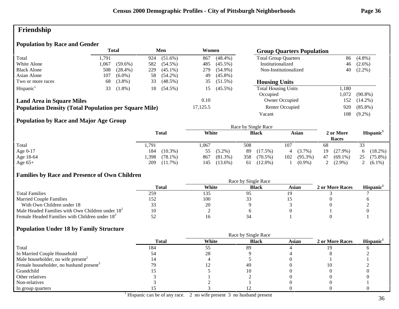# **Friendship**

### **Population by Race and Gender**

|                                                              | <b>Total</b> |            | Men |            | Women<br><b>Group Quarters Population</b> |            |                             |       |            |  |
|--------------------------------------------------------------|--------------|------------|-----|------------|-------------------------------------------|------------|-----------------------------|-------|------------|--|
| Total                                                        | . . 791      |            | 924 | $(51.6\%)$ | 867                                       | $(48.4\%)$ | <b>Total Group Quarters</b> | 86    | $(4.8\%)$  |  |
| White Alone                                                  | 1.067        | $(59.6\%)$ | 582 | $(54.5\%)$ | 485                                       | $(45.5\%)$ | Institutionalized           | 46    | $(2.6\%)$  |  |
| <b>Black Alone</b>                                           | 508          | $(28.4\%)$ | 229 | $(45.1\%)$ | 279                                       | $(54.9\%)$ | Non-Institutionalized       | 40    | $(2.2\%)$  |  |
| Asian Alone                                                  | 107          | $(6.0\%)$  | 58  | $(54.2\%)$ | 49                                        | $(45.8\%)$ |                             |       |            |  |
| Two or more races                                            | 68           | $(3.8\%)$  | 33  | $(48.5\%)$ | 35                                        | $(51.5\%)$ | <b>Housing Units</b>        |       |            |  |
| Hispanic <sup>1</sup>                                        | 33           | $(1.8\%)$  | 18  | $(54.5\%)$ | 15                                        | $(45.5\%)$ | <b>Total Housing Units</b>  | 1,180 |            |  |
|                                                              |              |            |     |            |                                           |            | Occupied                    | .072  | $(90.8\%)$ |  |
| <b>Land Area in Square Miles</b>                             |              |            |     |            | 0.10                                      |            | Owner Occupied              | 152   | $(14.2\%)$ |  |
| <b>Population Density (Total Population per Square Mile)</b> |              |            |     |            | 17,125.5                                  |            | Renter Occupied             | 920   | $(85.8\%)$ |  |
|                                                              |              |            |     |            |                                           |            | Vacant                      | 108   | $(9.2\%)$  |  |

### **Population by Race and Major Age Group**

|            |                    |                   | Race by Single Race |                   |                    |                       |
|------------|--------------------|-------------------|---------------------|-------------------|--------------------|-----------------------|
|            | <b>Total</b>       | White             | <b>Black</b>        | Asian             | 2 or More<br>Races | Hispanic <sup>1</sup> |
| Total      | 1.791              | ,067              | 508                 | 107               | 68                 | 33                    |
| Age $0-17$ | 184<br>$(10.3\%)$  | $(5.2\%)$<br>55   | $(17.5\%)$<br>89    | $(3.7\%)$<br>4    | 19<br>$(27.9\%)$   | $(18.2\%)$            |
| Age 18-64  | .398<br>$(78.1\%)$ | 867<br>$(81.3\%)$ | 358<br>$(70.5\%)$   | 102<br>$(95.3\%)$ | 47<br>$(69.1\%)$   | 25<br>$(75.8\%)$      |
| Age $65+$  | 209<br>$(11.7\%)$  | $(13.6\%)$<br>145 | $(12.0\%)$<br>61    | $(0.9\%)$         | $(2.9\%)$          | 2 $(6.1\%)$           |

### **Families by Race and Presence of Own Children**

|                                                            | Total | White | <b>Black</b> | Asian | 2 or More Races | <b>Hispanic</b> |
|------------------------------------------------------------|-------|-------|--------------|-------|-----------------|-----------------|
| <b>Total Families</b>                                      | 259   | 135   |              |       |                 |                 |
| <b>Married Couple Families</b>                             |       | 100   |              |       |                 |                 |
| With Own Children under 18                                 |       | 20    |              |       |                 |                 |
| Male Headed Families with Own Children under $182$         | 10    |       |              |       |                 |                 |
| Female Headed Families with Children under 18 <sup>3</sup> |       |       |              |       |                 |                 |

|                                                     | <b>Total</b> | White | <b>Black</b> | <b>Asian</b> | 2 or More Races | Hispanic <sup>1</sup> |
|-----------------------------------------------------|--------------|-------|--------------|--------------|-----------------|-----------------------|
| Total                                               | 184          | 55    | 89           |              |                 |                       |
| In Married Couple Household                         |              | 28    |              |              |                 |                       |
| Male householder, no wife present <sup>2</sup>      |              |       |              |              |                 |                       |
| Female householder, no husband present <sup>3</sup> |              |       | 49           |              | 10              |                       |
| Grandchild                                          |              |       |              |              |                 |                       |
| Other relatives                                     |              |       |              |              |                 |                       |
| Non-relatives                                       |              |       |              |              |                 |                       |
| In group quarters                                   |              |       |              |              |                 |                       |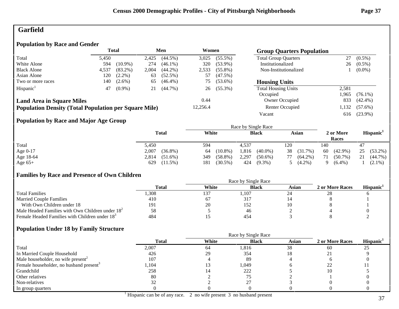# **Garfield**

## **Population by Race and Gender**

|                                                              |       | <b>Total</b> |       | Men        | Women    |            | <b>Group Quarters Population</b> |       |            |
|--------------------------------------------------------------|-------|--------------|-------|------------|----------|------------|----------------------------------|-------|------------|
| Total                                                        | 5.450 |              | 2,425 | $(44.5\%)$ | 3,025    | $(55.5\%)$ | <b>Total Group Quarters</b>      | 27    | $(0.5\%)$  |
| White Alone                                                  | 594   | $(10.9\%)$   | 274   | $(46.1\%)$ | 320      | $(53.9\%)$ | Institutionalized                | 26    | $(0.5\%)$  |
| <b>Black Alone</b>                                           | 4,537 | $(83.2\%)$   | 2,004 | $(44.2\%)$ | 2,533    | $(55.8\%)$ | Non-Institutionalized            |       | $(0.0\%)$  |
| Asian Alone                                                  | 120   | $(2.2\%)$    | 63    | $(52.5\%)$ | 57       | $(47.5\%)$ |                                  |       |            |
| Two or more races                                            | 140   | $(2.6\%)$    | 65    | $(46.4\%)$ | 75       | $(53.6\%)$ | <b>Housing Units</b>             |       |            |
| Hispanic <sup>1</sup>                                        | 47    | $(0.9\%)$    | 21    | $(44.7\%)$ | 26       | $(55.3\%)$ | <b>Total Housing Units</b>       | 2,581 |            |
|                                                              |       |              |       |            |          |            | Occupied                         | 1.965 | $(76.1\%)$ |
| <b>Land Area in Square Miles</b>                             |       |              |       |            | 0.44     |            | Owner Occupied                   | 833   | $(42.4\%)$ |
| <b>Population Density (Total Population per Square Mile)</b> |       |              |       |            | 12,256.4 |            | Renter Occupied                  | 1,132 | $(57.6\%)$ |
|                                                              |       |              |       |            |          |            | Vacant                           | 616   | $(23.9\%)$ |

## **Population by Race and Major Age Group**

|            |                     |                   | Race by Single Race |                  |                       |                       |
|------------|---------------------|-------------------|---------------------|------------------|-----------------------|-----------------------|
|            | <b>Total</b>        | White             | <b>Black</b>        | Asian            | 2 or More<br>Races    | Hispanic <sup>1</sup> |
| Total      | 5,450               | 594               | 4.537               | 120              | 140                   | 47                    |
| Age $0-17$ | $(36.8\%)$<br>2,007 | $(10.8\%)$<br>64  | 1,816<br>$(40.0\%)$ | 38<br>(31.7%)    | $(42.9\%)$<br>60      | 25<br>$(53.2\%)$      |
| Age 18-64  | 2,814<br>$(51.6\%)$ | $(58.8\%)$<br>349 | 2,297<br>$(50.6\%)$ | $(64.2\%)$<br>77 | $(50.7\%)$<br>71      | 21<br>$(44.7\%)$      |
| Age $65+$  | 629<br>$(11.5\%)$   | 181<br>$(30.5\%)$ | 424<br>$(9.3\%)$    | $(4.2\%)$        | $(6.4\%)$<br>$\Omega$ | $(2.1\%)$             |

## **Families by Race and Presence of Own Children**

|                                                            | Race by Single Race |       |              |       |                 |                 |  |
|------------------------------------------------------------|---------------------|-------|--------------|-------|-----------------|-----------------|--|
|                                                            | Total               | White | <b>Black</b> | Asian | 2 or More Races | <b>Hispanic</b> |  |
| <b>Total Families</b>                                      | ,308                | 137   | 1,107        |       | 28              |                 |  |
| <b>Married Couple Families</b>                             | 410                 | 67    | 317          |       |                 |                 |  |
| With Own Children under 18                                 | 191                 | 20    | 152          |       |                 |                 |  |
| Male Headed Families with Own Children under $182$         | 58                  |       | 46           |       |                 |                 |  |
| Female Headed Families with Children under 18 <sup>3</sup> | 484                 |       | 454          |       |                 |                 |  |

## **Population Under 18 by Family Structure**

|                                                     | <b>Total</b> | White | <b>Black</b> | <b>Asian</b> | 2 or More Races | Hispanic <sup>1</sup> |
|-----------------------------------------------------|--------------|-------|--------------|--------------|-----------------|-----------------------|
| Total                                               | 2,007        | 64    | 1,816        | 38           | 60              | 25                    |
| In Married Couple Household                         | 426          | 29    | 354          |              |                 |                       |
| Male householder, no wife present <sup>2</sup>      | 107          |       | -89          |              |                 |                       |
| Female householder, no husband present <sup>3</sup> | l,104        |       | 1,049        |              |                 |                       |
| Grandchild                                          | 258          |       | 222          |              | 10              |                       |
| Other relatives                                     | 80           |       |              |              |                 |                       |
| Non-relatives                                       |              |       | ີ            |              |                 |                       |
| In group quarters                                   |              |       |              |              |                 |                       |

37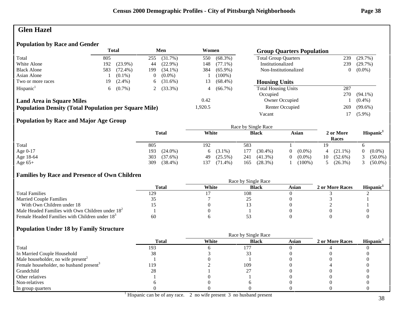# **Glen Hazel**

## **Population by Race and Gender**

|                                                              |     | <b>Total</b> |          | Men        | Women   |            | <b>Group Quarters Population</b> |     |            |
|--------------------------------------------------------------|-----|--------------|----------|------------|---------|------------|----------------------------------|-----|------------|
| Total                                                        | 805 |              | 255      | (31.7%)    | 550     | $(68.3\%)$ | <b>Total Group Quarters</b>      | 239 | (29.7%)    |
| White Alone                                                  | 192 | $(23.9\%)$   | 44       | $(22.9\%)$ | 148     | $(77.1\%)$ | Institutionalized                | 239 | $(29.7\%)$ |
| <b>Black Alone</b>                                           | 583 | $(72.4\%)$   | 199      | $(34.1\%)$ | 384     | $(65.9\%)$ | Non-Institutionalized            | 0   | $(0.0\%)$  |
| Asian Alone                                                  |     | $(0.1\%)$    | $\theta$ | $(0.0\%)$  |         | $(100\%)$  |                                  |     |            |
| Two or more races                                            | 19  | $(2.4\%)$    | 6        | $(31.6\%)$ | 13      | $(68.4\%)$ | <b>Housing Units</b>             |     |            |
| Hispanic <sup>1</sup>                                        | 6.  | $(0.7\%)$    |          | $(33.3\%)$ | 4       | $(66.7\%)$ | <b>Total Housing Units</b>       | 287 |            |
|                                                              |     |              |          |            |         |            | Occupied                         | 270 | $(94.1\%)$ |
| <b>Land Area in Square Miles</b>                             |     |              |          |            | 0.42    |            | Owner Occupied                   |     | $(0.4\%)$  |
| <b>Population Density (Total Population per Square Mile)</b> |     |              |          |            | 1,920.5 |            | Renter Occupied                  | 269 | $(99.6\%)$ |
|                                                              |     |              |          |            |         |            | Vacant                           |     | $(5.9\%)$  |
|                                                              |     |              |          |            |         |            |                                  |     |            |

## **Population by Race and Major Age Group**

|            | <b>Total</b>      | White             | <b>Black</b>      | Asian                 | 2 or More<br>Races | Hispanic <sup>1</sup> |
|------------|-------------------|-------------------|-------------------|-----------------------|--------------------|-----------------------|
| Total      | 805               | 192               | 583               |                       | 19                 |                       |
| Age $0-17$ | 193<br>$(24.0\%)$ | 6 $(3.1\%)$       | $(30.4\%)$<br>177 | $(0.0\%)$             | $(21.1\%)$         | $(0.0\%)$             |
| Age 18-64  | 303<br>$(37.6\%)$ | $(25.5\%)$<br>49  | 241<br>$(41.3\%)$ | $(0.0\%)$<br>$\theta$ | $(52.6\%)$<br>10   | $(50.0\%)$            |
| Age $65+$  | 309<br>$(38.4\%)$ | 137<br>$(71.4\%)$ | (28.3%)<br>165    | $(100\%$              | $(26.3\%)$         | $(50.0\%)$            |

## **Families by Race and Presence of Own Children**

|                                                            | Race by Single Race |       |              |       |                 |                 |  |  |
|------------------------------------------------------------|---------------------|-------|--------------|-------|-----------------|-----------------|--|--|
|                                                            | <b>Total</b>        | White | <b>Black</b> | Asian | 2 or More Races | <b>Hispanic</b> |  |  |
| <b>Total Families</b>                                      | 129                 |       | 108          |       |                 |                 |  |  |
| <b>Married Couple Families</b>                             |                     |       |              |       |                 |                 |  |  |
| With Own Children under 18                                 |                     |       |              |       |                 |                 |  |  |
| Male Headed Families with Own Children under $182$         |                     |       |              |       |                 |                 |  |  |
| Female Headed Families with Children under 18 <sup>3</sup> | 60                  |       |              |       |                 |                 |  |  |

|                                                     |              | Race by Single Race |              |              |                 |                       |
|-----------------------------------------------------|--------------|---------------------|--------------|--------------|-----------------|-----------------------|
|                                                     | <b>Total</b> | White               | <b>Black</b> | <b>Asian</b> | 2 or More Races | Hispanic <sup>1</sup> |
| Total                                               | 193          |                     | 177          |              |                 |                       |
| In Married Couple Household                         | 38           |                     |              |              |                 |                       |
| Male householder, no wife present <sup>2</sup>      |              |                     |              |              |                 |                       |
| Female householder, no husband present <sup>3</sup> | 119          |                     | 109          |              |                 |                       |
| Grandchild                                          | 28           |                     |              |              |                 |                       |
| Other relatives                                     |              |                     |              |              |                 |                       |
| Non-relatives                                       |              |                     |              |              |                 |                       |
| In group quarters                                   |              |                     |              |              |                 |                       |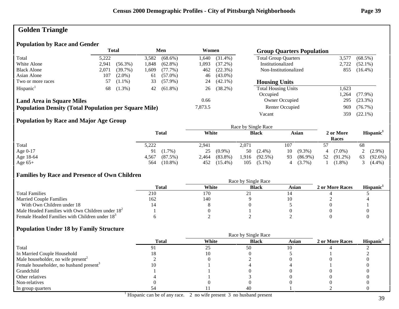# **Golden Triangle**

## **Population by Race and Gender**

|                                                              | <b>Total</b> |            | Men   |            | Women   |            | <b>Group Quarters Population</b> |       |            |
|--------------------------------------------------------------|--------------|------------|-------|------------|---------|------------|----------------------------------|-------|------------|
| Total                                                        | 5,222        |            | 3,582 | $(68.6\%)$ | 640. ا  | $(31.4\%)$ | <b>Total Group Quarters</b>      | 3,577 | $(68.5\%)$ |
| White Alone                                                  | 2.941        | $(56.3\%)$ | .848  | $(62.8\%)$ | 1,093   | $(37.2\%)$ | Institutionalized                | 2,722 | $(52.1\%)$ |
| <b>Black Alone</b>                                           | 2,071        | $(39.7\%)$ | .609  | (77.7%)    | 462     | (22.3%)    | Non-Institutionalized            | 855   | $(16.4\%)$ |
| Asian Alone                                                  | 107          | $(2.0\%)$  | 61    | $(57.0\%)$ | 46      | $(43.0\%)$ |                                  |       |            |
| Two or more races                                            | 57           | $(1.1\%)$  | 33    | $(57.9\%)$ | 24      | $(42.1\%)$ | <b>Housing Units</b>             |       |            |
| Hispanic <sup>1</sup>                                        | 68           | $(1.3\%)$  | 42    | $(61.8\%)$ | 26      | $(38.2\%)$ | <b>Total Housing Units</b>       | 1,623 |            |
|                                                              |              |            |       |            |         |            | Occupied                         | .264  | $(77.9\%)$ |
| <b>Land Area in Square Miles</b>                             |              |            |       |            | 0.66    |            | Owner Occupied                   | 295   | $(23.3\%)$ |
| <b>Population Density (Total Population per Square Mile)</b> |              |            |       |            | 7,873.5 |            | Renter Occupied                  | 969   | $(76.7\%)$ |
|                                                              |              |            |       |            |         |            | Vacant                           | 359   | $(22.1\%)$ |

## **Population by Race and Major Age Group**

|           |                   |                     | Race by Single Race |                  |                    |                       |
|-----------|-------------------|---------------------|---------------------|------------------|--------------------|-----------------------|
|           | <b>Total</b>      | White               | <b>Black</b>        | Asian            | 2 or More<br>Races | Hispanic <sup>1</sup> |
| Total     | 5,222             | 2,941               | 2.071               | 107              |                    | 68                    |
| Age 0-17  | $(1.7\%)$<br>91   | $(0.9\%)$<br>25     | $50(2.4\%)$         | $(9.3\%)$<br>10  | $(7.0\%)$          | 2 $(2.9\%)$           |
| Age 18-64 | (87.5%)<br>4,567  | $(83.8\%)$<br>2,464 | $(92.5\%)$<br>.916  | $(86.9\%)$<br>93 | 52<br>$(91.2\%)$   | $(92.6\%)$<br>63      |
| Age $65+$ | $(10.8\%)$<br>564 | $(15.4\%)$<br>452   | 105<br>$(5.1\%)$    | $(3.7\%)$<br>4   | $1.8\%)$           | $(4.4\%)$             |

#### **Families by Race and Presence of Own Children**

|                                                            | Race by Single Race |       |              |       |                 |                 |  |
|------------------------------------------------------------|---------------------|-------|--------------|-------|-----------------|-----------------|--|
|                                                            | Total               | White | <b>Black</b> | Asian | 2 or More Races | <b>Hispanic</b> |  |
| <b>Total Families</b>                                      | 210                 | 170   |              |       |                 |                 |  |
| <b>Married Couple Families</b>                             | 162                 | 140   |              |       |                 |                 |  |
| With Own Children under 18                                 |                     |       |              |       |                 |                 |  |
| Male Headed Families with Own Children under $182$         |                     |       |              |       |                 |                 |  |
| Female Headed Families with Children under 18 <sup>3</sup> |                     |       |              |       |                 |                 |  |

|                                                     | <b>Total</b> | White | <b>Black</b> | <b>Asian</b> | 2 or More Races | Hispanic <sup>1</sup> |
|-----------------------------------------------------|--------------|-------|--------------|--------------|-----------------|-----------------------|
| Total                                               |              | 25    | 50           |              |                 |                       |
| In Married Couple Household                         |              |       |              |              |                 |                       |
| Male householder, no wife present <sup>2</sup>      |              |       |              |              |                 |                       |
| Female householder, no husband present <sup>3</sup> |              |       |              |              |                 |                       |
| Grandchild                                          |              |       |              |              |                 |                       |
| Other relatives                                     |              |       |              |              |                 |                       |
| Non-relatives                                       |              |       |              |              |                 |                       |
| In group quarters                                   |              |       | 40           |              |                 |                       |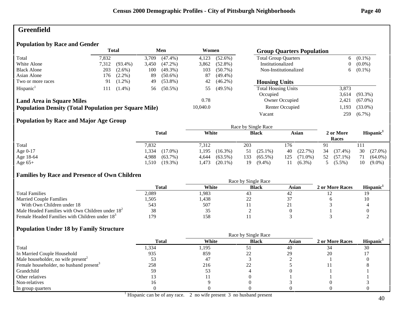# **Greenfield**

## **Population by Race and Gender**

|                                                              |       | <b>Total</b> |       | Men        | Women    |            | <b>Group Quarters Population</b> |                |             |
|--------------------------------------------------------------|-------|--------------|-------|------------|----------|------------|----------------------------------|----------------|-------------|
| Total                                                        | 7,832 |              | 3.709 | $(47.4\%)$ | 4,123    | $(52.6\%)$ | <b>Total Group Quarters</b>      | 6              | $(0.1\%)$   |
| White Alone                                                  | 7,312 | $(93.4\%)$   | 3,450 | $(47.2\%)$ | 3,862    | $(52.8\%)$ | Institutionalized                | $\overline{0}$ | $(0.0\%)$   |
| <b>Black Alone</b>                                           | 203   | $(2.6\%)$    | 100   | $(49.3\%)$ | 103      | $(50.7\%)$ | Non-Institutionalized            |                | 6 $(0.1\%)$ |
| Asian Alone                                                  | 176   | $(2.2\%)$    | 89    | $(50.6\%)$ | 87       | $(49.4\%)$ |                                  |                |             |
| Two or more races                                            | 91    | $(1.2\%)$    | 49    | $(53.8\%)$ | 42       | $(46.2\%)$ | <b>Housing Units</b>             |                |             |
| Hispanic <sup>1</sup>                                        | 111   | $(1.4\%)$    | 56    | $(50.5\%)$ | 55       | $(49.5\%)$ | <b>Total Housing Units</b>       | 3,873          |             |
|                                                              |       |              |       |            |          |            | Occupied                         | 3.614          | $(93.3\%)$  |
| <b>Land Area in Square Miles</b>                             |       |              |       |            | 0.78     |            | Owner Occupied                   | 2,421          | $(67.0\%)$  |
| <b>Population Density (Total Population per Square Mile)</b> |       |              |       |            | 10,040.0 |            | Renter Occupied                  | 1,193          | $(33.0\%)$  |
|                                                              |       |              |       |            |          |            | Vacant                           | 259            | $(6.7\%)$   |
|                                                              |       |              |       |            |          |            |                                  |                |             |

## **Population by Race and Major Age Group**

|            |                     |                     | Race by Single Race |                   |                    |                       |
|------------|---------------------|---------------------|---------------------|-------------------|--------------------|-----------------------|
|            | <b>Total</b>        | White               | <b>Black</b>        | Asian             | 2 or More<br>Races | Hispanic <sup>1</sup> |
| Total      | 7,832               | 7,312               | 203                 | 176               |                    | 111                   |
| Age $0-17$ | 334ء<br>$(17.0\%)$  | .195<br>$(16.3\%)$  | $(25.1\%)$<br>51    | (22.7%)<br>40     | 34<br>$(37.4\%)$   | 30<br>$(27.0\%)$      |
| Age 18-64  | $(63.7\%)$<br>4,988 | $(63.5\%)$<br>4,644 | 133<br>$(65.5\%)$   | 125<br>$(71.0\%)$ | 52<br>$(57.1\%)$   | $(64.0\%)$<br>71      |
| Age $65+$  | $(19.3\%)$<br>.510  | $(20.1\%)$<br>1,473 | $(9.4\%)$<br>19     | $(6.3\%)$         | $(5.5\%)$          | 10<br>$(9.0\%)$       |

## **Families by Race and Presence of Own Children**

|                                                            | <b>Total</b> | White | <b>Black</b> | Asian | 2 or More Races | <b>Hispanic</b> |
|------------------------------------------------------------|--------------|-------|--------------|-------|-----------------|-----------------|
| <b>Total Families</b>                                      | 2,089        | 1.983 | 4.1          |       |                 |                 |
| <b>Married Couple Families</b>                             | .505         | 1,438 | --           |       |                 | 10              |
| With Own Children under 18                                 | 543          | 507   |              |       |                 |                 |
| Male Headed Families with Own Children under $182$         | 38           | 33    |              |       |                 |                 |
| Female Headed Families with Children under 18 <sup>3</sup> | 179          | 158   |              |       |                 |                 |

|                                                     |              | Race by Single Race |              |              |                 |                       |
|-----------------------------------------------------|--------------|---------------------|--------------|--------------|-----------------|-----------------------|
|                                                     | <b>Total</b> | White               | <b>Black</b> | <b>Asian</b> | 2 or More Races | Hispanic <sup>1</sup> |
| Total                                               | 1,334        | 1,195               |              | 40           |                 | 30                    |
| In Married Couple Household                         | 935          | 859                 | າາ           | 29           | 20              |                       |
| Male householder, no wife present <sup>2</sup>      |              | 47                  |              |              |                 |                       |
| Female householder, no husband present <sup>3</sup> | 258          | 216                 | 22           |              |                 |                       |
| Grandchild                                          | 59           | 53                  |              |              |                 |                       |
| Other relatives                                     |              |                     |              |              |                 |                       |
| Non-relatives                                       | I b          |                     |              |              |                 |                       |
| In group quarters                                   |              |                     |              |              |                 |                       |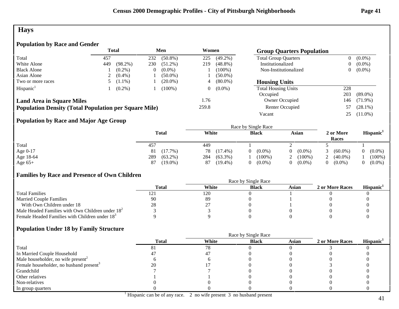# **Hays**

## **Population by Race and Gender**

|                                                              |     | Total      |     | Men        | Women |            | <b>Group Quarters Population</b> |     |            |
|--------------------------------------------------------------|-----|------------|-----|------------|-------|------------|----------------------------------|-----|------------|
| Total                                                        | 457 |            | 232 | $(50.8\%)$ | 225   | $(49.2\%)$ | <b>Total Group Quarters</b>      | 0   | $(0.0\%)$  |
| White Alone                                                  | 449 | $(98.2\%)$ | 230 | $(51.2\%)$ | 219   | $(48.8\%)$ | Institutionalized                | 0   | $(0.0\%)$  |
| <b>Black Alone</b>                                           |     | $(0.2\%)$  |     | $(0.0\%)$  |       | $(100\%)$  | Non-Institutionalized            | 0   | $(0.0\%)$  |
| Asian Alone                                                  |     | $(0.4\%)$  |     | $(50.0\%)$ |       | $(50.0\%)$ |                                  |     |            |
| Two or more races                                            |     | $(1.1\%)$  |     | $(20.0\%)$ | 4     | $(80.0\%)$ | <b>Housing Units</b>             |     |            |
| Hispanic <sup>1</sup>                                        |     | $(0.2\%)$  |     | $(100\%)$  | 0     | $(0.0\%)$  | <b>Total Housing Units</b>       | 228 |            |
|                                                              |     |            |     |            |       |            | Occupied                         | 203 | $(89.0\%)$ |
| <b>Land Area in Square Miles</b>                             |     |            |     |            | 1.76  |            | Owner Occupied                   | 146 | $(71.9\%)$ |
| <b>Population Density (Total Population per Square Mile)</b> |     |            |     |            | 259.8 |            | Renter Occupied                  | 57  | $(28.1\%)$ |
|                                                              |     |            |     |            |       |            | Vacant                           | 25  | $(11.0\%)$ |

## **Population by Race and Major Age Group**

|            |                   |                   | Race by Single Race   |           |                    |                       |
|------------|-------------------|-------------------|-----------------------|-----------|--------------------|-----------------------|
|            | Total             | White             | <b>Black</b>          | Asian     | 2 or More<br>Races | Hispanic <sup>1</sup> |
| Total      | 457               | 449               |                       |           |                    |                       |
| Age $0-17$ | $(17.7\%)$<br>81  | 78<br>$(17.4\%)$  | $(0.0\%)$<br>$\Omega$ | $(0.0\%)$ | $(60.0\%)$         | $(0.0\%)$<br>$\Omega$ |
| Age 18-64  | 289<br>$(63.2\%)$ | 284<br>$(63.3\%)$ | $(100\%)$             | $(100\%)$ | $(40.0\%)$         | $(100\%)$             |
| Age $65+$  | $(19.0\%)$<br>87  | $(19.4\%)$<br>87  | $(0.0\%)$<br>$\Omega$ | $(0.0\%)$ | $(0.0\%)$          | $(0.0\%)$             |

## **Families by Race and Presence of Own Children**

|                                                            | Total | White | <b>Black</b> | Asian | 2 or More Races | <b>Hispanic</b> |
|------------------------------------------------------------|-------|-------|--------------|-------|-----------------|-----------------|
| <b>Total Families</b>                                      |       | 120   |              |       |                 |                 |
| <b>Married Couple Families</b>                             | 90    | -89   |              |       |                 |                 |
| With Own Children under 18                                 | 28    | ∸.    |              |       |                 |                 |
| Male Headed Families with Own Children under $182$         |       |       |              |       |                 |                 |
| Female Headed Families with Children under 18 <sup>3</sup> |       |       |              |       |                 |                 |

|                                                     | <b>Total</b> | White | <b>Black</b> | Asian | 2 or More Races | Hispanic <sup>1</sup> |
|-----------------------------------------------------|--------------|-------|--------------|-------|-----------------|-----------------------|
| Total                                               |              | 78    |              |       |                 |                       |
| In Married Couple Household                         |              |       |              |       |                 |                       |
| Male householder, no wife present <sup>2</sup>      |              |       |              |       |                 |                       |
| Female householder, no husband present <sup>3</sup> |              |       |              |       |                 |                       |
| Grandchild                                          |              |       |              |       |                 |                       |
| Other relatives                                     |              |       |              |       |                 |                       |
| Non-relatives                                       |              |       |              |       |                 |                       |
| In group quarters                                   |              |       |              |       |                 |                       |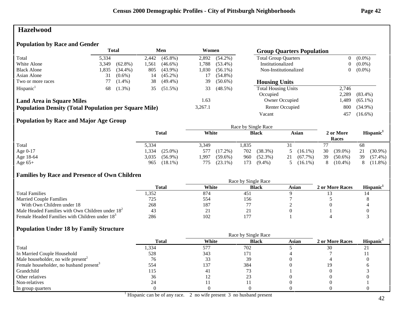## **Hazelwood**

## **Population by Race and Gender**

|                                                              | <b>Total</b> |            | Men   |            | Women   |            | <b>Group Quarters Population</b> |                |            |
|--------------------------------------------------------------|--------------|------------|-------|------------|---------|------------|----------------------------------|----------------|------------|
| Total                                                        | 5,334        |            | 2,442 | $(45.8\%)$ | 2,892   | $(54.2\%)$ | <b>Total Group Quarters</b>      | $\overline{0}$ | $(0.0\%)$  |
| White Alone                                                  | 3,349        | $(62.8\%)$ | .561  | $(46.6\%)$ | l.788   | $(53.4\%)$ | Institutionalized                | 0              | $(0.0\%)$  |
| <b>Black Alone</b>                                           | .835         | $(34.4\%)$ | 805   | $(43.9\%)$ | 1,030   | $(56.1\%)$ | Non-Institutionalized            | 0              | $(0.0\%)$  |
| Asian Alone                                                  | 31           | $(0.6\%)$  | 14    | $(45.2\%)$ |         | $(54.8\%)$ |                                  |                |            |
| Two or more races                                            |              | $(1.4\%)$  | 38    | $(49.4\%)$ | 39      | $(50.6\%)$ | <b>Housing Units</b>             |                |            |
| Hispanic <sup>1</sup>                                        | 68           | $(1.3\%)$  | 35    | $(51.5\%)$ | 33      | $(48.5\%)$ | <b>Total Housing Units</b>       | 2.746          |            |
|                                                              |              |            |       |            |         |            | Occupied                         | 2.289          | $(83.4\%)$ |
| <b>Land Area in Square Miles</b>                             |              |            |       |            | 1.63    |            | Owner Occupied                   | .489           | $(65.1\%)$ |
| <b>Population Density (Total Population per Square Mile)</b> |              |            |       |            | 3,267.1 |            | Renter Occupied                  | 800            | $(34.9\%)$ |
|                                                              |              |            |       |            |         |            | Vacant                           | 457            | $(16.6\%)$ |

## **Population by Race and Major Age Group**

|           |                     |                    | Race by Single Race |                             |                    |                       |
|-----------|---------------------|--------------------|---------------------|-----------------------------|--------------------|-----------------------|
|           | <b>Total</b>        | White              | <b>Black</b>        | Asian                       | 2 or More<br>Races | Hispanic <sup>1</sup> |
| Total     | 5,334               | 3,349              | ,835                |                             |                    | 68                    |
| Age 0-17  | 1.334<br>$(25.0\%)$ | $(17.2\%)$<br>577  | 702<br>(38.3%)      | $(16.1\%)$<br>$\mathcal{D}$ | 30<br>$(39.0\%)$   | 21<br>$(30.9\%)$      |
| Age 18-64 | 3,035<br>$(56.9\%)$ | .997<br>$(59.6\%)$ | 960<br>$(52.3\%)$   | $(67.7\%)$<br>21            | 39<br>$(50.6\%)$   | 39<br>$(57.4\%)$      |
| Age $65+$ | $(18.1\%)$<br>965   | $(23.1\%)$<br>775  | 173<br>$(9.4\%)$    | $(16.1\%)$<br>$\mathcal{L}$ | $(10.4\%)$         | $(11.8\%)$            |

## **Families by Race and Presence of Own Children**

|                                                            | Total | White | <b>Black</b>    | Asian | 2 or More Races | <b>Hispanic</b> |
|------------------------------------------------------------|-------|-------|-----------------|-------|-----------------|-----------------|
| <b>Total Families</b>                                      | ∠رر⊾  | 874   | 45 <sub>1</sub> |       |                 |                 |
| <b>Married Couple Families</b>                             | 725   | 554   | 156             |       |                 |                 |
| With Own Children under 18                                 | 268   | 187   |                 |       |                 |                 |
| Male Headed Families with Own Children under $182$         |       | 41    | ∠ ⊥             |       |                 |                 |
| Female Headed Families with Children under 18 <sup>3</sup> | 286   | 102   |                 |       |                 |                 |

|                                                     |              |       | Race by Single Race |              |                 |                       |
|-----------------------------------------------------|--------------|-------|---------------------|--------------|-----------------|-----------------------|
|                                                     | <b>Total</b> | White | <b>Black</b>        | <b>Asian</b> | 2 or More Races | Hispanic <sup>1</sup> |
| Total                                               | 1,334        | 577   | 702                 |              | 30              | $\angle$              |
| In Married Couple Household                         | 528          | 343   | 171                 |              |                 |                       |
| Male householder, no wife present <sup>2</sup>      | 76           | 33    | 39                  |              |                 |                       |
| Female householder, no husband present <sup>3</sup> | 554          | 137   | 384                 |              | 19              |                       |
| Grandchild                                          | 115          | 41    |                     |              |                 |                       |
| Other relatives                                     | 36           |       |                     |              |                 |                       |
| Non-relatives                                       |              |       |                     |              |                 |                       |
| In group quarters                                   |              |       |                     |              |                 |                       |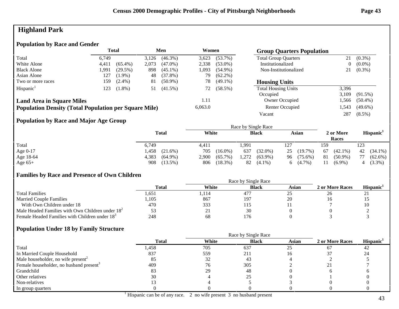# **Highland Park**

## **Population by Race and Gender**

|                                                              |       | <b>Total</b> |       | Men        | Women   |            | <b>Group Quarters Population</b> |       |            |
|--------------------------------------------------------------|-------|--------------|-------|------------|---------|------------|----------------------------------|-------|------------|
| Total                                                        | 6.749 |              | 3,126 | $(46.3\%)$ | 3,623   | $(53.7\%)$ | <b>Total Group Quarters</b>      | 21    | $(0.3\%)$  |
| White Alone                                                  | 4,411 | $(65.4\%)$   | 2,073 | $(47.0\%)$ | 2,338   | $(53.0\%)$ | Institutionalized                | 0     | $(0.0\%)$  |
| <b>Black Alone</b>                                           | 1,991 | (29.5%)      | 898   | $(45.1\%)$ | 1,093   | $(54.9\%)$ | Non-Institutionalized            | 21    | $(0.3\%)$  |
| Asian Alone                                                  | 127   | $(1.9\%)$    | 48    | $(37.8\%)$ | 79      | $(62.2\%)$ |                                  |       |            |
| Two or more races                                            | 159   | $(2.4\%)$    | 81    | $(50.9\%)$ | 78      | $(49.1\%)$ | <b>Housing Units</b>             |       |            |
| Hispanic <sup>1</sup>                                        | 123   | $(1.8\%)$    | 51    | $(41.5\%)$ | 72      | $(58.5\%)$ | <b>Total Housing Units</b>       | 3,396 |            |
|                                                              |       |              |       |            |         |            | Occupied                         | 3.109 | $(91.5\%)$ |
| <b>Land Area in Square Miles</b>                             |       |              |       |            | 1.11    |            | Owner Occupied                   | .566  | $(50.4\%)$ |
| <b>Population Density (Total Population per Square Mile)</b> |       |              |       |            | 6,063.0 |            | Renter Occupied                  | 1,543 | $(49.6\%)$ |
|                                                              |       |              |       |            |         |            | Vacant                           | 287   | $(8.5\%)$  |

## **Population by Race and Major Age Group**

|           |              |                     |            |       | Race by Single Race |    |            |     |                    |          |                       |
|-----------|--------------|---------------------|------------|-------|---------------------|----|------------|-----|--------------------|----------|-----------------------|
|           | <b>Total</b> | White               |            |       | <b>Black</b>        |    | Asian      |     | 2 or More<br>Races |          | Hispanic <sup>1</sup> |
| Total     | 6,749        | 4,411               |            | 1,991 |                     |    |            | 159 |                    | 123      |                       |
| Age 0-17  | 458. ،       | $(21.6\%)$<br>705   | $(16.0\%)$ | 637   | $(32.0\%)$          | 25 | (19.7%)    | 67  | $(42.1\%)$         | 42       | $(34.1\%)$            |
| Age 18-64 | 4,383        | $(64.9\%)$<br>2,900 | $(65.7\%)$ | 1,272 | $(63.9\%)$          |    | 96 (75.6%) | 81  | $(50.9\%)$         | 77       | $(62.6\%)$            |
| Age $65+$ | 908          | $(13.5\%)$<br>806   | (18.3%)    | 82    | $(4.1\%)$           | 6. | $(4.7\%)$  |     | $(6.9\%)$          | $\Delta$ | $(3.3\%)$             |

## **Families by Race and Presence of Own Children**

|                                                            | Race by Single Race |       |              |       |                 |                 |  |  |
|------------------------------------------------------------|---------------------|-------|--------------|-------|-----------------|-----------------|--|--|
|                                                            | <b>Total</b>        | White | <b>Black</b> | Asian | 2 or More Races | <b>Hispanic</b> |  |  |
| <b>Total Families</b>                                      | 551. ا              | .114  | 477          | رے    | 26              | <u>_</u>        |  |  |
| <b>Married Couple Families</b>                             | .105                | 867   | 197          | 20    |                 |                 |  |  |
| With Own Children under 18                                 | 470                 | 333   |              |       |                 | 10              |  |  |
| Male Headed Families with Own Children under $182$         |                     | 41    |              |       |                 |                 |  |  |
| Female Headed Families with Children under 18 <sup>3</sup> | 248                 | 68    | 176          |       |                 |                 |  |  |

|                                                     |              | Race by Single Race |              |       |                 |                       |
|-----------------------------------------------------|--------------|---------------------|--------------|-------|-----------------|-----------------------|
|                                                     | <b>Total</b> | White               | <b>Black</b> | Asian | 2 or More Races | Hispanic <sup>1</sup> |
| Total                                               | l,458        | 705                 | 637          | 25    |                 | 42                    |
| In Married Couple Household                         | 837          | 559                 | 211          |       |                 | 24                    |
| Male householder, no wife present <sup>2</sup>      |              | 32                  | 43           |       |                 |                       |
| Female householder, no husband present <sup>3</sup> | 409          | 76                  | 305          |       |                 |                       |
| Grandchild                                          |              | 29                  | 48           |       |                 |                       |
| Other relatives                                     | 30           |                     |              |       |                 |                       |
| Non-relatives                                       |              |                     |              |       |                 |                       |
| In group quarters                                   |              |                     |              |       |                 |                       |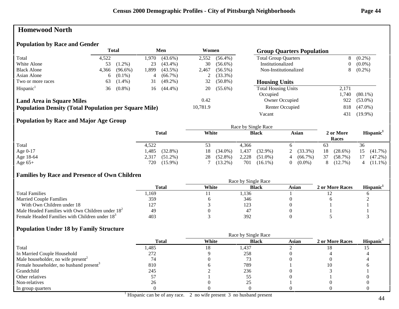# **Homewood North**

#### **Population by Race and Gender**

|                                                              |       | <b>Total</b> |      | Men        | Women    |            | <b>Group Quarters Population</b> |       |            |
|--------------------------------------------------------------|-------|--------------|------|------------|----------|------------|----------------------------------|-------|------------|
| Total                                                        | 4.522 |              | .970 | $(43.6\%)$ | 2,552    | $(56.4\%)$ | <b>Total Group Quarters</b>      | 8     | $(0.2\%)$  |
| White Alone                                                  | 53    | $(1.2\%)$    | 23   | $(43.4\%)$ | 30       | $(56.6\%)$ | Institutionalized                | 0     | $(0.0\%)$  |
| <b>Black Alone</b>                                           | 4.366 | $(96.6\%)$   | .899 | $(43.5\%)$ | 2,467    | $(56.5\%)$ | Non-Institutionalized            | 8.    | $(0.2\%)$  |
| Asian Alone                                                  | 6     | $(0.1\%)$    | 4    | $(66.7\%)$ | ∠        | $(33.3\%)$ |                                  |       |            |
| Two or more races                                            | 63    | $(1.4\%)$    | 31   | $(49.2\%)$ | 32       | $(50.8\%)$ | <b>Housing Units</b>             |       |            |
| Hispanic <sup>1</sup>                                        | 36    | $(0.8\%)$    | 16   | $(44.4\%)$ | 20       | $(55.6\%)$ | <b>Total Housing Units</b>       | 2.171 |            |
|                                                              |       |              |      |            |          |            | Occupied                         | 1.740 | $(80.1\%)$ |
| <b>Land Area in Square Miles</b>                             |       |              |      |            | 0.42     |            | Owner Occupied                   | 922   | $(53.0\%)$ |
| <b>Population Density (Total Population per Square Mile)</b> |       |              |      |            | 10,781.9 |            | Renter Occupied                  | 818   | $(47.0\%)$ |
|                                                              |       |              |      |            |          |            | Vacant                           | 431   | $(19.9\%)$ |

## **Population by Race and Major Age Group**

|           |                      |                  | Race by Single Race |                 |                    |                       |
|-----------|----------------------|------------------|---------------------|-----------------|--------------------|-----------------------|
|           | <b>Total</b>         | White            | <b>Black</b>        | Asian           | 2 or More<br>Races | Hispanic <sup>1</sup> |
| Total     | 4,522                | 53               | 4.366               |                 | 63                 | 36                    |
| Age 0-17  | $(32.8\%)$<br>485. ا | $(34.0\%)$<br>18 | 1,437<br>$(32.9\%)$ | $(33.3\%)$      | 18<br>$(28.6\%)$   | 15<br>$(41.7\%)$      |
| Age 18-64 | $(51.2\%)$<br>2,317  | $(52.8\%)$<br>28 | 2,228<br>$(51.0\%)$ | $(66.7\%)$<br>4 | 37<br>(58.7%)      | $(47.2\%)$            |
| Age $65+$ | 720<br>$(15.9\%)$    | $(13.2\%)$       | 701<br>$(16.1\%)$   | $(0.0\%)$       | $(12.7\%)$         | $(11.1\%)$            |

#### **Families by Race and Presence of Own Children**

|                                                            | Total | White | <b>Black</b> | Asian | 2 or More Races | <b>Hispanic</b> |
|------------------------------------------------------------|-------|-------|--------------|-------|-----------------|-----------------|
| <b>Total Families</b>                                      | . 169 |       | 1,136        |       |                 |                 |
| <b>Married Couple Families</b>                             | 359   |       | 346          |       |                 |                 |
| With Own Children under 18                                 | 127   |       | 123          |       |                 |                 |
| Male Headed Families with Own Children under $182$         | 49    |       | 4            |       |                 |                 |
| Female Headed Families with Children under 18 <sup>3</sup> | 403   |       | 392          |       |                 |                 |

|                                                     |              | Race by Single Race |              |              |                 |                       |  |  |
|-----------------------------------------------------|--------------|---------------------|--------------|--------------|-----------------|-----------------------|--|--|
|                                                     | <b>Total</b> | White               | <b>Black</b> | <b>Asian</b> | 2 or More Races | Hispanic <sup>1</sup> |  |  |
| Total                                               | l,485        | 18                  | 1,437        |              | 18              |                       |  |  |
| In Married Couple Household                         | 272          |                     | 258          |              |                 |                       |  |  |
| Male householder, no wife present <sup>2</sup>      | 74           |                     |              |              |                 |                       |  |  |
| Female householder, no husband present <sup>3</sup> | 810          |                     | 789          |              |                 |                       |  |  |
| Grandchild                                          | 245          |                     | 236          |              |                 |                       |  |  |
| Other relatives                                     |              |                     |              |              |                 |                       |  |  |
| Non-relatives                                       | 26           |                     |              |              |                 |                       |  |  |
| In group quarters                                   |              |                     |              |              |                 |                       |  |  |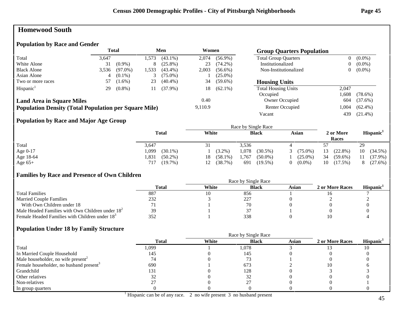## **Homewood South**

#### **Population by Race and Gender**

|                                                              |       | Total      |      | Men        | Women   |            | <b>Group Quarters Population</b> |       |            |
|--------------------------------------------------------------|-------|------------|------|------------|---------|------------|----------------------------------|-------|------------|
| Total                                                        | 3.647 |            | .573 | $(43.1\%)$ | 2.074   | $(56.9\%)$ | <b>Total Group Quarters</b>      | 0     | $(0.0\%)$  |
| White Alone                                                  | 31    | $(0.9\%)$  | 8    | $(25.8\%)$ | 23      | $(74.2\%)$ | Institutionalized                | 0     | $(0.0\%)$  |
| <b>Black Alone</b>                                           | 3,536 | $(97.0\%)$ | .533 | $(43.4\%)$ | 2,003   | $(56.6\%)$ | Non-Institutionalized            | 0     | $(0.0\%)$  |
| Asian Alone                                                  | 4     | $(0.1\%)$  |      | $(75.0\%)$ |         | $(25.0\%)$ |                                  |       |            |
| Two or more races                                            | 57    | $(1.6\%)$  | 23   | $(40.4\%)$ | 34      | $(59.6\%)$ | <b>Housing Units</b>             |       |            |
| Hispanic <sup>1</sup>                                        | 29    | $(0.8\%)$  | 11   | $(37.9\%)$ | 18      | $(62.1\%)$ | <b>Total Housing Units</b>       | 2.047 |            |
|                                                              |       |            |      |            |         |            | Occupied                         | .608  | $(78.6\%)$ |
| <b>Land Area in Square Miles</b>                             |       |            |      |            | 0.40    |            | Owner Occupied                   | 604   | (37.6%)    |
| <b>Population Density (Total Population per Square Mile)</b> |       |            |      |            | 9,110.9 |            | Renter Occupied                  | 1,004 | $(62.4\%)$ |
|                                                              |       |            |      |            |         |            | Vacant                           | 439   | $(21.4\%)$ |

## **Population by Race and Major Age Group**

|            |                    |                  | Race by Single Race |                 |                    |                       |
|------------|--------------------|------------------|---------------------|-----------------|--------------------|-----------------------|
|            | <b>Total</b>       | White            | <b>Black</b>        | Asian           | 2 or More<br>Races | Hispanic <sup>1</sup> |
| Total      | 3,647              | 31               | 3,536               |                 |                    | 29                    |
| Age $0-17$ | ,099<br>$(30.1\%)$ | $(3.2\%)$        | 1,078<br>$(30.5\%)$ | $(75.0\%)$<br>3 | 13<br>$(22.8\%)$   | 10<br>$(34.5\%)$      |
| Age 18-64  | .831<br>$(50.2\%)$ | $(58.1\%)$<br>18 | 1,767<br>$(50.0\%)$ | $(25.0\%)$      | 34<br>$(59.6\%)$   | $(37.9\%)$            |
| Age $65+$  | $(19.7\%)$<br>717  | (38.7%)<br>12    | 691<br>$(19.5\%)$   | $(0.0\%)$       | 10<br>$(17.5\%)$   | (27.6%)               |

## **Families by Race and Presence of Own Children**

|                                                            | Race by Single Race |       |              |       |                 |                 |  |  |
|------------------------------------------------------------|---------------------|-------|--------------|-------|-----------------|-----------------|--|--|
|                                                            | <b>Total</b>        | White | <b>Black</b> | Asian | 2 or More Races | <b>Hispanic</b> |  |  |
| <b>Total Families</b>                                      | 887                 |       | 856          |       |                 |                 |  |  |
| <b>Married Couple Families</b>                             | 232                 |       | 227          |       |                 |                 |  |  |
| With Own Children under 18                                 |                     |       | 70           |       |                 |                 |  |  |
| Male Headed Families with Own Children under $182$         | 39                  |       |              |       |                 |                 |  |  |
| Female Headed Families with Children under 18 <sup>3</sup> |                     |       | 338          |       |                 |                 |  |  |

|                                                     |              | Race by Single Race |              |              |                 |                       |  |  |
|-----------------------------------------------------|--------------|---------------------|--------------|--------------|-----------------|-----------------------|--|--|
|                                                     | <b>Total</b> | White               | <b>Black</b> | <b>Asian</b> | 2 or More Races | Hispanic <sup>1</sup> |  |  |
| Total                                               | 1,099        |                     | 1,078        |              |                 |                       |  |  |
| In Married Couple Household                         | 145          |                     | 145          |              |                 |                       |  |  |
| Male householder, no wife present <sup>2</sup>      |              |                     |              |              |                 |                       |  |  |
| Female householder, no husband present <sup>3</sup> | 690          |                     | 673          |              | 10              |                       |  |  |
| Grandchild                                          | 131          |                     | 128          |              |                 |                       |  |  |
| Other relatives                                     |              |                     |              |              |                 |                       |  |  |
| Non-relatives                                       |              |                     |              |              |                 |                       |  |  |
| In group quarters                                   |              |                     |              |              |                 |                       |  |  |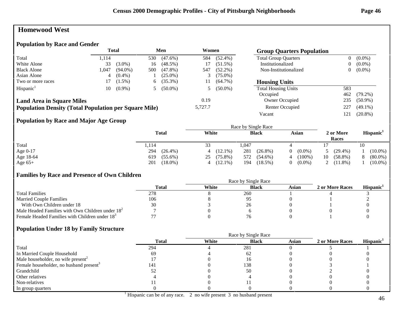# **Homewood West**

#### **Population by Race and Gender**

|                                                              |       | <b>Total</b> |     | Men        | Women   |            | <b>Group Quarters Population</b> |                |            |
|--------------------------------------------------------------|-------|--------------|-----|------------|---------|------------|----------------------------------|----------------|------------|
| Total                                                        | 1.114 |              | 530 | $(47.6\%)$ | 584     | $(52.4\%)$ | <b>Total Group Quarters</b>      | $\overline{0}$ | $(0.0\%)$  |
| White Alone                                                  | 33    | $(3.0\%)$    | 16  | $(48.5\%)$ |         | $(51.5\%)$ | Institutionalized                | 0              | $(0.0\%)$  |
| <b>Black Alone</b>                                           | 1.047 | $(94.0\%)$   | 500 | $(47.8\%)$ | 547     | $(52.2\%)$ | Non-Institutionalized            | 0              | $(0.0\%)$  |
| Asian Alone                                                  |       | $(0.4\%)$    |     | $(25.0\%)$ |         | $(75.0\%)$ |                                  |                |            |
| Two or more races                                            |       | $(1.5\%)$    | 6.  | $(35.3\%)$ | 11      | $(64.7\%)$ | <b>Housing Units</b>             |                |            |
| Hispanic <sup>1</sup>                                        | 10    | $(0.9\%)$    |     | $(50.0\%)$ |         | $(50.0\%)$ | <b>Total Housing Units</b>       | 583            |            |
|                                                              |       |              |     |            |         |            | Occupied                         | 462            | $(79.2\%)$ |
| <b>Land Area in Square Miles</b>                             |       |              |     |            | 0.19    |            | Owner Occupied                   | 235            | $(50.9\%)$ |
| <b>Population Density (Total Population per Square Mile)</b> |       |              |     |            | 5,727.7 |            | Renter Occupied                  | 227            | $(49.1\%)$ |
|                                                              |       |              |     |            |         |            | Vacant                           | 121            | $(20.8\%)$ |

## **Population by Race and Major Age Group**

|            |                   |                  | Race by Single Race |                                 |                    |                       |
|------------|-------------------|------------------|---------------------|---------------------------------|--------------------|-----------------------|
|            | <b>Total</b>      | White            | <b>Black</b>        | Asian                           | 2 or More<br>Races | Hispanic <sup>1</sup> |
| Total      | .114              | 33               | 1,047               |                                 |                    | 10                    |
| Age $0-17$ | 294<br>$(26.4\%)$ | $(12.1\%)$       | 281<br>$(26.8\%)$   | $(0.0\%)$<br>$\left( 0 \right)$ | $(29.4\%)$         | $(10.0\%)$            |
| Age 18-64  | 619<br>$(55.6\%)$ | $(75.8\%)$<br>25 | 572<br>$(54.6\%)$   | $(100\%)$<br>4                  | $(58.8\%)$<br>10   | $(80.0\%)$            |
| Age $65+$  | $(18.0\%)$<br>201 | $(12.1\%)$<br>4  | $(18.5\%)$<br>194   | $(0.0\%)$                       | 2 $(11.8\%)$       | $(10.0\%)$            |

## **Families by Race and Presence of Own Children**

|                                                            | Race by Single Race |       |              |       |                 |                 |  |  |
|------------------------------------------------------------|---------------------|-------|--------------|-------|-----------------|-----------------|--|--|
|                                                            | Total               | White | <b>Black</b> | Asian | 2 or More Races | <b>Hispanic</b> |  |  |
| <b>Total Families</b>                                      | 278                 |       | 260          |       |                 |                 |  |  |
| <b>Married Couple Families</b>                             | 106                 |       |              |       |                 |                 |  |  |
| With Own Children under 18                                 | 30                  |       | 20           |       |                 |                 |  |  |
| Male Headed Families with Own Children under $182$         |                     |       |              |       |                 |                 |  |  |
| Female Headed Families with Children under 18 <sup>3</sup> |                     |       |              |       |                 |                 |  |  |

|                                                     |              | Race by Single Race |              |              |                 |                       |  |
|-----------------------------------------------------|--------------|---------------------|--------------|--------------|-----------------|-----------------------|--|
|                                                     | <b>Total</b> | White               | <b>Black</b> | <b>Asian</b> | 2 or More Races | Hispanic <sup>1</sup> |  |
| Total                                               | 294          |                     | 281          |              |                 |                       |  |
| In Married Couple Household                         | 69           |                     | 62           |              |                 |                       |  |
| Male householder, no wife present <sup>2</sup>      |              |                     |              |              |                 |                       |  |
| Female householder, no husband present <sup>3</sup> | 141          |                     | 138          |              |                 |                       |  |
| Grandchild                                          |              |                     | 50           |              |                 |                       |  |
| Other relatives                                     |              |                     |              |              |                 |                       |  |
| Non-relatives                                       |              |                     |              |              |                 |                       |  |
| In group quarters                                   |              |                     |              |              |                 |                       |  |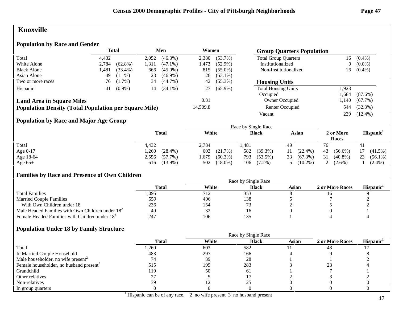# **Knoxville**

## **Population by Race and Gender**

|                                                              |       | <b>Total</b> |       | Men        | Women    | <b>Group Quarters Population</b> |                             |       |            |
|--------------------------------------------------------------|-------|--------------|-------|------------|----------|----------------------------------|-----------------------------|-------|------------|
| Total                                                        | 4.432 |              | 2,052 | $(46.3\%)$ | 2,380    | $(53.7\%)$                       | <b>Total Group Quarters</b> | 16    | $(0.4\%)$  |
| White Alone                                                  | 2,784 | $(62.8\%)$   | 1.311 | $(47.1\%)$ | 1,473    | $(52.9\%)$                       | Institutionalized           | 0     | $(0.0\%)$  |
| <b>Black Alone</b>                                           | 1,481 | $(33.4\%)$   | 666   | $(45.0\%)$ | 815      | $(55.0\%)$                       | Non-Institutionalized       | 16    | $(0.4\%)$  |
| Asian Alone                                                  | 49    | $(1.1\%)$    | 23    | $(46.9\%)$ | 26       | $(53.1\%)$                       |                             |       |            |
| Two or more races                                            | 76    | $(1.7\%)$    | 34    | $(44.7\%)$ | 42       | $(55.3\%)$                       | <b>Housing Units</b>        |       |            |
| Hispanic <sup>1</sup>                                        | 41    | $(0.9\%)$    | 14    | $(34.1\%)$ |          | $(65.9\%)$                       | <b>Total Housing Units</b>  | 1.923 |            |
|                                                              |       |              |       |            |          |                                  | Occupied                    | .684  | $(87.6\%)$ |
| <b>Land Area in Square Miles</b>                             |       |              |       |            | 0.31     |                                  | Owner Occupied              | .140  | $(67.7\%)$ |
| <b>Population Density (Total Population per Square Mile)</b> |       |              |       |            | 14,509.8 |                                  | Renter Occupied             | 544   | $(32.3\%)$ |
|                                                              |       |              |       |            |          |                                  | Vacant                      | 239   | $(12.4\%)$ |

## **Population by Race and Major Age Group**

|            |                     |                    | Race by Single Race |                  |                    |                       |
|------------|---------------------|--------------------|---------------------|------------------|--------------------|-----------------------|
|            | <b>Total</b>        | White              | <b>Black</b>        | Asian            | 2 or More<br>Races | Hispanic <sup>1</sup> |
| Total      | 4,432               | 2,784              | .481                | 49               | 76                 | 41                    |
| Age $0-17$ | 1,260<br>$(28.4\%)$ | 603<br>(21.7%)     | 582<br>$(39.3\%)$   | $(22.4\%)$<br>11 | 43<br>$(56.6\%)$   | $(41.5\%)$            |
| Age 18-64  | $(57.7\%)$<br>2,556 | $(60.3\%)$<br>.679 | 793<br>$(53.5\%)$   | $(67.3\%)$<br>33 | 31<br>$(40.8\%)$   | 23<br>$(56.1\%)$      |
| Age $65+$  | 616 (13.9%)         | $(18.0\%)$<br>502  | 106<br>$(7.2\%)$    | $(10.2\%)$       | $(2.6\%)$          | $(2.4\%)$             |

## **Families by Race and Presence of Own Children**

|                                                            | Race by Single Race |       |              |       |                 |                       |  |
|------------------------------------------------------------|---------------------|-------|--------------|-------|-----------------|-----------------------|--|
|                                                            | <b>Total</b>        | White | <b>Black</b> | Asian | 2 or More Races | Hispanic <sup>1</sup> |  |
| <b>Total Families</b>                                      | .095                | 712   | 353          |       | 10              |                       |  |
| <b>Married Couple Families</b>                             | 559                 | 406   | 138          |       |                 |                       |  |
| With Own Children under 18                                 | 236                 | 154   |              |       |                 |                       |  |
| Male Headed Families with Own Children under $182$         | 49                  | 32    |              |       |                 |                       |  |
| Female Headed Families with Children under 18 <sup>3</sup> | 247                 | 106   | 135          |       |                 |                       |  |

|                                                     |              | Race by Single Race |              |       |                 |                       |
|-----------------------------------------------------|--------------|---------------------|--------------|-------|-----------------|-----------------------|
|                                                     | <b>Total</b> | White               | <b>Black</b> | Asian | 2 or More Races | Hispanic <sup>1</sup> |
| Total                                               | 1,260        | 603                 | 582          |       | 43              |                       |
| In Married Couple Household                         | 483          | 297                 | 166          |       |                 |                       |
| Male householder, no wife present <sup>2</sup>      | 74           | 39                  | 28           |       |                 |                       |
| Female householder, no husband present <sup>3</sup> | 515          | 199                 | 283          |       |                 |                       |
| Grandchild                                          | 119          | 50                  | 61           |       |                 |                       |
| Other relatives                                     |              |                     |              |       |                 |                       |
| Non-relatives                                       | 39           |                     |              |       |                 |                       |
| In group quarters                                   |              |                     |              |       |                 |                       |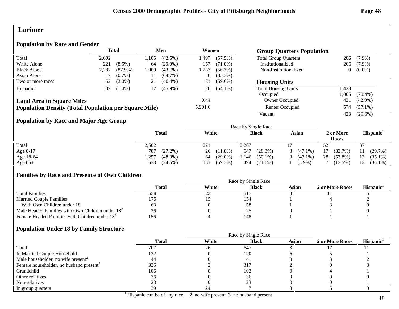## **Larimer**

## **Population by Race and Gender**

|                                                              |       | <b>Total</b><br>Men |      |            | Women   |            | <b>Group Quarters Population</b> |       |            |
|--------------------------------------------------------------|-------|---------------------|------|------------|---------|------------|----------------------------------|-------|------------|
| Total                                                        | 2,602 |                     | .105 | $(42.5\%)$ | l.497   | $(57.5\%)$ | <b>Total Group Quarters</b>      | 206   | $(7.9\%)$  |
| White Alone                                                  | 221   | $(8.5\%)$           | 64   | $(29.0\%)$ | 157     | $(71.0\%)$ | Institutionalized                | 206   | $(7.9\%)$  |
| <b>Black Alone</b>                                           | 2,287 | $(87.9\%)$          | .000 | $(43.7\%)$ | 1,287   | $(56.3\%)$ | Non-Institutionalized            | 0     | $(0.0\%)$  |
| Asian Alone                                                  |       | $(0.7\%)$           | 11   | $(64.7\%)$ | 6       | $(35.3\%)$ |                                  |       |            |
| Two or more races                                            | 52    | $(2.0\%)$           | 21   | $(40.4\%)$ | 31      | $(59.6\%)$ | <b>Housing Units</b>             |       |            |
| Hispanic <sup>1</sup>                                        | 37    | $(1.4\%)$           |      | $(45.9\%)$ | 20      | $(54.1\%)$ | <b>Total Housing Units</b>       | 1.428 |            |
|                                                              |       |                     |      |            |         |            | Occupied                         | .005  | $(70.4\%)$ |
| <b>Land Area in Square Miles</b>                             |       |                     |      |            | 0.44    |            | Owner Occupied                   | 431   | $(42.9\%)$ |
| <b>Population Density (Total Population per Square Mile)</b> |       |                     |      |            | 5,901.6 |            | Renter Occupied                  | 574   | $(57.1\%)$ |
|                                                              |       |                     |      |            |         |            | Vacant                           | 423   | $(29.6\%)$ |

## **Population by Race and Major Age Group**

|            |                    |                   | Race by Single Race |                 |                    |                       |
|------------|--------------------|-------------------|---------------------|-----------------|--------------------|-----------------------|
|            | <b>Total</b>       | White             | <b>Black</b>        | Asian           | 2 or More<br>Races | Hispanic <sup>1</sup> |
| Total      | 2,602              | 221               | 2,287               |                 | 52                 |                       |
| Age $0-17$ | 707<br>$(27.2\%)$  | $(11.8\%)$<br>26  | (28.3%)<br>647      | $(47.1\%)$<br>8 | (32.7%)<br>17      | (29.7%)<br>11         |
| Age 18-64  | $(48.3\%)$<br>.257 | $(29.0\%)$<br>64  | 1,146<br>$(50.1\%)$ | $(47.1\%)$<br>8 | 28<br>$(53.8\%)$   | $(35.1\%)$<br>13      |
| Age $65+$  | 638<br>$(24.5\%)$  | 131<br>$(59.3\%)$ | 494<br>$(21.6\%)$   | $(5.9\%)$       | $(13.5\%)$         | $(35.1\%)$            |

## **Families by Race and Presence of Own Children**

|                                                            | Race by Single Race |       |              |       |                 |                       |  |  |
|------------------------------------------------------------|---------------------|-------|--------------|-------|-----------------|-----------------------|--|--|
|                                                            | <b>Total</b>        | White | <b>Black</b> | Asian | 2 or More Races | Hispanic <sup>1</sup> |  |  |
| <b>Total Families</b>                                      | 558                 | 23    | 51           |       |                 |                       |  |  |
| <b>Married Couple Families</b>                             |                     |       | 154          |       |                 |                       |  |  |
| With Own Children under 18                                 |                     |       | 58           |       |                 |                       |  |  |
| Male Headed Families with Own Children under $182$         | 26                  |       | ت            |       |                 |                       |  |  |
| Female Headed Families with Children under 18 <sup>3</sup> | 156                 |       | 148          |       |                 |                       |  |  |

|                                                     |              | Race by Single Race |              |              |                 |                       |  |
|-----------------------------------------------------|--------------|---------------------|--------------|--------------|-----------------|-----------------------|--|
|                                                     | <b>Total</b> | White               | <b>Black</b> | <b>Asian</b> | 2 or More Races | Hispanic <sup>1</sup> |  |
| Total                                               | 707          | 26                  | 647          |              |                 |                       |  |
| In Married Couple Household                         | 132          |                     | 120          |              |                 |                       |  |
| Male householder, no wife present <sup>2</sup>      | 44           |                     | 4.           |              |                 |                       |  |
| Female householder, no husband present <sup>3</sup> | 326          |                     | 317          |              |                 |                       |  |
| Grandchild                                          | 106          |                     | 102          |              |                 |                       |  |
| Other relatives                                     | 36           |                     | 36           |              |                 |                       |  |
| Non-relatives                                       |              |                     | າາ           |              |                 |                       |  |
| In group quarters                                   | 39           | 24                  |              |              |                 |                       |  |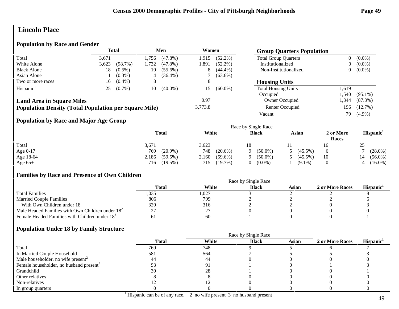## **Lincoln Place**

#### **Population by Race and Gender**

|                                                              |       | <b>Total</b> |       | Men        | Women   |            | <b>Group Quarters Population</b> |      |            |
|--------------------------------------------------------------|-------|--------------|-------|------------|---------|------------|----------------------------------|------|------------|
| Total                                                        | 3.671 |              | .756  | $(47.8\%)$ | 1.915   | $(52.2\%)$ | <b>Total Group Quarters</b>      |      | $(0.0\%)$  |
| White Alone                                                  | 3,623 | $(98.7\%)$   | 1,732 | $(47.8\%)$ | 1,891   | $(52.2\%)$ | Institutionalized                |      | $(0.0\%)$  |
| <b>Black Alone</b>                                           | 18    | $(0.5\%)$    | 10    | $(55.6\%)$ | 8       | $(44.4\%)$ | Non-Institutionalized            | 0    | $(0.0\%)$  |
| Asian Alone                                                  |       | $(0.3\%)$    | 4     | $(36.4\%)$ |         | $(63.6\%)$ |                                  |      |            |
| Two or more races                                            | 16    | $(0.4\%)$    | 8     |            |         |            | <b>Housing Units</b>             |      |            |
| Hispanic <sup>1</sup>                                        | 25    | $(0.7\%)$    | 10    | $(40.0\%)$ | 15      | $(60.0\%)$ | <b>Total Housing Units</b>       | .619 |            |
|                                                              |       |              |       |            |         |            | Occupied                         | .540 | $(95.1\%)$ |
| <b>Land Area in Square Miles</b>                             |       |              |       |            | 0.97    |            | <b>Owner Occupied</b>            | .344 | $(87.3\%)$ |
| <b>Population Density (Total Population per Square Mile)</b> |       |              |       |            | 3,773.8 |            | Renter Occupied                  | 196  | $(12.7\%)$ |
|                                                              |       |              |       |            |         |            | Vacant                           | 79   | $(4.9\%)$  |

## **Population by Race and Major Age Group**

|            |                     |                   |                 | Race by Single Race |            |                    |    |                       |
|------------|---------------------|-------------------|-----------------|---------------------|------------|--------------------|----|-----------------------|
|            | <b>Total</b>        | White             |                 | <b>Black</b>        | Asian      | 2 or More<br>Races |    | Hispanic <sup>1</sup> |
| Total      | 3,671               | 3,623             |                 |                     |            | 16                 | 25 |                       |
| Age $0-17$ | 769                 | $(20.9\%)$<br>748 | $(20.6\%)$<br>Q | $(50.0\%)$          | $(45.5\%)$ |                    |    | $(28.0\%)$            |
| Age 18-64  | 2,186<br>$(59.5\%)$ | 2,160             | $(59.6\%)$<br>Q | $(50.0\%)$          | $(45.5\%)$ | 10                 |    | $(56.0\%)$            |
| Age $65+$  | $(19.5\%)$<br>716   | 715               | (19.7%)<br>0.   | $(0.0\%)$           | $(9.1\%)$  |                    |    | $(16.0\%)$            |

## **Families by Race and Presence of Own Children**

|                                                            | Total | White | <b>Black</b> | Asian | 2 or More Races | <b>Hispanic</b> |
|------------------------------------------------------------|-------|-------|--------------|-------|-----------------|-----------------|
| <b>Total Families</b>                                      | .035  | 1,027 |              |       |                 |                 |
| <b>Married Couple Families</b>                             | 806   | 799   |              |       |                 |                 |
| With Own Children under 18                                 | 320   | 316   |              |       |                 |                 |
| Male Headed Families with Own Children under $182$         |       | ∠.    |              |       |                 |                 |
| Female Headed Families with Children under 18 <sup>3</sup> |       | 60    |              |       |                 |                 |

|                                                     |              | Race by Single Race |              |       |                 |                       |
|-----------------------------------------------------|--------------|---------------------|--------------|-------|-----------------|-----------------------|
|                                                     | <b>Total</b> | White               | <b>Black</b> | Asian | 2 or More Races | Hispanic <sup>1</sup> |
| Total                                               | 769          | 748                 |              |       |                 |                       |
| In Married Couple Household                         | 581          | 564                 |              |       |                 |                       |
| Male householder, no wife present <sup>2</sup>      | 44           | 44                  |              |       |                 |                       |
| Female householder, no husband present <sup>3</sup> |              |                     |              |       |                 |                       |
| Grandchild                                          | 30           | 28                  |              |       |                 |                       |
| Other relatives                                     |              |                     |              |       |                 |                       |
| Non-relatives                                       |              |                     |              |       |                 |                       |
| In group quarters                                   |              |                     |              |       |                 |                       |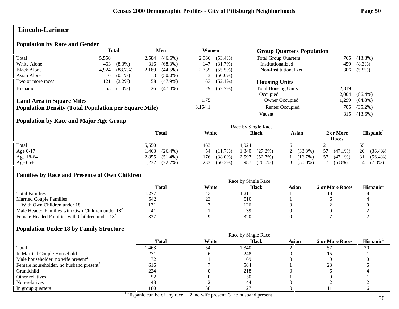## **Lincoln-Larimer**

#### **Population by Race and Gender**

|                                                              |       | <b>Total</b> |       | Men        | Women   |            | <b>Group Quarters Population</b> |       |            |
|--------------------------------------------------------------|-------|--------------|-------|------------|---------|------------|----------------------------------|-------|------------|
| Total                                                        | 5,550 |              | 2,584 | $(46.6\%)$ | 2,966   | $(53.4\%)$ | <b>Total Group Quarters</b>      | 765   | $(13.8\%)$ |
| White Alone                                                  | 463   | $(8.3\%)$    | 316   | $(68.3\%)$ | 147     | (31.7%)    | Institutionalized                | 459   | $(8.3\%)$  |
| <b>Black Alone</b>                                           | 4.924 | (88.7%)      | 2,189 | $(44.5\%)$ | 2,735   | $(55.5\%)$ | Non-Institutionalized            | 306   | $(5.5\%)$  |
| Asian Alone                                                  | 6     | $(0.1\%)$    |       | $(50.0\%)$ |         | $(50.0\%)$ |                                  |       |            |
| Two or more races                                            | 121   | $(2.2\%)$    | 58    | $(47.9\%)$ | 63      | $(52.1\%)$ | <b>Housing Units</b>             |       |            |
| Hispanic <sup>1</sup>                                        | 55    | $(1.0\%)$    | 26    | $(47.3\%)$ | 29      | $(52.7\%)$ | <b>Total Housing Units</b>       | 2,319 |            |
|                                                              |       |              |       |            |         |            | Occupied                         | 2.004 | $(86.4\%)$ |
| <b>Land Area in Square Miles</b>                             |       |              |       |            | 1.75    |            | Owner Occupied                   | .,299 | $(64.8\%)$ |
| <b>Population Density (Total Population per Square Mile)</b> |       |              |       |            | 3,164.1 |            | Renter Occupied                  | 705   | $(35.2\%)$ |
|                                                              |       |              |       |            |         |            | Vacant                           | 315   | $(13.6\%)$ |

## **Population by Race and Major Age Group**

|           |                     |                   | Race by Single Race |                 |                    |                       |
|-----------|---------------------|-------------------|---------------------|-----------------|--------------------|-----------------------|
|           | <b>Total</b>        | White             | <b>Black</b>        | Asian           | 2 or More<br>Races | Hispanic <sup>1</sup> |
| Total     | 5,550               | 463               | 4.924               |                 | 121                | 55                    |
| Age 0-17  | $(26.4\%)$<br>.463  | $(11.7\%)$<br>54  | 1,340<br>$(27.2\%)$ | $(33.3\%)$<br>2 | 57<br>$(47.1\%)$   | 20<br>$(36.4\%)$      |
| Age 18-64 | 2,855<br>$(51.4\%)$ | $(38.0\%)$<br>176 | 2,597<br>(52.7%)    | $(16.7\%)$      | 57<br>$(47.1\%)$   | 31<br>$(56.4\%)$      |
| Age $65+$ | $(22.2\%)$<br>.232  | $(50.3\%)$<br>233 | 987<br>$(20.0\%)$   | $(50.0\%)$      | $(5.8\%)$          | $(7.3\%)$             |

## **Families by Race and Presence of Own Children**

|                                                            | Total                    | White | <b>Black</b> | Asian | 2 or More Races | <b>Hispanic</b> |
|------------------------------------------------------------|--------------------------|-------|--------------|-------|-----------------|-----------------|
| <b>Total Families</b>                                      | $\pm$ , $\angle$ 1 $\pm$ | 43    | 1,211        |       |                 |                 |
| <b>Married Couple Families</b>                             | 542                      | ل ک   | 510          |       |                 |                 |
| With Own Children under 18                                 | 131                      |       | 126          |       |                 |                 |
| Male Headed Families with Own Children under $182$         |                          |       |              |       |                 |                 |
| Female Headed Families with Children under 18 <sup>3</sup> | 337                      |       | 320          |       |                 |                 |

#### **Population Under 18 by Family Structure**

|                                                     | <b>Total</b> | White | <b>Black</b> | Asian | 2 or More Races | Hispanic <sup>1</sup> |
|-----------------------------------------------------|--------------|-------|--------------|-------|-----------------|-----------------------|
| Total                                               | l,463        | 54    | 1,340        |       |                 | 20                    |
| In Married Couple Household                         | 271          |       | 248          |       |                 |                       |
| Male householder, no wife present <sup>2</sup>      |              |       | 69           |       |                 |                       |
| Female householder, no husband present <sup>3</sup> | 616          |       | 584          |       |                 |                       |
| Grandchild                                          | 224          |       | 218          |       |                 |                       |
| Other relatives                                     | JΖ           |       | 50           |       |                 |                       |
| Non-relatives                                       | 48           |       | 44           |       |                 |                       |
| In group quarters                                   | 180          | 38    | 127          |       |                 |                       |

<sup>1</sup> Hispanic can be of any race. 2 no wife present 3 no husband present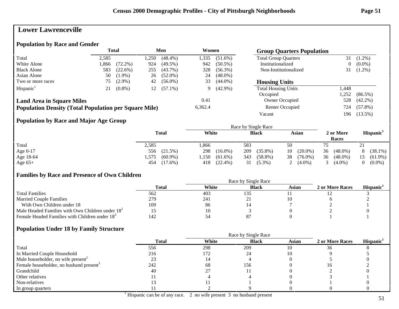# **Lower Lawrenceville**

## **Population by Race and Gender**

|                                                              | <b>Total</b> |            |      | Men<br>Women |         |            | <b>Group Quarters Population</b> |       |            |
|--------------------------------------------------------------|--------------|------------|------|--------------|---------|------------|----------------------------------|-------|------------|
| Total                                                        | 2,585        |            | ,250 | $(48.4\%)$   | 1,335   | $(51.6\%)$ | <b>Total Group Quarters</b>      | 31    | $(1.2\%)$  |
| White Alone                                                  | .866         | $(72.2\%)$ | 924  | $(49.5\%)$   | 942     | $(50.5\%)$ | Institutionalized                | 0     | $(0.0\%)$  |
| <b>Black Alone</b>                                           | 583          | (22.6%)    | 255  | $(43.7\%)$   | 328     | $(56.3\%)$ | Non-Institutionalized            | 31    | $(1.2\%)$  |
| Asian Alone                                                  | 50           | $(1.9\%)$  | 26   | $(52.0\%)$   | 24      | $(48.0\%)$ |                                  |       |            |
| Two or more races                                            | 75           | $(2.9\%)$  | 42   | $(56.0\%)$   | 33      | $(44.0\%)$ | <b>Housing Units</b>             |       |            |
| Hispanic <sup>1</sup>                                        | 21           | $(0.8\%)$  | 12   | $(57.1\%)$   | 9       | $(42.9\%)$ | <b>Total Housing Units</b>       | 1,448 |            |
|                                                              |              |            |      |              |         |            | Occupied                         | .252  | $(86.5\%)$ |
| <b>Land Area in Square Miles</b>                             |              |            |      |              | 0.41    |            | Owner Occupied                   | 528   | $(42.2\%)$ |
| <b>Population Density (Total Population per Square Mile)</b> |              |            |      |              | 6,362.4 |            | Renter Occupied                  | 724   | $(57.8\%)$ |
|                                                              |              |            |      |              |         |            | Vacant                           | 196   | $(13.5\%)$ |

## **Population by Race and Major Age Group**

|            |                     |                    | Race by Single Race |                  |                    |                       |
|------------|---------------------|--------------------|---------------------|------------------|--------------------|-----------------------|
|            | <b>Total</b>        | White              | <b>Black</b>        | Asian            | 2 or More<br>Races | Hispanic <sup>1</sup> |
| Total      | 2,585               | .866               | 583                 | 50               |                    | 21                    |
| Age $0-17$ | $(21.5\%)$<br>556   | 298<br>$(16.0\%)$  | 209<br>$(35.8\%)$   | $(20.0\%)$<br>10 | 36<br>$(48.0\%)$   | $(38.1\%)$            |
| Age 18-64  | $(60.9\%)$<br>1,575 | ,150<br>$(61.6\%)$ | 343<br>$(58.8\%)$   | 38<br>$(76.0\%)$ | $(48.0\%)$<br>36   | 13<br>$(61.9\%)$      |
| Age $65+$  | 454<br>$(17.6\%)$   | $(22.4\%)$<br>418  | $(5.3\%)$<br>31     | $(4.0\%)$        | $(4.0\%)$          | $(0.0\%)$             |

#### **Families by Race and Presence of Own Children**

|                                                            | Total | White | <b>Black</b> | Asian | 2 or More Races | <b>Hispanic</b> |
|------------------------------------------------------------|-------|-------|--------------|-------|-----------------|-----------------|
| <b>Total Families</b>                                      | 562   | 403   | 135          |       |                 |                 |
| <b>Married Couple Families</b>                             | 279   | 241   |              |       |                 |                 |
| With Own Children under 18                                 | 109   | 86    |              |       |                 |                 |
| Male Headed Families with Own Children under $182$         |       |       |              |       |                 |                 |
| Female Headed Families with Children under 18 <sup>3</sup> | 142   | 54    |              |       |                 |                 |

|                                                     |              | Race by Single Race |              |       |                 |                       |  |  |
|-----------------------------------------------------|--------------|---------------------|--------------|-------|-----------------|-----------------------|--|--|
|                                                     | <b>Total</b> | White               | <b>Black</b> | Asian | 2 or More Races | Hispanic <sup>1</sup> |  |  |
| Total                                               | 556          | 298                 | 209          | 10    | 36              |                       |  |  |
| In Married Couple Household                         | 216          | 172                 | 24           |       |                 |                       |  |  |
| Male householder, no wife present <sup>2</sup>      |              |                     |              |       |                 |                       |  |  |
| Female householder, no husband present <sup>3</sup> | 242          | 68                  | 156          |       | 1 O             |                       |  |  |
| Grandchild                                          | 40           |                     |              |       |                 |                       |  |  |
| Other relatives                                     |              |                     |              |       |                 |                       |  |  |
| Non-relatives                                       |              |                     |              |       |                 |                       |  |  |
| In group quarters                                   |              |                     |              |       |                 |                       |  |  |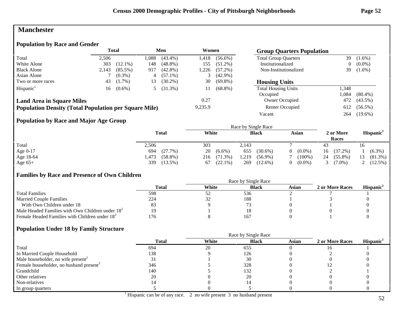## **Manchester**

#### **Population by Race and Gender**

|                                                              | <b>Total</b><br>Men |            |      |            |         | Women      |                             | <b>Group Quarters Population</b> |            |  |
|--------------------------------------------------------------|---------------------|------------|------|------------|---------|------------|-----------------------------|----------------------------------|------------|--|
| Total                                                        | 2.506               |            | .088 | $(43.4\%)$ | l.418   | $(56.6\%)$ | <b>Total Group Quarters</b> | 39                               | $(1.6\%)$  |  |
| White Alone                                                  | 303                 | $(12.1\%)$ | 148  | $(48.8\%)$ | 155     | $(51.2\%)$ | Institutionalized           | $\overline{0}$                   | $(0.0\%)$  |  |
| <b>Black Alone</b>                                           | 2.143               | $(85.5\%)$ | 917  | $(42.8\%)$ | 1,226   | $(57.2\%)$ | Non-Institutionalized       | 39                               | $(1.6\%)$  |  |
| Asian Alone                                                  |                     | $(0.3\%)$  | 4    | $(57.1\%)$ |         | $(42.9\%)$ |                             |                                  |            |  |
| Two or more races                                            | 43                  | $(1.7\%)$  | 13   | $(30.2\%)$ | 30      | $(69.8\%)$ | <b>Housing Units</b>        |                                  |            |  |
| Hispanic <sup>1</sup>                                        | 16                  | $(0.6\%)$  |      | $(31.3\%)$ | 11      | $(68.8\%)$ | <b>Total Housing Units</b>  | 1,348                            |            |  |
|                                                              |                     |            |      |            |         |            | Occupied                    | .084                             | $(80.4\%)$ |  |
| <b>Land Area in Square Miles</b>                             |                     |            |      |            | 0.27    |            | Owner Occupied              | 472                              | $(43.5\%)$ |  |
| <b>Population Density (Total Population per Square Mile)</b> |                     |            |      |            | 9,235.9 |            | Renter Occupied             | 612                              | $(56.5\%)$ |  |
|                                                              |                     |            |      |            |         |            | Vacant                      | 264                              | $(19.6\%)$ |  |

## **Population by Race and Major Age Group**

|            |                    |                   | Race by Single Race |                       |                    |                       |
|------------|--------------------|-------------------|---------------------|-----------------------|--------------------|-----------------------|
|            | <b>Total</b>       | White             | <b>Black</b>        | Asian                 | 2 or More<br>Races | Hispanic <sup>1</sup> |
| Total      | 2,506              | 303               | 2.143               |                       | 43                 | 16                    |
| Age $0-17$ | (27.7%)<br>694     | 20<br>$(6.6\%)$   | $(30.6\%)$<br>655   | $(0.0\%)$<br>$\Omega$ | $(37.2\%)$<br>16   | $(6.3\%)$             |
| Age 18-64  | $(58.8\%)$<br>.473 | $(71.3\%)$<br>216 | 1,219<br>$(56.9\%)$ | $(100\%)$             | 24<br>$(55.8\%)$   | $(81.3\%)$            |
| Age $65+$  | 339<br>$(13.5\%)$  | $(22.1\%)$<br>67  | 269<br>$(12.6\%)$   | $(0.0\%)$             | $(7.0\%)$          | $(12.5\%)$            |

## **Families by Race and Presence of Own Children**

|                                                            | Race by Single Race |       |              |       |                 |                 |  |
|------------------------------------------------------------|---------------------|-------|--------------|-------|-----------------|-----------------|--|
|                                                            | Total               | White | <b>Black</b> | Asian | 2 or More Races | <b>Hispanic</b> |  |
| <b>Total Families</b>                                      | 598                 | سے ب  | 536          |       |                 |                 |  |
| <b>Married Couple Families</b>                             | 224                 | ىدر   | 188          |       |                 |                 |  |
| With Own Children under 18                                 | 83                  |       |              |       |                 |                 |  |
| Male Headed Families with Own Children under $182$         | ۱Q                  |       |              |       |                 |                 |  |
| Female Headed Families with Children under 18 <sup>3</sup> | 76                  |       | 167          |       |                 |                 |  |

|                                                     |              | Race by Single Race |              |       |                 |                       |  |  |
|-----------------------------------------------------|--------------|---------------------|--------------|-------|-----------------|-----------------------|--|--|
|                                                     | <b>Total</b> | White               | <b>Black</b> | Asian | 2 or More Races | Hispanic <sup>1</sup> |  |  |
| Total                                               | 694          | 20                  | 655          |       |                 |                       |  |  |
| In Married Couple Household                         | 138          |                     | 126          |       |                 |                       |  |  |
| Male householder, no wife present <sup>2</sup>      |              |                     | 30           |       |                 |                       |  |  |
| Female householder, no husband present <sup>3</sup> | 346          |                     | 328          |       |                 |                       |  |  |
| Grandchild                                          | 140          |                     | 132          |       |                 |                       |  |  |
| Other relatives                                     | 20           |                     | 20           |       |                 |                       |  |  |
| Non-relatives                                       |              |                     |              |       |                 |                       |  |  |
| In group quarters                                   |              |                     |              |       |                 |                       |  |  |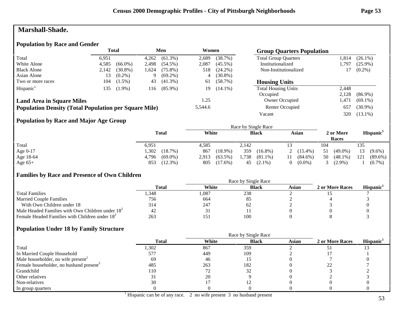## **Marshall-Shade.**

#### **Population by Race and Gender**

|                                                              | <b>Total</b><br>Men |            |       | Women      |         | <b>Group Quarters Population</b> |                             |        |            |
|--------------------------------------------------------------|---------------------|------------|-------|------------|---------|----------------------------------|-----------------------------|--------|------------|
| Total                                                        | 6.951               |            | 4,262 | $(61.3\%)$ | 2,689   | (38.7%)                          | <b>Total Group Quarters</b> | .814   | $(26.1\%)$ |
| White Alone                                                  | 4,585               | $(66.0\%)$ | 2,498 | $(54.5\%)$ | 2,087   | $(45.5\%)$                       | Institutionalized           | .797.ء | $(25.9\%)$ |
| <b>Black Alone</b>                                           | 2,142               | $(30.8\%)$ | 1,624 | $(75.8\%)$ | 518     | $(24.2\%)$                       | Non-Institutionalized       |        | $(0.2\%)$  |
| Asian Alone                                                  | 13                  | $(0.2\%)$  | -9    | $(69.2\%)$ | 4       | $(30.8\%)$                       |                             |        |            |
| Two or more races                                            | 104                 | $(1.5\%)$  | 43    | $(41.3\%)$ | 61      | (58.7%)                          | <b>Housing Units</b>        |        |            |
| Hispanic <sup>1</sup>                                        | 135                 | $(1.9\%)$  | 116   | $(85.9\%)$ | 19      | $(14.1\%)$                       | <b>Total Housing Units</b>  | 2,448  |            |
|                                                              |                     |            |       |            |         |                                  | Occupied                    | 2,128  | $(86.9\%)$ |
| <b>Land Area in Square Miles</b>                             |                     |            |       |            | 1.25    |                                  | <b>Owner Occupied</b>       | l.471  | $(69.1\%)$ |
| <b>Population Density (Total Population per Square Mile)</b> |                     |            |       |            | 5,544.6 |                                  | Renter Occupied             | 657    | $(30.9\%)$ |
|                                                              |                     |            |       |            |         |                                  | Vacant                      | 320    | $(13.1\%)$ |

## **Population by Race and Major Age Group**

|            |                     |                     | Race by Single Race |                  |                    |                       |
|------------|---------------------|---------------------|---------------------|------------------|--------------------|-----------------------|
|            | <b>Total</b>        | White               | <b>Black</b>        | Asian            | 2 or More<br>Races | Hispanic <sup>1</sup> |
| Total      | 6,951               | 4,585               | 2,142               |                  | 104                | 135                   |
| Age $0-17$ | ,302<br>(18.7%)     | 867<br>$(18.9\%)$   | 359<br>$(16.8\%)$   | 2 $(15.4\%)$     | $(49.0\%)$<br>51   | 13<br>$(9.6\%)$       |
| Age 18-64  | $(69.0\%)$<br>4,796 | $(63.5\%)$<br>2,913 | 1,738<br>$(81.1\%)$ | $(84.6\%)$<br>11 | 50<br>$(48.1\%)$   | 121<br>$(89.6\%)$     |
| Age $65+$  | $(12.3\%)$<br>853   | 805<br>$(17.6\%)$   | $(2.1\%)$<br>45     | $(0.0\%)$        | $(2.9\%)$          | $(0.7\%)$             |

#### **Families by Race and Presence of Own Children**

|                                                            | Total | White | <b>Black</b> | Asian | 2 or More Races | <b>Hispanic</b> |
|------------------------------------------------------------|-------|-------|--------------|-------|-----------------|-----------------|
| <b>Total Families</b>                                      | 348.، | l.087 | 238          |       |                 |                 |
| <b>Married Couple Families</b>                             | 756   | 664   | 85           |       |                 |                 |
| With Own Children under 18                                 | 314   | 247   | 62           |       |                 |                 |
| Male Headed Families with Own Children under $182$         |       | 3.    |              |       |                 |                 |
| Female Headed Families with Children under 18 <sup>3</sup> | 263   | 151   | 100          |       |                 |                 |

|                                                     |              |       | Race by Single Race |              |                 |                       |
|-----------------------------------------------------|--------------|-------|---------------------|--------------|-----------------|-----------------------|
|                                                     | <b>Total</b> | White | <b>Black</b>        | <b>Asian</b> | 2 or More Races | Hispanic <sup>1</sup> |
| Total                                               | 1,302        | 867   | 359                 |              |                 |                       |
| In Married Couple Household                         | 577          | 449   | 109                 |              |                 |                       |
| Male householder, no wife present <sup>2</sup>      | 69           | 46    |                     |              |                 |                       |
| Female householder, no husband present <sup>3</sup> | 485          | 263   | 182                 |              |                 |                       |
| Grandchild                                          | 110          |       | 32                  |              |                 |                       |
| Other relatives                                     |              | 20    |                     |              |                 |                       |
| Non-relatives                                       | 30           |       |                     |              |                 |                       |
| In group quarters                                   |              |       |                     |              |                 |                       |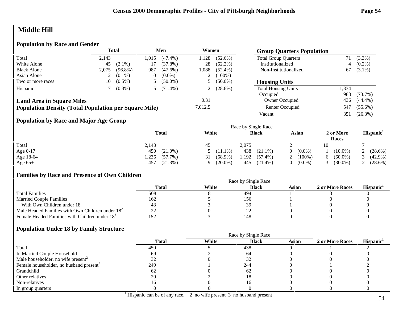# **Middle Hill**

#### **Population by Race and Gender**

|                                                              |       | Total      |       | Men        | Women   |            | <b>Group Quarters Population</b> |       |            |
|--------------------------------------------------------------|-------|------------|-------|------------|---------|------------|----------------------------------|-------|------------|
| Total                                                        | 2.143 |            | l.015 | $(47.4\%)$ | .128    | $(52.6\%)$ | <b>Total Group Quarters</b>      |       | $(3.3\%)$  |
| White Alone                                                  | 45    | $(2.1\%)$  |       | $(37.8\%)$ | 28      | $(62.2\%)$ | Institutionalized                | 4     | $(0.2\%)$  |
| <b>Black Alone</b>                                           | 2.075 | $(96.8\%)$ | 987   | $(47.6\%)$ | 088.ا   | $(52.4\%)$ | Non-Institutionalized            | 67    | $(3.1\%)$  |
| Asian Alone                                                  |       | $(0.1\%)$  |       | $(0.0\%)$  | ∠       | $(100\%)$  |                                  |       |            |
| Two or more races                                            | 10    | $(0.5\%)$  |       | $(50.0\%)$ |         | $(50.0\%)$ | <b>Housing Units</b>             |       |            |
| Hispanic <sup>1</sup>                                        |       | $(0.3\%)$  |       | $(71.4\%)$ |         | $(28.6\%)$ | <b>Total Housing Units</b>       | 1,334 |            |
|                                                              |       |            |       |            |         |            | Occupied                         | 983   | $(73.7\%)$ |
| <b>Land Area in Square Miles</b>                             |       |            |       |            | 0.31    |            | Owner Occupied                   | 436   | $(44.4\%)$ |
| <b>Population Density (Total Population per Square Mile)</b> |       |            |       |            | 7,012.5 |            | Renter Occupied                  | 547   | $(55.6\%)$ |
|                                                              |       |            |       |            |         |            | Vacant                           | 351   | $(26.3\%)$ |

## **Population by Race and Major Age Group**

|           |                    | Race by Single Race |                     |                       |                    |                       |  |
|-----------|--------------------|---------------------|---------------------|-----------------------|--------------------|-----------------------|--|
|           | <b>Total</b>       | White               | <b>Black</b>        | Asian                 | 2 or More<br>Races | Hispanic <sup>1</sup> |  |
| Total     | 2,143              | 45                  | 2,075               |                       | 10                 |                       |  |
| Age 0-17  | $(21.0\%)$<br>450  | $5(11.1\%)$         | 438<br>$(21.1\%)$   | $(0.0\%)$<br>$\Omega$ | $(10.0\%)$         | 2 $(28.6\%)$          |  |
| Age 18-64 | $(57.7\%)$<br>.236 | $(68.9\%)$<br>31    | 1,192<br>$(57.4\%)$ | $(100\%)$             | $(60.0\%)$         | $(42.9\%)$            |  |
| Age $65+$ | $(21.3\%)$<br>457  | $(20.0\%)$          | 445<br>$(21.4\%)$   | $(0.0\%)$             | $(30.0\%)$         | (28.6%)               |  |

## **Families by Race and Presence of Own Children**

|                                                            | Total | White | <b>Black</b>             | Asian | 2 or More Races | <b>Hispanic</b> |
|------------------------------------------------------------|-------|-------|--------------------------|-------|-----------------|-----------------|
| <b>Total Families</b>                                      | 508   |       | 494                      |       |                 |                 |
| <b>Married Couple Families</b>                             | 162   |       | 156                      |       |                 |                 |
| With Own Children under 18                                 |       |       |                          |       |                 |                 |
| Male Headed Families with Own Children under $182$         | --    |       | $\overline{\phantom{a}}$ |       |                 |                 |
| Female Headed Families with Children under 18 <sup>3</sup> |       |       | 148                      |       |                 |                 |

|                                                     |              | Race by Single Race |              |              |                 |                       |  |  |
|-----------------------------------------------------|--------------|---------------------|--------------|--------------|-----------------|-----------------------|--|--|
|                                                     | <b>Total</b> | White               | <b>Black</b> | <b>Asian</b> | 2 or More Races | Hispanic <sup>1</sup> |  |  |
| Total                                               | 450          |                     | 438          |              |                 |                       |  |  |
| In Married Couple Household                         | 69           |                     | -64          |              |                 |                       |  |  |
| Male householder, no wife present <sup>2</sup>      |              |                     |              |              |                 |                       |  |  |
| Female householder, no husband present <sup>3</sup> | 249          |                     | 244          |              |                 |                       |  |  |
| Grandchild                                          | 62           |                     | -62          |              |                 |                       |  |  |
| Other relatives                                     | 20           |                     |              |              |                 |                       |  |  |
| Non-relatives                                       | I b          |                     |              |              |                 |                       |  |  |
| In group quarters                                   |              |                     |              |              |                 |                       |  |  |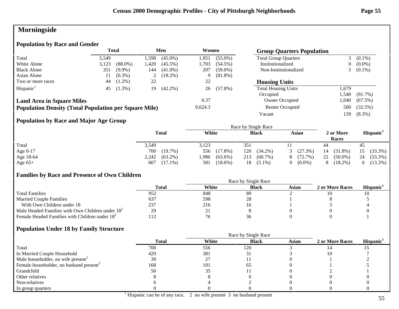# **Morningside**

## **Population by Race and Gender**

|                                                              | <b>Total</b><br>Men |            |                | Women      |         | <b>Group Quarters Population</b> |                             |       |            |
|--------------------------------------------------------------|---------------------|------------|----------------|------------|---------|----------------------------------|-----------------------------|-------|------------|
| Total                                                        | 3.549               |            | .598           | $(45.0\%)$ | 1,951   | $(55.0\%)$                       | <b>Total Group Quarters</b> |       | $(0.1\%)$  |
| White Alone                                                  | 3,123               | $(88.0\%)$ | .420           | $(45.5\%)$ | 1.703   | $(54.5\%)$                       | Institutionalized           | 0     | $(0.0\%)$  |
| <b>Black Alone</b>                                           | 351                 | $(9.9\%)$  | 144            | $(41.0\%)$ | 207     | $(59.0\%)$                       | Non-Institutionalized       |       | $(0.1\%)$  |
| Asian Alone                                                  | 11                  | $(0.3\%)$  | $\overline{L}$ | $(18.2\%)$ | 9       | $(81.8\%)$                       |                             |       |            |
| Two or more races                                            | 44                  | $(1.2\%)$  | 22             |            | 22      |                                  | <b>Housing Units</b>        |       |            |
| Hispanic <sup>1</sup>                                        | 45                  | $(1.3\%)$  | 19             | $(42.2\%)$ | 26      | $(57.8\%)$                       | <b>Total Housing Units</b>  | 1.679 |            |
|                                                              |                     |            |                |            |         |                                  | Occupied                    | .540  | $(91.7\%)$ |
| <b>Land Area in Square Miles</b>                             |                     |            |                |            | 0.37    |                                  | Owner Occupied              | .040  | $(67.5\%)$ |
| <b>Population Density (Total Population per Square Mile)</b> |                     |            |                |            | 9,624.3 |                                  | Renter Occupied             | 500   | (32.5%)    |
|                                                              |                     |            |                |            |         |                                  | Vacant                      | 139   | $(8.3\%)$  |

## **Population by Race and Major Age Group**

|           |                     |                    | Race by Single Race |              |                    |                       |
|-----------|---------------------|--------------------|---------------------|--------------|--------------------|-----------------------|
|           | <b>Total</b>        | White              | <b>Black</b>        | Asian        | 2 or More<br>Races | Hispanic <sup>1</sup> |
| Total     | 3,549               | 3,123              | 351                 |              | 44                 | 45                    |
| Age 0-17  | 700<br>$(19.7\%)$   | $(17.8\%)$<br>556  | 120<br>$(34.2\%)$   | (27.3%)<br>3 | $(31.8\%)$<br>14   | (33.3%)<br>15         |
| Age 18-64 | $(63.2\%)$<br>2,242 | .986<br>$(63.6\%)$ | 213<br>$(60.7\%)$   | (72.7%)<br>8 | 22<br>$(50.0\%)$   | 24<br>$(53.3\%)$      |
| Age $65+$ | $(17.1\%)$<br>607   | 581<br>$(18.6\%)$  | 18 -<br>$(5.1\%)$   | $(0.0\%)$    | $(18.2\%)$         | $(13.3\%)$<br>რ.      |

## **Families by Race and Presence of Own Children**

|                                                            | Race by Single Race |       |              |       |                 |                 |  |
|------------------------------------------------------------|---------------------|-------|--------------|-------|-----------------|-----------------|--|
|                                                            | Total               | White | <b>Black</b> | Asian | 2 or More Races | <b>Hispanic</b> |  |
| <b>Total Families</b>                                      | 952                 | 848   | 89           |       |                 |                 |  |
| <b>Married Couple Families</b>                             | 637                 | 598   | 28           |       |                 |                 |  |
| With Own Children under 18                                 | 237                 | 216   |              |       |                 |                 |  |
| Male Headed Families with Own Children under $182$         | 29                  | ∠     |              |       |                 |                 |  |
| Female Headed Families with Children under 18 <sup>3</sup> | 112                 | 76    |              |       |                 |                 |  |

|                                                     |              | Race by Single Race |              |              |                 |                       |  |
|-----------------------------------------------------|--------------|---------------------|--------------|--------------|-----------------|-----------------------|--|
|                                                     | <b>Total</b> | White               | <b>Black</b> | <b>Asian</b> | 2 or More Races | Hispanic <sup>1</sup> |  |
| Total                                               | 700          | 556                 | 120          |              |                 |                       |  |
| In Married Couple Household                         | 429          | 381                 |              |              |                 |                       |  |
| Male householder, no wife present <sup>2</sup>      | 39           | 27                  |              |              |                 |                       |  |
| Female householder, no husband present <sup>3</sup> | 168          | 101                 | 65           |              |                 |                       |  |
| Grandchild                                          | 50           | 35                  |              |              |                 |                       |  |
| Other relatives                                     |              |                     |              |              |                 |                       |  |
| Non-relatives                                       |              |                     |              |              |                 |                       |  |
| In group quarters                                   |              |                     |              |              |                 |                       |  |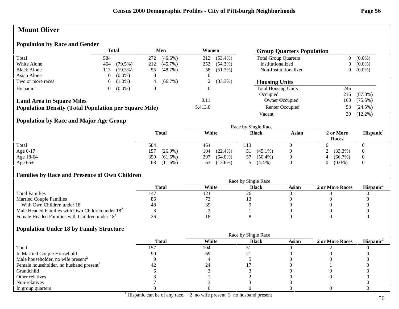# **Mount Oliver**

## **Population by Race and Gender**

|                                                              | <b>Total</b><br>Men |            | Women          |            |          |            |                             |     | <b>Group Quarters Population</b> |  |  |
|--------------------------------------------------------------|---------------------|------------|----------------|------------|----------|------------|-----------------------------|-----|----------------------------------|--|--|
| Total                                                        | 584                 |            | 272            | $(46.6\%)$ | 312      | $(53.4\%)$ | <b>Total Group Quarters</b> |     | $(0.0\%)$                        |  |  |
| White Alone                                                  | 464                 | $(79.5\%)$ | 212            | $(45.7\%)$ | 252      | $(54.3\%)$ | Institutionalized           |     | $(0.0\%)$                        |  |  |
| <b>Black Alone</b>                                           | 113                 | $(19.3\%)$ | 55             | (48.7%)    | 58       | $(51.3\%)$ | Non-Institutionalized       |     | $(0.0\%)$                        |  |  |
| Asian Alone                                                  |                     | $(0.0\%)$  | $\theta$       |            |          |            |                             |     |                                  |  |  |
| Two or more races                                            | 6.                  | $(1.0\%)$  | 4              | $(66.7\%)$ | ∠        | $(33.3\%)$ | <b>Housing Units</b>        |     |                                  |  |  |
| Hispanic <sup>1</sup>                                        |                     | $(0.0\%)$  | $\overline{0}$ |            | $\Omega$ |            | <b>Total Housing Units</b>  | 246 |                                  |  |  |
|                                                              |                     |            |                |            |          |            | Occupied                    | 216 | $(87.8\%)$                       |  |  |
| <b>Land Area in Square Miles</b>                             |                     |            |                |            | 0.11     |            | Owner Occupied              | 163 | $(75.5\%)$                       |  |  |
| <b>Population Density (Total Population per Square Mile)</b> |                     |            |                |            | 5,413.0  |            | Renter Occupied             | 53  | $(24.5\%)$                       |  |  |
|                                                              |                     |            |                |            |          |            | Vacant                      | 30  | $(12.2\%)$                       |  |  |

## **Population by Race and Major Age Group**

|           | <b>Total</b>      | White             | <b>Black</b>     | <b>Asian</b> | 2 or More<br>Races | Hispanic <sup>1</sup> |
|-----------|-------------------|-------------------|------------------|--------------|--------------------|-----------------------|
| Total     | 584               | 464               | 113              |              |                    |                       |
| Age 0-17  | $(26.9\%)$<br>157 | $(22.4\%)$<br>104 | $(45.1\%)$       | $\theta$     | $(33.3\%)$         | $\theta$              |
| Age 18-64 | 359<br>$(61.5\%)$ | 297<br>$(64.0\%)$ | $(50.4\%)$<br>57 | $\theta$     | $(66.7\%)$<br>4    | $\theta$              |
| Age $65+$ | $(11.6\%)$<br>68  | $(13.6\%)$<br>63  | $(4.4\%)$        |              | $(0.0\%)$          |                       |

#### **Families by Race and Presence of Own Children**

|                                                            | Race by Single Race |       |              |       |                 |                 |  |  |
|------------------------------------------------------------|---------------------|-------|--------------|-------|-----------------|-----------------|--|--|
|                                                            | <b>Total</b>        | White | <b>Black</b> | Asian | 2 or More Races | <b>Hispanic</b> |  |  |
| <b>Total Families</b>                                      |                     | 121   | 26           |       |                 |                 |  |  |
| <b>Married Couple Families</b>                             | 86                  |       |              |       |                 |                 |  |  |
| With Own Children under 18                                 | 48                  | 39    |              |       |                 |                 |  |  |
| Male Headed Families with Own Children under $182$         |                     |       |              |       |                 |                 |  |  |
| Female Headed Families with Children under 18 <sup>3</sup> | 26                  |       |              |       |                 |                 |  |  |

|                                                     | <b>Total</b> | White | <b>Black</b> | <b>Asian</b> | 2 or More Races | Hispanic <sup>1</sup> |
|-----------------------------------------------------|--------------|-------|--------------|--------------|-----------------|-----------------------|
| Total                                               |              | 104   |              |              |                 |                       |
| In Married Couple Household                         | 90           | 69    |              |              |                 |                       |
| Male householder, no wife present <sup>2</sup>      |              |       |              |              |                 |                       |
| Female householder, no husband present <sup>3</sup> |              |       |              |              |                 |                       |
| Grandchild                                          |              |       |              |              |                 |                       |
| Other relatives                                     |              |       |              |              |                 |                       |
| Non-relatives                                       |              |       |              |              |                 |                       |
| In group quarters                                   |              |       |              |              |                 |                       |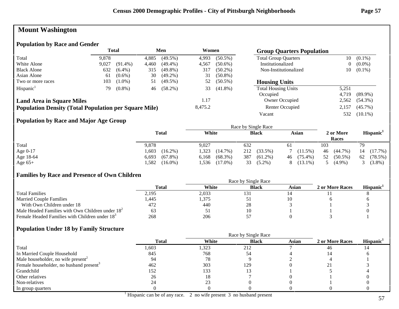# **Mount Washington**

## **Population by Race and Gender**

|                                                              | <b>Total</b><br>Men<br>Women |            |       |            |         | <b>Group Quarters Population</b> |                             |                |            |
|--------------------------------------------------------------|------------------------------|------------|-------|------------|---------|----------------------------------|-----------------------------|----------------|------------|
| Total                                                        | 9,878                        |            | 4,885 | $(49.5\%)$ | 4,993   | $(50.5\%)$                       | <b>Total Group Quarters</b> | 10             | $(0.1\%)$  |
| White Alone                                                  | 9,027                        | $(91.4\%)$ | 4,460 | $(49.4\%)$ | 4,567   | $(50.6\%)$                       | Institutionalized           | $\overline{0}$ | $(0.0\%)$  |
| <b>Black Alone</b>                                           | 632                          | $(6.4\%)$  | 315   | $(49.8\%)$ | 317     | $(50.2\%)$                       | Non-Institutionalized       | 10             | $(0.1\%)$  |
| Asian Alone                                                  | 61                           | $(0.6\%)$  | 30    | $(49.2\%)$ | 31      | $(50.8\%)$                       |                             |                |            |
| Two or more races                                            | 103                          | $(1.0\%)$  | 51    | $(49.5\%)$ | 52      | $(50.5\%)$                       | <b>Housing Units</b>        |                |            |
| Hispanic <sup>1</sup>                                        | 79                           | $(0.8\%)$  | 46    | $(58.2\%)$ | 33      | $(41.8\%)$                       | <b>Total Housing Units</b>  | 5,251          |            |
|                                                              |                              |            |       |            |         |                                  | Occupied                    | 4.719          | $(89.9\%)$ |
| <b>Land Area in Square Miles</b>                             |                              |            |       |            | 1.17    |                                  | Owner Occupied              | 2,562          | $(54.3\%)$ |
| <b>Population Density (Total Population per Square Mile)</b> |                              |            |       |            | 8,475.2 |                                  | Renter Occupied             | 2.157          | $(45.7\%)$ |
|                                                              |                              |            |       |            |         |                                  | Vacant                      | 532            | $(10.1\%)$ |

## **Population by Race and Major Age Group**

|            |                     |                     | Race by Single Race |                  |                    |                       |
|------------|---------------------|---------------------|---------------------|------------------|--------------------|-----------------------|
|            | <b>Total</b>        | White               | <b>Black</b>        | Asian            | 2 or More<br>Races | Hispanic <sup>1</sup> |
| Total      | 9,878               | 9,027               | 632                 | 61               | 103                |                       |
| Age $0-17$ | ,603<br>$(16.2\%)$  | 1,323<br>$(14.7\%)$ | 212<br>$(33.5\%)$   | 7(11.5%)         | $(44.7\%)$<br>46   | (17.7%)               |
| Age 18-64  | 6,693<br>$(67.8\%)$ | $(68.3\%)$<br>6,168 | 387<br>$(61.2\%)$   | $(75.4\%)$<br>46 | $(50.5\%)$<br>52   | (78.5%)<br>62         |
| Age $65+$  | ,582<br>$(16.0\%)$  | $(17.0\%)$<br>.536  | 33<br>$(5.2\%)$     | $(13.1\%)$       | $(4.9\%)$          | $(3.8\%)$             |

#### **Families by Race and Presence of Own Children**

|                                                            | Total | White | <b>Black</b> | Asian | 2 or More Races | <b>Hispanic</b> |
|------------------------------------------------------------|-------|-------|--------------|-------|-----------------|-----------------|
| <b>Total Families</b>                                      | 2,195 | 2,033 | 131          |       |                 |                 |
| <b>Married Couple Families</b>                             | 1,445 | ,375  | ◡            |       |                 |                 |
| With Own Children under 18                                 | 472   | 440   | 28           |       |                 |                 |
| Male Headed Families with Own Children under $182$         | 63    | IJ    |              |       |                 |                 |
| Female Headed Families with Children under 18 <sup>3</sup> | 268   | 206   |              |       |                 |                 |

|                                                     |              | Race by Single Race |              |       |                 |                       |
|-----------------------------------------------------|--------------|---------------------|--------------|-------|-----------------|-----------------------|
|                                                     | <b>Total</b> | White               | <b>Black</b> | Asian | 2 or More Races | Hispanic <sup>1</sup> |
| Total                                               | 1,603        | 1,323               | 212          |       | 46              |                       |
| In Married Couple Household                         | 845          | 768                 | 54           |       |                 |                       |
| Male householder, no wife present <sup>2</sup>      | 94           | 78                  |              |       |                 |                       |
| Female householder, no husband present <sup>3</sup> | 462          | 303                 | 129          |       |                 |                       |
| Grandchild                                          | 152          | 133                 |              |       |                 |                       |
| Other relatives                                     | 26           | 18                  |              |       |                 |                       |
| Non-relatives                                       | 24           | 23                  |              |       |                 |                       |
| In group quarters                                   |              |                     |              |       |                 |                       |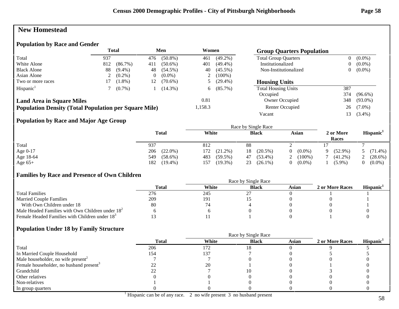## **New Homestead**

#### **Population by Race and Gender**

|                                                              | <b>Total</b><br>Men<br>Women<br><b>Group Quarters Population</b> |            |          |            |         |            |                             |                |            |
|--------------------------------------------------------------|------------------------------------------------------------------|------------|----------|------------|---------|------------|-----------------------------|----------------|------------|
| Total                                                        | 937                                                              |            | 476      | $(50.8\%)$ | 461     | $(49.2\%)$ | <b>Total Group Quarters</b> | $\overline{0}$ | $(0.0\%)$  |
| White Alone                                                  | 812                                                              | $(86.7\%)$ | 411      | $(50.6\%)$ | 401     | $(49.4\%)$ | Institutionalized           | 0              | $(0.0\%)$  |
| <b>Black Alone</b>                                           | 88                                                               | $(9.4\%)$  | 48       | $(54.5\%)$ | 40      | $(45.5\%)$ | Non-Institutionalized       | $\overline{0}$ | $(0.0\%)$  |
| Asian Alone                                                  |                                                                  | $(0.2\%)$  | $\theta$ | $(0.0\%)$  | ∠       | $(100\%)$  |                             |                |            |
| Two or more races                                            |                                                                  | $(1.8\%)$  | 12       | $(70.6\%)$ |         | $(29.4\%)$ | <b>Housing Units</b>        |                |            |
| Hispanic <sup>1</sup>                                        |                                                                  | $(0.7\%)$  |          | $(14.3\%)$ | 6.      | $(85.7\%)$ | <b>Total Housing Units</b>  | 387            |            |
|                                                              |                                                                  |            |          |            |         |            | Occupied                    | 374            | $(96.6\%)$ |
| <b>Land Area in Square Miles</b>                             |                                                                  |            |          |            | 0.81    |            | Owner Occupied              | 348            | $(93.0\%)$ |
| <b>Population Density (Total Population per Square Mile)</b> |                                                                  |            |          |            | 1,158.3 |            | Renter Occupied             | 26             | $(7.0\%)$  |
|                                                              |                                                                  |            |          |            |         |            | Vacant                      | 13             | $(3.4\%)$  |

## **Population by Race and Major Age Group**

|            |                   |                   | Race by Single Race |                       |                    |                       |
|------------|-------------------|-------------------|---------------------|-----------------------|--------------------|-----------------------|
|            | Total             | White             | <b>Black</b>        | Asian                 | 2 or More<br>Races | Hispanic <sup>1</sup> |
| Total      | 937               | 812               | 88                  |                       |                    |                       |
| Age $0-17$ | 206<br>$(22.0\%)$ | 172<br>$(21.2\%)$ | $(20.5\%)$<br>18    | $(0.0\%)$<br>$\theta$ | $(52.9\%)$<br>Q    | $(71.4\%)$            |
| Age 18-64  | 549<br>$(58.6\%)$ | 483<br>$(59.5\%)$ | $(53.4\%)$<br>47    | $(100\%)$             | $(41.2\%)$         | $(28.6\%)$            |
| Age $65+$  | 182<br>$(19.4\%)$ | $(19.3\%)$<br>157 | 23<br>$(26.1\%)$    | $(0.0\%)$             | $(5.9\%)$          | $(0.0\%)$             |

#### **Families by Race and Presence of Own Children**

|                                                            | Race by Single Race |       |              |       |                 |                 |  |
|------------------------------------------------------------|---------------------|-------|--------------|-------|-----------------|-----------------|--|
|                                                            | Total               | White | <b>Black</b> | Asian | 2 or More Races | <b>Hispanic</b> |  |
| <b>Total Families</b>                                      | 276                 | 245   |              |       |                 |                 |  |
| <b>Married Couple Families</b>                             | 209                 | 191   |              |       |                 |                 |  |
| With Own Children under 18                                 | 80                  |       |              |       |                 |                 |  |
| Male Headed Families with Own Children under $182$         |                     |       |              |       |                 |                 |  |
| Female Headed Families with Children under 18 <sup>3</sup> |                     |       |              |       |                 |                 |  |

|                                                     |              |       | Race by Single Race |              |                 |                       |
|-----------------------------------------------------|--------------|-------|---------------------|--------------|-----------------|-----------------------|
|                                                     | <b>Total</b> | White | <b>Black</b>        | <b>Asian</b> | 2 or More Races | Hispanic <sup>1</sup> |
| Total                                               | 206          | 172   |                     |              |                 |                       |
| In Married Couple Household                         | 154          | 137   |                     |              |                 |                       |
| Male householder, no wife present <sup>2</sup>      |              |       |                     |              |                 |                       |
| Female householder, no husband present <sup>3</sup> |              | 20    |                     |              |                 |                       |
| Grandchild                                          |              |       |                     |              |                 |                       |
| Other relatives                                     |              |       |                     |              |                 |                       |
| Non-relatives                                       |              |       |                     |              |                 |                       |
| In group quarters                                   |              |       |                     |              |                 |                       |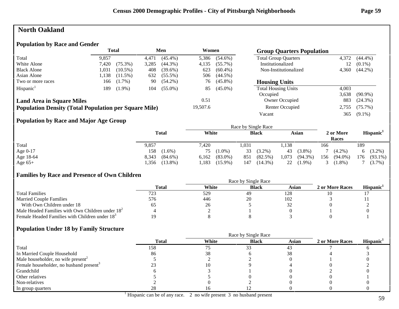## **North Oakland**

#### **Population by Race and Gender**

|                                                              |       | <b>Total</b> |       | Men        | Women    |            | <b>Group Quarters Population</b> |       |            |
|--------------------------------------------------------------|-------|--------------|-------|------------|----------|------------|----------------------------------|-------|------------|
| Total                                                        | 9.857 |              | 4.471 | $(45.4\%)$ | 5,386    | $(54.6\%)$ | <b>Total Group Quarters</b>      | 4,372 | $(44.4\%)$ |
| White Alone                                                  | 7,420 | $(75.3\%)$   | 3,285 | $(44.3\%)$ | 4,135    | $(55.7\%)$ | Institutionalized                | 12    | $(0.1\%)$  |
| <b>Black Alone</b>                                           | 1,031 | $(10.5\%)$   | 408   | $(39.6\%)$ | 623      | $(60.4\%)$ | Non-Institutionalized            | 4,360 | $(44.2\%)$ |
| Asian Alone                                                  | 1,138 | $(11.5\%)$   | 632   | $(55.5\%)$ | 506      | $(44.5\%)$ |                                  |       |            |
| Two or more races                                            | 166   | $(1.7\%)$    | 90    | $(54.2\%)$ | 76       | $(45.8\%)$ | <b>Housing Units</b>             |       |            |
| Hispanic <sup>1</sup>                                        | 189   | $(1.9\%)$    | 104   | $(55.0\%)$ | 85       | $(45.0\%)$ | <b>Total Housing Units</b>       | 4,003 |            |
|                                                              |       |              |       |            |          |            | Occupied                         | 3,638 | $(90.9\%)$ |
| <b>Land Area in Square Miles</b>                             |       |              |       |            | 0.51     |            | Owner Occupied                   | 883   | $(24.3\%)$ |
| <b>Population Density (Total Population per Square Mile)</b> |       |              |       |            | 19,507.6 |            | Renter Occupied                  | 2,755 | $(75.7\%)$ |
|                                                              |       |              |       |            |          |            | Vacant                           | 365   | $(9.1\%)$  |

## **Population by Race and Major Age Group**

|           |                     |                     | Race by Single Race |                    |                    |                       |
|-----------|---------------------|---------------------|---------------------|--------------------|--------------------|-----------------------|
|           | <b>Total</b>        | White               | <b>Black</b>        | Asian              | 2 or More<br>Races | Hispanic <sup>1</sup> |
| Total     | 9,857               | 7,420               | 1.031               | ,138               | 166                | 189                   |
| Age 0-17  | 158<br>$(1.6\%)$    | $(1.0\%)$<br>75     | 33<br>$(3.2\%)$     | 43<br>$(3.8\%)$    | $(4.2\%)$          | 6 $(3.2\%)$           |
| Age 18-64 | 8,343<br>$(84.6\%)$ | $(83.0\%)$<br>6,162 | 851<br>(82.5%)      | .073<br>$(94.3\%)$ | $(94.0\%)$<br>156  | 176<br>$(93.1\%)$     |
| Age $65+$ | $(13.8\%)$<br>.356  | $(15.9\%)$<br>1,183 | $(14.3\%)$<br>147   | 22<br>$(1.9\%)$    | $(1.8\%)$          | $(3.7\%)$             |

## **Families by Race and Presence of Own Children**

|                                                            | Race by Single Race |       |              |       |                 |                       |  |  |
|------------------------------------------------------------|---------------------|-------|--------------|-------|-----------------|-----------------------|--|--|
|                                                            | <b>Total</b>        | White | <b>Black</b> | Asian | 2 or More Races | Hispanic <sup>1</sup> |  |  |
| <b>Total Families</b>                                      | 723                 | 529   | 49           | 128   |                 |                       |  |  |
| <b>Married Couple Families</b>                             | 576                 | 446   | 20           | 102   |                 |                       |  |  |
| With Own Children under 18                                 |                     | 26    |              |       |                 |                       |  |  |
| Male Headed Families with Own Children under $182$         |                     |       |              |       |                 |                       |  |  |
| Female Headed Families with Children under 18 <sup>3</sup> |                     |       |              |       |                 |                       |  |  |

|                                                     |              | Race by Single Race |              |       |                 |                       |  |
|-----------------------------------------------------|--------------|---------------------|--------------|-------|-----------------|-----------------------|--|
|                                                     | <b>Total</b> | White               | <b>Black</b> | Asian | 2 or More Races | Hispanic <sup>1</sup> |  |
| Total                                               | 158          |                     | 33           | 43    |                 |                       |  |
| In Married Couple Household                         | 86           | 38                  |              |       |                 |                       |  |
| Male householder, no wife present <sup>2</sup>      |              |                     |              |       |                 |                       |  |
| Female householder, no husband present <sup>3</sup> |              |                     |              |       |                 |                       |  |
| Grandchild                                          |              |                     |              |       |                 |                       |  |
| Other relatives                                     |              |                     |              |       |                 |                       |  |
| Non-relatives                                       |              |                     |              |       |                 |                       |  |
| In group quarters                                   | ۷Õ           |                     |              |       |                 |                       |  |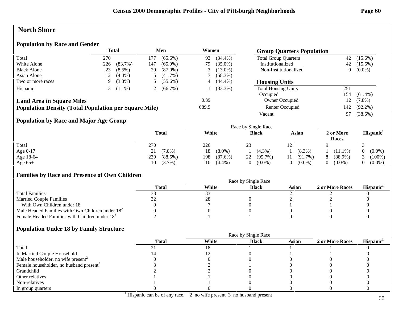## **North Shore**

## **Population by Race and Gender**

|                                                              |     | <b>Total</b> |     | Men          | Women |            | <b>Group Quarters Population</b> |     |            |
|--------------------------------------------------------------|-----|--------------|-----|--------------|-------|------------|----------------------------------|-----|------------|
| Total                                                        | 270 |              | 177 | $(65.6\%)$   | 93    | $(34.4\%)$ | <b>Total Group Quarters</b>      | 42  | $(15.6\%)$ |
| White Alone                                                  | 226 | $(83.7\%)$   | 147 | $(65.0\%)$   | 79    | $(35.0\%)$ | Institutionalized                | 42  | $(15.6\%)$ |
| <b>Black Alone</b>                                           | 23  | $(8.5\%)$    | 20  | $(87.0\%)$   |       | $(13.0\%)$ | Non-Institutionalized            | 0   | $(0.0\%)$  |
| Asian Alone                                                  |     | $(4.4\%)$    |     | $(41.7\%)$   |       | $(58.3\%)$ |                                  |     |            |
| Two or more races                                            | 9   | $(3.3\%)$    |     | $(55.6\%)$   | 4     | $(44.4\%)$ | <b>Housing Units</b>             |     |            |
| Hispanic <sup>1</sup>                                        |     | $(1.1\%)$    |     | 2 $(66.7\%)$ |       | $(33.3\%)$ | <b>Total Housing Units</b>       | 251 |            |
|                                                              |     |              |     |              |       |            | Occupied                         | 154 | $(61.4\%)$ |
| <b>Land Area in Square Miles</b>                             |     |              |     |              | 0.39  |            | Owner Occupied                   | 12  | $(7.8\%)$  |
| <b>Population Density (Total Population per Square Mile)</b> |     |              |     |              | 689.9 |            | Renter Occupied                  | 142 | $(92.2\%)$ |
|                                                              |     |              |     |              |       |            | Vacant                           | 97  | $(38.6\%)$ |

## **Population by Race and Major Age Group**

|            |                   |                   | Race by Single Race |                       |                             |                       |
|------------|-------------------|-------------------|---------------------|-----------------------|-----------------------------|-----------------------|
|            | <b>Total</b>      | White             | <b>Black</b>        | Asian                 | 2 or More<br>Races          | Hispanic <sup>1</sup> |
| Total      | 270               | 226               | 23                  | 12                    |                             |                       |
| Age $0-17$ | $(7.8\%)$<br>21   | $(8.0\%)$<br>18   | $(4.3\%)$           | $(8.3\%)$             | $(11.1\%)$                  | $(0.0\%)$             |
| Age 18-64  | 239<br>$(88.5\%)$ | 198<br>$(87.6\%)$ | $(95.7\%)$<br>22    | $(91.7\%)$<br>11      | $(88.9\%)$<br>8             | $(100\%)$             |
| Age $65+$  | $10(3.7\%)$       | $(4.4\%)$<br>10   | $(0.0\%)$<br>0.     | $(0.0\%)$<br>$\Omega$ | $(0.0\%)$<br>$\overline{0}$ | $(0.0\%)$             |

## **Families by Race and Presence of Own Children**

|                                                            | Race by Single Race |       |              |       |                 |                 |  |  |
|------------------------------------------------------------|---------------------|-------|--------------|-------|-----------------|-----------------|--|--|
|                                                            | Total               | White | <b>Black</b> | Asian | 2 or More Races | <b>Hispanic</b> |  |  |
| <b>Total Families</b>                                      | 38                  | 33    |              |       |                 |                 |  |  |
| <b>Married Couple Families</b>                             |                     | 28    |              |       |                 |                 |  |  |
| With Own Children under 18                                 |                     |       |              |       |                 |                 |  |  |
| Male Headed Families with Own Children under $182$         |                     |       |              |       |                 |                 |  |  |
| Female Headed Families with Children under 18 <sup>3</sup> |                     |       |              |       |                 |                 |  |  |

|                                                     | <b>Total</b> | White | <b>Black</b> | Asian | 2 or More Races | Hispanic <sup>1</sup> |
|-----------------------------------------------------|--------------|-------|--------------|-------|-----------------|-----------------------|
| Total                                               |              |       |              |       |                 |                       |
| In Married Couple Household                         |              |       |              |       |                 |                       |
| Male householder, no wife present <sup>2</sup>      |              |       |              |       |                 |                       |
| Female householder, no husband present <sup>3</sup> |              |       |              |       |                 |                       |
| Grandchild                                          |              |       |              |       |                 |                       |
| Other relatives                                     |              |       |              |       |                 |                       |
| Non-relatives                                       |              |       |              |       |                 |                       |
| In group quarters                                   |              |       |              |       |                 |                       |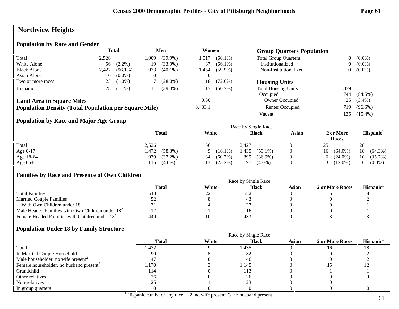# **Northview Heights**

## **Population by Race and Gender**

|                                                              |       | Total      |       | Men        | Women   |            | <b>Group Quarters Population</b> |                |            |
|--------------------------------------------------------------|-------|------------|-------|------------|---------|------------|----------------------------------|----------------|------------|
| Total                                                        | 2,526 |            | 0.009 | $(39.9\%)$ | .517    | $(60.1\%)$ | <b>Total Group Quarters</b>      | 0              | $(0.0\%)$  |
| White Alone                                                  | 56    | $(2.2\%)$  | 19    | $(33.9\%)$ | 37      | $(66.1\%)$ | Institutionalized                | $\overline{0}$ | $(0.0\%)$  |
| <b>Black Alone</b>                                           | 2,427 | $(96.1\%)$ | 973   | $(40.1\%)$ | l.454   | $(59.9\%)$ | Non-Institutionalized            | $\overline{0}$ | $(0.0\%)$  |
| Asian Alone                                                  |       | $(0.0\%)$  |       |            |         |            |                                  |                |            |
| Two or more races                                            | 25    | $(1.0\%)$  |       | $(28.0\%)$ | 18      | $(72.0\%)$ | <b>Housing Units</b>             |                |            |
| Hispanic <sup>1</sup>                                        | 28    | $(1.1\%)$  |       | $(39.3\%)$ | 17      | $(60.7\%)$ | <b>Total Housing Units</b>       | 879            |            |
|                                                              |       |            |       |            |         |            | Occupied                         | 744            | $(84.6\%)$ |
| <b>Land Area in Square Miles</b>                             |       |            |       |            | 0.30    |            | Owner Occupied                   | 25             | $(3.4\%)$  |
| <b>Population Density (Total Population per Square Mile)</b> |       |            |       |            | 8,483.1 |            | Renter Occupied                  | 719            | $(96.6\%)$ |
|                                                              |       |            |       |            |         |            | Vacant                           | 135            | $(15.4\%)$ |

## **Population by Race and Major Age Group**

|            |                     |                  | Race by Single Race |       |                    |                       |
|------------|---------------------|------------------|---------------------|-------|--------------------|-----------------------|
|            | <b>Total</b>        | White            | <b>Black</b>        | Asian | 2 or More<br>Races | Hispanic <sup>1</sup> |
| Total      | 2,526               | 56               | 2.427               |       | 25                 | 28                    |
| Age $0-17$ | $(58.3\%)$<br>1,472 | $(16.1\%)$<br>Q  | 1,435<br>$(59.1\%)$ |       | $(64.0\%)$<br>16   | $(64.3\%)$<br>18      |
| Age 18-64  | 939<br>$(37.2\%)$   | 34<br>$(60.7\%)$ | 895<br>$(36.9\%)$   |       | $6(24.0\%)$        | $(35.7\%)$<br>10      |
| Age $65+$  | $(4.6\%)$<br>115    | $(23.2\%)$       | $(4.0\%)$<br>97     |       | $(12.0\%)$         | $(0.0\%)$             |

#### **Families by Race and Presence of Own Children**

|                                                            | Race by Single Race |       |              |       |                 |                 |  |
|------------------------------------------------------------|---------------------|-------|--------------|-------|-----------------|-----------------|--|
|                                                            | Total               | White | <b>Black</b> | Asian | 2 or More Races | <b>Hispanic</b> |  |
| <b>Total Families</b>                                      | 613                 | ∠∠    | 582          |       |                 |                 |  |
| <b>Married Couple Families</b>                             |                     |       | 4:           |       |                 |                 |  |
| With Own Children under 18                                 |                     |       |              |       |                 |                 |  |
| Male Headed Families with Own Children under $182$         |                     |       |              |       |                 |                 |  |
| Female Headed Families with Children under 18 <sup>3</sup> | 449                 |       | 433          |       |                 |                 |  |

|                                                     |              | Race by Single Race |              |              |                 |                       |  |
|-----------------------------------------------------|--------------|---------------------|--------------|--------------|-----------------|-----------------------|--|
|                                                     | <b>Total</b> | White               | <b>Black</b> | <b>Asian</b> | 2 or More Races | Hispanic <sup>1</sup> |  |
| Total                                               | l,472        |                     | 1,435        |              | 10              |                       |  |
| In Married Couple Household                         | 90           |                     | 82           |              |                 |                       |  |
| Male householder, no wife present <sup>2</sup>      | 4.           |                     | 46           |              |                 |                       |  |
| Female householder, no husband present <sup>3</sup> | l.170        |                     | 1,145        |              |                 |                       |  |
| Grandchild                                          | 114          |                     | 113          |              |                 |                       |  |
| Other relatives                                     | 26           |                     | 26           |              |                 |                       |  |
| Non-relatives                                       |              |                     | າາ           |              |                 |                       |  |
| In group quarters                                   |              |                     |              |              |                 |                       |  |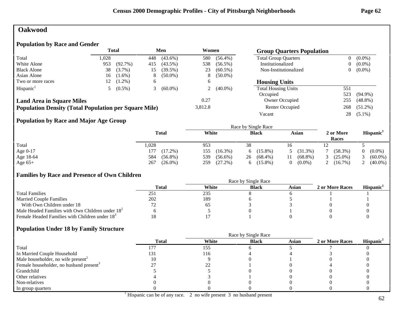## **Oakwood**

## **Population by Race and Gender**

|                                                              | <b>Total</b> |           | Men |            | Women   |            | <b>Group Quarters Population</b> |                |            |
|--------------------------------------------------------------|--------------|-----------|-----|------------|---------|------------|----------------------------------|----------------|------------|
| Total                                                        | .028         |           | 448 | $(43.6\%)$ | 580     | $(56.4\%)$ | <b>Total Group Quarters</b>      | $\overline{0}$ | $(0.0\%)$  |
| White Alone                                                  | 953          | (92.7%)   | 415 | $(43.5\%)$ | 538     | $(56.5\%)$ | Institutionalized                | 0              | $(0.0\%)$  |
| <b>Black Alone</b>                                           | 38           | $(3.7\%)$ | 15  | (39.5%)    | 23      | $(60.5\%)$ | Non-Institutionalized            | $\overline{0}$ | $(0.0\%)$  |
| Asian Alone                                                  | 16           | $(1.6\%)$ | 8   | $(50.0\%)$ | 8.      | $(50.0\%)$ |                                  |                |            |
| Two or more races                                            | 12           | $(1.2\%)$ | O   |            | 6       |            | <b>Housing Units</b>             |                |            |
| Hispanic <sup>1</sup>                                        |              | $(0.5\%)$ |     | $(60.0\%)$ |         | $(40.0\%)$ | <b>Total Housing Units</b>       | 551            |            |
|                                                              |              |           |     |            |         |            | Occupied                         | 523            | $(94.9\%)$ |
| <b>Land Area in Square Miles</b>                             |              |           |     |            | 0.27    |            | Owner Occupied                   | 255            | $(48.8\%)$ |
| <b>Population Density (Total Population per Square Mile)</b> |              |           |     |            | 3,812.8 |            | Renter Occupied                  | 268            | $(51.2\%)$ |
|                                                              |              |           |     |            |         |            | Vacant                           | 28             | $(5.1\%)$  |

## **Population by Race and Major Age Group**

|           |                   |                   | Race by Single Race |                             |                    |                       |
|-----------|-------------------|-------------------|---------------------|-----------------------------|--------------------|-----------------------|
|           | <b>Total</b>      | White             | <b>Black</b>        | Asian                       | 2 or More<br>Races | Hispanic <sup>1</sup> |
| Total     | ,028              | 953               | 38                  | 16                          |                    |                       |
| Age 0-17  | $(17.2\%)$<br>177 | 155<br>$(16.3\%)$ | $(15.8\%)$<br>6     | $(31.3\%)$<br>$\mathcal{L}$ | $(58.3\%)$         | $(0.0\%)$             |
| Age 18-64 | 584<br>$(56.8\%)$ | 539<br>$(56.6\%)$ | $(68.4\%)$<br>26    | $(68.8\%)$                  | $(25.0\%)$         | $(60.0\%)$            |
| Age $65+$ | $(26.0\%)$<br>267 | $(27.2\%)$<br>259 | $(15.8\%)$<br>6     | $(0.0\%)$                   | $(16.7\%)$<br>∠    | $(40.0\%)$            |

## **Families by Race and Presence of Own Children**

|                                                            | Race by Single Race |       |              |       |                 |                 |  |
|------------------------------------------------------------|---------------------|-------|--------------|-------|-----------------|-----------------|--|
|                                                            | Total               | White | <b>Black</b> | Asian | 2 or More Races | <b>Hispanic</b> |  |
| <b>Total Families</b>                                      | 251                 | 235   |              |       |                 |                 |  |
| <b>Married Couple Families</b>                             | 202                 | 189   |              |       |                 |                 |  |
| With Own Children under 18                                 |                     | OJ.   |              |       |                 |                 |  |
| Male Headed Families with Own Children under $182$         |                     |       |              |       |                 |                 |  |
| Female Headed Families with Children under 18 <sup>3</sup> |                     |       |              |       |                 |                 |  |

|                                                     | <b>Total</b> | White | <b>Black</b> | <b>Asian</b> | 2 or More Races | Hispanic <sup>1</sup> |
|-----------------------------------------------------|--------------|-------|--------------|--------------|-----------------|-----------------------|
| Total                                               |              | 155   |              |              |                 |                       |
| In Married Couple Household                         | 131          | 116   |              |              |                 |                       |
| Male householder, no wife present <sup>2</sup>      |              |       |              |              |                 |                       |
| Female householder, no husband present <sup>3</sup> |              |       |              |              |                 |                       |
| Grandchild                                          |              |       |              |              |                 |                       |
| Other relatives                                     |              |       |              |              |                 |                       |
| Non-relatives                                       |              |       |              |              |                 |                       |
| In group quarters                                   |              |       |              |              |                 |                       |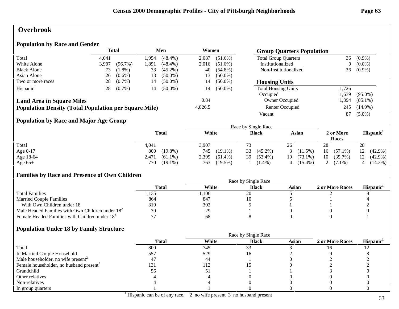## **Overbrook**

## **Population by Race and Gender**

|                                                              | <b>Total</b><br>Men<br>Women<br><b>Group Quarters Population</b> |            |       |            |         |            |                             |                |            |
|--------------------------------------------------------------|------------------------------------------------------------------|------------|-------|------------|---------|------------|-----------------------------|----------------|------------|
| Total                                                        | 4.041                                                            |            | .954  | $(48.4\%)$ | 2,087   | $(51.6\%)$ | <b>Total Group Quarters</b> | 36             | $(0.9\%)$  |
| White Alone                                                  | 3,907                                                            | $(96.7\%)$ | l.891 | $(48.4\%)$ | 2,016   | $(51.6\%)$ | Institutionalized           | $\overline{0}$ | $(0.0\%)$  |
| <b>Black Alone</b>                                           | 73                                                               | $(1.8\%)$  | 33    | $(45.2\%)$ | 40      | $(54.8\%)$ | Non-Institutionalized       | 36             | $(0.9\%)$  |
| Asian Alone                                                  | 26                                                               | $(0.6\%)$  | 13    | $(50.0\%)$ | 13      | $(50.0\%)$ |                             |                |            |
| Two or more races                                            | 28                                                               | $(0.7\%)$  | 14    | $(50.0\%)$ | 14      | $(50.0\%)$ | <b>Housing Units</b>        |                |            |
| Hispanic <sup>1</sup>                                        | 28                                                               | $(0.7\%)$  | 14    | $(50.0\%)$ | 14      | $(50.0\%)$ | <b>Total Housing Units</b>  | 1.726          |            |
|                                                              |                                                                  |            |       |            |         |            | Occupied                    | .639           | $(95.0\%)$ |
| <b>Land Area in Square Miles</b>                             |                                                                  |            |       |            | 0.84    |            | Owner Occupied              | .394           | $(85.1\%)$ |
| <b>Population Density (Total Population per Square Mile)</b> |                                                                  |            |       |            | 4,826.5 |            | Renter Occupied             | 245            | $(14.9\%)$ |
|                                                              |                                                                  |            |       |            |         |            | Vacant                      | 87             | $(5.0\%)$  |

## **Population by Race and Major Age Group**

|           |                     |                     | Race by Single Race |                   |                    |                       |
|-----------|---------------------|---------------------|---------------------|-------------------|--------------------|-----------------------|
|           | <b>Total</b>        | White               | <b>Black</b>        | Asian             | 2 or More<br>Races | Hispanic <sup>1</sup> |
| Total     | 4,041               | 3,907               | 73                  | 26                | 28                 | 28                    |
| Age 0-17  | 800<br>$(19.8\%)$   | $(19.1\%)$<br>745   | 33<br>$(45.2\%)$    | 3(11.5%)          | $(57.1\%)$<br>16   | $(42.9\%)$<br>12      |
| Age 18-64 | $(61.1\%)$<br>2,471 | 2,399<br>$(61.4\%)$ | $(53.4\%)$<br>39    | $(73.1\%)$<br>19. | $(35.7\%)$<br>10   | 12<br>$(42.9\%)$      |
| Age $65+$ | 770<br>$(19.1\%)$   | $(19.5\%)$<br>763   | $(1.4\%)$           | $(15.4\%)$<br>4   | 2 $(7.1\%)$        | $(14.3\%)$            |

## **Families by Race and Presence of Own Children**

|                                                            | Total | White | <b>Black</b> | Asian | 2 or More Races | <b>Hispanic</b> |
|------------------------------------------------------------|-------|-------|--------------|-------|-----------------|-----------------|
| <b>Total Families</b>                                      | .135  | ,106  | 20           |       |                 |                 |
| <b>Married Couple Families</b>                             | 864   | 847   |              |       |                 |                 |
| With Own Children under 18                                 | 310   | 302   |              |       |                 |                 |
| Male Headed Families with Own Children under $182$         | 30    | 29    |              |       |                 |                 |
| Female Headed Families with Children under 18 <sup>3</sup> |       | 68    |              |       |                 |                 |

|                                                     |              | Race by Single Race |              |              |                 |                       |
|-----------------------------------------------------|--------------|---------------------|--------------|--------------|-----------------|-----------------------|
|                                                     | <b>Total</b> | White               | <b>Black</b> | <b>Asian</b> | 2 or More Races | Hispanic <sup>1</sup> |
| Total                                               | 800          | 745                 | 33           |              |                 |                       |
| In Married Couple Household                         | 557          | 529                 |              |              |                 |                       |
| Male householder, no wife present <sup>2</sup>      | 4.           | 44                  |              |              |                 |                       |
| Female householder, no husband present <sup>3</sup> | 131          | 112                 |              |              |                 |                       |
| Grandchild                                          | 56           | $\mathfrak{1}$      |              |              |                 |                       |
| Other relatives                                     |              |                     |              |              |                 |                       |
| Non-relatives                                       |              |                     |              |              |                 |                       |
| In group quarters                                   |              |                     |              |              |                 |                       |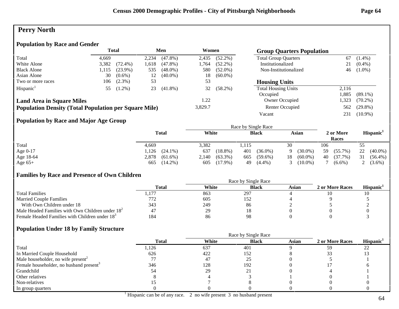# **Perry North**

## **Population by Race and Gender**

|                                                              | <b>Total</b> |            | Men   |            | Women   |            | <b>Group Quarters Population</b> |       |            |
|--------------------------------------------------------------|--------------|------------|-------|------------|---------|------------|----------------------------------|-------|------------|
| Total                                                        | 4.669        |            | 2,234 | $(47.8\%)$ | 2,435   | $(52.2\%)$ | <b>Total Group Quarters</b>      | 67    | $(1.4\%)$  |
| White Alone                                                  | 3,382        | $(72.4\%)$ | 1,618 | $(47.8\%)$ | .764    | $(52.2\%)$ | Institutionalized                | 21    | $(0.4\%)$  |
| <b>Black Alone</b>                                           | 1,115        | $(23.9\%)$ | 535   | $(48.0\%)$ | 580     | $(52.0\%)$ | Non-Institutionalized            | 46    | $(1.0\%)$  |
| Asian Alone                                                  | 30           | $(0.6\%)$  | 12    | $(40.0\%)$ | 18      | $(60.0\%)$ |                                  |       |            |
| Two or more races                                            | 106          | $(2.3\%)$  | 53    |            | 53      |            | <b>Housing Units</b>             |       |            |
| Hispanic <sup>1</sup>                                        | 55           | $(1.2\%)$  | 23    | $(41.8\%)$ | 32      | $(58.2\%)$ | <b>Total Housing Units</b>       | 2.116 |            |
|                                                              |              |            |       |            |         |            | Occupied                         | .885  | $(89.1\%)$ |
| <b>Land Area in Square Miles</b>                             |              |            |       |            | 1.22    |            | Owner Occupied                   | .323  | $(70.2\%)$ |
| <b>Population Density (Total Population per Square Mile)</b> |              |            |       |            | 3,829.7 |            | Renter Occupied                  | 562   | $(29.8\%)$ |
|                                                              |              |            |       |            |         |            | Vacant                           | 231   | $(10.9\%)$ |

## **Population by Race and Major Age Group**

|           |                     |                     | Race by Single Race |                  |                    |                       |
|-----------|---------------------|---------------------|---------------------|------------------|--------------------|-----------------------|
|           | <b>Total</b>        | White               | <b>Black</b>        | Asian            | 2 or More<br>Races | Hispanic <sup>1</sup> |
| Total     | 4.669               | 3,382               | 1.115               | 30               | 106                | 55                    |
| Age 0-17  | $(24.1\%)$<br>.126  | 637<br>$(18.8\%)$   | 401<br>$(36.0\%)$   | $(30.0\%)$       | 59<br>$(55.7\%)$   | 22<br>$(40.0\%)$      |
| Age 18-64 | 2,878<br>$(61.6\%)$ | $(63.3\%)$<br>2,140 | 665<br>$(59.6\%)$   | $(60.0\%)$<br>18 | $(37.7\%)$<br>40   | 31<br>$(56.4\%)$      |
| Age $65+$ | $(14.2\%)$<br>665   | $(17.9\%)$<br>605   | $(4.4\%)$<br>49     | $(10.0\%)$       | $(6.6\%)$          | $(3.6\%)$             |

## **Families by Race and Presence of Own Children**

|                                                            | Race by Single Race |       |              |       |                 |                 |  |
|------------------------------------------------------------|---------------------|-------|--------------|-------|-----------------|-----------------|--|
|                                                            | Total               | White | <b>Black</b> | Asian | 2 or More Races | <b>Hispanic</b> |  |
| <b>Total Families</b>                                      | 1.17'               | 863   | 297          |       |                 |                 |  |
| <b>Married Couple Families</b>                             |                     | 605   | 152          |       |                 |                 |  |
| With Own Children under 18                                 | 343                 | 249   | 86           |       |                 |                 |  |
| Male Headed Families with Own Children under $182$         |                     | 29    |              |       |                 |                 |  |
| Female Headed Families with Children under 18 <sup>3</sup> | 184                 | 86    | 98           |       |                 |                 |  |

|                                                     |              | Race by Single Race |              |              |                 |                                |
|-----------------------------------------------------|--------------|---------------------|--------------|--------------|-----------------|--------------------------------|
|                                                     | <b>Total</b> | White               | <b>Black</b> | <b>Asian</b> | 2 or More Races | Hispanic <sup>1</sup>          |
| Total                                               | l,126        | 637                 | 401          |              | 59              | າາ<br>$\overline{\phantom{a}}$ |
| In Married Couple Household                         | 626          | 422                 | 152          |              |                 |                                |
| Male householder, no wife present <sup>2</sup>      |              | 47                  |              |              |                 |                                |
| Female householder, no husband present <sup>3</sup> | 346          | 128                 | 192          |              |                 |                                |
| Grandchild                                          |              | 29                  |              |              |                 |                                |
| Other relatives                                     |              |                     |              |              |                 |                                |
| Non-relatives                                       |              |                     |              |              |                 |                                |
| In group quarters                                   |              |                     |              |              |                 |                                |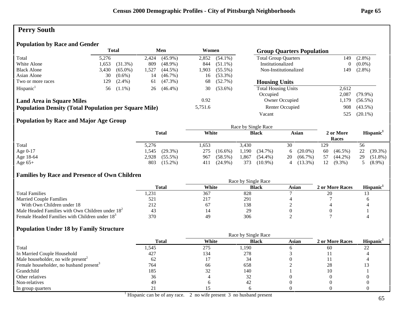# **Perry South**

## **Population by Race and Gender**

|                                                              |       | <b>Total</b> |       | Men        | Women   |            | <b>Group Quarters Population</b> |                |            |
|--------------------------------------------------------------|-------|--------------|-------|------------|---------|------------|----------------------------------|----------------|------------|
| Total                                                        | 5.276 |              | 2,424 | $(45.9\%)$ | 2,852   | $(54.1\%)$ | <b>Total Group Quarters</b>      | 149            | $(2.8\%)$  |
| White Alone                                                  | 1,653 | $(31.3\%)$   | 809   | $(48.9\%)$ | 844     | $(51.1\%)$ | Institutionalized                | $\overline{0}$ | $(0.0\%)$  |
| <b>Black Alone</b>                                           | 3,430 | $(65.0\%)$   | l.527 | $(44.5\%)$ | 1,903   | $(55.5\%)$ | Non-Institutionalized            | 149            | $(2.8\%)$  |
| Asian Alone                                                  | 30    | $(0.6\%)$    | 14    | $(46.7\%)$ | 16      | $(53.3\%)$ |                                  |                |            |
| Two or more races                                            | 129   | $(2.4\%)$    | 61    | $(47.3\%)$ | 68      | $(52.7\%)$ | <b>Housing Units</b>             |                |            |
| Hispanic <sup>1</sup>                                        |       | 56 (1.1%)    | 26    | $(46.4\%)$ | 30      | $(53.6\%)$ | <b>Total Housing Units</b>       | 2.612          |            |
|                                                              |       |              |       |            |         |            | Occupied                         | 2.087          | $(79.9\%)$ |
| <b>Land Area in Square Miles</b>                             |       |              |       |            | 0.92    |            | Owner Occupied                   | . 179          | $(56.5\%)$ |
| <b>Population Density (Total Population per Square Mile)</b> |       |              |       |            | 5,751.6 |            | Renter Occupied                  | 908            | $(43.5\%)$ |
|                                                              |       |              |       |            |         |            | Vacant                           | 525            | $(20.1\%)$ |

## **Population by Race and Major Age Group**

|           |                     |                   | Race by Single Race |                  |                    |                       |
|-----------|---------------------|-------------------|---------------------|------------------|--------------------|-----------------------|
|           | <b>Total</b>        | White             | <b>Black</b>        | Asian            | 2 or More<br>Races | Hispanic <sup>1</sup> |
| Total     | 5,276               | .653              | 3.430               | 30               | 129                | 56                    |
| Age 0-17  | $(29.3\%)$<br>l.545 | 275<br>$(16.6\%)$ | 1,190<br>(34.7%)    | $(20.0\%)$<br>6  | 60<br>$(46.5\%)$   | 22<br>$(39.3\%)$      |
| Age 18-64 | 2,928<br>$(55.5\%)$ | (58.5%)<br>967    | ,867<br>$(54.4\%)$  | $(66.7\%)$<br>20 | $(44.2\%)$<br>57   | 29<br>$(51.8\%)$      |
| Age $65+$ | 803<br>$(15.2\%)$   | $(24.9\%)$<br>411 | 373<br>$(10.9\%)$   | $(13.3\%)$<br>4  | 12<br>$(9.3\%)$    | $(8.9\%)$             |

## **Families by Race and Presence of Own Children**

|                                                            | Race by Single Race |       |              |       |                 |                       |  |
|------------------------------------------------------------|---------------------|-------|--------------|-------|-----------------|-----------------------|--|
|                                                            | <b>Total</b>        | White | <b>Black</b> | Asian | 2 or More Races | Hispanic <sup>1</sup> |  |
| <b>Total Families</b>                                      | 231. ا              | 367   | 828          |       | 20              |                       |  |
| <b>Married Couple Families</b>                             | 521                 | 217   | 291          |       |                 |                       |  |
| With Own Children under 18                                 | 212                 | 67    | 138          |       |                 |                       |  |
| Male Headed Families with Own Children under $182$         | 43                  |       | 29           |       |                 |                       |  |
| Female Headed Families with Children under 18 <sup>3</sup> | 370                 | 49    | 306          |       |                 |                       |  |

|                                                     |              | Race by Single Race |              |              |                 |                       |
|-----------------------------------------------------|--------------|---------------------|--------------|--------------|-----------------|-----------------------|
|                                                     | <b>Total</b> | White               | <b>Black</b> | <b>Asian</b> | 2 or More Races | Hispanic <sup>1</sup> |
| Total                                               | 1,545        | 275                 | 1,190        |              | 60              | 22                    |
| In Married Couple Household                         | 427          | 134                 | 278          |              |                 |                       |
| Male householder, no wife present <sup>2</sup>      |              |                     | 34           |              |                 |                       |
| Female householder, no husband present <sup>3</sup> | 764          | 66                  | 658          |              | 28              |                       |
| Grandchild                                          | 185          | 32                  | 140          |              | 10              |                       |
| Other relatives                                     | 36           |                     |              |              |                 |                       |
| Non-relatives                                       | 49           |                     | 42           |              |                 |                       |
| In group quarters                                   |              |                     |              |              |                 |                       |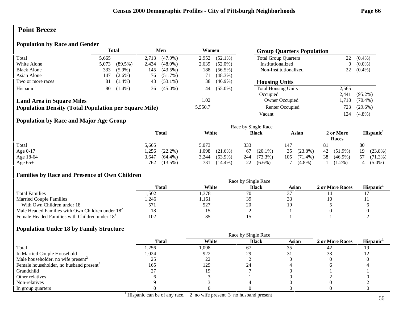## **Point Breeze**

#### **Population by Race and Gender**

|                                                              | <b>Total</b> |            | Men   |            | Women   |            | <b>Group Quarters Population</b> |       |            |
|--------------------------------------------------------------|--------------|------------|-------|------------|---------|------------|----------------------------------|-------|------------|
| Total                                                        | 5,665        |            | 2.713 | $(47.9\%)$ | 2.952   | $(52.1\%)$ | <b>Total Group Quarters</b>      | 22    | $(0.4\%)$  |
| White Alone                                                  | 5,073        | $(89.5\%)$ | 2,434 | $(48.0\%)$ | 2,639   | $(52.0\%)$ | Institutionalized                | 0     | $(0.0\%)$  |
| <b>Black Alone</b>                                           | 333          | $(5.9\%)$  | 145   | $(43.5\%)$ | 188     | $(56.5\%)$ | Non-Institutionalized            | 22    | $(0.4\%)$  |
| Asian Alone                                                  | 147          | $(2.6\%)$  | 76    | $(51.7\%)$ | 71      | $(48.3\%)$ |                                  |       |            |
| Two or more races                                            | 81           | $(1.4\%)$  | 43    | $(53.1\%)$ | 38      | $(46.9\%)$ | <b>Housing Units</b>             |       |            |
| Hispanic <sup>1</sup>                                        | 80           | $(1.4\%)$  | 36    | $(45.0\%)$ | 44      | $(55.0\%)$ | <b>Total Housing Units</b>       | 2,565 |            |
|                                                              |              |            |       |            |         |            | Occupied                         | 2.441 | $(95.2\%)$ |
| <b>Land Area in Square Miles</b>                             |              |            |       |            | 1.02    |            | Owner Occupied                   | 1,718 | $(70.4\%)$ |
| <b>Population Density (Total Population per Square Mile)</b> |              |            |       |            | 5,550.7 |            | Renter Occupied                  | 723   | $(29.6\%)$ |
|                                                              |              |            |       |            |         |            | Vacant                           | l 24  | $(4.8\%)$  |

## **Population by Race and Major Age Group**

|           |                     |                     | Race by Single Race |                   |                    |                       |
|-----------|---------------------|---------------------|---------------------|-------------------|--------------------|-----------------------|
|           | <b>Total</b>        | White               | <b>Black</b>        | Asian             | 2 or More<br>Races | Hispanic <sup>1</sup> |
| Total     | 5,665               | 5,073               | 333                 | 147               | 81                 | 80                    |
| Age 0-17  | $(22.2\%)$<br>.256  | .098<br>$(21.6\%)$  | $(20.1\%)$<br>67    | $(23.8\%)$<br>35  | 42<br>$(51.9\%)$   | $(23.8\%)$<br>19      |
| Age 18-64 | $(64.4\%)$<br>3,647 | $(63.9\%)$<br>3,244 | $(73.3\%)$<br>244   | 105<br>$(71.4\%)$ | 38<br>$(46.9\%)$   | 57<br>$(71.3\%)$      |
| Age $65+$ | 762<br>$(13.5\%)$   | 731<br>$(14.4\%)$   | 22<br>$(6.6\%)$     | $(4.8\%)$         | $(1.2\%)$          | $(5.0\%)$             |

## **Families by Race and Presence of Own Children**

|                                                            | Race by Single Race |       |              |       |                 |                 |  |
|------------------------------------------------------------|---------------------|-------|--------------|-------|-----------------|-----------------|--|
|                                                            | Total               | White | <b>Black</b> | Asian | 2 or More Races | <b>Hispanic</b> |  |
| <b>Total Families</b>                                      | .502                | .378  | 70           |       |                 |                 |  |
| <b>Married Couple Families</b>                             | .246                | .161  | 39           |       |                 |                 |  |
| With Own Children under 18                                 | 571                 | 527   | 20           |       |                 |                 |  |
| Male Headed Families with Own Children under $182$         | 18                  |       |              |       |                 |                 |  |
| Female Headed Families with Children under 18 <sup>3</sup> | 102                 | -85   |              |       |                 |                 |  |

|                                                     |              |       | Race by Single Race |       |                 |                       |
|-----------------------------------------------------|--------------|-------|---------------------|-------|-----------------|-----------------------|
|                                                     | <b>Total</b> | White | <b>Black</b>        | Asian | 2 or More Races | Hispanic <sup>1</sup> |
| Total                                               | 1,256        | .098  | 67                  | 35    | -42             |                       |
| In Married Couple Household                         | 1,024        | 922   | 29                  |       |                 |                       |
| Male householder, no wife present <sup>2</sup>      |              | 22    |                     |       |                 |                       |
| Female householder, no husband present <sup>3</sup> | 165          | 129   |                     |       |                 |                       |
| Grandchild                                          |              |       |                     |       |                 |                       |
| Other relatives                                     |              |       |                     |       |                 |                       |
| Non-relatives                                       |              |       |                     |       |                 |                       |
| In group quarters                                   |              |       |                     |       |                 |                       |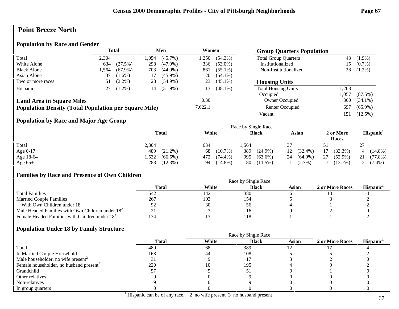# **Point Breeze North**

#### **Population by Race and Gender**

|                                                              | <b>Total</b> |            | Men  |            | Women   |            |                             |       | <b>Group Quarters Population</b> |  |  |
|--------------------------------------------------------------|--------------|------------|------|------------|---------|------------|-----------------------------|-------|----------------------------------|--|--|
| Total                                                        | 2,304        |            | .054 | $(45.7\%)$ | .250    | $(54.3\%)$ | <b>Total Group Quarters</b> | 43    | $(1.9\%)$                        |  |  |
| White Alone                                                  | 634          | (27.5%)    | 298  | $(47.0\%)$ | 336     | $(53.0\%)$ | Institutionalized           | 15.   | $(0.7\%)$                        |  |  |
| <b>Black Alone</b>                                           | .564         | $(67.9\%)$ | 703  | $(44.9\%)$ | 861     | $(55.1\%)$ | Non-Institutionalized       | 28    | $(1.2\%)$                        |  |  |
| Asian Alone                                                  | 37           | $(1.6\%)$  | 17   | $(45.9\%)$ | 20      | $(54.1\%)$ |                             |       |                                  |  |  |
| Two or more races                                            | 51           | $(2.2\%)$  | 28   | $(54.9\%)$ | 23      | $(45.1\%)$ | <b>Housing Units</b>        |       |                                  |  |  |
| Hispanic <sup>1</sup>                                        | 27           | $(1.2\%)$  | 14   | $(51.9\%)$ | 13      | $(48.1\%)$ | <b>Total Housing Units</b>  | ,208  |                                  |  |  |
|                                                              |              |            |      |            |         |            | Occupied                    | l.057 | $(87.5\%)$                       |  |  |
| <b>Land Area in Square Miles</b>                             |              |            |      |            | 0.30    |            | Owner Occupied              | 360   | $(34.1\%)$                       |  |  |
| <b>Population Density (Total Population per Square Mile)</b> |              |            |      |            | 7,622.1 |            | Renter Occupied             | 697   | $(65.9\%)$                       |  |  |
|                                                              |              |            |      |            |         |            | Vacant                      | 151   | $(12.5\%)$                       |  |  |

## **Population by Race and Major Age Group**

|            |                     |                   | Race by Single Race |                  |                    |                       |
|------------|---------------------|-------------------|---------------------|------------------|--------------------|-----------------------|
|            | <b>Total</b>        | White             | <b>Black</b>        | Asian            | 2 or More<br>Races | Hispanic <sup>1</sup> |
| Total      | 2,304               | 634               | .564                |                  |                    | 27                    |
| Age $0-17$ | 489<br>$(21.2\%)$   | $(10.7\%)$<br>68  | 389<br>$(24.9\%)$   | $(32.4\%)$<br>12 | $(33.3\%)$<br>17   | $(14.8\%)$            |
| Age 18-64  | 1,532<br>$(66.5\%)$ | 472<br>$(74.4\%)$ | 995<br>$(63.6\%)$   | $(64.9\%)$<br>24 | 27<br>$(52.9\%)$   | (77.8%)<br>21         |
| Age $65+$  | 283<br>$(12.3\%)$   | $(14.8\%)$<br>94  | 180<br>$(11.5\%)$   | $(2.7\%)$        | $(13.7\%)$         | $(7.4\%)$             |

#### **Families by Race and Presence of Own Children**

|                                                            | Race by Single Race |       |              |       |                 |                       |  |
|------------------------------------------------------------|---------------------|-------|--------------|-------|-----------------|-----------------------|--|
|                                                            | <b>Total</b>        | White | <b>Black</b> | Asian | 2 or More Races | Hispanic <sup>1</sup> |  |
| <b>Total Families</b>                                      | 542                 | 142   | 380          |       |                 |                       |  |
| <b>Married Couple Families</b>                             | 267                 | 103   | 154          |       |                 |                       |  |
| With Own Children under 18                                 |                     | 30    | 56           |       |                 |                       |  |
| Male Headed Families with Own Children under $182$         | ∠ ⊥                 |       |              |       |                 |                       |  |
| Female Headed Families with Children under 18 <sup>3</sup> | 134                 |       | 18،          |       |                 |                       |  |

#### **Population Under 18 by Family Structure**

|                                                     |              |       | Race by Single Race |       |                 |                       |
|-----------------------------------------------------|--------------|-------|---------------------|-------|-----------------|-----------------------|
|                                                     | <b>Total</b> | White | <b>Black</b>        | Asian | 2 or More Races | Hispanic <sup>1</sup> |
| Total                                               | 489          | 68    | 389                 |       |                 |                       |
| In Married Couple Household                         | 163          | 44    | 108                 |       |                 |                       |
| Male householder, no wife present <sup>2</sup>      |              |       |                     |       |                 |                       |
| Female householder, no husband present <sup>3</sup> | 220          |       | 195                 |       |                 |                       |
| Grandchild                                          |              |       | Ć.                  |       |                 |                       |
| Other relatives                                     |              |       |                     |       |                 |                       |
| Non-relatives                                       |              |       |                     |       |                 |                       |
| In group quarters                                   |              |       |                     |       |                 |                       |

<sup>1</sup> Hispanic can be of any race. 2 no wife present 3 no husband present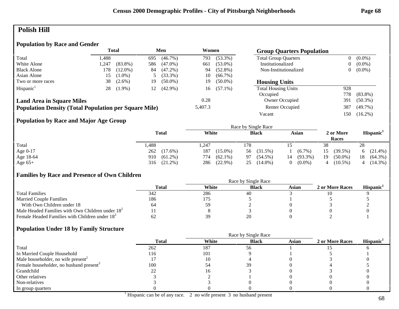# **Polish Hill**

## **Population by Race and Gender**

|                                                              |      | <b>Total</b> |     | Men        | Women   |            | <b>Group Quarters Population</b> |                |            |
|--------------------------------------------------------------|------|--------------|-----|------------|---------|------------|----------------------------------|----------------|------------|
| Total                                                        | .488 |              | 695 | $(46.7\%)$ | 793     | $(53.3\%)$ | <b>Total Group Quarters</b>      | $\overline{0}$ | $(0.0\%)$  |
| White Alone                                                  | .247 | $(83.8\%)$   | 586 | $(47.0\%)$ | 661     | $(53.0\%)$ | Institutionalized                | 0              | $(0.0\%)$  |
| <b>Black Alone</b>                                           | 178  | $(12.0\%)$   | 84  | $(47.2\%)$ | 94      | $(52.8\%)$ | Non-Institutionalized            | 0              | $(0.0\%)$  |
| Asian Alone                                                  | 15.  | $(1.0\%)$    |     | $(33.3\%)$ | 10      | $(66.7\%)$ |                                  |                |            |
| Two or more races                                            | 38   | $(2.6\%)$    | 19  | $(50.0\%)$ | 19      | $(50.0\%)$ | <b>Housing Units</b>             |                |            |
| Hispanic <sup>1</sup>                                        | 28   | $(1.9\%)$    | 12  | $(42.9\%)$ | 16      | $(57.1\%)$ | <b>Total Housing Units</b>       | 928            |            |
|                                                              |      |              |     |            |         |            | Occupied                         | 778            | $(83.8\%)$ |
| <b>Land Area in Square Miles</b>                             |      |              |     |            | 0.28    |            | Owner Occupied                   | 391            | $(50.3\%)$ |
| <b>Population Density (Total Population per Square Mile)</b> |      |              |     |            | 5,407.3 |            | Renter Occupied                  | 387            | $(49.7\%)$ |
|                                                              |      |              |     |            |         |            | Vacant                           | 150            | $(16.2\%)$ |

## **Population by Race and Major Age Group**

|            |                   |                   | Race by Single Race |                       |                    |                       |
|------------|-------------------|-------------------|---------------------|-----------------------|--------------------|-----------------------|
|            | <b>Total</b>      | White             | <b>Black</b>        | Asian                 | 2 or More<br>Races | Hispanic <sup>1</sup> |
| Total      | ,488              | ,247              | 178                 |                       | 38                 | 28                    |
| Age $0-17$ | 262 (17.6%)       | 187<br>$(15.0\%)$ | $(31.5\%)$<br>56    | $(6.7\%)$             | (39.5%)<br>15      | 6 $(21.4\%)$          |
| Age 18-64  | 910<br>$(61.2\%)$ | $(62.1\%)$<br>774 | $(54.5\%)$<br>97    | $(93.3\%)$<br>14      | 19<br>$(50.0\%)$   | $(64.3\%)$<br>18      |
| Age $65+$  | $(21.2\%)$<br>316 | $(22.9\%)$<br>286 | $(14.0\%)$<br>25    | $(0.0\%)$<br>$\Omega$ | $(10.5\%)$         | $(14.3\%)$            |

## **Families by Race and Presence of Own Children**

|                                                            | Race by Single Race |       |              |       |                 |                 |  |  |
|------------------------------------------------------------|---------------------|-------|--------------|-------|-----------------|-----------------|--|--|
|                                                            | <b>Total</b>        | White | <b>Black</b> | Asian | 2 or More Races | <b>Hispanic</b> |  |  |
| <b>Total Families</b>                                      | 342                 | 286   | 40           |       |                 |                 |  |  |
| <b>Married Couple Families</b>                             | 186                 | 175   |              |       |                 |                 |  |  |
| With Own Children under 18                                 | 64                  | 59    |              |       |                 |                 |  |  |
| Male Headed Families with Own Children under $182$         |                     |       |              |       |                 |                 |  |  |
| Female Headed Families with Children under 18 <sup>3</sup> | 62                  | 39    |              |       |                 |                 |  |  |

|                                                     | <b>Total</b> | White | <b>Black</b> | <b>Asian</b> | 2 or More Races | Hispanic <sup>1</sup> |
|-----------------------------------------------------|--------------|-------|--------------|--------------|-----------------|-----------------------|
| Total                                               | 262          | 187   | 56           |              |                 |                       |
| In Married Couple Household                         | 116          | 101   |              |              |                 |                       |
| Male householder, no wife present <sup>2</sup>      |              |       |              |              |                 |                       |
| Female householder, no husband present <sup>3</sup> | 100          | 54    | 39           |              |                 |                       |
| Grandchild                                          |              |       |              |              |                 |                       |
| Other relatives                                     |              |       |              |              |                 |                       |
| Non-relatives                                       |              |       |              |              |                 |                       |
| In group quarters                                   |              |       |              |              |                 |                       |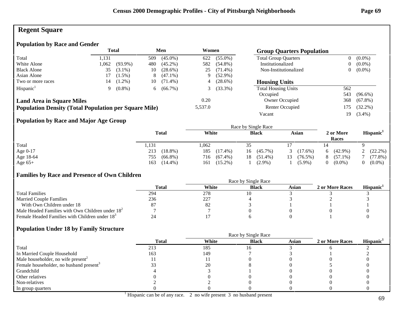# **Regent Square**

## **Population by Race and Gender**

|                                                              |       | <b>Total</b> |     | Men        | Women   |            | <b>Group Quarters Population</b> |     |            |
|--------------------------------------------------------------|-------|--------------|-----|------------|---------|------------|----------------------------------|-----|------------|
| Total                                                        | 1.131 |              | 509 | $(45.0\%)$ | 622     | $(55.0\%)$ | <b>Total Group Quarters</b>      | 0   | $(0.0\%)$  |
| White Alone                                                  | 1,062 | $(93.9\%)$   | 480 | $(45.2\%)$ | 582     | $(54.8\%)$ | Institutionalized                | 0   | $(0.0\%)$  |
| <b>Black Alone</b>                                           | 35    | $(3.1\%)$    | 10  | $(28.6\%)$ | 25      | $(71.4\%)$ | Non-Institutionalized            | 0   | $(0.0\%)$  |
| Asian Alone                                                  |       | $(1.5\%)$    | 8   | $(47.1\%)$ | 9.      | $(52.9\%)$ |                                  |     |            |
| Two or more races                                            | 14    | $(1.2\%)$    | 10  | $(71.4\%)$ | 4       | $(28.6\%)$ | <b>Housing Units</b>             |     |            |
| Hispanic <sup>1</sup>                                        | 9     | $(0.8\%)$    | 6.  | $(66.7\%)$ |         | $(33.3\%)$ | <b>Total Housing Units</b>       | 562 |            |
|                                                              |       |              |     |            |         |            | Occupied                         | 543 | $(96.6\%)$ |
| <b>Land Area in Square Miles</b>                             |       |              |     |            | 0.20    |            | Owner Occupied                   | 368 | $(67.8\%)$ |
| <b>Population Density (Total Population per Square Mile)</b> |       |              |     |            | 5,537.0 |            | Renter Occupied                  | 175 | $(32.2\%)$ |
|                                                              |       |              |     |            |         |            | Vacant                           | 19  | $(3.4\%)$  |

## **Population by Race and Major Age Group**

|            |                   |                   | Race by Single Race |                  |                    |                       |
|------------|-------------------|-------------------|---------------------|------------------|--------------------|-----------------------|
|            | <b>Total</b>      | White             | <b>Black</b>        | Asian            | 2 or More<br>Races | Hispanic <sup>1</sup> |
| Total      | 1,131             | 1,062             |                     |                  |                    |                       |
| Age $0-17$ | $(18.8\%)$<br>213 | 185<br>$(17.4\%)$ | $(45.7\%)$<br>16    | $(17.6\%)$<br>3  | $(42.9\%)$<br>6.   | 2 $(22.2\%)$          |
| Age 18-64  | $(66.8\%)$<br>755 | $(67.4\%)$<br>716 | $(51.4\%)$<br>18 -  | $(76.5\%)$<br>13 | $(57.1\%)$<br>8    | (77.8%)               |
| Age $65+$  | 163<br>$(14.4\%)$ | $(15.2\%)$<br>161 | $(2.9\%)$           | $(5.9\%)$        | $(0.0\%)$<br>0     | $(0.0\%)$             |

## **Families by Race and Presence of Own Children**

|                                                            | Race by Single Race |       |              |       |                 |                 |  |  |
|------------------------------------------------------------|---------------------|-------|--------------|-------|-----------------|-----------------|--|--|
|                                                            | Total               | White | <b>Black</b> | Asian | 2 or More Races | <b>Hispanic</b> |  |  |
| <b>Total Families</b>                                      | 294                 | 278   |              |       |                 |                 |  |  |
| <b>Married Couple Families</b>                             | 236                 | 227   |              |       |                 |                 |  |  |
| With Own Children under 18                                 | 87                  | 82    |              |       |                 |                 |  |  |
| Male Headed Families with Own Children under $182$         |                     |       |              |       |                 |                 |  |  |
| Female Headed Families with Children under 18 <sup>3</sup> |                     |       |              |       |                 |                 |  |  |

|                                                     |              | Race by Single Race |              |              |                 |                       |  |
|-----------------------------------------------------|--------------|---------------------|--------------|--------------|-----------------|-----------------------|--|
|                                                     | <b>Total</b> | White               | <b>Black</b> | <b>Asian</b> | 2 or More Races | Hispanic <sup>1</sup> |  |
| Total                                               | 213          | 185                 |              |              |                 |                       |  |
| In Married Couple Household                         | 163          | 149                 |              |              |                 |                       |  |
| Male householder, no wife present <sup>2</sup>      |              |                     |              |              |                 |                       |  |
| Female householder, no husband present <sup>3</sup> |              | 20                  |              |              |                 |                       |  |
| Grandchild                                          |              |                     |              |              |                 |                       |  |
| Other relatives                                     |              |                     |              |              |                 |                       |  |
| Non-relatives                                       |              |                     |              |              |                 |                       |  |
| In group quarters                                   |              |                     |              |              |                 |                       |  |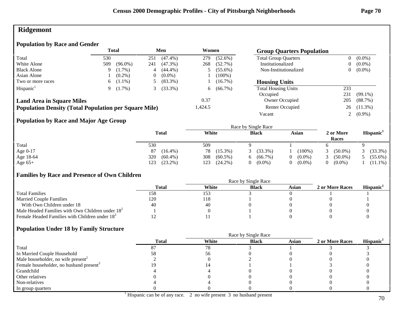# **Ridgemont**

## **Population by Race and Gender**

|                                                              |     | <b>Total</b> |     | Men        | Women   |            | <b>Group Quarters Population</b> |                |            |
|--------------------------------------------------------------|-----|--------------|-----|------------|---------|------------|----------------------------------|----------------|------------|
| Total                                                        | 530 |              | 251 | $(47.4\%)$ | 279     | $(52.6\%)$ | <b>Total Group Quarters</b>      | $\overline{0}$ | $(0.0\%)$  |
| White Alone                                                  | 509 | $(96.0\%)$   | 241 | $(47.3\%)$ | 268     | $(52.7\%)$ | Institutionalized                | 0              | $(0.0\%)$  |
| <b>Black Alone</b>                                           | 9   | $(1.7\%)$    |     | $(44.4\%)$ |         | $(55.6\%)$ | Non-Institutionalized            | 0              | $(0.0\%)$  |
| Asian Alone                                                  |     | $(0.2\%)$    | 0   | $(0.0\%)$  |         | $(100\%)$  |                                  |                |            |
| Two or more races                                            | 6   | $(1.1\%)$    |     | $(83.3\%)$ |         | $(16.7\%)$ | <b>Housing Units</b>             |                |            |
| Hispanic <sup>1</sup>                                        |     | $(1.7\%)$    |     | $(33.3\%)$ | 6       | $(66.7\%)$ | <b>Total Housing Units</b>       | 233            |            |
|                                                              |     |              |     |            |         |            | Occupied                         | 231            | $(99.1\%)$ |
| <b>Land Area in Square Miles</b>                             |     |              |     |            | 0.37    |            | Owner Occupied                   | 205            | (88.7%)    |
| <b>Population Density (Total Population per Square Mile)</b> |     |              |     |            | 1,424.5 |            | Renter Occupied                  | 26             | $(11.3\%)$ |
|                                                              |     |              |     |            |         |            | Vacant                           |                | $(0.9\%)$  |

## **Population by Race and Major Age Group**

|            |                   |                   | Race by Single Race |           |                    |                       |
|------------|-------------------|-------------------|---------------------|-----------|--------------------|-----------------------|
|            | <b>Total</b>      | White             | <b>Black</b>        | Asian     | 2 or More<br>Races | Hispanic <sup>1</sup> |
| Total      | 530               | 509               |                     |           |                    |                       |
| Age $0-17$ | 87<br>$(16.4\%)$  | 78<br>$(15.3\%)$  | $(33.3\%)$          | $(100\%$  | $(50.0\%)$         | $(33.3\%)$            |
| Age 18-64  | 320<br>$(60.4\%)$ | $(60.5\%)$<br>308 | $(66.7\%)$<br>6.    | $(0.0\%)$ | $(50.0\%)$         | $(55.6\%)$            |
| Age $65+$  | $(23.2\%)$<br>123 | $(24.2\%)$<br>123 | $(0.0\%)$<br>0.     | $(0.0\%)$ | $(0.0\%)$          | $(11.1\%)$            |

## **Families by Race and Presence of Own Children**

|                                                            | Race by Single Race |       |              |       |                 |                 |  |  |
|------------------------------------------------------------|---------------------|-------|--------------|-------|-----------------|-----------------|--|--|
|                                                            | Total               | White | <b>Black</b> | Asian | 2 or More Races | <b>Hispanic</b> |  |  |
| <b>Total Families</b>                                      | 158                 | 153   |              |       |                 |                 |  |  |
| <b>Married Couple Families</b>                             | 120                 | 118   |              |       |                 |                 |  |  |
| With Own Children under 18                                 | 40                  | 40    |              |       |                 |                 |  |  |
| Male Headed Families with Own Children under $182$         |                     |       |              |       |                 |                 |  |  |
| Female Headed Families with Children under 18 <sup>3</sup> |                     |       |              |       |                 |                 |  |  |

|                                                     |              | Race by Single Race |              |              |                 |                       |  |  |
|-----------------------------------------------------|--------------|---------------------|--------------|--------------|-----------------|-----------------------|--|--|
|                                                     | <b>Total</b> | White               | <b>Black</b> | <b>Asian</b> | 2 or More Races | Hispanic <sup>1</sup> |  |  |
| Total                                               |              | 78                  |              |              |                 |                       |  |  |
| In Married Couple Household                         | эŏ           |                     |              |              |                 |                       |  |  |
| Male householder, no wife present <sup>2</sup>      |              |                     |              |              |                 |                       |  |  |
| Female householder, no husband present <sup>3</sup> |              |                     |              |              |                 |                       |  |  |
| Grandchild                                          |              |                     |              |              |                 |                       |  |  |
| Other relatives                                     |              |                     |              |              |                 |                       |  |  |
| Non-relatives                                       |              |                     |              |              |                 |                       |  |  |
| In group quarters                                   |              |                     |              |              |                 |                       |  |  |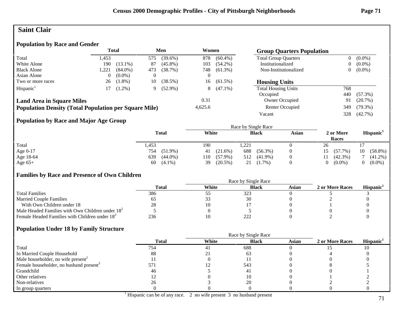## **Saint Clair**

## **Population by Race and Gender**

|                                                              |       | <b>Total</b> |          | Men        | Women   |            | <b>Group Quarters Population</b> |                |            |
|--------------------------------------------------------------|-------|--------------|----------|------------|---------|------------|----------------------------------|----------------|------------|
| Total                                                        | 1.453 |              | 575      | $(39.6\%)$ | 878     | $(60.4\%)$ | <b>Total Group Quarters</b>      | $\overline{0}$ | $(0.0\%)$  |
| White Alone                                                  | 190   | $(13.1\%)$   | 87       | $(45.8\%)$ | 103     | $(54.2\%)$ | Institutionalized                | 0              | $(0.0\%)$  |
| <b>Black Alone</b>                                           | 1,221 | $(84.0\%)$   | 473      | (38.7%)    | 748     | $(61.3\%)$ | Non-Institutionalized            | 0              | $(0.0\%)$  |
| Asian Alone                                                  |       | $(0.0\%)$    | $\theta$ |            | 0       |            |                                  |                |            |
| Two or more races                                            | 26    | $(1.8\%)$    | 10       | (38.5%)    | 16      | $(61.5\%)$ | <b>Housing Units</b>             |                |            |
| Hispanic <sup>1</sup>                                        |       | $(1.2\%)$    | 9        | $(52.9\%)$ | 8       | $(47.1\%)$ | <b>Total Housing Units</b>       | 768            |            |
|                                                              |       |              |          |            |         |            | Occupied                         | 440            | $(57.3\%)$ |
| <b>Land Area in Square Miles</b>                             |       |              |          |            | 0.31    |            | Owner Occupied                   | 91             | $(20.7\%)$ |
| <b>Population Density (Total Population per Square Mile)</b> |       |              |          |            | 4,625.6 |            | Renter Occupied                  | 349            | $(79.3\%)$ |
|                                                              |       |              |          |            |         |            | Vacant                           | 328            | $(42.7\%)$ |

## **Population by Race and Major Age Group**

|            |              |                   |                   | Race by Single Race |       |    |                    |    |                       |
|------------|--------------|-------------------|-------------------|---------------------|-------|----|--------------------|----|-----------------------|
|            | <b>Total</b> | White             |                   | <b>Black</b>        | Asian |    | 2 or More<br>Races |    | Hispanic <sup>1</sup> |
| Total      | 1,453        | 190               | 1,221             |                     |       | 26 |                    |    |                       |
| Age $0-17$ | 754          | $(51.9\%)$<br>41  | 688<br>$(21.6\%)$ | $(56.3\%)$          |       | 15 | $(57.7\%)$         | 10 | $(58.8\%)$            |
| Age 18-64  | 639          | $(44.0\%)$<br>110 | $(57.9\%)$<br>512 | $(41.9\%)$          |       | 11 | $(42.3\%)$         |    | $(41.2\%)$            |
| Age $65+$  | 60           | $(4.1\%)$<br>39   | $(20.5\%)$<br>21  | $(1.7\%)$           |       |    | $(0.0\%)$          |    | $(0.0\%)$             |

## **Families by Race and Presence of Own Children**

|                                                            | Race by Single Race |       |              |       |                 |                 |  |
|------------------------------------------------------------|---------------------|-------|--------------|-------|-----------------|-----------------|--|
|                                                            | Total               | White | <b>Black</b> | Asian | 2 or More Races | <b>Hispanic</b> |  |
| <b>Total Families</b>                                      | 386                 | ر ر   | 323          |       |                 |                 |  |
| <b>Married Couple Families</b>                             |                     | ر ر   |              |       |                 |                 |  |
| With Own Children under 18                                 | 28                  |       |              |       |                 |                 |  |
| Male Headed Families with Own Children under $182$         |                     |       |              |       |                 |                 |  |
| Female Headed Families with Children under 18 <sup>3</sup> | 236                 |       | 222          |       |                 |                 |  |

|                                                     | <b>Total</b> | White | <b>Black</b> | Asian | 2 or More Races | Hispanic <sup>1</sup> |
|-----------------------------------------------------|--------------|-------|--------------|-------|-----------------|-----------------------|
| Total                                               | 754          | 41    | 688          |       |                 |                       |
| In Married Couple Household                         | 88           | 41    | 63           |       |                 |                       |
| Male householder, no wife present <sup>2</sup>      |              |       |              |       |                 |                       |
| Female householder, no husband present <sup>3</sup> | 571          |       | 543          |       |                 |                       |
| Grandchild                                          | 46           |       | 4            |       |                 |                       |
| Other relatives                                     |              |       |              |       |                 |                       |
| Non-relatives                                       | 26           |       | 20           |       |                 |                       |
| In group quarters                                   |              |       |              |       |                 |                       |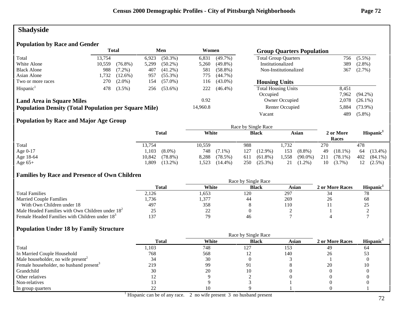# **Shadyside**

## **Population by Race and Gender**

|                                                              | <b>Total</b> |            |       | Men        | Women    |            | <b>Group Quarters Population</b> |       |            |
|--------------------------------------------------------------|--------------|------------|-------|------------|----------|------------|----------------------------------|-------|------------|
| Total                                                        | 13.754       |            | 6.923 | $(50.3\%)$ | 6,831    | $(49.7\%)$ | <b>Total Group Quarters</b>      | 756   | $(5.5\%)$  |
| White Alone                                                  | 10,559       | $(76.8\%)$ | 5,299 | $(50.2\%)$ | 5,260    | $(49.8\%)$ | Institutionalized                | 389   | $(2.8\%)$  |
| <b>Black Alone</b>                                           | 988          | $(7.2\%)$  | 407   | $(41.2\%)$ | 581      | $(58.8\%)$ | Non-Institutionalized            | 367   | $(2.7\%)$  |
| Asian Alone                                                  | 1,732        | $(12.6\%)$ | 957   | $(55.3\%)$ | 775      | $(44.7\%)$ |                                  |       |            |
| Two or more races                                            | 270          | $(2.0\%)$  | 154   | $(57.0\%)$ | 116      | $(43.0\%)$ | <b>Housing Units</b>             |       |            |
| Hispanic <sup>1</sup>                                        | 478          | $(3.5\%)$  | 256   | $(53.6\%)$ | 222      | $(46.4\%)$ | <b>Total Housing Units</b>       | 8.451 |            |
|                                                              |              |            |       |            |          |            | Occupied                         | 7,962 | $(94.2\%)$ |
| <b>Land Area in Square Miles</b>                             |              |            |       |            | 0.92     |            | Owner Occupied                   | 2,078 | $(26.1\%)$ |
| <b>Population Density (Total Population per Square Mile)</b> |              |            |       |            | 14,960.8 |            | Renter Occupied                  | 5,884 | $(73.9\%)$ |
|                                                              |              |            |       |            |          |            | Vacant                           | 489   | $(5.8\%)$  |

## **Population by Race and Major Age Group**

|           |              |            | Race by Single Race |            |                    |                       |
|-----------|--------------|------------|---------------------|------------|--------------------|-----------------------|
|           | <b>Total</b> | White      | <b>Black</b>        | Asian      | 2 or More<br>Races | Hispanic <sup>1</sup> |
| Total     | 13,754       | 10,559     | 988                 | .732       | 270                | 478                   |
| Age 0-17  | 1,103        | 748        | 127                 | 153        | 49                 | $(13.4\%)$            |
|           | $(8.0\%)$    | $(7.1\%)$  | $(12.9\%)$          | $(8.8\%)$  | $(18.1\%)$         | 64                    |
| Age 18-64 | $(78.8\%)$   | (78.5%)    | $(61.8\%)$          | .558       | 211                | 402                   |
|           | 10,842       | 8,288      | 611                 | $(90.0\%)$ | $(78.1\%)$         | $(84.1\%)$            |
| Age $65+$ | ,809         | 1,523      | $(25.3\%)$          | $(1.2\%)$  | 10                 | 12                    |
|           | $(13.2\%)$   | $(14.4\%)$ | 250                 | 21         | $(3.7\%)$          | $(2.5\%)$             |

## **Families by Race and Presence of Own Children**

|                                                            | Total | White          | <b>Black</b> | Asian | 2 or More Races | <b>Hispanic</b> |
|------------------------------------------------------------|-------|----------------|--------------|-------|-----------------|-----------------|
| <b>Total Families</b>                                      | 2,126 | .653           | 120          | 297   |                 | 78              |
| <b>Married Couple Families</b>                             | 1,736 | .,377          | 44           | 269   | 26              | 68              |
| With Own Children under 18                                 | 497   | 358            |              | 110   |                 | ت ک             |
| Male Headed Families with Own Children under $182$         |       | $\gamma$<br>∠∠ |              |       |                 |                 |
| Female Headed Families with Children under 18 <sup>3</sup> | 137   | 70             | 46           |       |                 |                 |

|                                                     |              | Race by Single Race |              |              |                 |                       |
|-----------------------------------------------------|--------------|---------------------|--------------|--------------|-----------------|-----------------------|
|                                                     | <b>Total</b> | White               | <b>Black</b> | <b>Asian</b> | 2 or More Races | Hispanic <sup>1</sup> |
| Total                                               | l, 103       | 748                 | 127          | 153          | 49              | 64                    |
| In Married Couple Household                         | 768          | 568                 |              | 140          | 26              | 53                    |
| Male householder, no wife present <sup>2</sup>      | 34           | 30                  |              |              |                 |                       |
| Female householder, no husband present <sup>3</sup> | 219          | 99                  | Q 1          |              | 20              |                       |
| Grandchild                                          | 30           | 20                  |              |              |                 |                       |
| Other relatives                                     |              |                     |              |              |                 |                       |
| Non-relatives                                       |              |                     |              |              |                 |                       |
| In group quarters                                   |              |                     |              |              |                 |                       |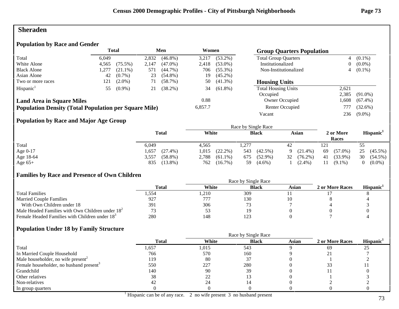# **Sheraden**

# **Population by Race and Gender**

|                                                              | <b>Total</b><br>Men |            |       |            |         | Women      |                             | <b>Group Quarters Population</b> |            |  |
|--------------------------------------------------------------|---------------------|------------|-------|------------|---------|------------|-----------------------------|----------------------------------|------------|--|
| Total                                                        | 6.049               |            | 2,832 | $(46.8\%)$ | 3,217   | $(53.2\%)$ | <b>Total Group Quarters</b> | $\overline{4}$                   | $(0.1\%)$  |  |
| White Alone                                                  | 4,565               | $(75.5\%)$ | 2,147 | $(47.0\%)$ | 2,418   | $(53.0\%)$ | Institutionalized           | $\overline{0}$                   | $(0.0\%)$  |  |
| <b>Black Alone</b>                                           | ,277                | $(21.1\%)$ | 571   | $(44.7\%)$ | 706     | $(55.3\%)$ | Non-Institutionalized       |                                  | $4(0.1\%)$ |  |
| Asian Alone                                                  | 42                  | $(0.7\%)$  | 23    | $(54.8\%)$ | 19      | $(45.2\%)$ |                             |                                  |            |  |
| Two or more races                                            | 121                 | $(2.0\%)$  | 71    | $(58.7\%)$ | 50      | $(41.3\%)$ | <b>Housing Units</b>        |                                  |            |  |
| Hispanic <sup>1</sup>                                        | 55                  | $(0.9\%)$  | 21    | $(38.2\%)$ | 34      | $(61.8\%)$ | <b>Total Housing Units</b>  | 2,621                            |            |  |
|                                                              |                     |            |       |            |         |            | Occupied                    | 2.385                            | $(91.0\%)$ |  |
| <b>Land Area in Square Miles</b>                             |                     |            |       |            | 0.88    |            | Owner Occupied              | .608                             | $(67.4\%)$ |  |
| <b>Population Density (Total Population per Square Mile)</b> |                     |            |       |            | 6,857.7 |            | Renter Occupied             | 777                              | $(32.6\%)$ |  |
|                                                              |                     |            |       |            |         |            | Vacant                      | 236                              | $(9.0\%)$  |  |

## **Population by Race and Major Age Group**

|           |                     |                     | Race by Single Race |                  |                    |                       |
|-----------|---------------------|---------------------|---------------------|------------------|--------------------|-----------------------|
|           | <b>Total</b>        | White               | <b>Black</b>        | Asian            | 2 or More<br>Races | Hispanic <sup>1</sup> |
| Total     | 6,049               | 4.565               | 1,277               | 42               | 121                | 55                    |
| Age 0-17  | $(27.4\%)$<br>.,657 | $(22.2\%)$<br>1,015 | 543<br>$(42.5\%)$   | $(21.4\%)$<br>Q  | $(57.0\%)$<br>69   | 25<br>$(45.5\%)$      |
| Age 18-64 | $(58.8\%)$<br>3,557 | 2,788<br>$(61.1\%)$ | $(52.9\%)$<br>675   | 32<br>$(76.2\%)$ | $(33.9\%)$<br>41   | 30<br>$(54.5\%)$      |
| Age $65+$ | $(13.8\%)$<br>835   | $(16.7\%)$<br>762   | $(4.6\%)$<br>59     | $(2.4\%)$        | $(9.1\%)$<br>11    | $(0.0\%)$             |

#### **Families by Race and Presence of Own Children**

|                                                            | <b>Total</b> | White | <b>Black</b> | Asian | 2 or More Races | <b>Hispanic</b> |
|------------------------------------------------------------|--------------|-------|--------------|-------|-----------------|-----------------|
| <b>Total Families</b>                                      | . .554       | .210  | 309          |       |                 |                 |
| <b>Married Couple Families</b>                             | 927          | 777   | 130          |       |                 |                 |
| With Own Children under 18                                 | 391          | 306   |              |       |                 |                 |
| Male Headed Families with Own Children under $182$         |              | Эź    |              |       |                 |                 |
| Female Headed Families with Children under 18 <sup>3</sup> | 280          | 148   |              |       |                 |                 |

|                                                     |              | Race by Single Race |              |       |                 |                       |
|-----------------------------------------------------|--------------|---------------------|--------------|-------|-----------------|-----------------------|
|                                                     | <b>Total</b> | White               | <b>Black</b> | Asian | 2 or More Races | Hispanic <sup>1</sup> |
| Total                                               | 1,657        | 1,015               | 543          |       | 69              | 25                    |
| In Married Couple Household                         | 766          | 570                 | 160          |       |                 |                       |
| Male householder, no wife present <sup>2</sup>      | 119          | 80                  |              |       |                 |                       |
| Female householder, no husband present <sup>3</sup> | 550          | 227                 | 280          |       |                 |                       |
| Grandchild                                          | 140          | 90                  | 39           |       |                 |                       |
| Other relatives                                     | 38           | 22                  |              |       |                 |                       |
| Non-relatives                                       | -42          | 24                  |              |       |                 |                       |
| In group quarters                                   |              |                     |              |       |                 |                       |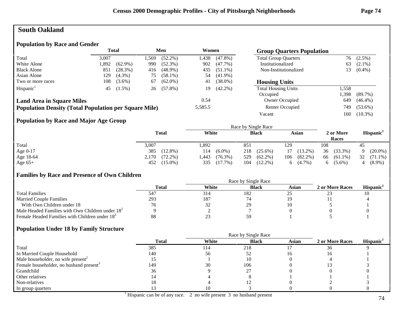# **South Oakland**

#### **Population by Race and Gender**

|                                                              | <b>Total</b><br>Men<br>Women |            |      |            | <b>Group Quarters Population</b> |            |                             |       |            |
|--------------------------------------------------------------|------------------------------|------------|------|------------|----------------------------------|------------|-----------------------------|-------|------------|
| Total                                                        | 3,007                        |            | .569 | $(52.2\%)$ | !438.                            | $(47.8\%)$ | <b>Total Group Quarters</b> | 76    | $(2.5\%)$  |
| White Alone                                                  | 892.ا                        | $(62.9\%)$ | 990  | $(52.3\%)$ | 902                              | $(47.7\%)$ | Institutionalized           | 63    | $(2.1\%)$  |
| <b>Black Alone</b>                                           | 851                          | (28.3%)    | 416  | $(48.9\%)$ | 435                              | $(51.1\%)$ | Non-Institutionalized       | 13.   | $(0.4\%)$  |
| Asian Alone                                                  | 129                          | $(4.3\%)$  | 75   | $(58.1\%)$ | 54                               | $(41.9\%)$ |                             |       |            |
| Two or more races                                            | 108                          | $(3.6\%)$  | 67   | $(62.0\%)$ | 41                               | $(38.0\%)$ | <b>Housing Units</b>        |       |            |
| Hispanic <sup>1</sup>                                        | 45                           | $(1.5\%)$  | 26   | $(57.8\%)$ | 19                               | $(42.2\%)$ | <b>Total Housing Units</b>  | 1,558 |            |
|                                                              |                              |            |      |            |                                  |            | Occupied                    | .398  | $(89.7\%)$ |
| <b>Land Area in Square Miles</b>                             |                              |            |      |            | 0.54                             |            | Owner Occupied              | 649   | $(46.4\%)$ |
| <b>Population Density (Total Population per Square Mile)</b> |                              |            |      |            | 5,585.5                          |            | Renter Occupied             | 749   | $(53.6\%)$ |
|                                                              |                              |            |      |            |                                  |            | Vacant                      | 160   | $(10.3\%)$ |

#### **Population by Race and Major Age Group**

|           |                     |                    | Race by Single Race |                   |                    |                       |
|-----------|---------------------|--------------------|---------------------|-------------------|--------------------|-----------------------|
|           | <b>Total</b>        | White              | <b>Black</b>        | Asian             | 2 or More<br>Races | Hispanic <sup>1</sup> |
| Total     | 3,007               | 1,892              | 851                 | 129               | 108                | 45                    |
| Age 0-17  | 385<br>$(12.8\%)$   | 114<br>$(6.0\%)$   | 218<br>$(25.6\%)$   | $(13.2\%)$<br>17  | 36<br>$(33.3\%)$   | $(20.0\%)$            |
| Age 18-64 | $(72.2\%)$<br>2,170 | $(76.3\%)$<br>.443 | $(62.2\%)$<br>529   | $(82.2\%)$<br>106 | $(61.1\%)$<br>66   | 32<br>$(71.1\%)$      |
| Age $65+$ | 452 (15.0%)         | $(17.7\%)$<br>335  | $(12.2\%)$<br>104   | $(4.7\%)$<br>6.   | $(5.6\%)$<br>O.    | $(8.9\%)$             |

#### **Families by Race and Presence of Own Children**

|                                                            | Race by Single Race |       |              |       |                 |                 |  |  |
|------------------------------------------------------------|---------------------|-------|--------------|-------|-----------------|-----------------|--|--|
|                                                            | Total               | White | <b>Black</b> | Asian | 2 or More Races | <b>Hispanic</b> |  |  |
| <b>Total Families</b>                                      | 547                 | 314   | 182          |       |                 |                 |  |  |
| <b>Married Couple Families</b>                             | 293                 | 187   |              |       |                 |                 |  |  |
| With Own Children under 18                                 | 76                  | 32    |              |       |                 |                 |  |  |
| Male Headed Families with Own Children under $182$         |                     |       |              |       |                 |                 |  |  |
| Female Headed Families with Children under 18 <sup>3</sup> | 88                  |       |              |       |                 |                 |  |  |

|                                                     |              |       | Race by Single Race |              |                 |                       |
|-----------------------------------------------------|--------------|-------|---------------------|--------------|-----------------|-----------------------|
|                                                     | <b>Total</b> | White | <b>Black</b>        | <b>Asian</b> | 2 or More Races | Hispanic <sup>1</sup> |
| Total                                               | 385          | 114   | 218                 |              | 36              |                       |
| In Married Couple Household                         | 140          | 56    |                     |              |                 |                       |
| Male householder, no wife present <sup>2</sup>      |              |       |                     |              |                 |                       |
| Female householder, no husband present <sup>3</sup> | 149          | 30    | 106                 |              |                 |                       |
| Grandchild                                          | 36           |       |                     |              |                 |                       |
| Other relatives                                     |              |       |                     |              |                 |                       |
| Non-relatives                                       | 18           |       |                     |              |                 |                       |
| In group quarters                                   |              |       |                     |              |                 |                       |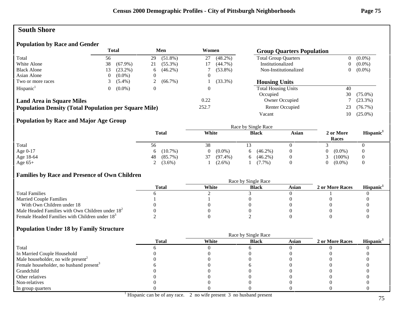# **South Shore**

### **Population by Race and Gender**

|                                                              |    | Total      |    | Men        |       | Women      | <b>Group Quarters Population</b> |                |            |
|--------------------------------------------------------------|----|------------|----|------------|-------|------------|----------------------------------|----------------|------------|
| Total                                                        | 56 |            | 29 | $(51.8\%)$ | 27    | $(48.2\%)$ | <b>Total Group Quarters</b>      | $\overline{0}$ | $(0.0\%)$  |
| White Alone                                                  | 38 | $(67.9\%)$ | 21 | $(55.3\%)$ |       | $(44.7\%)$ | Institutionalized                | 0              | $(0.0\%)$  |
| <b>Black Alone</b>                                           | .3 | $(23.2\%)$ | 6  | $(46.2\%)$ |       | $(53.8\%)$ | Non-Institutionalized            | 0              | $(0.0\%)$  |
| Asian Alone                                                  |    | $(0.0\%)$  |    |            |       |            |                                  |                |            |
| Two or more races                                            |    | $(5.4\%)$  |    | $(66.7\%)$ |       | $(33.3\%)$ | <b>Housing Units</b>             |                |            |
| Hispanic <sup>1</sup>                                        |    | $(0.0\%)$  |    |            |       |            | <b>Total Housing Units</b>       | 40             |            |
|                                                              |    |            |    |            |       |            | Occupied                         | 30             | $(75.0\%)$ |
| <b>Land Area in Square Miles</b>                             |    |            |    |            | 0.22  |            | Owner Occupied                   |                | $(23.3\%)$ |
| <b>Population Density (Total Population per Square Mile)</b> |    |            |    |            | 252.7 |            | Renter Occupied                  | 23             | $(76.7\%)$ |
|                                                              |    |            |    |            |       |            | Vacant                           | 10-            | $(25.0\%)$ |

#### **Population by Race and Major Age Group**

|           |                  | Race by Single Race |                  |          |                    |                       |  |
|-----------|------------------|---------------------|------------------|----------|--------------------|-----------------------|--|
|           | <b>Total</b>     | White               | <b>Black</b>     | Asian    | 2 or More<br>Races | Hispanic <sup>1</sup> |  |
| Total     | 56               | 38                  |                  |          |                    |                       |  |
| Age 0-17  | $(10.7\%)$<br>6. | $(0.0\%)$           | $(46.2\%)$<br>h. |          | $(0.0\%)$          | $\overline{0}$        |  |
| Age 18-64 | $(85.7\%)$<br>48 | $(97.4\%)$<br>37    | $(46.2\%)$<br>h. | $\theta$ | $(100\%)$          | $\theta$              |  |
| Age $65+$ | 2 $(3.6\%)$      | $(2.6\%)$           | $(7.7\%)$        |          | $(0.0\%)$          |                       |  |

#### **Families by Race and Presence of Own Children**

|                                                            | Race by Single Race |       |              |       |                 |                       |  |
|------------------------------------------------------------|---------------------|-------|--------------|-------|-----------------|-----------------------|--|
|                                                            | Total               | White | <b>Black</b> | Asian | 2 or More Races | Hispanic <sup>1</sup> |  |
| <b>Total Families</b>                                      |                     |       |              |       |                 |                       |  |
| <b>Married Couple Families</b>                             |                     |       |              |       |                 |                       |  |
| With Own Children under 18                                 |                     |       |              |       |                 |                       |  |
| Male Headed Families with Own Children under $182$         |                     |       |              |       |                 |                       |  |
| Female Headed Families with Children under 18 <sup>3</sup> |                     |       |              |       |                 |                       |  |

|                                                     | <b>Total</b> | White | <b>Black</b> | <b>Asian</b> | 2 or More Races | Hispanic <sup>1</sup> |
|-----------------------------------------------------|--------------|-------|--------------|--------------|-----------------|-----------------------|
| Total                                               |              |       |              |              |                 |                       |
| In Married Couple Household                         |              |       |              |              |                 |                       |
| Male householder, no wife present <sup>2</sup>      |              |       |              |              |                 |                       |
| Female householder, no husband present <sup>3</sup> |              |       |              |              |                 |                       |
| Grandchild                                          |              |       |              |              |                 |                       |
| Other relatives                                     |              |       |              |              |                 |                       |
| Non-relatives                                       |              |       |              |              |                 |                       |
| In group quarters                                   |              |       |              |              |                 |                       |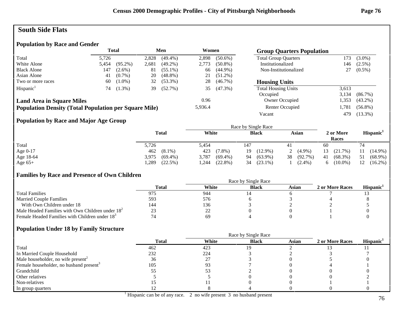# **South Side Flats**

#### **Population by Race and Gender**

|                                                              | <b>Total</b> |            | Men   |            | Women   |            | <b>Group Quarters Population</b> |       |            |
|--------------------------------------------------------------|--------------|------------|-------|------------|---------|------------|----------------------------------|-------|------------|
| Total                                                        | 5.726        |            | 2,828 | $(49.4\%)$ | 2,898   | $(50.6\%)$ | <b>Total Group Quarters</b>      | 173   | $(3.0\%)$  |
| White Alone                                                  | 5,454        | $(95.2\%)$ | 2,681 | $(49.2\%)$ | 2,773   | $(50.8\%)$ | Institutionalized                | 146   | $(2.5\%)$  |
| <b>Black Alone</b>                                           | 147          | $(2.6\%)$  | 81    | $(55.1\%)$ | 66      | $(44.9\%)$ | Non-Institutionalized            |       | $(0.5\%)$  |
| Asian Alone                                                  | 41           | $(0.7\%)$  | 20    | $(48.8\%)$ | 21      | $(51.2\%)$ |                                  |       |            |
| Two or more races                                            | 60           | $(1.0\%)$  | 32    | $(53.3\%)$ | 28      | $(46.7\%)$ | <b>Housing Units</b>             |       |            |
| Hispanic <sup>1</sup>                                        | 74           | $(1.3\%)$  | 39    | (52.7%)    | 35      | $(47.3\%)$ | <b>Total Housing Units</b>       | 3,613 |            |
|                                                              |              |            |       |            |         |            | Occupied                         | 3.134 | (86.7%)    |
| <b>Land Area in Square Miles</b>                             |              |            |       |            | 0.96    |            | Owner Occupied                   | .353  | $(43.2\%)$ |
| <b>Population Density (Total Population per Square Mile)</b> |              |            |       |            | 5,936.4 |            | Renter Occupied                  | 1.781 | $(56.8\%)$ |
|                                                              |              |            |       |            |         |            | Vacant                           | 479   | $(13.3\%)$ |

#### **Population by Race and Major Age Group**

|           |                     |                     | Race by Single Race |                  |                    |                       |
|-----------|---------------------|---------------------|---------------------|------------------|--------------------|-----------------------|
|           | <b>Total</b>        | White               | <b>Black</b>        | Asian            | 2 or More<br>Races | Hispanic <sup>1</sup> |
| Total     | 5,726               | 5,454               | 147                 |                  | 60                 |                       |
| Age 0-17  | 462 (8.1%)          | 423<br>$(7.8\%)$    | $(12.9\%)$<br>19.   | $(4.9\%)$        | 13<br>(21.7%)      | $(14.9\%)$            |
| Age 18-64 | $(69.4\%)$<br>3,975 | $(69.4\%)$<br>3,787 | $(63.9\%)$<br>94    | $(92.7\%)$<br>38 | $(68.3\%)$<br>41   | $(68.9\%)$<br>51      |
| Age $65+$ | ,289<br>(22.5%)     | $(22.8\%)$<br>.244  | $(23.1\%)$<br>34    | $(2.4\%)$        | $(10.0\%)$         | $(16.2\%)$<br>12      |

#### **Families by Race and Presence of Own Children**

|                                                            | Race by Single Race |               |              |       |                 |                       |  |
|------------------------------------------------------------|---------------------|---------------|--------------|-------|-----------------|-----------------------|--|
|                                                            | <b>Total</b>        | White         | <b>Black</b> | Asian | 2 or More Races | Hispanic <sup>1</sup> |  |
| <b>Total Families</b>                                      |                     | 944           |              |       |                 |                       |  |
| <b>Married Couple Families</b>                             | 593                 | 576           |              |       |                 |                       |  |
| With Own Children under 18                                 | 144                 | 136           |              |       |                 |                       |  |
| Male Headed Families with Own Children under $182$         |                     | $\gamma$<br>∸ |              |       |                 |                       |  |
| Female Headed Families with Children under 18 <sup>3</sup> | $\sqrt{4}$          | 69            |              |       |                 |                       |  |

|                                                     |              | Race by Single Race |              |              |                 |                       |  |
|-----------------------------------------------------|--------------|---------------------|--------------|--------------|-----------------|-----------------------|--|
|                                                     | <b>Total</b> | White               | <b>Black</b> | <b>Asian</b> | 2 or More Races | Hispanic <sup>1</sup> |  |
| Total                                               | 462          | 423                 | 19.          |              |                 |                       |  |
| In Married Couple Household                         | 232          | 224                 |              |              |                 |                       |  |
| Male householder, no wife present <sup>2</sup>      | 36           |                     |              |              |                 |                       |  |
| Female householder, no husband present <sup>3</sup> | 105          | 93                  |              |              |                 |                       |  |
| Grandchild                                          |              | IJ                  |              |              |                 |                       |  |
| Other relatives                                     |              |                     |              |              |                 |                       |  |
| Non-relatives                                       |              |                     |              |              |                 |                       |  |
| In group quarters                                   |              |                     |              |              |                 |                       |  |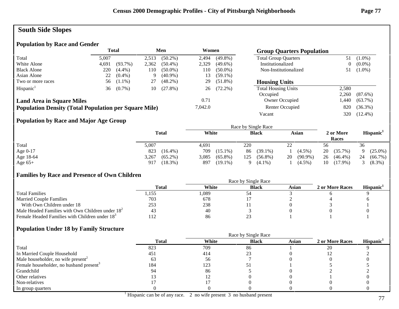# **South Side Slopes**

## **Population by Race and Gender**

|                                                              |       | <b>Total</b> |       | Men        |         | Women<br><b>Group Quarters Population</b> |                             |       |            |
|--------------------------------------------------------------|-------|--------------|-------|------------|---------|-------------------------------------------|-----------------------------|-------|------------|
| Total                                                        | 5,007 |              | 2.513 | $(50.2\%)$ | 2.494   | $(49.8\%)$                                | <b>Total Group Quarters</b> | 51    | $(1.0\%)$  |
| White Alone                                                  | 4,691 | $(93.7\%)$   | 2,362 | $(50.4\%)$ | 2,329   | $(49.6\%)$                                | Institutionalized           | 0     | $(0.0\%)$  |
| <b>Black Alone</b>                                           | 220   | $(4.4\%)$    | 110   | $(50.0\%)$ | 110     | $(50.0\%)$                                | Non-Institutionalized       |       | $(1.0\%)$  |
| Asian Alone                                                  | 22    | $(0.4\%)$    | 9     | $(40.9\%)$ | 13      | $(59.1\%)$                                |                             |       |            |
| Two or more races                                            | 56    | $(1.1\%)$    | 27    | $(48.2\%)$ | 29      | $(51.8\%)$                                | <b>Housing Units</b>        |       |            |
| Hispanic <sup>1</sup>                                        | 36    | $(0.7\%)$    | 10    | $(27.8\%)$ | 26      | $(72.2\%)$                                | <b>Total Housing Units</b>  | 2,580 |            |
|                                                              |       |              |       |            |         |                                           | Occupied                    | 2,260 | $(87.6\%)$ |
| <b>Land Area in Square Miles</b>                             |       |              |       |            | 0.71    |                                           | Owner Occupied              | .440  | $(63.7\%)$ |
| <b>Population Density (Total Population per Square Mile)</b> |       |              |       |            | 7,042.0 |                                           | Renter Occupied             | 820   | $(36.3\%)$ |
|                                                              |       |              |       |            |         |                                           | Vacant                      | 320   | $(12.4\%)$ |

#### **Population by Race and Major Age Group**

|           |                     |                     | Race by Single Race   |                  |                    |                       |
|-----------|---------------------|---------------------|-----------------------|------------------|--------------------|-----------------------|
|           | <b>Total</b>        | White               | <b>Black</b>          | Asian            | 2 or More<br>Races | Hispanic <sup>1</sup> |
| Total     | 5,007               | 4,691               | 220                   | 22               | 56                 | 36                    |
| Age 0-17  | 823<br>$(16.4\%)$   | 709<br>$(15.1\%)$   | $(39.1\%)$<br>86      | $(4.5\%)$        | 20<br>$(35.7\%)$   | $(25.0\%)$            |
| Age 18-64 | 3,267<br>$(65.2\%)$ | 3,085<br>$(65.8\%)$ | 125<br>$(56.8\%)$     | $(90.9\%)$<br>20 | 26<br>$(46.4\%)$   | 24<br>(66.7%)         |
| Age $65+$ | $(18.3\%)$<br>917   | 897<br>$(19.1\%)$   | $(4.1\%)$<br>$\Omega$ | $(4.5\%)$        | $(17.9\%)$<br>10   | $(8.3\%)$             |

#### **Families by Race and Presence of Own Children**

|                                                            | Total | White | <b>Black</b> | Asian | 2 or More Races | <b>Hispanic</b> |
|------------------------------------------------------------|-------|-------|--------------|-------|-----------------|-----------------|
| <b>Total Families</b>                                      | دد 1. | l.089 |              |       |                 |                 |
| <b>Married Couple Families</b>                             | 703   | 678   |              |       |                 |                 |
| With Own Children under 18                                 | 253   | 238   |              |       |                 |                 |
| Male Headed Families with Own Children under $182$         |       | 40    |              |       |                 |                 |
| Female Headed Families with Children under 18 <sup>3</sup> | 112   | 86    |              |       |                 |                 |

|                                                     |              | Race by Single Race |              |       |                 |                       |
|-----------------------------------------------------|--------------|---------------------|--------------|-------|-----------------|-----------------------|
|                                                     | <b>Total</b> | White               | <b>Black</b> | Asian | 2 or More Races | Hispanic <sup>1</sup> |
| Total                                               | 823          | 709                 | 86           |       | 20              |                       |
| In Married Couple Household                         | 451          | 414                 |              |       |                 |                       |
| Male householder, no wife present <sup>2</sup>      | 63           | 56                  |              |       |                 |                       |
| Female householder, no husband present <sup>3</sup> | 184          | 123                 | ر ر          |       |                 |                       |
| Grandchild                                          | 94           | 86                  |              |       |                 |                       |
| Other relatives                                     |              |                     |              |       |                 |                       |
| Non-relatives                                       |              |                     |              |       |                 |                       |
| In group quarters                                   |              |                     |              |       |                 |                       |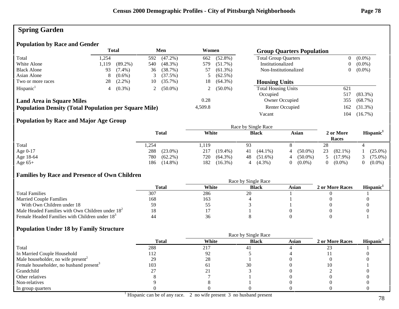# **Spring Garden**

### **Population by Race and Gender**

|                                                              |       | <b>Total</b><br>Men |     |            | Women   |            |                             |     | <b>Group Quarters Population</b> |  |  |
|--------------------------------------------------------------|-------|---------------------|-----|------------|---------|------------|-----------------------------|-----|----------------------------------|--|--|
| Total                                                        | 1.254 |                     | 592 | $(47.2\%)$ | 662     | $(52.8\%)$ | <b>Total Group Quarters</b> | 0   | $(0.0\%)$                        |  |  |
| White Alone                                                  | 1.119 | $(89.2\%)$          | 540 | $(48.3\%)$ | 579     | $(51.7\%)$ | Institutionalized           | 0   | $(0.0\%)$                        |  |  |
| <b>Black Alone</b>                                           | 93    | $(7.4\%)$           | 36  | (38.7%)    | 57      | $(61.3\%)$ | Non-Institutionalized       | 0   | $(0.0\%)$                        |  |  |
| Asian Alone                                                  | 8     | $(0.6\%)$           |     | (37.5%)    |         | $(62.5\%)$ |                             |     |                                  |  |  |
| Two or more races                                            | 28    | $(2.2\%)$           | 10  | $(35.7\%)$ | 18      | $(64.3\%)$ | <b>Housing Units</b>        |     |                                  |  |  |
| Hispanic <sup>1</sup>                                        |       | $(0.3\%)$           |     | $(50.0\%)$ |         | $(50.0\%)$ | <b>Total Housing Units</b>  | 621 |                                  |  |  |
|                                                              |       |                     |     |            |         |            | Occupied                    | 517 | $(83.3\%)$                       |  |  |
| <b>Land Area in Square Miles</b>                             |       |                     |     |            | 0.28    |            | Owner Occupied              | 355 | $(68.7\%)$                       |  |  |
| <b>Population Density (Total Population per Square Mile)</b> |       |                     |     |            | 4,509.8 |            | Renter Occupied             | 162 | $(31.3\%)$                       |  |  |
|                                                              |       |                     |     |            |         |            | Vacant                      | 104 | $(16.7\%)$                       |  |  |

#### **Population by Race and Major Age Group**

|            |                   | Race by Single Race |                  |                 |                       |                       |  |  |
|------------|-------------------|---------------------|------------------|-----------------|-----------------------|-----------------------|--|--|
|            | <b>Total</b>      | White               | <b>Black</b>     | Asian           | 2 or More<br>Races    | Hispanic <sup>1</sup> |  |  |
| Total      | .254              | 119ء                | 93               |                 | 28                    |                       |  |  |
| Age $0-17$ | 288<br>$(23.0\%)$ | 217<br>$(19.4\%)$   | $(44.1\%)$<br>41 | $(50.0\%)$      | 23<br>$(82.1\%)$      | $(25.0\%)$            |  |  |
| Age 18-64  | 780<br>$(62.2\%)$ | $(64.3\%)$<br>720   | $(51.6\%)$<br>48 | $(50.0\%)$<br>4 | $(17.9\%)$            | $(75.0\%)$            |  |  |
| Age $65+$  | 186<br>$(14.8\%)$ | 182<br>$(16.3\%)$   | $(4.3\%)$        | $(0.0\%)$       | $(0.0\%)$<br>$\Omega$ | $(0.0\%)$             |  |  |

#### **Families by Race and Presence of Own Children**

|                                                            | Race by Single Race |       |              |       |                 |                 |  |
|------------------------------------------------------------|---------------------|-------|--------------|-------|-----------------|-----------------|--|
|                                                            | Total               | White | <b>Black</b> | Asian | 2 or More Races | <b>Hispanic</b> |  |
| <b>Total Families</b>                                      | 307                 | 286   | 20           |       |                 |                 |  |
| <b>Married Couple Families</b>                             | 168                 | 163   |              |       |                 |                 |  |
| With Own Children under 18                                 | 7Ý.                 | ີ     |              |       |                 |                 |  |
| Male Headed Families with Own Children under $182$         | 18                  |       |              |       |                 |                 |  |
| Female Headed Families with Children under 18 <sup>3</sup> |                     | 36    |              |       |                 |                 |  |

|                                                     |              | Race by Single Race |              |              |                 |                       |  |
|-----------------------------------------------------|--------------|---------------------|--------------|--------------|-----------------|-----------------------|--|
|                                                     | <b>Total</b> | White               | <b>Black</b> | <b>Asian</b> | 2 or More Races | Hispanic <sup>1</sup> |  |
| Total                                               | 288          | 217                 | 4            |              |                 |                       |  |
| In Married Couple Household                         | 112          | 92                  |              |              |                 |                       |  |
| Male householder, no wife present <sup>2</sup>      | 29           | 28                  |              |              |                 |                       |  |
| Female householder, no husband present <sup>3</sup> | 103          | 6 I                 | 30           |              |                 |                       |  |
| Grandchild                                          |              |                     |              |              |                 |                       |  |
| Other relatives                                     |              |                     |              |              |                 |                       |  |
| Non-relatives                                       |              |                     |              |              |                 |                       |  |
| In group quarters                                   |              |                     |              |              |                 |                       |  |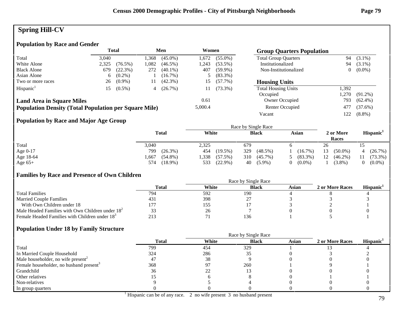# **Spring Hill-CV**

# **Population by Race and Gender**

|                                                              | <b>Total</b> |            |      |            | Men     | Women      |                             |       |            | <b>Group Quarters Population</b> |  |  |
|--------------------------------------------------------------|--------------|------------|------|------------|---------|------------|-----------------------------|-------|------------|----------------------------------|--|--|
| Total                                                        | 3.040        |            | .368 | $(45.0\%)$ | 1,672   | $(55.0\%)$ | <b>Total Group Quarters</b> | 94    | $(3.1\%)$  |                                  |  |  |
| White Alone                                                  | 2,325        | $(76.5\%)$ | .082 | $(46.5\%)$ | 243, ا  | $(53.5\%)$ | Institutionalized           | 94    | $(3.1\%)$  |                                  |  |  |
| <b>Black Alone</b>                                           | 679          | (22.3%)    | 272  | $(40.1\%)$ | 407     | $(59.9\%)$ | Non-Institutionalized       |       | $(0.0\%)$  |                                  |  |  |
| Asian Alone                                                  | 6            | $(0.2\%)$  |      | $(16.7\%)$ |         | $(83.3\%)$ |                             |       |            |                                  |  |  |
| Two or more races                                            | 26           | $(0.9\%)$  | 11   | $(42.3\%)$ | 15      | $(57.7\%)$ | <b>Housing Units</b>        |       |            |                                  |  |  |
| Hispanic <sup>1</sup>                                        |              | $(0.5\%)$  | 4    | (26.7%)    |         | $(73.3\%)$ | <b>Total Housing Units</b>  | 1,392 |            |                                  |  |  |
|                                                              |              |            |      |            |         |            | Occupied                    | 1.270 | $(91.2\%)$ |                                  |  |  |
| <b>Land Area in Square Miles</b>                             |              |            |      |            | 0.61    |            | Owner Occupied              | 793   | $(62.4\%)$ |                                  |  |  |
| <b>Population Density (Total Population per Square Mile)</b> |              |            |      |            | 5,000.4 |            | Renter Occupied             | 477   | $(37.6\%)$ |                                  |  |  |
|                                                              |              |            |      |            |         |            | Vacant                      | 122   | $(8.8\%)$  |                                  |  |  |
|                                                              |              |            |      |            |         |            |                             |       |            |                                  |  |  |

# **Population by Race and Major Age Group**

|            |                    |                    | Race by Single Race |                       |                    |                       |
|------------|--------------------|--------------------|---------------------|-----------------------|--------------------|-----------------------|
|            | <b>Total</b>       | White              | <b>Black</b>        | Asian                 | 2 or More<br>Races | Hispanic <sup>1</sup> |
| Total      | 3,040              | 2,325              | 679                 |                       | 26                 |                       |
| Age $0-17$ | 799<br>$(26.3\%)$  | $(19.5\%)$<br>454  | 329<br>$(48.5\%)$   | (16.7%)               | 13<br>$(50.0\%)$   | (26.7%)<br>$\Delta$   |
| Age 18-64  | $(54.8\%)$<br>.667 | .338<br>$(57.5\%)$ | 310<br>$(45.7\%)$   | $(83.3\%)$            | 12<br>$(46.2\%)$   | $(73.3\%)$            |
| Age $65+$  | $(18.9\%)$<br>574  | $(22.9\%)$<br>533  | $(5.9\%)$<br>40     | $(0.0\%)$<br>$\Omega$ | $(3.8\%)$          | $(0.0\%)$             |

#### **Families by Race and Presence of Own Children**

|                                                            | Race by Single Race |       |              |       |                 |                 |  |  |
|------------------------------------------------------------|---------------------|-------|--------------|-------|-----------------|-----------------|--|--|
|                                                            | Total               | White | <b>Black</b> | Asian | 2 or More Races | <b>Hispanic</b> |  |  |
| <b>Total Families</b>                                      | 794                 | 592   | 190          |       |                 |                 |  |  |
| <b>Married Couple Families</b>                             | 431                 | 398   |              |       |                 |                 |  |  |
| With Own Children under 18                                 |                     | 155   |              |       |                 |                 |  |  |
| Male Headed Families with Own Children under $182$         |                     | 26    |              |       |                 |                 |  |  |
| Female Headed Families with Children under 18 <sup>3</sup> |                     |       | 136          |       |                 |                 |  |  |

|                                                     |              | Race by Single Race |              |              |                 |                       |
|-----------------------------------------------------|--------------|---------------------|--------------|--------------|-----------------|-----------------------|
|                                                     | <b>Total</b> | White               | <b>Black</b> | <b>Asian</b> | 2 or More Races | Hispanic <sup>1</sup> |
| Total                                               | 799          | 454                 | 329          |              |                 |                       |
| In Married Couple Household                         | 324          | 286                 |              |              |                 |                       |
| Male householder, no wife present <sup>2</sup>      | 4.           | 38                  |              |              |                 |                       |
| Female householder, no husband present <sup>3</sup> | 368          | Q.                  | 260          |              |                 |                       |
| Grandchild                                          | 36           | 22                  |              |              |                 |                       |
| Other relatives                                     |              |                     |              |              |                 |                       |
| Non-relatives                                       |              |                     |              |              |                 |                       |
| In group quarters                                   |              |                     |              |              |                 |                       |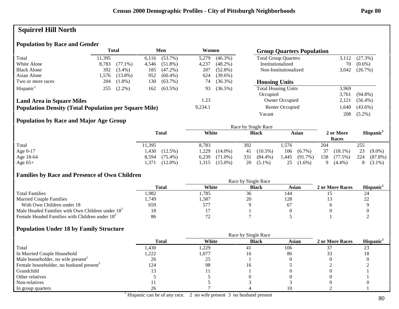# **Squirrel Hill North**

### **Population by Race and Gender**

|                                                              |        | <b>Total</b> |       | Men        | Women   |            | <b>Group Quarters Population</b> |       |            |
|--------------------------------------------------------------|--------|--------------|-------|------------|---------|------------|----------------------------------|-------|------------|
| Total                                                        | 11.395 |              | 6,116 | $(53.7\%)$ | 5,279   | $(46.3\%)$ | <b>Total Group Quarters</b>      | 3,112 | (27.3%)    |
| White Alone                                                  | 8,783  | $(77.1\%)$   | 4,546 | $(51.8\%)$ | 4,237   | $(48.2\%)$ | Institutionalized                | 70    | $(0.6\%)$  |
| <b>Black Alone</b>                                           | 392    | $(3.4\%)$    | 185   | $(47.2\%)$ | 207     | $(52.8\%)$ | Non-Institutionalized            | 3,042 | (26.7%)    |
| Asian Alone                                                  | 1.576  | $(13.8\%)$   | 952   | $(60.4\%)$ | 624     | $(39.6\%)$ |                                  |       |            |
| Two or more races                                            | 204    | $(1.8\%)$    | 130   | $(63.7\%)$ | 74      | $(36.3\%)$ | <b>Housing Units</b>             |       |            |
| Hispanic <sup>1</sup>                                        | 255    | $(2.2\%)$    | 162   | $(63.5\%)$ | 93      | $(36.5\%)$ | <b>Total Housing Units</b>       | 3.969 |            |
|                                                              |        |              |       |            |         |            | Occupied                         | 3.761 | $(94.8\%)$ |
| <b>Land Area in Square Miles</b>                             |        |              |       |            | 1.23    |            | Owner Occupied                   | 2,121 | $(56.4\%)$ |
| <b>Population Density (Total Population per Square Mile)</b> |        |              |       |            | 9,234.1 |            | Renter Occupied                  | .640  | $(43.6\%)$ |
|                                                              |        |              |       |            |         |            | Vacant                           | 208   | $(5.2\%)$  |

## **Population by Race and Major Age Group**

|           |                     |                     | Race by Single Race |                    |                    |                       |
|-----------|---------------------|---------------------|---------------------|--------------------|--------------------|-----------------------|
|           | <b>Total</b>        | White               | <b>Black</b>        | Asian              | 2 or More<br>Races | Hispanic <sup>1</sup> |
| Total     | 11,395              | 8.783               | 392                 | .576               | 204                | 255                   |
| Age 0-17  | 1,430<br>$(12.5\%)$ | .229<br>$(14.0\%)$  | $(10.5\%)$<br>41    | 106<br>$(6.7\%)$   | 37<br>$(18.1\%)$   | 23<br>$(9.0\%)$       |
| Age 18-64 | $(75.4\%)$<br>8,594 | 6,239<br>$(71.0\%)$ | 331<br>$(84.4\%)$   | .445<br>$(91.7\%)$ | 158<br>$(77.5\%)$  | 224<br>$(87.8\%)$     |
| Age $65+$ | $(12.0\%)$<br>.371  | $(15.0\%)$<br>.315  | $20(5.1\%)$         | 25<br>$(1.6\%)$    | Q<br>$(4.4\%)$     | $(3.1\%)$             |

#### **Families by Race and Presence of Own Children**

|                                                            | Race by Single Race |       |              |       |                 |                               |  |
|------------------------------------------------------------|---------------------|-------|--------------|-------|-----------------|-------------------------------|--|
|                                                            | Total               | White | <b>Black</b> | Asian | 2 or More Races | <b>Hispanic</b>               |  |
| <b>Total Families</b>                                      | l.982               | .785  | 30           | 144   |                 | 24                            |  |
| <b>Married Couple Families</b>                             | . 749               | .587  | 20           | 128   |                 | ാ<br>$\overline{\phantom{a}}$ |  |
| With Own Children under 18                                 | 659                 | 577   |              |       |                 |                               |  |
| Male Headed Families with Own Children under $182$         | 18                  |       |              |       |                 |                               |  |
| Female Headed Families with Children under 18 <sup>3</sup> | 86                  | הה    |              |       |                 |                               |  |

|                                                     |              |       | Race by Single Race |              |                 |                       |
|-----------------------------------------------------|--------------|-------|---------------------|--------------|-----------------|-----------------------|
|                                                     | <b>Total</b> | White | <b>Black</b>        | <b>Asian</b> | 2 or More Races | Hispanic <sup>1</sup> |
| Total                                               | 1,430        | ,229  | 41                  | 106          |                 | ل ک                   |
| In Married Couple Household                         | .222         | 1,077 | Iб                  | 86           |                 |                       |
| Male householder, no wife present <sup>2</sup>      | 26           | ን 5   |                     |              |                 |                       |
| Female householder, no husband present <sup>3</sup> | 124          | 98    | Iб                  |              |                 |                       |
| Grandchild                                          |              |       |                     |              |                 |                       |
| Other relatives                                     |              |       |                     |              |                 |                       |
| Non-relatives                                       |              |       |                     |              |                 |                       |
| In group quarters                                   | 26           |       |                     |              |                 |                       |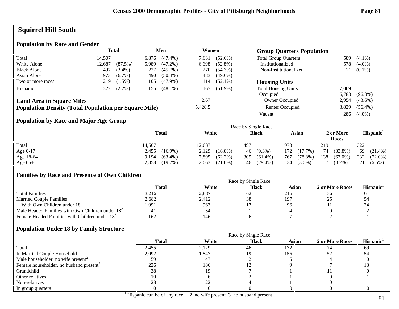# **Squirrel Hill South**

# **Population by Race and Gender**

|                                                              | <b>Total</b><br>Men |           |       | Women      |         |            |                             | <b>Group Quarters Population</b> |            |  |
|--------------------------------------------------------------|---------------------|-----------|-------|------------|---------|------------|-----------------------------|----------------------------------|------------|--|
| Total                                                        | 14.507              |           | 6.876 | $(47.4\%)$ | 7,631   | $(52.6\%)$ | <b>Total Group Quarters</b> | 589                              | $(4.1\%)$  |  |
| White Alone                                                  | 12,687              | (87.5%)   | 5,989 | $(47.2\%)$ | 6,698   | $(52.8\%)$ | Institutionalized           | 578                              | $(4.0\%)$  |  |
| <b>Black Alone</b>                                           | 497                 | $(3.4\%)$ | 227   | $(45.7\%)$ | 270     | $(54.3\%)$ | Non-Institutionalized       |                                  | $(0.1\%)$  |  |
| Asian Alone                                                  | 973                 | $(6.7\%)$ | 490   | $(50.4\%)$ | 483     | $(49.6\%)$ |                             |                                  |            |  |
| Two or more races                                            | 219                 | $(1.5\%)$ | 105   | $(47.9\%)$ | 114     | $(52.1\%)$ | <b>Housing Units</b>        |                                  |            |  |
| Hispanic <sup>1</sup>                                        | 322                 | $(2.2\%)$ | 155   | $(48.1\%)$ | 167     | $(51.9\%)$ | <b>Total Housing Units</b>  | 7.069                            |            |  |
|                                                              |                     |           |       |            |         |            | Occupied                    | 6.783                            | $(96.0\%)$ |  |
| <b>Land Area in Square Miles</b>                             |                     |           |       |            | 2.67    |            | Owner Occupied              | 2,954                            | $(43.6\%)$ |  |
| <b>Population Density (Total Population per Square Mile)</b> |                     |           |       |            | 5,428.5 |            | Renter Occupied             | 3.829                            | $(56.4\%)$ |  |
|                                                              |                     |           |       |            |         |            | Vacant                      | 286                              | $(4.0\%)$  |  |

#### **Population by Race and Major Age Group**

|            |                     |                     | Race by Single Race |                   |                    |                       |
|------------|---------------------|---------------------|---------------------|-------------------|--------------------|-----------------------|
|            | <b>Total</b>        | White               | <b>Black</b>        | Asian             | 2 or More<br>Races | Hispanic <sup>1</sup> |
| Total      | 14,507              | 12,687              | 497                 | 973               | 219                | 322                   |
| Age $0-17$ | $(16.9\%)$<br>2,455 | 2,129<br>$(16.8\%)$ | $(9.3\%)$<br>46     | $(17.7\%)$<br>172 | 74<br>$(33.8\%)$   | 69<br>$(21.4\%)$      |
| Age 18-64  | $(63.4\%)$<br>9.194 | $(62.2\%)$<br>7,895 | 305<br>$(61.4\%)$   | 767<br>$(78.8\%)$ | 138<br>$(63.0\%)$  | 232<br>$(72.0\%)$     |
| Age $65+$  | $(19.7\%)$<br>2,858 | $(21.0\%)$<br>2,663 | $(29.4\%)$<br>146   | 34<br>$(3.5\%)$   | $(3.2\%)$          | 21<br>$(6.5\%)$       |

#### **Families by Race and Presence of Own Children**

|                                                            | Total | White | <b>Black</b> | Asian | 2 or More Races | <b>Hispanic</b> |
|------------------------------------------------------------|-------|-------|--------------|-------|-----------------|-----------------|
| <b>Total Families</b>                                      | 3,216 | 2,887 | 62           | 216   | 36              | O.              |
| <b>Married Couple Families</b>                             | 2,682 | 2,412 | 38           | 197   | ر_              | 54              |
| With Own Children under 18                                 | 1,091 | 963   |              | 96    |                 | 24              |
| Male Headed Families with Own Children under $182$         |       | 34    |              |       |                 |                 |
| Female Headed Families with Children under 18 <sup>3</sup> | 162   | 146   |              |       |                 |                 |

|                                                     |              | Race by Single Race |              |              |                 |                       |
|-----------------------------------------------------|--------------|---------------------|--------------|--------------|-----------------|-----------------------|
|                                                     | <b>Total</b> | White               | <b>Black</b> | <b>Asian</b> | 2 or More Races | Hispanic <sup>1</sup> |
| Total                                               | 2,455        | 2,129               | 46           | 172          |                 | 69                    |
| In Married Couple Household                         | 2,092        | 847,ا               |              | 155          |                 | 54                    |
| Male householder, no wife present <sup>2</sup>      |              | 47                  |              |              |                 |                       |
| Female householder, no husband present <sup>3</sup> | 226          | 186                 |              |              |                 |                       |
| Grandchild                                          | 38           | 19                  |              |              |                 |                       |
| Other relatives                                     |              |                     |              |              |                 |                       |
| Non-relatives                                       | 28           | າາ                  |              |              |                 |                       |
| In group quarters                                   |              |                     |              |              |                 |                       |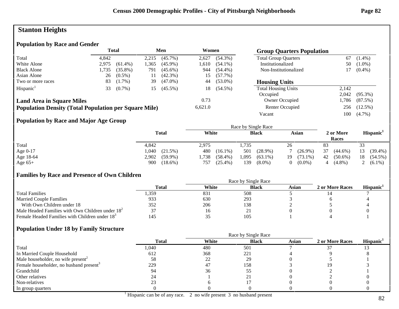# **Stanton Heights**

# **Population by Race and Gender**

|                                                              | <b>Total</b><br>Men |            |       | Women      |         | <b>Group Quarters Population</b> |                             |       |            |
|--------------------------------------------------------------|---------------------|------------|-------|------------|---------|----------------------------------|-----------------------------|-------|------------|
| Total                                                        | 4.842               |            | 2,215 | $(45.7\%)$ | 2,627   | $(54.3\%)$                       | <b>Total Group Quarters</b> | 67    | $(1.4\%)$  |
| White Alone                                                  | 2.975               | $(61.4\%)$ | .365  | $(45.9\%)$ | 1,610   | $(54.1\%)$                       | Institutionalized           | 50    | $(1.0\%)$  |
| <b>Black Alone</b>                                           | 1,735               | $(35.8\%)$ | 791   | $(45.6\%)$ | 944     | $(54.4\%)$                       | Non-Institutionalized       |       | $(0.4\%)$  |
| Asian Alone                                                  | 26                  | $(0.5\%)$  | 11    | $(42.3\%)$ | 15      | $(57.7\%)$                       |                             |       |            |
| Two or more races                                            | 83                  | $(1.7\%)$  | 39    | $(47.0\%)$ | 44      | $(53.0\%)$                       | <b>Housing Units</b>        |       |            |
| Hispanic <sup>1</sup>                                        | 33                  | $(0.7\%)$  | 15    | $(45.5\%)$ | 18      | $(54.5\%)$                       | <b>Total Housing Units</b>  | 2.142 |            |
|                                                              |                     |            |       |            |         |                                  | Occupied                    | 2,042 | $(95.3\%)$ |
| <b>Land Area in Square Miles</b>                             |                     |            |       |            | 0.73    |                                  | Owner Occupied              | .,786 | (87.5%)    |
| <b>Population Density (Total Population per Square Mile)</b> |                     |            |       |            | 6,621.0 |                                  | Renter Occupied             | 256   | $(12.5\%)$ |
|                                                              |                     |            |       |            |         |                                  | Vacant                      | 100   | $(4.7\%)$  |

## **Population by Race and Major Age Group**

|           |                     |                   | Race by Single Race |                       |                    |                       |
|-----------|---------------------|-------------------|---------------------|-----------------------|--------------------|-----------------------|
|           | <b>Total</b>        | White             | <b>Black</b>        | Asian                 | 2 or More<br>Races | Hispanic <sup>1</sup> |
| Total     | 4,842               | 2,975             | 1.735               | 26                    | 83                 | 33                    |
| Age 0-17  | .040<br>$(21.5\%)$  | 480<br>$(16.1\%)$ | $(28.9\%)$<br>501   | $(26.9\%)$            | 37<br>$(44.6\%)$   | $(39.4\%)$<br>13      |
| Age 18-64 | 2,902<br>$(59.9\%)$ | .738<br>(58.4%)   | ,095<br>$(63.1\%)$  | $(73.1\%)$<br>19-     | 42<br>$(50.6\%)$   | $(54.5\%)$<br>18      |
| Age $65+$ | 900<br>$(18.6\%)$   | $(25.4\%)$<br>757 | 139<br>$(8.0\%)$    | $(0.0\%)$<br>$\Omega$ | $(4.8\%)$          | 2 $(6.1\%)$           |

#### **Families by Race and Presence of Own Children**

|                                                            | Total | White | <b>Black</b> | Asian | 2 or More Races | <b>Hispanic</b> |
|------------------------------------------------------------|-------|-------|--------------|-------|-----------------|-----------------|
| <b>Total Families</b>                                      | . 359 | 831   | 508          |       |                 |                 |
| <b>Married Couple Families</b>                             | 933   | 630   | 293          |       |                 |                 |
| With Own Children under 18                                 | 352   | 206   | 138          |       |                 |                 |
| Male Headed Families with Own Children under $182$         |       |       |              |       |                 |                 |
| Female Headed Families with Children under 18 <sup>3</sup> | 145   |       | 105          |       |                 |                 |

|                                                     |              |       | Race by Single Race |              |                 |                       |
|-----------------------------------------------------|--------------|-------|---------------------|--------------|-----------------|-----------------------|
|                                                     | <b>Total</b> | White | <b>Black</b>        | <b>Asian</b> | 2 or More Races | Hispanic <sup>1</sup> |
| Total                                               | 1,040        | 480   | 501                 |              |                 |                       |
| In Married Couple Household                         | 612          | 368   | 221                 |              |                 |                       |
| Male householder, no wife present <sup>2</sup>      | 58           | 22    | 29                  |              |                 |                       |
| Female householder, no husband present <sup>3</sup> | 229          | 47    | 158                 |              |                 |                       |
| Grandchild                                          |              | 36    | JJ                  |              |                 |                       |
| Other relatives                                     |              |       |                     |              |                 |                       |
| Non-relatives                                       |              |       |                     |              |                 |                       |
| In group quarters                                   |              |       |                     |              |                 |                       |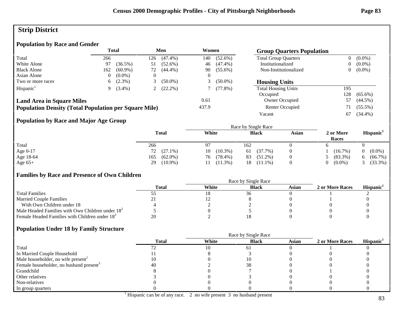# **Strip District**

# **Population by Race and Gender**

| <b>Total</b><br>Men                                          |              | Women<br><b>Group Quarters Population</b> |                  |            |       |            |                             |                |            |
|--------------------------------------------------------------|--------------|-------------------------------------------|------------------|------------|-------|------------|-----------------------------|----------------|------------|
| Total                                                        | 266          |                                           | 126              | $(47.4\%)$ | 140   | $(52.6\%)$ | <b>Total Group Quarters</b> | $\overline{0}$ | $(0.0\%)$  |
| White Alone                                                  | 97           | $(36.5\%)$                                | 51               | $(52.6\%)$ | 46    | $(47.4\%)$ | Institutionalized           | 0              | $(0.0\%)$  |
| <b>Black Alone</b>                                           | 162          | $(60.9\%)$                                | 72               | $(44.4\%)$ | 90    | $(55.6\%)$ | Non-Institutionalized       | 0              | $(0.0\%)$  |
| Asian Alone                                                  | 0            | $(0.0\%)$                                 | $\left( \right)$ |            |       |            |                             |                |            |
| Two or more races                                            | 6.           | $(2.3\%)$                                 |                  | $(50.0\%)$ |       | $(50.0\%)$ | <b>Housing Units</b>        |                |            |
| Hispanic <sup>1</sup>                                        | $\mathbf{Q}$ | $(3.4\%)$                                 |                  | $(22.2\%)$ |       | $(77.8\%)$ | <b>Total Housing Units</b>  | 195            |            |
|                                                              |              |                                           |                  |            |       |            | Occupied                    | 128            | $(65.6\%)$ |
| <b>Land Area in Square Miles</b>                             |              |                                           |                  |            | 0.61  |            | Owner Occupied              | 57             | $(44.5\%)$ |
| <b>Population Density (Total Population per Square Mile)</b> |              |                                           |                  |            | 437.9 |            | Renter Occupied             |                | $(55.5\%)$ |
|                                                              |              |                                           |                  |            |       |            | Vacant                      | 67             | $(34.4\%)$ |

## **Population by Race and Major Age Group**

|           |                   | Race by Single Race |                  |       |                    |                       |  |
|-----------|-------------------|---------------------|------------------|-------|--------------------|-----------------------|--|
|           | <b>Total</b>      | White               | <b>Black</b>     | Asian | 2 or More<br>Races | Hispanic <sup>1</sup> |  |
| Total     | 266               | 97                  | 162              |       |                    |                       |  |
| Age 0-17  | 72 (27.1%)        | $(10.3\%)$<br>10    | (37.7%)<br>61    |       | $(16.7\%)$         | $(0.0\%)$             |  |
| Age 18-64 | $(62.0\%)$<br>165 | $(78.4\%)$<br>76    | $(51.2\%)$<br>83 |       | $(83.3\%)$         | $(66.7\%)$<br>O.      |  |
| Age $65+$ | $(10.9\%)$<br>29  | $(11.3\%)$          | $(11.1\%)$<br>18 |       | $(0.0\%)$          | $(33.3\%)$            |  |

#### **Families by Race and Presence of Own Children**

|                                                            | Race by Single Race |       |              |       |                 |                 |  |  |
|------------------------------------------------------------|---------------------|-------|--------------|-------|-----------------|-----------------|--|--|
|                                                            | Total               | White | <b>Black</b> | Asian | 2 or More Races | <b>Hispanic</b> |  |  |
| <b>Total Families</b>                                      |                     |       |              |       |                 |                 |  |  |
| <b>Married Couple Families</b>                             |                     |       |              |       |                 |                 |  |  |
| With Own Children under 18                                 |                     |       |              |       |                 |                 |  |  |
| Male Headed Families with Own Children under $182$         |                     |       |              |       |                 |                 |  |  |
| Female Headed Families with Children under 18 <sup>3</sup> | 20                  |       |              |       |                 |                 |  |  |

|                                                     |              |       | Race by Single Race |              |                 |                       |
|-----------------------------------------------------|--------------|-------|---------------------|--------------|-----------------|-----------------------|
|                                                     | <b>Total</b> | White | <b>Black</b>        | <b>Asian</b> | 2 or More Races | Hispanic <sup>1</sup> |
| Total                                               |              |       | 0.                  |              |                 |                       |
| In Married Couple Household                         |              |       |                     |              |                 |                       |
| Male householder, no wife present <sup>2</sup>      |              |       |                     |              |                 |                       |
| Female householder, no husband present <sup>3</sup> | 40           |       | 38                  |              |                 |                       |
| Grandchild                                          |              |       |                     |              |                 |                       |
| Other relatives                                     |              |       |                     |              |                 |                       |
| Non-relatives                                       |              |       |                     |              |                 |                       |
| In group quarters                                   |              |       |                     |              |                 |                       |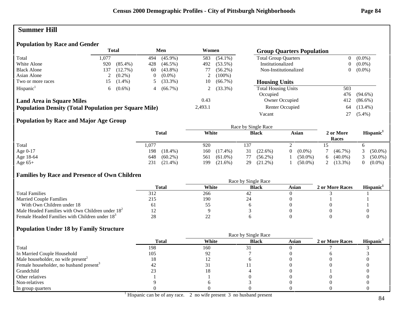# **Summer Hill**

# **Population by Race and Gender**

|                                                              |       | <b>Total</b> |     | Men        | Women   |            | <b>Group Quarters Population</b> |                |            |
|--------------------------------------------------------------|-------|--------------|-----|------------|---------|------------|----------------------------------|----------------|------------|
| Total                                                        | 1.077 |              | 494 | $(45.9\%)$ | 583     | $(54.1\%)$ | <b>Total Group Quarters</b>      | $\overline{0}$ | $(0.0\%)$  |
| White Alone                                                  | 920   | $(85.4\%)$   | 428 | $(46.5\%)$ | 492     | $(53.5\%)$ | Institutionalized                | 0              | $(0.0\%)$  |
| <b>Black Alone</b>                                           | 137   | $(12.7\%)$   | 60  | $(43.8\%)$ | 77      | $(56.2\%)$ | Non-Institutionalized            | 0              | $(0.0\%)$  |
| Asian Alone                                                  |       | $(0.2\%)$    | 0   | $(0.0\%)$  |         | $(100\%)$  |                                  |                |            |
| Two or more races                                            | 15.   | $(1.4\%)$    |     | $(33.3\%)$ | 10      | $(66.7\%)$ | <b>Housing Units</b>             |                |            |
| Hispanic <sup>1</sup>                                        | 6     | $(0.6\%)$    | 4   | $(66.7\%)$ |         | $(33.3\%)$ | <b>Total Housing Units</b>       | 503            |            |
|                                                              |       |              |     |            |         |            | Occupied                         | 476            | $(94.6\%)$ |
| <b>Land Area in Square Miles</b>                             |       |              |     |            | 0.43    |            | Owner Occupied                   | 412            | $(86.6\%)$ |
| <b>Population Density (Total Population per Square Mile)</b> |       |              |     |            | 2,493.1 |            | Renter Occupied                  | 64             | $(13.4\%)$ |
|                                                              |       |              |     |            |         |            | Vacant                           | 27             | $(5.4\%)$  |

## **Population by Race and Major Age Group**

|            |                   | Race by Single Race |                  |            |                    |                       |  |  |
|------------|-------------------|---------------------|------------------|------------|--------------------|-----------------------|--|--|
|            | <b>Total</b>      | White               | <b>Black</b>     | Asian      | 2 or More<br>Races | Hispanic <sup>1</sup> |  |  |
| Total      | .,077             | 920                 | 137              | ∠          |                    |                       |  |  |
| Age $0-17$ | 198<br>$(18.4\%)$ | 160<br>$(17.4\%)$   | $(22.6\%)$<br>31 | $(0.0\%)$  | $(46.7\%)$         | $(50.0\%)$            |  |  |
| Age 18-64  | $(60.2\%)$<br>648 | $(61.0\%)$<br>561   | $(56.2\%)$<br>77 | $(50.0\%)$ | $(40.0\%)$<br>6    | $(50.0\%)$            |  |  |
| Age $65+$  | $(21.4\%)$<br>231 | 199<br>$(21.6\%)$   | $(21.2\%)$<br>29 | $(50.0\%)$ | $(13.3\%)$<br>∸    | $(0.0\%)$             |  |  |

#### **Families by Race and Presence of Own Children**

|                                                            | Race by Single Race |       |              |       |                 |                 |  |
|------------------------------------------------------------|---------------------|-------|--------------|-------|-----------------|-----------------|--|
|                                                            | Total               | White | <b>Black</b> | Asian | 2 or More Races | <b>Hispanic</b> |  |
| <b>Total Families</b>                                      | 312                 | 266   | 44           |       |                 |                 |  |
| <b>Married Couple Families</b>                             | 215                 | 190   |              |       |                 |                 |  |
| With Own Children under 18                                 | ΟI                  | IJ    |              |       |                 |                 |  |
| Male Headed Families with Own Children under $182$         |                     |       |              |       |                 |                 |  |
| Female Headed Families with Children under 18 <sup>3</sup> | 28                  |       |              |       |                 |                 |  |

|                                                     | <b>Total</b> | White | <b>Black</b> | <b>Asian</b> | 2 or More Races | Hispanic <sup>1</sup> |
|-----------------------------------------------------|--------------|-------|--------------|--------------|-----------------|-----------------------|
| Total                                               | 198          | 160   |              |              |                 |                       |
| In Married Couple Household                         | 105          | 92    |              |              |                 |                       |
| Male householder, no wife present <sup>2</sup>      |              |       |              |              |                 |                       |
| Female householder, no husband present <sup>3</sup> | 42           |       |              |              |                 |                       |
| Grandchild                                          |              |       |              |              |                 |                       |
| Other relatives                                     |              |       |              |              |                 |                       |
| Non-relatives                                       |              |       |              |              |                 |                       |
| In group quarters                                   |              |       |              |              |                 |                       |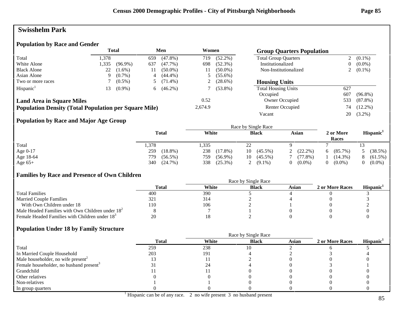# **Swisshelm Park**

#### **Population by Race and Gender**

|                                                              |              | <b>Total</b> |     | Men        | Women   |            | <b>Group Quarters Population</b> |                |            |
|--------------------------------------------------------------|--------------|--------------|-----|------------|---------|------------|----------------------------------|----------------|------------|
| Total                                                        | 1,378        |              | 659 | $(47.8\%)$ | 719     | $(52.2\%)$ | <b>Total Group Quarters</b>      | 2              | $(0.1\%)$  |
| White Alone                                                  | 1,335        | $(96.9\%)$   | 637 | $(47.7\%)$ | 698     | $(52.3\%)$ | Institutionalized                | $\overline{0}$ | $(0.0\%)$  |
| <b>Black Alone</b>                                           | 22           | $(1.6\%)$    | 11  | $(50.0\%)$ | 11      | $(50.0\%)$ | Non-Institutionalized            | ∠              | $(0.1\%)$  |
| Asian Alone                                                  | 9.           | $(0.7\%)$    | 4   | $(44.4\%)$ |         | $(55.6\%)$ |                                  |                |            |
| Two or more races                                            |              | $(0.5\%)$    |     | $(71.4\%)$ |         | $(28.6\%)$ | <b>Housing Units</b>             |                |            |
| Hispanic <sup>1</sup>                                        | <sup>3</sup> | $(0.9\%)$    | 6   | $(46.2\%)$ |         | $(53.8\%)$ | <b>Total Housing Units</b>       | 627            |            |
|                                                              |              |              |     |            |         |            | Occupied                         | 607            | $(96.8\%)$ |
| <b>Land Area in Square Miles</b>                             |              |              |     |            | 0.52    |            | Owner Occupied                   | 533            | $(87.8\%)$ |
| <b>Population Density (Total Population per Square Mile)</b> |              |              |     |            | 2,674.9 |            | Renter Occupied                  | 74             | $(12.2\%)$ |
|                                                              |              |              |     |            |         |            | Vacant                           | 20             | $(3.2\%)$  |

#### **Population by Race and Major Age Group**

|            |                   |                   | Race by Single Race            |            |                       |                       |
|------------|-------------------|-------------------|--------------------------------|------------|-----------------------|-----------------------|
|            | <b>Total</b>      | White             | <b>Black</b>                   | Asian      | 2 or More<br>Races    | Hispanic <sup>1</sup> |
| Total      | .378              | .335              | າາ<br>$\overline{\phantom{a}}$ |            |                       |                       |
| Age $0-17$ | $(18.8\%)$<br>259 | 238<br>$(17.8\%)$ | $(45.5\%)$<br>10               | $(22.2\%)$ | $(85.7\%)$<br>6       | (38.5%)               |
| Age 18-64  | 779<br>$(56.5\%)$ | $(56.9\%)$<br>759 | $(45.5\%)$<br>10               | $(77.8\%)$ | $(14.3\%)$            | $(61.5\%)$<br>$\circ$ |
| Age $65+$  | 340<br>$(24.7\%)$ | $(25.3\%)$<br>338 | $(9.1\%)$                      | $(0.0\%)$  | $(0.0\%)$<br>$\Omega$ | $(0.0\%)$             |

#### **Families by Race and Presence of Own Children**

|                                                            | Race by Single Race |       |              |       |                 |                 |  |  |
|------------------------------------------------------------|---------------------|-------|--------------|-------|-----------------|-----------------|--|--|
|                                                            | <b>Total</b>        | White | <b>Black</b> | Asian | 2 or More Races | <b>Hispanic</b> |  |  |
| <b>Total Families</b>                                      | 400                 | 390   |              |       |                 |                 |  |  |
| <b>Married Couple Families</b>                             |                     | 314   |              |       |                 |                 |  |  |
| With Own Children under 18                                 | 110                 | 106   |              |       |                 |                 |  |  |
| Male Headed Families with Own Children under $182$         |                     |       |              |       |                 |                 |  |  |
| Female Headed Families with Children under 18 <sup>3</sup> | 20                  |       |              |       |                 |                 |  |  |

|                                                     | <b>Total</b> | White | <b>Black</b> | Asian | 2 or More Races | Hispanic <sup>1</sup> |
|-----------------------------------------------------|--------------|-------|--------------|-------|-----------------|-----------------------|
| Total                                               | 259          | 238   | 10           |       |                 |                       |
| In Married Couple Household                         | 203          | 191   |              |       |                 |                       |
| Male householder, no wife present <sup>2</sup>      |              |       |              |       |                 |                       |
| Female householder, no husband present <sup>3</sup> |              | 24    |              |       |                 |                       |
| Grandchild                                          |              |       |              |       |                 |                       |
| Other relatives                                     |              |       |              |       |                 |                       |
| Non-relatives                                       |              |       |              |       |                 |                       |
| In group quarters                                   |              |       |              |       |                 |                       |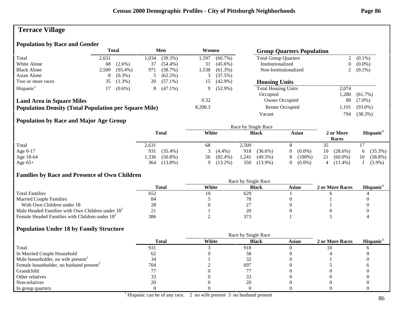# **Terrace Village**

# **Population by Race and Gender**

|                                                              | <b>Total</b> |            | Men  |            | Women   |            |                             |                | <b>Group Quarters Population</b> |  |  |
|--------------------------------------------------------------|--------------|------------|------|------------|---------|------------|-----------------------------|----------------|----------------------------------|--|--|
| Total                                                        | 2,631        |            | .034 | $(39.3\%)$ | .597    | $(60.7\%)$ | <b>Total Group Quarters</b> |                | $(0.1\%)$                        |  |  |
| White Alone                                                  | 68           | $(2.6\%)$  | 37   | $(54.4\%)$ | 31      | $(45.6\%)$ | Institutionalized           | $\overline{0}$ | $(0.0\%)$                        |  |  |
| <b>Black Alone</b>                                           | 2,509        | $(95.4\%)$ | 971  | (38.7%)    | 1,538   | $(61.3\%)$ | Non-Institutionalized       |                | 2 $(0.1\%)$                      |  |  |
| Asian Alone                                                  | 8            | $(0.3\%)$  |      | $(62.5\%)$ |         | (37.5%)    |                             |                |                                  |  |  |
| Two or more races                                            | 35           | $(1.3\%)$  | 20   | $(57.1\%)$ | 15      | $(42.9\%)$ | <b>Housing Units</b>        |                |                                  |  |  |
| Hispanic <sup>1</sup>                                        |              | $(0.6\%)$  | 8.   | $(47.1\%)$ | 9       | $(52.9\%)$ | <b>Total Housing Units</b>  | 2.074          |                                  |  |  |
|                                                              |              |            |      |            |         |            | Occupied                    | .280           | $(61.7\%)$                       |  |  |
| <b>Land Area in Square Miles</b>                             |              |            |      |            | 0.32    |            | <b>Owner Occupied</b>       | 89             | $(7.0\%)$                        |  |  |
| <b>Population Density (Total Population per Square Mile)</b> |              |            |      |            | 8,200.3 |            | Renter Occupied             | 1.191          | $(93.0\%)$                       |  |  |
|                                                              |              |            |      |            |         |            | Vacant                      | 794            | $(38.3\%)$                       |  |  |

# **Population by Race and Major Age Group**

|            |                     |                  | Race by Single Race |                       |                    |                       |
|------------|---------------------|------------------|---------------------|-----------------------|--------------------|-----------------------|
|            | <b>Total</b>        | White            | <b>Black</b>        | Asian                 | 2 or More<br>Races | Hispanic <sup>1</sup> |
| Total      | 2,631               | 68               | 2.509               |                       | 35                 |                       |
| Age $0-17$ | 931<br>$(35.4\%)$   | $(4.4\%)$        | 918<br>$(36.6\%)$   | $(0.0\%)$<br>$\Omega$ | 10<br>$(28.6\%)$   | $(35.3\%)$            |
| Age 18-64  | 1,336<br>$(50.8\%)$ | $(82.4\%)$<br>56 | 1,241<br>$(49.5\%)$ | $(100\%)$<br>8        | 21<br>$(60.0\%)$   | $(58.8\%)$<br>10      |
| Age $65+$  | $(13.8\%)$<br>364   | $(13.2\%)$       | 350<br>$(13.9\%)$   | $(0.0\%)$             | $(11.4\%)$<br>4    | $(5.9\%)$             |

#### **Families by Race and Presence of Own Children**

|                                                            | Race by Single Race |       |              |       |                 |                 |  |
|------------------------------------------------------------|---------------------|-------|--------------|-------|-----------------|-----------------|--|
|                                                            | Total               | White | <b>Black</b> | Asian | 2 or More Races | <b>Hispanic</b> |  |
| <b>Total Families</b>                                      | 652                 |       | 629          |       |                 |                 |  |
| <b>Married Couple Families</b>                             | 84                  |       |              |       |                 |                 |  |
| With Own Children under 18                                 | 28                  |       |              |       |                 |                 |  |
| Male Headed Families with Own Children under $182$         |                     |       |              |       |                 |                 |  |
| Female Headed Families with Children under 18 <sup>3</sup> | 386                 |       | 373          |       |                 |                 |  |

|                                                     |              | Race by Single Race |              |              |                 |                       |  |  |
|-----------------------------------------------------|--------------|---------------------|--------------|--------------|-----------------|-----------------------|--|--|
|                                                     | <b>Total</b> | White               | <b>Black</b> | <b>Asian</b> | 2 or More Races | Hispanic <sup>1</sup> |  |  |
| Total                                               | 931          |                     | 918          |              |                 |                       |  |  |
| In Married Couple Household                         |              |                     | 58           |              |                 |                       |  |  |
| Male householder, no wife present <sup>2</sup>      |              |                     |              |              |                 |                       |  |  |
| Female householder, no husband present <sup>3</sup> | 704          |                     | 697          |              |                 |                       |  |  |
| Grandchild                                          |              |                     |              |              |                 |                       |  |  |
| Other relatives                                     |              |                     |              |              |                 |                       |  |  |
| Non-relatives                                       |              |                     | 20           |              |                 |                       |  |  |
| In group quarters                                   |              |                     |              |              |                 |                       |  |  |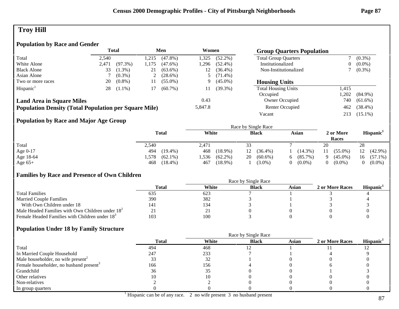# **Troy Hill**

# **Population by Race and Gender**

|                                                              |       | <b>Total</b> |                | Men        | Women   |            | <b>Group Quarters Population</b> |       |            |
|--------------------------------------------------------------|-------|--------------|----------------|------------|---------|------------|----------------------------------|-------|------------|
| Total                                                        | 2.540 |              | .215           | $(47.8\%)$ | 1,325   | $(52.2\%)$ | <b>Total Group Quarters</b>      |       | $(0.3\%)$  |
| White Alone                                                  | 2.471 | $(97.3\%)$   | .175           | $(47.6\%)$ | .296    | $(52.4\%)$ | Institutionalized                | 0     | $(0.0\%)$  |
| <b>Black Alone</b>                                           | 33    | $(1.3\%)$    | 21             | $(63.6\%)$ | 12      | $(36.4\%)$ | Non-Institutionalized            |       | $(0.3\%)$  |
| Asian Alone                                                  |       | $(0.3\%)$    | $\overline{L}$ | $(28.6\%)$ |         | $(71.4\%)$ |                                  |       |            |
| Two or more races                                            | 20    | $(0.8\%)$    | 11             | $(55.0\%)$ | 9       | $(45.0\%)$ | <b>Housing Units</b>             |       |            |
| Hispanic <sup>1</sup>                                        | 28    | $(1.1\%)$    | 17             | $(60.7\%)$ | 11      | $(39.3\%)$ | <b>Total Housing Units</b>       | 1.415 |            |
|                                                              |       |              |                |            |         |            | Occupied                         | .202  | $(84.9\%)$ |
| <b>Land Area in Square Miles</b>                             |       |              |                |            | 0.43    |            | Owner Occupied                   | 740   | $(61.6\%)$ |
| <b>Population Density (Total Population per Square Mile)</b> |       |              |                |            | 5,847.8 |            | Renter Occupied                  | 462   | $(38.4\%)$ |
|                                                              |       |              |                |            |         |            | Vacant                           | 213   | $(15.1\%)$ |

## **Population by Race and Major Age Group**

|            |                    |                    | Race by Single Race |                  |                    |                       |
|------------|--------------------|--------------------|---------------------|------------------|--------------------|-----------------------|
|            | <b>Total</b>       | White              | <b>Black</b>        | Asian            | 2 or More<br>Races | Hispanic <sup>1</sup> |
| Total      | 2,540              | 2,471              |                     |                  | 20                 | 28                    |
| Age $0-17$ | 494<br>$(19.4\%)$  | $(18.9\%)$<br>468  | $(36.4\%)$<br>12    | $(14.3\%)$       | $(55.0\%)$<br>11   | $(42.9\%)$<br>12      |
| Age 18-64  | .578<br>$(62.1\%)$ | $(62.2\%)$<br>536. | $(60.6\%)$<br>20    | $(85.7\%)$<br>6. | $(45.0\%)$         | $(57.1\%)$<br>16      |
| Age $65+$  | 468 (18.4%)        | $(18.9\%)$<br>467  | $(3.0\%)$           | $(0.0\%)$        | $(0.0\%)$          | $(0.0\%)$             |

#### **Families by Race and Presence of Own Children**

|                                                            | Race by Single Race |       |              |       |                 |                 |  |
|------------------------------------------------------------|---------------------|-------|--------------|-------|-----------------|-----------------|--|
|                                                            | Total               | White | <b>Black</b> | Asian | 2 or More Races | <b>Hispanic</b> |  |
| <b>Total Families</b>                                      | 635                 | 623   |              |       |                 |                 |  |
| <b>Married Couple Families</b>                             | 390                 | 382   |              |       |                 |                 |  |
| With Own Children under 18                                 | 141                 | 134   |              |       |                 |                 |  |
| Male Headed Families with Own Children under $182$         |                     | 4     |              |       |                 |                 |  |
| Female Headed Families with Children under 18 <sup>3</sup> | 103                 | 100   |              |       |                 |                 |  |

|                                                     |              | Race by Single Race |              |              |                 |                       |
|-----------------------------------------------------|--------------|---------------------|--------------|--------------|-----------------|-----------------------|
|                                                     | <b>Total</b> | White               | <b>Black</b> | <b>Asian</b> | 2 or More Races | Hispanic <sup>1</sup> |
| Total                                               | 494          | 468                 |              |              |                 |                       |
| In Married Couple Household                         | 247          | 233                 |              |              |                 |                       |
| Male householder, no wife present <sup>2</sup>      |              | 32                  |              |              |                 |                       |
| Female householder, no husband present <sup>3</sup> | 166          | 156                 |              |              |                 |                       |
| Grandchild                                          | 36           | 35                  |              |              |                 |                       |
| Other relatives                                     |              |                     |              |              |                 |                       |
| Non-relatives                                       |              |                     |              |              |                 |                       |
| In group quarters                                   |              |                     |              |              |                 |                       |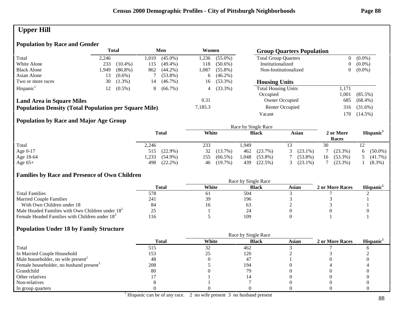# **Upper Hill**

## **Population by Race and Gender**

|                                                              |       | <b>Total</b><br>Men |      |            | Women   |            | <b>Group Quarters Population</b> |                |            |
|--------------------------------------------------------------|-------|---------------------|------|------------|---------|------------|----------------------------------|----------------|------------|
| Total                                                        | 2.246 |                     | .010 | $(45.0\%)$ | 1.236   | $(55.0\%)$ | <b>Total Group Quarters</b>      | $\overline{0}$ | $(0.0\%)$  |
| White Alone                                                  | 233   | $(10.4\%)$          | 115  | $(49.4\%)$ | 118     | $(50.6\%)$ | Institutionalized                | 0              | $(0.0\%)$  |
| <b>Black Alone</b>                                           | l.949 | $(86.8\%)$          | 862  | $(44.2\%)$ | 1.087   | $(55.8\%)$ | Non-Institutionalized            | $\overline{0}$ | $(0.0\%)$  |
| Asian Alone                                                  | 13.   | $(0.6\%)$           |      | $(53.8\%)$ | 6.      | $(46.2\%)$ |                                  |                |            |
| Two or more races                                            | 30    | $(1.3\%)$           | 14   | $(46.7\%)$ | 16      | $(53.3\%)$ | <b>Housing Units</b>             |                |            |
| Hispanic <sup>1</sup>                                        | 12    | $(0.5\%)$           | 8    | $(66.7\%)$ | 4       | $(33.3\%)$ | <b>Total Housing Units</b>       | 1,171          |            |
|                                                              |       |                     |      |            |         |            | Occupied                         | l.001          | $(85.5\%)$ |
| <b>Land Area in Square Miles</b>                             |       |                     |      |            | 0.31    |            | Owner Occupied                   | 685            | $(68.4\%)$ |
| <b>Population Density (Total Population per Square Mile)</b> |       |                     |      |            | 7,185.3 |            | Renter Occupied                  | 316            | $(31.6\%)$ |
|                                                              |       |                     |      |            |         |            | Vacant                           | 170.           | $(14.5\%)$ |

## **Population by Race and Major Age Group**

|            |                     | Race by Single Race |                    |                 |                    |                       |  |
|------------|---------------------|---------------------|--------------------|-----------------|--------------------|-----------------------|--|
|            | <b>Total</b>        | White               | <b>Black</b>       | Asian           | 2 or More<br>Races | Hispanic <sup>1</sup> |  |
| Total      | 2,246               | 233                 | .949               |                 | 30                 | ⊥∠                    |  |
| Age $0-17$ | $(22.9\%)$<br>515   | $(13.7\%)$<br>32    | (23.7%)<br>462     | $(23.1\%)$<br>3 | $(23.3\%)$         | $(50.0\%)$<br>6.      |  |
| Age 18-64  | 1,233<br>$(54.9\%)$ | $(66.5\%)$<br>155   | .048<br>$(53.8\%)$ | $(53.8\%)$      | $(53.3\%)$<br>16   | $(41.7\%)$            |  |
| Age $65+$  | 498<br>$(22.2\%)$   | (19.7%)<br>46       | 439<br>(22.5%)     | $(23.1\%)$      | $(23.3\%)$         | $(8.3\%)$             |  |

#### **Families by Race and Presence of Own Children**

|                                                            | Race by Single Race |       |              |       |                 |                 |  |
|------------------------------------------------------------|---------------------|-------|--------------|-------|-----------------|-----------------|--|
|                                                            | Total               | White | <b>Black</b> | Asian | 2 or More Races | <b>Hispanic</b> |  |
| <b>Total Families</b>                                      | 578                 | οI    | 504          |       |                 |                 |  |
| <b>Married Couple Families</b>                             | 241                 | 39    | 196          |       |                 |                 |  |
| With Own Children under 18                                 | 84                  |       |              |       |                 |                 |  |
| Male Headed Families with Own Children under $182$         |                     |       |              |       |                 |                 |  |
| Female Headed Families with Children under 18 <sup>3</sup> | ' 16                |       | 109          |       |                 |                 |  |

|                                                     |              | Race by Single Race |              |              |                 |                       |  |
|-----------------------------------------------------|--------------|---------------------|--------------|--------------|-----------------|-----------------------|--|
|                                                     | <b>Total</b> | White               | <b>Black</b> | <b>Asian</b> | 2 or More Races | Hispanic <sup>1</sup> |  |
| Total                                               |              | 32                  | 462          |              |                 |                       |  |
| In Married Couple Household                         | 153          |                     | 120          |              |                 |                       |  |
| Male householder, no wife present <sup>2</sup>      | 48           |                     | 47           |              |                 |                       |  |
| Female householder, no husband present <sup>3</sup> | 208          |                     | 194          |              |                 |                       |  |
| Grandchild                                          | 80           |                     | 79           |              |                 |                       |  |
| Other relatives                                     |              |                     |              |              |                 |                       |  |
| Non-relatives                                       |              |                     |              |              |                 |                       |  |
| In group quarters                                   |              |                     |              |              |                 |                       |  |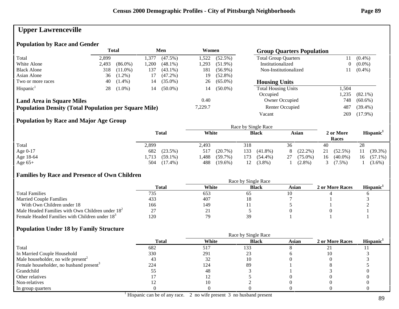# **Upper Lawrenceville**

### **Population by Race and Gender**

|                                                              |       | <b>Total</b> |      | Men        | Women   |            | <b>Group Quarters Population</b> |       |            |
|--------------------------------------------------------------|-------|--------------|------|------------|---------|------------|----------------------------------|-------|------------|
| Total                                                        | 2,899 |              | .377 | $(47.5\%)$ | 1,522   | $(52.5\%)$ | <b>Total Group Quarters</b>      |       | $(0.4\%)$  |
| White Alone                                                  | 2.493 | $(86.0\%)$   | ,200 | $(48.1\%)$ | .293    | $(51.9\%)$ | Institutionalized                | 0     | $(0.0\%)$  |
| <b>Black Alone</b>                                           | 318   | $(11.0\%)$   | 137  | $(43.1\%)$ | 181     | $(56.9\%)$ | Non-Institutionalized            |       | $(0.4\%)$  |
| Asian Alone                                                  | 36    | $(1.2\%)$    | 17   | $(47.2\%)$ | 19      | $(52.8\%)$ |                                  |       |            |
| Two or more races                                            | 40    | $(1.4\%)$    | 14   | $(35.0\%)$ | 26      | $(65.0\%)$ | <b>Housing Units</b>             |       |            |
| Hispanic <sup>1</sup>                                        | 28    | $(1.0\%)$    | 14   | $(50.0\%)$ | 14      | $(50.0\%)$ | <b>Total Housing Units</b>       | 1,504 |            |
|                                                              |       |              |      |            |         |            | Occupied                         | .235  | $(82.1\%)$ |
| <b>Land Area in Square Miles</b>                             |       |              |      |            | 0.40    |            | Owner Occupied                   | 748   | $(60.6\%)$ |
| <b>Population Density (Total Population per Square Mile)</b> |       |              |      |            | 7,229.7 |            | Renter Occupied                  | 487   | $(39.4\%)$ |
|                                                              |       |              |      |            |         |            | Vacant                           | 269   | $(17.9\%)$ |

## **Population by Race and Major Age Group**

|            |                     | Race by Single Race |                   |                  |                    |                       |  |  |  |
|------------|---------------------|---------------------|-------------------|------------------|--------------------|-----------------------|--|--|--|
|            | <b>Total</b>        | White               | <b>Black</b>      | Asian            | 2 or More<br>Races | Hispanic <sup>1</sup> |  |  |  |
| Total      | 2,899               | 2,493               | 318               | 36               | 40                 | 28                    |  |  |  |
| Age $0-17$ | 682<br>$(23.5\%)$   | $(20.7\%)$<br>517   | 133<br>$(41.8\%)$ | $(22.2\%)$<br>8  | 21<br>$(52.5\%)$   | $(39.3\%)$            |  |  |  |
| Age 18-64  | $(59.1\%)$<br>1,713 | .,488<br>$(59.7\%)$ | 173<br>$(54.4\%)$ | $(75.0\%)$<br>27 | $(40.0\%)$<br>16   | $(57.1\%)$<br>16      |  |  |  |
| Age $65+$  | 504<br>$(17.4\%)$   | 488<br>$(19.6\%)$   | $(3.8\%)$<br>12   | $(2.8\%)$        | $7.5\%$ )          | $(3.6\%)$             |  |  |  |

#### **Families by Race and Presence of Own Children**

|                                                            | Race by Single Race |       |              |       |                 |                       |  |
|------------------------------------------------------------|---------------------|-------|--------------|-------|-----------------|-----------------------|--|
|                                                            | <b>Total</b>        | White | <b>Black</b> | Asian | 2 or More Races | Hispanic <sup>1</sup> |  |
| <b>Total Families</b>                                      | 735                 | 653   | -65          |       |                 |                       |  |
| <b>Married Couple Families</b>                             | 433                 | 407   |              |       |                 |                       |  |
| With Own Children under 18                                 | 166                 | 149   |              |       |                 |                       |  |
| Male Headed Families with Own Children under $182$         |                     | ∠ ⊥   |              |       |                 |                       |  |
| Female Headed Families with Children under 18 <sup>3</sup> | 120                 | 79    | 30           |       |                 |                       |  |

|                                                     | <b>Total</b> | White | <b>Black</b> | Asian | 2 or More Races | Hispanic <sup>1</sup> |
|-----------------------------------------------------|--------------|-------|--------------|-------|-----------------|-----------------------|
| Total                                               | 682          | 517   | 133          |       |                 |                       |
| In Married Couple Household                         | 330          | 291   |              |       | 10              |                       |
| Male householder, no wife present <sup>2</sup>      | 43           | 32    |              |       |                 |                       |
| Female householder, no husband present <sup>3</sup> | 224          | 124   | 89           |       |                 |                       |
| Grandchild                                          |              | -48   |              |       |                 |                       |
| Other relatives                                     |              |       |              |       |                 |                       |
| Non-relatives                                       |              | 10    |              |       |                 |                       |
| In group quarters                                   |              |       |              |       |                 |                       |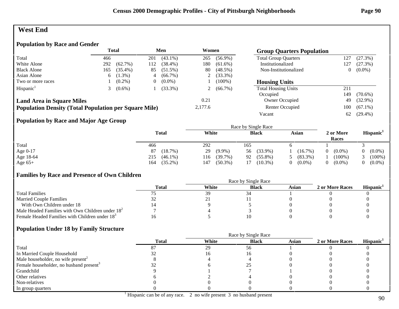# **West End**

### **Population by Race and Gender**

|                                                              | <b>Total</b> |            |     | Men<br>Women |         |            | <b>Group Quarters Population</b> |     |            |
|--------------------------------------------------------------|--------------|------------|-----|--------------|---------|------------|----------------------------------|-----|------------|
| Total                                                        | 466          |            | 201 | $(43.1\%)$   | 265     | $(56.9\%)$ | <b>Total Group Quarters</b>      | 127 | (27.3%)    |
| White Alone                                                  | 292          | $(62.7\%)$ | 112 | $(38.4\%)$   | 180     | $(61.6\%)$ | Institutionalized                | 127 | (27.3%)    |
| <b>Black Alone</b>                                           | 165          | $(35.4\%)$ | 85  | $(51.5\%)$   | 80      | $(48.5\%)$ | Non-Institutionalized            | 0   | $(0.0\%)$  |
| Asian Alone                                                  | 6            | $(1.3\%)$  | 4   | $(66.7\%)$   | ∠       | $(33.3\%)$ |                                  |     |            |
| Two or more races                                            |              | $(0.2\%)$  |     | $(0.0\%)$    |         | $(100\%)$  | <b>Housing Units</b>             |     |            |
| Hispanic <sup>1</sup>                                        |              | $(0.6\%)$  |     | $(33.3\%)$   | ∠       | $(66.7\%)$ | <b>Total Housing Units</b>       | 211 |            |
|                                                              |              |            |     |              |         |            | Occupied                         | 149 | $(70.6\%)$ |
| <b>Land Area in Square Miles</b>                             |              |            |     |              | 0.21    |            | Owner Occupied                   | 49  | $(32.9\%)$ |
| <b>Population Density (Total Population per Square Mile)</b> |              |            |     |              | 2,177.6 |            | Renter Occupied                  | 100 | $(67.1\%)$ |
|                                                              |              |            |     |              |         |            | Vacant                           | 62  | $(29.4\%)$ |

#### **Population by Race and Major Age Group**

|            |                   | Race by Single Race |                  |            |                                 |                       |  |
|------------|-------------------|---------------------|------------------|------------|---------------------------------|-----------------------|--|
|            | <b>Total</b>      | White               | <b>Black</b>     | Asian      | 2 or More<br>Races              | Hispanic <sup>1</sup> |  |
| Total      | 466               | 292                 | 165              |            |                                 |                       |  |
| Age $0-17$ | (18.7%)<br>87     | $(9.9\%)$<br>29     | $(33.9\%)$<br>56 | $(16.7\%)$ | $(0.0\%)$<br>$\left( 0 \right)$ | $(0.0\%)$             |  |
| Age 18-64  | $(46.1\%)$<br>215 | $(39.7\%)$<br>116   | $(55.8\%)$<br>92 | $(83.3\%)$ | $(100\%)$                       | $(100\%)$             |  |
| Age $65+$  | $(35.2\%)$<br>164 | $(50.3\%)$<br>147   | $(10.3\%)$       | $(0.0\%)$  | $(0.0\%)$<br>$\Omega$           | $(0.0\%)$             |  |

#### **Families by Race and Presence of Own Children**

|                                                            | Race by Single Race |       |              |       |                 |                 |  |  |
|------------------------------------------------------------|---------------------|-------|--------------|-------|-----------------|-----------------|--|--|
|                                                            | <b>Total</b>        | White | <b>Black</b> | Asian | 2 or More Races | <b>Hispanic</b> |  |  |
| <b>Total Families</b>                                      |                     | 39    |              |       |                 |                 |  |  |
| <b>Married Couple Families</b>                             |                     | 21 J  |              |       |                 |                 |  |  |
| With Own Children under 18                                 |                     |       |              |       |                 |                 |  |  |
| Male Headed Families with Own Children under $182$         |                     |       |              |       |                 |                 |  |  |
| Female Headed Families with Children under 18 <sup>3</sup> |                     |       |              |       |                 |                 |  |  |

|                                                     | Race by Single Race |       |              |              |                 |                       |  |
|-----------------------------------------------------|---------------------|-------|--------------|--------------|-----------------|-----------------------|--|
|                                                     | <b>Total</b>        | White | <b>Black</b> | <b>Asian</b> | 2 or More Races | Hispanic <sup>1</sup> |  |
| Total                                               |                     | 29    | 56           |              |                 |                       |  |
| In Married Couple Household                         |                     |       |              |              |                 |                       |  |
| Male householder, no wife present <sup>2</sup>      |                     |       |              |              |                 |                       |  |
| Female householder, no husband present <sup>3</sup> |                     |       |              |              |                 |                       |  |
| Grandchild                                          |                     |       |              |              |                 |                       |  |
| Other relatives                                     |                     |       |              |              |                 |                       |  |
| Non-relatives                                       |                     |       |              |              |                 |                       |  |
| In group quarters                                   |                     |       |              |              |                 |                       |  |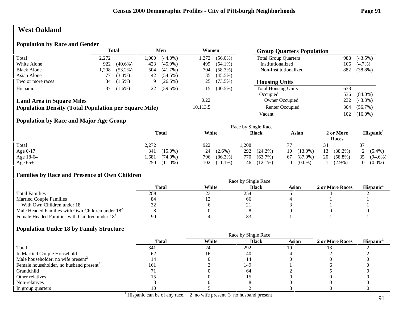# **West Oakland**

### **Population by Race and Gender**

|                                                              |       | <b>Total</b> |       | Men        | Women    |            | <b>Group Quarters Population</b> |     |            |
|--------------------------------------------------------------|-------|--------------|-------|------------|----------|------------|----------------------------------|-----|------------|
| Total                                                        | 2.272 |              | .000. | $(44.0\%)$ | 1,272    | $(56.0\%)$ | <b>Total Group Quarters</b>      | 988 | $(43.5\%)$ |
| White Alone                                                  | 922   | $(40.6\%)$   | 423   | $(45.9\%)$ | 499      | $(54.1\%)$ | Institutionalized                | 106 | $(4.7\%)$  |
| <b>Black Alone</b>                                           | ,208  | $(53.2\%)$   | 504   | $(41.7\%)$ | 704      | $(58.3\%)$ | Non-Institutionalized            | 882 | $(38.8\%)$ |
| Asian Alone                                                  |       | $(3.4\%)$    | 42    | $(54.5\%)$ | 35       | $(45.5\%)$ |                                  |     |            |
| Two or more races                                            | 34    | $(1.5\%)$    | -9    | $(26.5\%)$ | 25       | $(73.5\%)$ | <b>Housing Units</b>             |     |            |
| Hispanic <sup>1</sup>                                        | 37    | $(1.6\%)$    | 22    | $(59.5\%)$ | 15       | $(40.5\%)$ | <b>Total Housing Units</b>       | 638 |            |
|                                                              |       |              |       |            |          |            | Occupied                         | 536 | $(84.0\%)$ |
| <b>Land Area in Square Miles</b>                             |       |              |       |            | 0.22     |            | Owner Occupied                   | 232 | $(43.3\%)$ |
| <b>Population Density (Total Population per Square Mile)</b> |       |              |       |            | 10,113.5 |            | Renter Occupied                  | 304 | $(56.7\%)$ |
|                                                              |       |              |       |            |          |            | Vacant                           | 102 | $(16.0\%)$ |

## **Population by Race and Major Age Group**

|            |                    |                   | Race by Single Race |                  |                    |                       |
|------------|--------------------|-------------------|---------------------|------------------|--------------------|-----------------------|
|            | <b>Total</b>       | White             | <b>Black</b>        | Asian            | 2 or More<br>Races | Hispanic <sup>1</sup> |
| Total      | 2,272              | 922               | 1,208               |                  | 34                 |                       |
| Age $0-17$ | 341<br>$(15.0\%)$  | 24<br>$(2.6\%)$   | 292<br>$(24.2\%)$   | $(13.0\%)$<br>10 | 13<br>$(38.2\%)$   | 2 $(5.4\%)$           |
| Age 18-64  | .681<br>$(74.0\%)$ | $(86.3\%)$<br>796 | 770<br>$(63.7\%)$   | $(87.0\%)$<br>67 | 20<br>$(58.8\%)$   | 35<br>$(94.6\%)$      |
| Age $65+$  | 250<br>$(11.0\%)$  | 102<br>$(11.1\%)$ | $(12.1\%)$<br>146   | $(0.0\%)$        | $(2.9\%)$          | $(0.0\%)$<br>0        |

#### **Families by Race and Presence of Own Children**

|                                                            | Race by Single Race |       |              |       |                 |                 |  |  |
|------------------------------------------------------------|---------------------|-------|--------------|-------|-----------------|-----------------|--|--|
|                                                            | Total               | White | <b>Black</b> | Asian | 2 or More Races | <b>Hispanic</b> |  |  |
| <b>Total Families</b>                                      | 288                 | ل ک   | 254          |       |                 |                 |  |  |
| <b>Married Couple Families</b>                             | 84                  |       | .66          |       |                 |                 |  |  |
| With Own Children under 18                                 |                     |       |              |       |                 |                 |  |  |
| Male Headed Families with Own Children under $182$         |                     |       |              |       |                 |                 |  |  |
| Female Headed Families with Children under 18 <sup>3</sup> | 90                  |       |              |       |                 |                 |  |  |

|                                                     |              | Race by Single Race |              |              |                 |                       |  |  |
|-----------------------------------------------------|--------------|---------------------|--------------|--------------|-----------------|-----------------------|--|--|
|                                                     | <b>Total</b> | White               | <b>Black</b> | <b>Asian</b> | 2 or More Races | Hispanic <sup>1</sup> |  |  |
| Total                                               | 341          | 24                  | 292          | 10           |                 |                       |  |  |
| In Married Couple Household                         |              |                     | 40           |              |                 |                       |  |  |
| Male householder, no wife present <sup>2</sup>      | 14.          |                     |              |              |                 |                       |  |  |
| Female householder, no husband present <sup>3</sup> | 161          |                     | 149          |              |                 |                       |  |  |
| Grandchild                                          |              |                     | -64          |              |                 |                       |  |  |
| Other relatives                                     |              |                     |              |              |                 |                       |  |  |
| Non-relatives                                       |              |                     |              |              |                 |                       |  |  |
| In group quarters                                   |              |                     |              |              |                 |                       |  |  |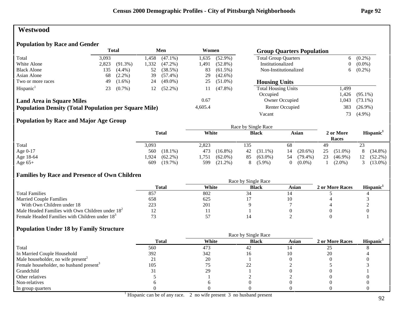# **Westwood**

# **Population by Race and Gender**

|                                                              | <b>Total</b><br>Men<br>Women |            | <b>Group Quarters Population</b> |            |         |            |                             |        |            |
|--------------------------------------------------------------|------------------------------|------------|----------------------------------|------------|---------|------------|-----------------------------|--------|------------|
| Total                                                        | 3,093                        |            | .458                             | $(47.1\%)$ | 1,635   | $(52.9\%)$ | <b>Total Group Quarters</b> | 6      | $(0.2\%)$  |
| White Alone                                                  | 2,823                        | $(91.3\%)$ | 1,332                            | $(47.2\%)$ | l .491  | $(52.8\%)$ | Institutionalized           | 0      | $(0.0\%)$  |
| <b>Black Alone</b>                                           | 135                          | $(4.4\%)$  | 52                               | (38.5%)    | 83      | $(61.5\%)$ | Non-Institutionalized       | 6.     | $(0.2\%)$  |
| Asian Alone                                                  | 68                           | $(2.2\%)$  | 39                               | $(57.4\%)$ | 29      | $(42.6\%)$ |                             |        |            |
| Two or more races                                            | 49                           | $(1.6\%)$  | 24                               | $(49.0\%)$ | 25      | $(51.0\%)$ | <b>Housing Units</b>        |        |            |
| Hispanic <sup>1</sup>                                        | 23                           | $(0.7\%)$  | 12                               | $(52.2\%)$ | 11      | $(47.8\%)$ | <b>Total Housing Units</b>  | 499.ء  |            |
|                                                              |                              |            |                                  |            |         |            | Occupied                    | .426   | $(95.1\%)$ |
| <b>Land Area in Square Miles</b>                             |                              |            |                                  |            | 0.67    |            | Owner Occupied              | 043. ا | $(73.1\%)$ |
| <b>Population Density (Total Population per Square Mile)</b> |                              |            |                                  |            | 4,605.4 |            | Renter Occupied             | 383    | $(26.9\%)$ |
|                                                              |                              |            |                                  |            |         |            | Vacant                      | 73     | $(4.9\%)$  |

## **Population by Race and Major Age Group**

|            |                    |                    | Race by Single Race |                  |                    |                       |
|------------|--------------------|--------------------|---------------------|------------------|--------------------|-----------------------|
|            | <b>Total</b>       | White              | <b>Black</b>        | Asian            | 2 or More<br>Races | Hispanic <sup>1</sup> |
| Total      | 3,093              | 2,823              | 135                 | 68               | 49                 | 23                    |
| Age $0-17$ | $(18.1\%)$<br>560  | 473<br>$(16.8\%)$  | 42 (31.1%)          | $(20.6\%)$<br>14 | 25<br>$(51.0\%)$   | $(34.8\%)$            |
| Age 18-64  | $(62.2\%)$<br>.924 | $(62.0\%)$<br>,751 | $(63.0\%)$<br>85    | $(79.4\%)$<br>54 | 23<br>$(46.9\%)$   | $(52.2\%)$<br>12      |
| Age $65+$  | 609<br>$(19.7\%)$  | 599<br>$(21.2\%)$  | $(5.9\%)$<br>8      | $(0.0\%)$        | $(2.0\%)$          | $(13.0\%)$            |

#### **Families by Race and Presence of Own Children**

|                                                            | Race by Single Race |       |              |       |                 |                       |  |
|------------------------------------------------------------|---------------------|-------|--------------|-------|-----------------|-----------------------|--|
|                                                            | <b>Total</b>        | White | <b>Black</b> | Asian | 2 or More Races | Hispanic <sup>1</sup> |  |
| <b>Total Families</b>                                      | 851                 | 802   |              |       |                 |                       |  |
| <b>Married Couple Families</b>                             | 658                 | 625   |              |       |                 |                       |  |
| With Own Children under 18                                 | 223                 | 201   |              |       |                 |                       |  |
| Male Headed Families with Own Children under $182$         |                     |       |              |       |                 |                       |  |
| Female Headed Families with Children under 18 <sup>3</sup> |                     |       |              |       |                 |                       |  |

|                                                     |              | Race by Single Race |              |              |                 |                       |
|-----------------------------------------------------|--------------|---------------------|--------------|--------------|-----------------|-----------------------|
|                                                     | <b>Total</b> | White               | <b>Black</b> | <b>Asian</b> | 2 or More Races | Hispanic <sup>1</sup> |
| Total                                               | 560          | 473                 | 42           |              |                 |                       |
| In Married Couple Household                         | 392          | 342                 |              |              | 20              |                       |
| Male householder, no wife present <sup>2</sup>      |              | 20                  |              |              |                 |                       |
| Female householder, no husband present <sup>3</sup> | 105          |                     |              |              |                 |                       |
| Grandchild                                          |              | 29                  |              |              |                 |                       |
| Other relatives                                     |              |                     |              |              |                 |                       |
| Non-relatives                                       |              |                     |              |              |                 |                       |
| In group quarters                                   |              |                     |              |              |                 |                       |